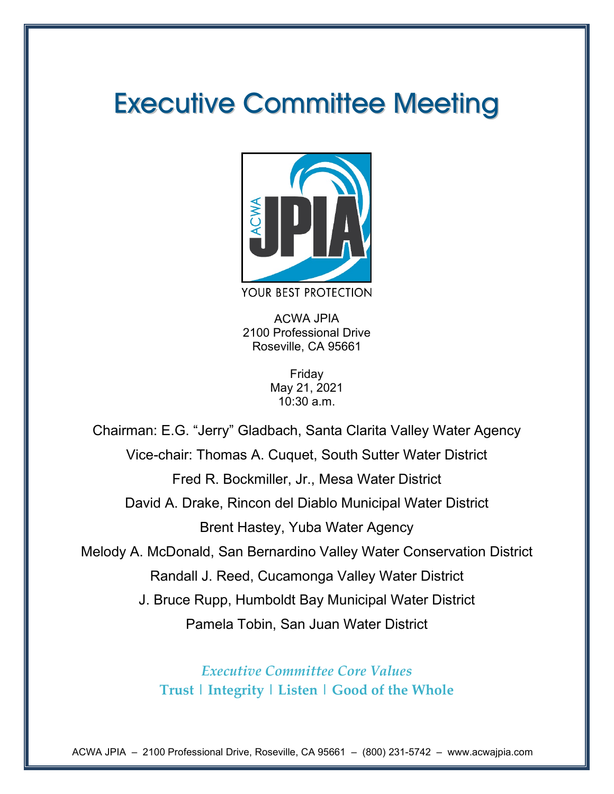# Executive Committee Meeting



ACWA JPIA 2100 Professional Drive Roseville, CA 95661

> Friday May 21, 2021 10:30 a.m.

Chairman: E.G. "Jerry" Gladbach, Santa Clarita Valley Water Agency Vice-chair: Thomas A. Cuquet, South Sutter Water District Fred R. Bockmiller, Jr., Mesa Water District David A. Drake, Rincon del Diablo Municipal Water District Brent Hastey, Yuba Water Agency Melody A. McDonald, San Bernardino Valley Water Conservation District Randall J. Reed, Cucamonga Valley Water District J. Bruce Rupp, Humboldt Bay Municipal Water District Pamela Tobin, San Juan Water District

> *Executive Committee Core Values* **Trust | Integrity | Listen | Good of the Whole**

ACWA JPIA – 2100 Professional Drive, Roseville, CA 95661 – (800) 231-5742 – www.acwajpia.com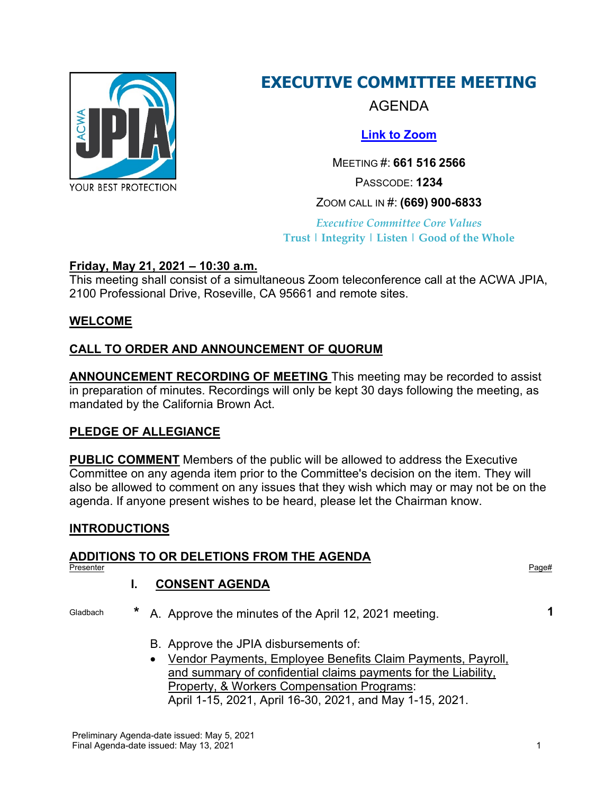

## **EXECUTIVE COMMITTEE MEETING**

AGENDA

**[Link to Zoom](https://us02web.zoom.us/j/6615162566?pwd=azhrRU1uR3ZrZVRLd0EyakthWHQ4dz09)**

MEETING #: **661 516 2566** PASSCODE: **1234** ZOOM CALL IN #: **(669) 900-6833**

*Executive Committee Core Values* **Trust | Integrity | Listen | Good of the Whole**

## **Friday, May 21, 2021 – 10:30 a.m.**

This meeting shall consist of a simultaneous Zoom teleconference call at the ACWA JPIA, 2100 Professional Drive, Roseville, CA 95661 and remote sites.

## **WELCOME**

## **CALL TO ORDER AND ANNOUNCEMENT OF QUORUM**

**ANNOUNCEMENT RECORDING OF MEETING** This meeting may be recorded to assist in preparation of minutes. Recordings will only be kept 30 days following the meeting, as mandated by the California Brown Act.

## **PLEDGE OF ALLEGIANCE**

**PUBLIC COMMENT** Members of the public will be allowed to address the Executive Committee on any agenda item prior to the Committee's decision on the item. They will also be allowed to comment on any issues that they wish which may or may not be on the agenda. If anyone present wishes to be heard, please let the Chairman know.

## **INTRODUCTIONS**

## **ADDITIONS TO OR DELETIONS FROM THE AGENDA**

Presenter Presenter Page# Page Presenter Page Presenter Page Presenter Page Presenter Page Presenter Page Presenter

## **I. CONSENT AGENDA**

Gladbach **\*** A. Approve the minutes of the April 12, 2021 meeting. **1**

- B. Approve the JPIA disbursements of:
- Vendor Payments, Employee Benefits Claim Payments, Payroll, and summary of confidential claims payments for the Liability, Property, & Workers Compensation Programs: April 1-15, 2021, April 16-30, 2021, and May 1-15, 2021.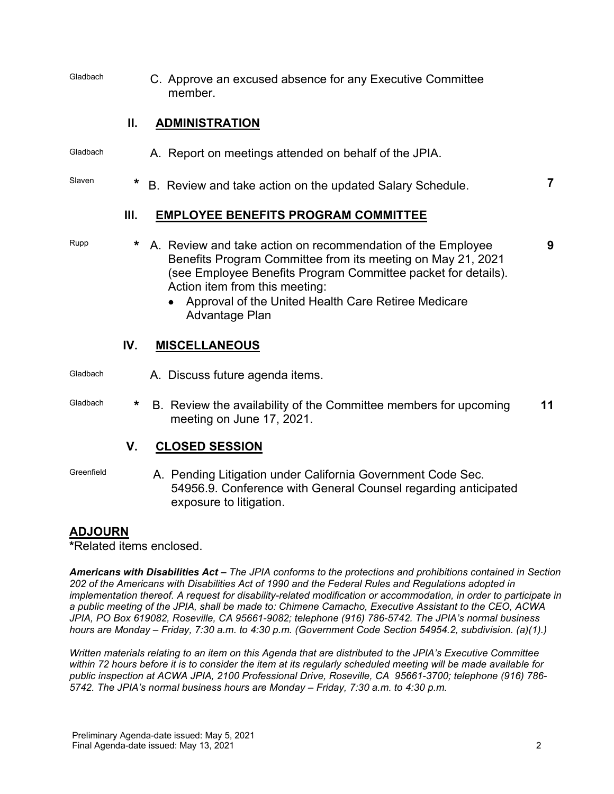Gladbach C. Approve an excused absence for any Executive Committee member.

## **II. ADMINISTRATION**

- Gladbach A. Report on meetings attended on behalf of the JPIA.
- Slaven **\*** B. Review and take action on the updated Salary Schedule. **7**

### **III. EMPLOYEE BENEFITS PROGRAM COMMITTEE**

- Rupp **\*** A. Review and take action on recommendation of the Employee Benefits Program Committee from its meeting on May 21, 2021 (see Employee Benefits Program Committee packet for details). Action item from this meeting:
	- Approval of the United Health Care Retiree Medicare Advantage Plan

### **IV. MISCELLANEOUS**

- Gladbach **A. Discuss future agenda items.**
- Gladbach **\*** B. Review the availability of the Committee members for upcoming meeting on June 17, 2021. **11**

## **V. CLOSED SESSION**

Greenfield **A. Pending Litigation under California Government Code Sec.** 54956.9. Conference with General Counsel regarding anticipated exposure to litigation.

## **ADJOURN**

**\***Related items enclosed.

*Americans with Disabilities Act – The JPIA conforms to the protections and prohibitions contained in Section 202 of the Americans with Disabilities Act of 1990 and the Federal Rules and Regulations adopted in implementation thereof. A request for disability-related modification or accommodation, in order to participate in a public meeting of the JPIA, shall be made to: Chimene Camacho, Executive Assistant to the CEO, ACWA JPIA, PO Box 619082, Roseville, CA 95661-9082; telephone (916) 786-5742. The JPIA's normal business hours are Monday – Friday, 7:30 a.m. to 4:30 p.m. (Government Code Section 54954.2, subdivision. (a)(1).)*

*Written materials relating to an item on this Agenda that are distributed to the JPIA's Executive Committee within 72 hours before it is to consider the item at its regularly scheduled meeting will be made available for public inspection at ACWA JPIA, 2100 Professional Drive, Roseville, CA 95661-3700; telephone (916) 786- 5742. The JPIA's normal business hours are Monday – Friday, 7:30 a.m. to 4:30 p.m.*

**9**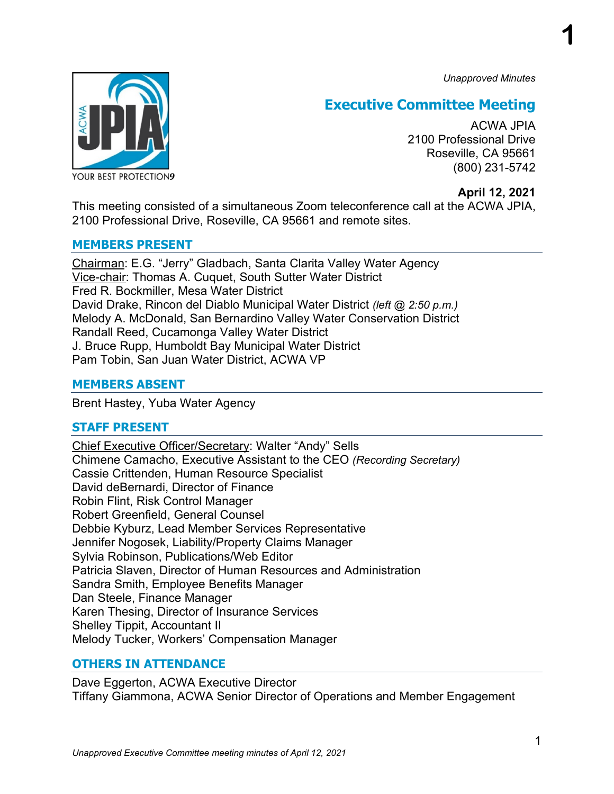*Unapproved Minutes*

**1**



## **Executive Committee Meeting**

ACWA JPIA 2100 Professional Drive Roseville, CA 95661 (800) 231-5742

### **April 12, 2021**

This meeting consisted of a simultaneous Zoom teleconference call at the ACWA JPIA, 2100 Professional Drive, Roseville, CA 95661 and remote sites.

### **MEMBERS PRESENT**

Chairman: E.G. "Jerry" Gladbach, Santa Clarita Valley Water Agency Vice-chair: Thomas A. Cuquet, South Sutter Water District Fred R. Bockmiller, Mesa Water District David Drake, Rincon del Diablo Municipal Water District *(left @ 2:50 p.m.)* Melody A. McDonald, San Bernardino Valley Water Conservation District Randall Reed, Cucamonga Valley Water District J. Bruce Rupp, Humboldt Bay Municipal Water District Pam Tobin, San Juan Water District, ACWA VP

## **MEMBERS ABSENT**

Brent Hastey, Yuba Water Agency

## **STAFF PRESENT**

Chief Executive Officer/Secretary: Walter "Andy" Sells Chimene Camacho, Executive Assistant to the CEO *(Recording Secretary)* Cassie Crittenden, Human Resource Specialist David deBernardi, Director of Finance Robin Flint, Risk Control Manager Robert Greenfield, General Counsel Debbie Kyburz, Lead Member Services Representative Jennifer Nogosek, Liability/Property Claims Manager Sylvia Robinson, Publications/Web Editor Patricia Slaven, Director of Human Resources and Administration Sandra Smith, Employee Benefits Manager Dan Steele, Finance Manager Karen Thesing, Director of Insurance Services Shelley Tippit, Accountant II Melody Tucker, Workers' Compensation Manager

## **OTHERS IN ATTENDANCE**

Dave Eggerton, ACWA Executive Director Tiffany Giammona, ACWA Senior Director of Operations and Member Engagement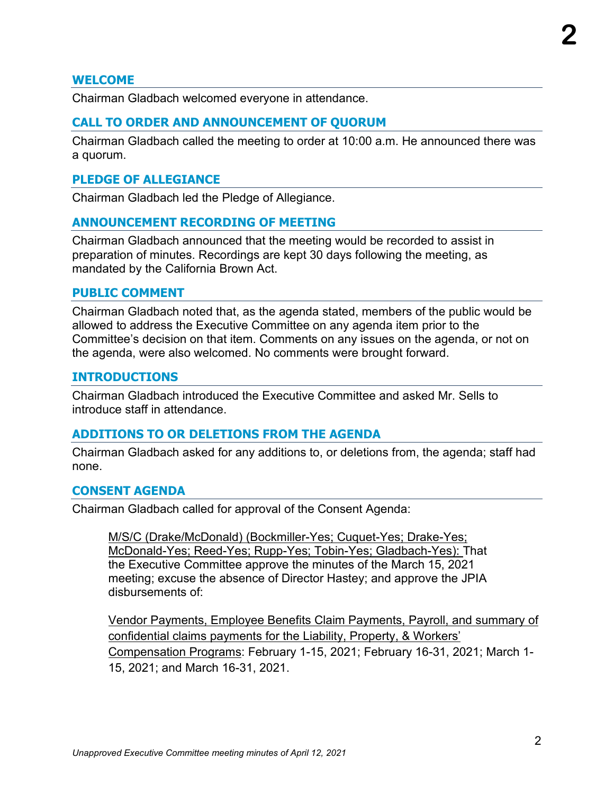### **WELCOME**

Chairman Gladbach welcomed everyone in attendance.

### **CALL TO ORDER AND ANNOUNCEMENT OF QUORUM**

Chairman Gladbach called the meeting to order at 10:00 a.m. He announced there was a quorum.

### **PLEDGE OF ALLEGIANCE**

Chairman Gladbach led the Pledge of Allegiance.

### **ANNOUNCEMENT RECORDING OF MEETING**

Chairman Gladbach announced that the meeting would be recorded to assist in preparation of minutes. Recordings are kept 30 days following the meeting, as mandated by the California Brown Act.

### **PUBLIC COMMENT**

Chairman Gladbach noted that, as the agenda stated, members of the public would be allowed to address the Executive Committee on any agenda item prior to the Committee's decision on that item. Comments on any issues on the agenda, or not on the agenda, were also welcomed. No comments were brought forward.

### **INTRODUCTIONS**

Chairman Gladbach introduced the Executive Committee and asked Mr. Sells to introduce staff in attendance.

### **ADDITIONS TO OR DELETIONS FROM THE AGENDA**

Chairman Gladbach asked for any additions to, or deletions from, the agenda; staff had none.

### **CONSENT AGENDA**

Chairman Gladbach called for approval of the Consent Agenda:

M/S/C (Drake/McDonald) (Bockmiller-Yes; Cuquet-Yes; Drake-Yes; McDonald-Yes; Reed-Yes; Rupp-Yes; Tobin-Yes; Gladbach-Yes): That the Executive Committee approve the minutes of the March 15, 2021 meeting; excuse the absence of Director Hastey; and approve the JPIA disbursements of:

Vendor Payments, Employee Benefits Claim Payments, Payroll, and summary of confidential claims payments for the Liability, Property, & Workers' Compensation Programs: February 1-15, 2021; February 16-31, 2021; March 1- 15, 2021; and March 16-31, 2021.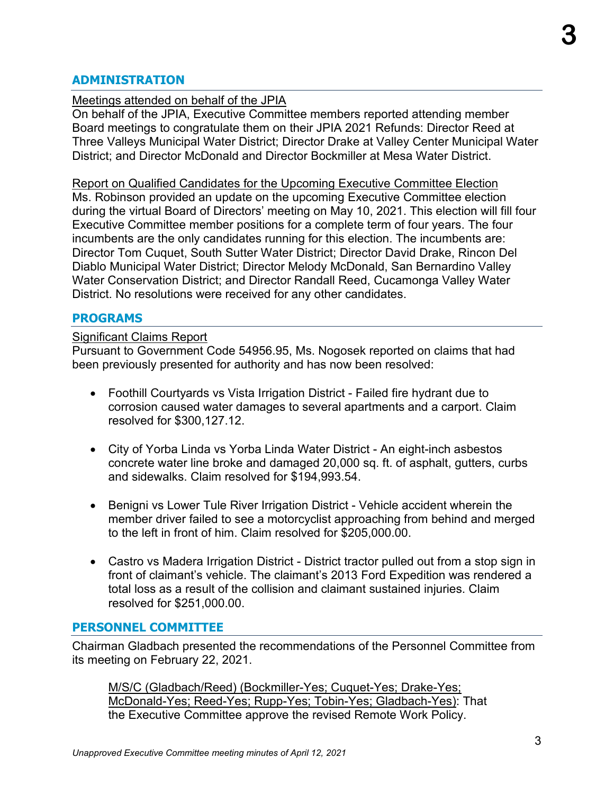### **ADMINISTRATION**

### Meetings attended on behalf of the JPIA

On behalf of the JPIA, Executive Committee members reported attending member Board meetings to congratulate them on their JPIA 2021 Refunds: Director Reed at Three Valleys Municipal Water District; Director Drake at Valley Center Municipal Water District; and Director McDonald and Director Bockmiller at Mesa Water District.

Report on Qualified Candidates for the Upcoming Executive Committee Election Ms. Robinson provided an update on the upcoming Executive Committee election during the virtual Board of Directors' meeting on May 10, 2021. This election will fill four Executive Committee member positions for a complete term of four years. The four incumbents are the only candidates running for this election. The incumbents are: Director Tom Cuquet, South Sutter Water District; Director David Drake, Rincon Del Diablo Municipal Water District; Director Melody McDonald, San Bernardino Valley Water Conservation District; and Director Randall Reed, Cucamonga Valley Water District. No resolutions were received for any other candidates.

### **PROGRAMS**

#### Significant Claims Report

Pursuant to Government Code 54956.95, Ms. Nogosek reported on claims that had been previously presented for authority and has now been resolved:

- Foothill Courtyards vs Vista Irrigation District Failed fire hydrant due to corrosion caused water damages to several apartments and a carport. Claim resolved for \$300,127.12.
- City of Yorba Linda vs Yorba Linda Water District An eight-inch asbestos concrete water line broke and damaged 20,000 sq. ft. of asphalt, gutters, curbs and sidewalks. Claim resolved for \$194,993.54.
- Benigni vs Lower Tule River Irrigation District Vehicle accident wherein the member driver failed to see a motorcyclist approaching from behind and merged to the left in front of him. Claim resolved for \$205,000.00.
- Castro vs Madera Irrigation District District tractor pulled out from a stop sign in front of claimant's vehicle. The claimant's 2013 Ford Expedition was rendered a total loss as a result of the collision and claimant sustained injuries. Claim resolved for \$251,000.00.

### **PERSONNEL COMMITTEE**

Chairman Gladbach presented the recommendations of the Personnel Committee from its meeting on February 22, 2021.

M/S/C (Gladbach/Reed) (Bockmiller-Yes; Cuquet-Yes; Drake-Yes; McDonald-Yes; Reed-Yes; Rupp-Yes; Tobin-Yes; Gladbach-Yes): That the Executive Committee approve the revised Remote Work Policy.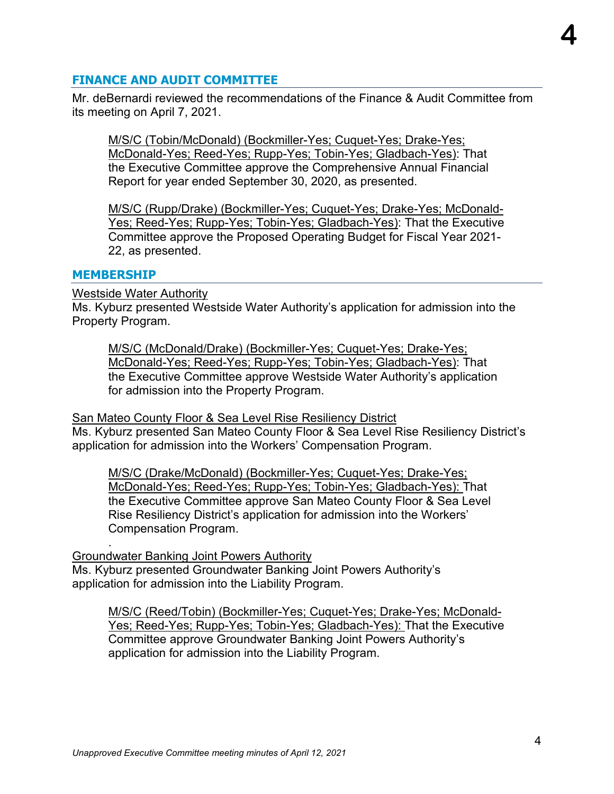### **FINANCE AND AUDIT COMMITTEE**

Mr. deBernardi reviewed the recommendations of the Finance & Audit Committee from its meeting on April 7, 2021.

M/S/C (Tobin/McDonald) (Bockmiller-Yes; Cuquet-Yes; Drake-Yes; McDonald-Yes; Reed-Yes; Rupp-Yes; Tobin-Yes; Gladbach-Yes): That the Executive Committee approve the Comprehensive Annual Financial Report for year ended September 30, 2020, as presented.

M/S/C (Rupp/Drake) (Bockmiller-Yes; Cuquet-Yes; Drake-Yes; McDonald-Yes; Reed-Yes; Rupp-Yes; Tobin-Yes; Gladbach-Yes): That the Executive Committee approve the Proposed Operating Budget for Fiscal Year 2021- 22, as presented.

### **MEMBERSHIP**

.

Westside Water Authority

Ms. Kyburz presented Westside Water Authority's application for admission into the Property Program.

M/S/C (McDonald/Drake) (Bockmiller-Yes; Cuquet-Yes; Drake-Yes; McDonald-Yes; Reed-Yes; Rupp-Yes; Tobin-Yes; Gladbach-Yes): That the Executive Committee approve Westside Water Authority's application for admission into the Property Program.

**San Mateo County Floor & Sea Level Rise Resiliency District** 

Ms. Kyburz presented San Mateo County Floor & Sea Level Rise Resiliency District's application for admission into the Workers' Compensation Program.

M/S/C (Drake/McDonald) (Bockmiller-Yes; Cuquet-Yes; Drake-Yes; McDonald-Yes; Reed-Yes; Rupp-Yes; Tobin-Yes; Gladbach-Yes): That the Executive Committee approve San Mateo County Floor & Sea Level Rise Resiliency District's application for admission into the Workers' Compensation Program.

Groundwater Banking Joint Powers Authority Ms. Kyburz presented Groundwater Banking Joint Powers Authority's application for admission into the Liability Program.

M/S/C (Reed/Tobin) (Bockmiller-Yes; Cuquet-Yes; Drake-Yes; McDonald-Yes; Reed-Yes; Rupp-Yes; Tobin-Yes; Gladbach-Yes): That the Executive Committee approve Groundwater Banking Joint Powers Authority's application for admission into the Liability Program.

**4**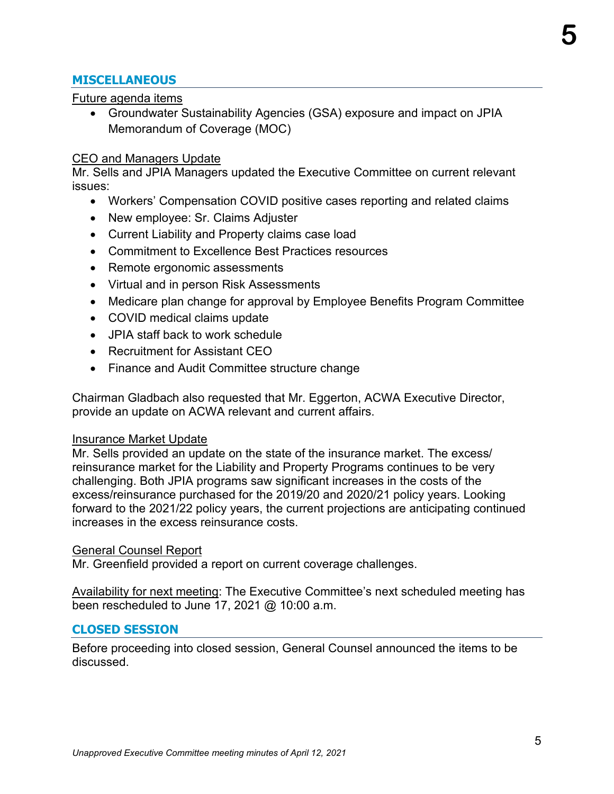## **MISCELLANEOUS**

### Future agenda items

• Groundwater Sustainability Agencies (GSA) exposure and impact on JPIA Memorandum of Coverage (MOC)

### CEO and Managers Update

Mr. Sells and JPIA Managers updated the Executive Committee on current relevant issues:

- Workers' Compensation COVID positive cases reporting and related claims
- New employee: Sr. Claims Adjuster
- Current Liability and Property claims case load
- Commitment to Excellence Best Practices resources
- Remote ergonomic assessments
- Virtual and in person Risk Assessments
- Medicare plan change for approval by Employee Benefits Program Committee
- COVID medical claims update
- JPIA staff back to work schedule
- Recruitment for Assistant CEO
- Finance and Audit Committee structure change

Chairman Gladbach also requested that Mr. Eggerton, ACWA Executive Director, provide an update on ACWA relevant and current affairs.

### Insurance Market Update

Mr. Sells provided an update on the state of the insurance market. The excess/ reinsurance market for the Liability and Property Programs continues to be very challenging. Both JPIA programs saw significant increases in the costs of the excess/reinsurance purchased for the 2019/20 and 2020/21 policy years. Looking forward to the 2021/22 policy years, the current projections are anticipating continued increases in the excess reinsurance costs.

### General Counsel Report

Mr. Greenfield provided a report on current coverage challenges.

Availability for next meeting: The Executive Committee's next scheduled meeting has been rescheduled to June 17, 2021 @ 10:00 a.m.

### **CLOSED SESSION**

Before proceeding into closed session, General Counsel announced the items to be discussed.

**5**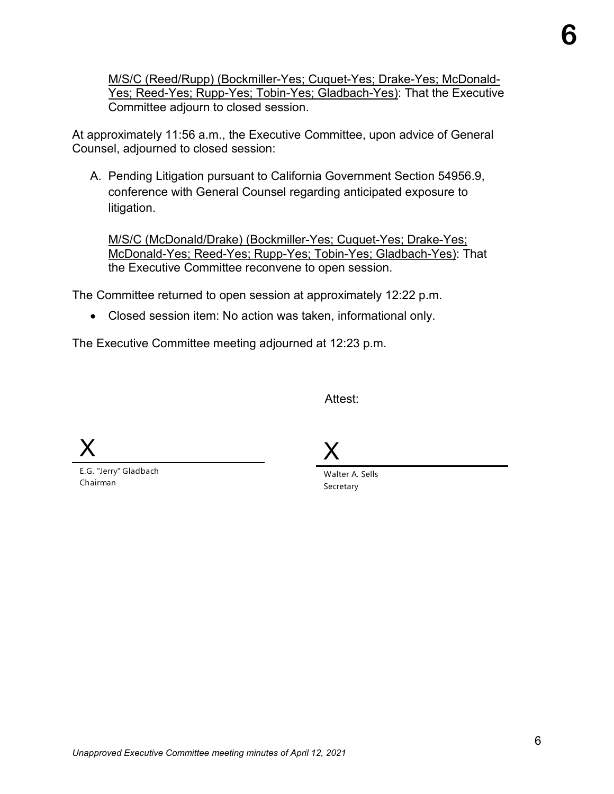M/S/C (Reed/Rupp) (Bockmiller-Yes; Cuquet-Yes; Drake-Yes; McDonald-Yes; Reed-Yes; Rupp-Yes; Tobin-Yes; Gladbach-Yes): That the Executive Committee adjourn to closed session.

At approximately 11:56 a.m., the Executive Committee, upon advice of General Counsel, adjourned to closed session:

A. Pending Litigation pursuant to California Government Section 54956.9, conference with General Counsel regarding anticipated exposure to litigation.

M/S/C (McDonald/Drake) (Bockmiller-Yes; Cuquet-Yes; Drake-Yes; McDonald-Yes; Reed-Yes; Rupp-Yes; Tobin-Yes; Gladbach-Yes): That the Executive Committee reconvene to open session.

The Committee returned to open session at approximately 12:22 p.m.

• Closed session item: No action was taken, informational only.

The Executive Committee meeting adjourned at 12:23 p.m.

Attest:

X

E.G. "Jerry" Gladbach Chairman

X

Walter A. Sells Secretary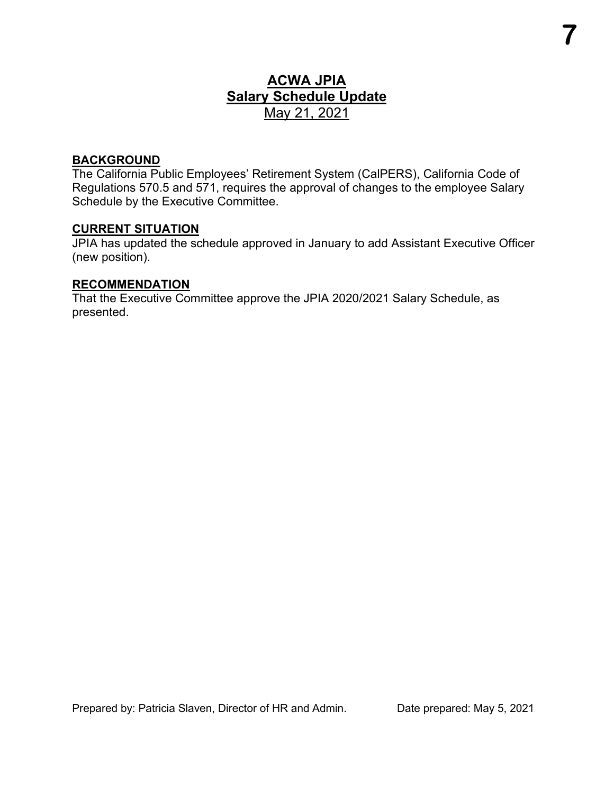## **ACWA JPIA Salary Schedule Update** May 21, 2021

### **BACKGROUND**

The California Public Employees' Retirement System (CalPERS), California Code of Regulations 570.5 and 571, requires the approval of changes to the employee Salary Schedule by the Executive Committee.

### **CURRENT SITUATION**

JPIA has updated the schedule approved in January to add Assistant Executive Officer (new position).

### **RECOMMENDATION**

That the Executive Committee approve the JPIA 2020/2021 Salary Schedule, as presented.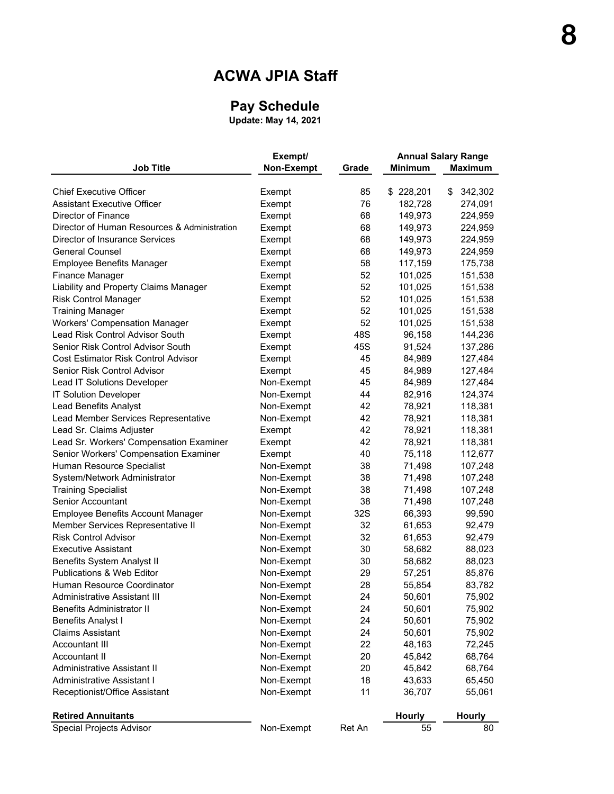## **ACWA JPIA Staff**

### **Pay Schedule**

**Update: May 14, 2021**

|                                              | Exempt/    |        | <b>Annual Salary Range</b> |                |  |
|----------------------------------------------|------------|--------|----------------------------|----------------|--|
| <b>Job Title</b>                             | Non-Exempt | Grade  | <b>Minimum</b>             | <b>Maximum</b> |  |
|                                              |            |        |                            |                |  |
| <b>Chief Executive Officer</b>               | Exempt     | 85     | \$228,201                  | \$<br>342,302  |  |
| <b>Assistant Executive Officer</b>           | Exempt     | 76     | 182,728                    | 274,091        |  |
| Director of Finance                          | Exempt     | 68     | 149,973                    | 224,959        |  |
| Director of Human Resources & Administration | Exempt     | 68     | 149,973                    | 224,959        |  |
| Director of Insurance Services               | Exempt     | 68     | 149,973                    | 224,959        |  |
| <b>General Counsel</b>                       | Exempt     | 68     | 149,973                    | 224,959        |  |
| <b>Employee Benefits Manager</b>             | Exempt     | 58     | 117,159                    | 175,738        |  |
| Finance Manager                              | Exempt     | 52     | 101,025                    | 151,538        |  |
| Liability and Property Claims Manager        | Exempt     | 52     | 101,025                    | 151,538        |  |
| <b>Risk Control Manager</b>                  | Exempt     | 52     | 101,025                    | 151,538        |  |
| <b>Training Manager</b>                      | Exempt     | 52     | 101,025                    | 151,538        |  |
| <b>Workers' Compensation Manager</b>         | Exempt     | 52     | 101,025                    | 151,538        |  |
| Lead Risk Control Advisor South              | Exempt     | 48S    | 96,158                     | 144,236        |  |
| Senior Risk Control Advisor South            | Exempt     | 45S    | 91,524                     | 137,286        |  |
| Cost Estimator Risk Control Advisor          | Exempt     | 45     | 84,989                     | 127,484        |  |
| Senior Risk Control Advisor                  | Exempt     | 45     | 84,989                     | 127,484        |  |
| Lead IT Solutions Developer                  | Non-Exempt | 45     | 84,989                     | 127,484        |  |
| <b>IT Solution Developer</b>                 | Non-Exempt | 44     | 82,916                     | 124,374        |  |
| <b>Lead Benefits Analyst</b>                 | Non-Exempt | 42     | 78,921                     | 118,381        |  |
| Lead Member Services Representative          | Non-Exempt | 42     | 78,921                     | 118,381        |  |
| Lead Sr. Claims Adjuster                     | Exempt     | 42     | 78,921                     | 118,381        |  |
| Lead Sr. Workers' Compensation Examiner      | Exempt     | 42     | 78,921                     | 118,381        |  |
| Senior Workers' Compensation Examiner        | Exempt     | 40     | 75,118                     | 112,677        |  |
| Human Resource Specialist                    | Non-Exempt | 38     | 71,498                     | 107,248        |  |
| System/Network Administrator                 | Non-Exempt | 38     | 71,498                     | 107,248        |  |
| <b>Training Specialist</b>                   | Non-Exempt | 38     | 71,498                     | 107,248        |  |
| Senior Accountant                            | Non-Exempt | 38     | 71,498                     | 107,248        |  |
| Employee Benefits Account Manager            | Non-Exempt | 32S    | 66,393                     | 99,590         |  |
| Member Services Representative II            | Non-Exempt | 32     | 61,653                     | 92,479         |  |
| <b>Risk Control Advisor</b>                  | Non-Exempt | 32     | 61,653                     | 92,479         |  |
| Executive Assistant                          | Non-Exempt | 30     | 58,682                     | 88,023         |  |
| <b>Benefits System Analyst II</b>            | Non-Exempt | 30     | 58,682                     | 88,023         |  |
| <b>Publications &amp; Web Editor</b>         | Non-Exempt | 29     | 57,251                     | 85,876         |  |
| Human Resource Coordinator                   | Non-Exempt | 28     | 55,854                     | 83,782         |  |
| Administrative Assistant III                 | Non-Exempt | 24     | 50,601                     | 75,902         |  |
| <b>Benefits Administrator II</b>             | Non-Exempt | 24     | 50,601                     | 75,902         |  |
| <b>Benefits Analyst I</b>                    | Non-Exempt | 24     | 50,601                     | 75,902         |  |
| <b>Claims Assistant</b>                      | Non-Exempt | 24     | 50,601                     | 75,902         |  |
| Accountant III                               | Non-Exempt | 22     | 48,163                     | 72,245         |  |
| Accountant II                                | Non-Exempt | 20     | 45,842                     | 68,764         |  |
| Administrative Assistant II                  | Non-Exempt | 20     | 45,842                     | 68,764         |  |
| Administrative Assistant I                   | Non-Exempt | 18     | 43,633                     | 65,450         |  |
| Receptionist/Office Assistant                | Non-Exempt | 11     | 36,707                     | 55,061         |  |
|                                              |            |        |                            |                |  |
| <b>Retired Annuitants</b>                    |            |        | Hourly                     | Hourly         |  |
| <b>Special Projects Advisor</b>              | Non-Exempt | Ret An | 55                         | 80             |  |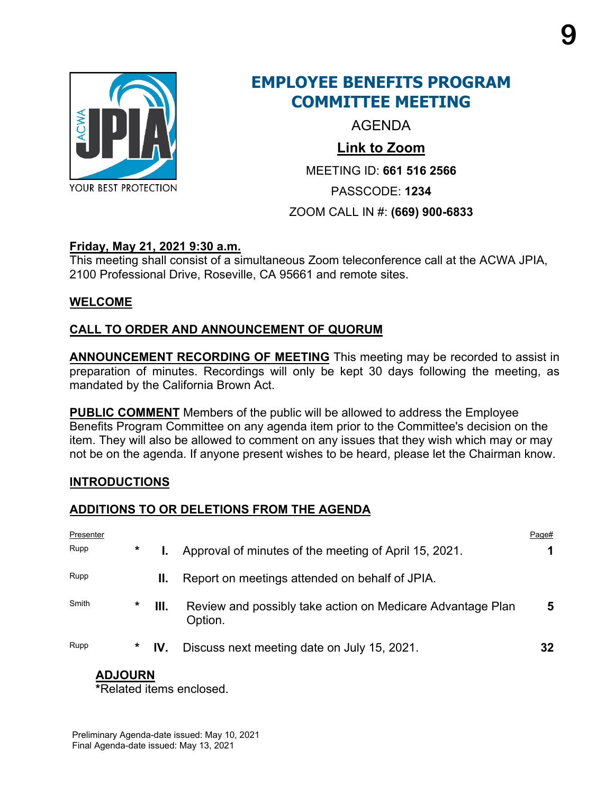

## **EMPLOYEE BENEFITS PROGRAM COMMITTEE MEETING**

AGENDA

## **Link to Zoom**

MEETING ID: **661 516 2566**

PASSCODE: **1234**

## ZOOM CALL IN #: **(669) 900-6833**

## **Friday, May 21, 2021 9:30 a.m.**

This meeting shall consist of a simultaneous Zoom teleconference call at the ACWA JPIA, 2100 Professional Drive, Roseville, CA 95661 and remote sites.

## **WELCOME**

## **CALL TO ORDER AND ANNOUNCEMENT OF QUORUM**

**ANNOUNCEMENT RECORDING OF MEETING** This meeting may be recorded to assist in preparation of minutes. Recordings will only be kept 30 days following the meeting, as mandated by the California Brown Act.

**PUBLIC COMMENT** Members of the public will be allowed to address the Employee Benefits Program Committee on any agenda item prior to the Committee's decision on the item. They will also be allowed to comment on any issues that they wish which may or may not be on the agenda. If anyone present wishes to be heard, please let the Chairman know.

## **INTRODUCTIONS**

## **ADDITIONS TO OR DELETIONS FROM THE AGENDA**

| Presenter |        |     |                                                                       | Page# |
|-----------|--------|-----|-----------------------------------------------------------------------|-------|
| Rupp      | $\ast$ |     | Approval of minutes of the meeting of April 15, 2021.                 |       |
| Rupp      |        | Ш.  | Report on meetings attended on behalf of JPIA.                        |       |
| Smith     | *      | Ш.  | Review and possibly take action on Medicare Advantage Plan<br>Option. | 5     |
| Rupp      | *      | IV. | Discuss next meeting date on July 15, 2021.                           | 32    |

## **ADJOURN**

**\***Related items enclosed.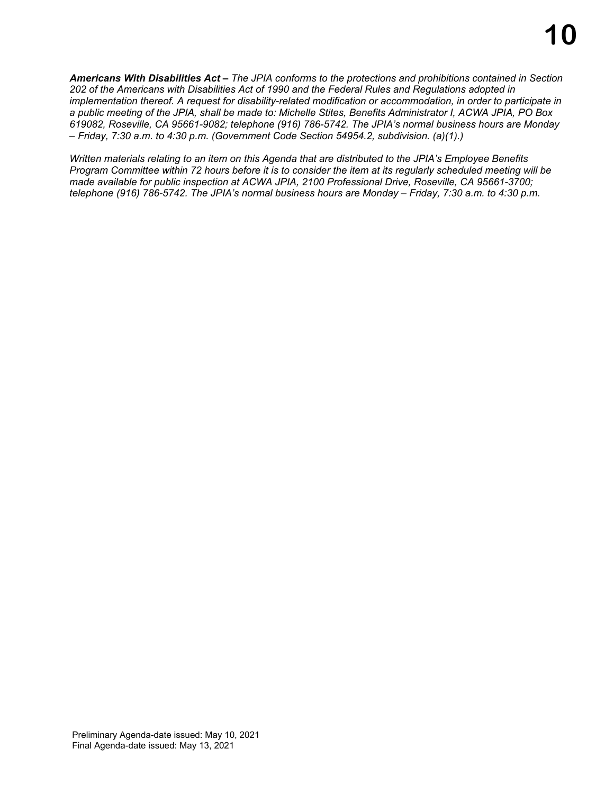*Americans With Disabilities Act – The JPIA conforms to the protections and prohibitions contained in Section 202 of the Americans with Disabilities Act of 1990 and the Federal Rules and Regulations adopted in implementation thereof. A request for disability-related modification or accommodation, in order to participate in a public meeting of the JPIA, shall be made to: Michelle Stites, Benefits Administrator I, ACWA JPIA, PO Box 619082, Roseville, CA 95661-9082; telephone (916) 786-5742. The JPIA's normal business hours are Monday – Friday, 7:30 a.m. to 4:30 p.m. (Government Code Section 54954.2, subdivision. (a)(1).)*

*Written materials relating to an item on this Agenda that are distributed to the JPIA's Employee Benefits Program Committee within 72 hours before it is to consider the item at its regularly scheduled meeting will be made available for public inspection at ACWA JPIA, 2100 Professional Drive, Roseville, CA 95661-3700; telephone (916) 786-5742. The JPIA's normal business hours are Monday – Friday, 7:30 a.m. to 4:30 p.m.*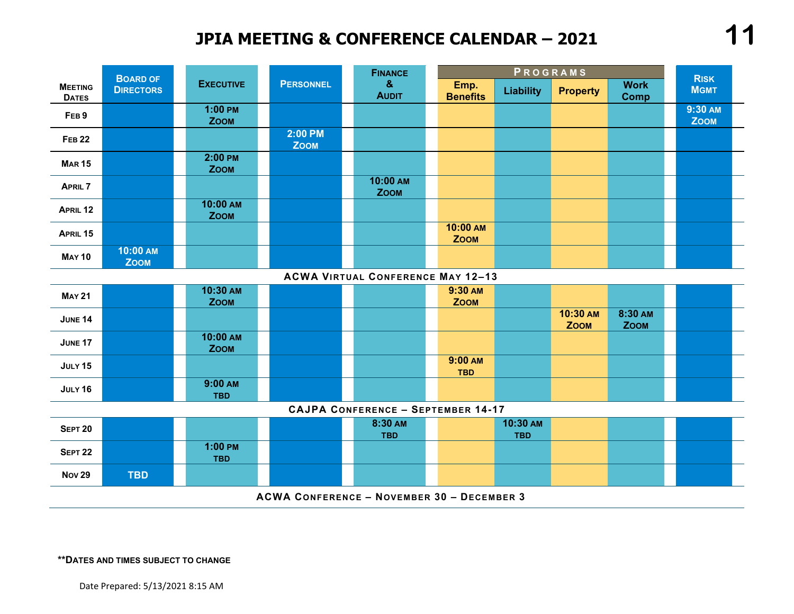## **JPIA MEETING & CONFERENCE CALENDAR – 2021**



**\*\*DATES AND TIMES SUBJECT TO CHANGE**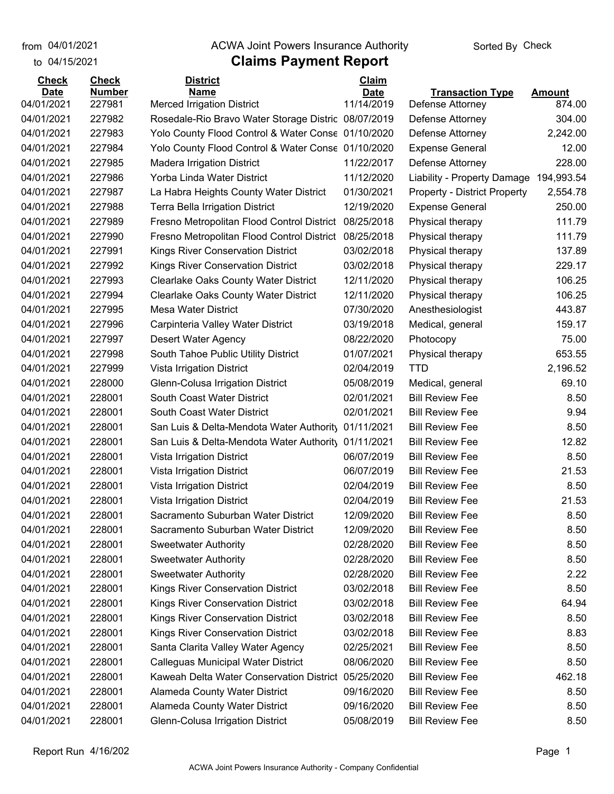from 04/01/2021

#### to 04/15/2021

### **Claims Payment Report** from 04/01/2021 **Example 20 Travellet Controllet Authority** Check

| <b>Check</b>              | <b>Check</b>            | <u>District</u>                                                 | <b>Claim</b>              |                                             |                         |
|---------------------------|-------------------------|-----------------------------------------------------------------|---------------------------|---------------------------------------------|-------------------------|
| <b>Date</b><br>04/01/2021 | <b>Number</b><br>227981 | <b>Name</b><br><b>Merced Irrigation District</b>                | <b>Date</b><br>11/14/2019 | <b>Transaction Type</b><br>Defense Attorney | <b>Amount</b><br>874.00 |
| 04/01/2021                | 227982                  | Rosedale-Rio Bravo Water Storage Distric 08/07/2019             |                           |                                             | 304.00                  |
| 04/01/2021                | 227983                  | Yolo County Flood Control & Water Conse 01/10/2020              |                           | Defense Attorney<br>Defense Attorney        | 2,242.00                |
| 04/01/2021                | 227984                  | Yolo County Flood Control & Water Conse 01/10/2020              |                           | <b>Expense General</b>                      | 12.00                   |
| 04/01/2021                | 227985                  |                                                                 | 11/22/2017                |                                             | 228.00                  |
| 04/01/2021                | 227986                  | <b>Madera Irrigation District</b><br>Yorba Linda Water District | 11/12/2020                | Defense Attorney                            |                         |
|                           | 227987                  |                                                                 |                           | Liability - Property Damage                 | 194,993.54              |
| 04/01/2021                |                         | La Habra Heights County Water District                          | 01/30/2021                | <b>Property - District Property</b>         | 2,554.78                |
| 04/01/2021                | 227988                  | <b>Terra Bella Irrigation District</b>                          | 12/19/2020                | <b>Expense General</b>                      | 250.00                  |
| 04/01/2021                | 227989                  | Fresno Metropolitan Flood Control District                      | 08/25/2018                | Physical therapy                            | 111.79                  |
| 04/01/2021                | 227990                  | Fresno Metropolitan Flood Control District                      | 08/25/2018                | Physical therapy                            | 111.79                  |
| 04/01/2021                | 227991                  | Kings River Conservation District                               | 03/02/2018                | Physical therapy                            | 137.89                  |
| 04/01/2021                | 227992                  | Kings River Conservation District                               | 03/02/2018                | Physical therapy                            | 229.17                  |
| 04/01/2021                | 227993                  | Clearlake Oaks County Water District                            | 12/11/2020                | Physical therapy                            | 106.25                  |
| 04/01/2021                | 227994                  | <b>Clearlake Oaks County Water District</b>                     | 12/11/2020                | Physical therapy                            | 106.25                  |
| 04/01/2021                | 227995                  | <b>Mesa Water District</b>                                      | 07/30/2020                | Anesthesiologist                            | 443.87                  |
| 04/01/2021                | 227996                  | Carpinteria Valley Water District                               | 03/19/2018                | Medical, general                            | 159.17                  |
| 04/01/2021                | 227997                  | Desert Water Agency                                             | 08/22/2020                | Photocopy                                   | 75.00                   |
| 04/01/2021                | 227998                  | South Tahoe Public Utility District                             | 01/07/2021                | Physical therapy                            | 653.55                  |
| 04/01/2021                | 227999                  | Vista Irrigation District                                       | 02/04/2019                | <b>TTD</b>                                  | 2,196.52                |
| 04/01/2021                | 228000                  | Glenn-Colusa Irrigation District                                | 05/08/2019                | Medical, general                            | 69.10                   |
| 04/01/2021                | 228001                  | South Coast Water District                                      | 02/01/2021                | <b>Bill Review Fee</b>                      | 8.50                    |
| 04/01/2021                | 228001                  | South Coast Water District                                      | 02/01/2021                | <b>Bill Review Fee</b>                      | 9.94                    |
| 04/01/2021                | 228001                  | San Luis & Delta-Mendota Water Authority                        | 01/11/2021                | <b>Bill Review Fee</b>                      | 8.50                    |
| 04/01/2021                | 228001                  | San Luis & Delta-Mendota Water Authority                        | 01/11/2021                | <b>Bill Review Fee</b>                      | 12.82                   |
| 04/01/2021                | 228001                  | Vista Irrigation District                                       | 06/07/2019                | <b>Bill Review Fee</b>                      | 8.50                    |
| 04/01/2021                | 228001                  | Vista Irrigation District                                       | 06/07/2019                | <b>Bill Review Fee</b>                      | 21.53                   |
| 04/01/2021                | 228001                  | Vista Irrigation District                                       | 02/04/2019                | <b>Bill Review Fee</b>                      | 8.50                    |
| 04/01/2021                | 228001                  | Vista Irrigation District                                       | 02/04/2019                | <b>Bill Review Fee</b>                      | 21.53                   |
| 04/01/2021                | 228001                  | Sacramento Suburban Water District                              | 12/09/2020                | <b>Bill Review Fee</b>                      | 8.50                    |
| 04/01/2021                | 228001                  | Sacramento Suburban Water District                              | 12/09/2020                | <b>Bill Review Fee</b>                      | 8.50                    |
| 04/01/2021                | 228001                  | <b>Sweetwater Authority</b>                                     | 02/28/2020                | <b>Bill Review Fee</b>                      | 8.50                    |
| 04/01/2021                | 228001                  | <b>Sweetwater Authority</b>                                     | 02/28/2020                | <b>Bill Review Fee</b>                      | 8.50                    |
| 04/01/2021                | 228001                  | <b>Sweetwater Authority</b>                                     | 02/28/2020                | <b>Bill Review Fee</b>                      | 2.22                    |
| 04/01/2021                | 228001                  | Kings River Conservation District                               | 03/02/2018                | <b>Bill Review Fee</b>                      | 8.50                    |
| 04/01/2021                | 228001                  | Kings River Conservation District                               | 03/02/2018                | <b>Bill Review Fee</b>                      | 64.94                   |
| 04/01/2021                | 228001                  | Kings River Conservation District                               | 03/02/2018                | <b>Bill Review Fee</b>                      | 8.50                    |
| 04/01/2021                | 228001                  | Kings River Conservation District                               | 03/02/2018                | <b>Bill Review Fee</b>                      | 8.83                    |
| 04/01/2021                | 228001                  | Santa Clarita Valley Water Agency                               | 02/25/2021                | <b>Bill Review Fee</b>                      | 8.50                    |
| 04/01/2021                | 228001                  | <b>Calleguas Municipal Water District</b>                       | 08/06/2020                | <b>Bill Review Fee</b>                      | 8.50                    |
| 04/01/2021                | 228001                  | Kaweah Delta Water Conservation District                        | 05/25/2020                | <b>Bill Review Fee</b>                      | 462.18                  |
| 04/01/2021                | 228001                  | Alameda County Water District                                   | 09/16/2020                | <b>Bill Review Fee</b>                      | 8.50                    |
| 04/01/2021                | 228001                  | Alameda County Water District                                   | 09/16/2020                | <b>Bill Review Fee</b>                      | 8.50                    |
| 04/01/2021                | 228001                  | Glenn-Colusa Irrigation District                                | 05/08/2019                | <b>Bill Review Fee</b>                      | 8.50                    |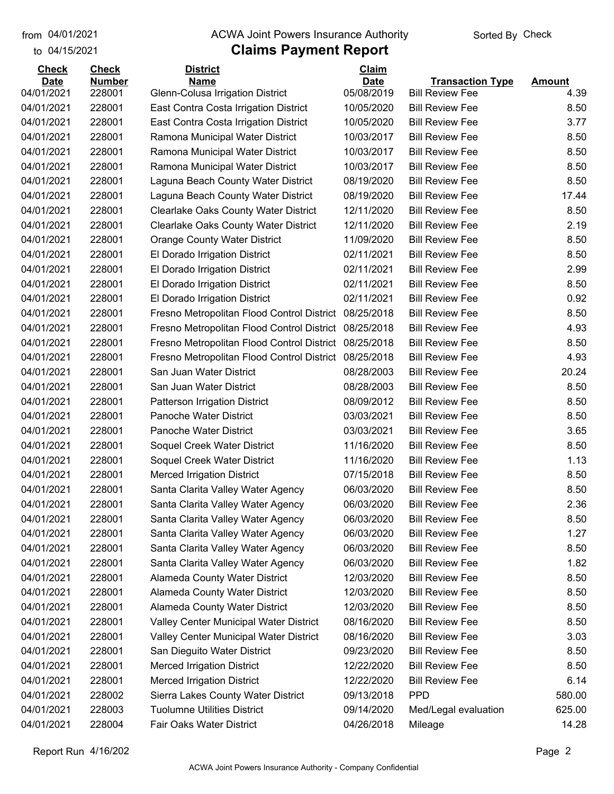to 04/15/2021

#### from 04/01/2021 **Example 20 Travellet Controllet Authority** Check Sorted By Check

| <b>Check</b>              | <b>Check</b>            | <b>District</b>                                 | Claim                     |                                                   |                       |
|---------------------------|-------------------------|-------------------------------------------------|---------------------------|---------------------------------------------------|-----------------------|
| <b>Date</b><br>04/01/2021 | <b>Number</b><br>228001 | <b>Name</b><br>Glenn-Colusa Irrigation District | <b>Date</b><br>05/08/2019 | <b>Transaction Type</b><br><b>Bill Review Fee</b> | <b>Amount</b><br>4.39 |
| 04/01/2021                | 228001                  | East Contra Costa Irrigation District           | 10/05/2020                | <b>Bill Review Fee</b>                            | 8.50                  |
| 04/01/2021                | 228001                  | East Contra Costa Irrigation District           | 10/05/2020                | <b>Bill Review Fee</b>                            | 3.77                  |
| 04/01/2021                | 228001                  | Ramona Municipal Water District                 | 10/03/2017                | <b>Bill Review Fee</b>                            | 8.50                  |
| 04/01/2021                | 228001                  | Ramona Municipal Water District                 | 10/03/2017                | <b>Bill Review Fee</b>                            | 8.50                  |
| 04/01/2021                | 228001                  | Ramona Municipal Water District                 | 10/03/2017                | <b>Bill Review Fee</b>                            | 8.50                  |
| 04/01/2021                | 228001                  | Laguna Beach County Water District              | 08/19/2020                | <b>Bill Review Fee</b>                            | 8.50                  |
| 04/01/2021                | 228001                  | Laguna Beach County Water District              | 08/19/2020                | <b>Bill Review Fee</b>                            | 17.44                 |
| 04/01/2021                | 228001                  | <b>Clearlake Oaks County Water District</b>     | 12/11/2020                | <b>Bill Review Fee</b>                            | 8.50                  |
| 04/01/2021                | 228001                  | <b>Clearlake Oaks County Water District</b>     | 12/11/2020                | <b>Bill Review Fee</b>                            | 2.19                  |
| 04/01/2021                | 228001                  | <b>Orange County Water District</b>             | 11/09/2020                | <b>Bill Review Fee</b>                            | 8.50                  |
| 04/01/2021                | 228001                  | El Dorado Irrigation District                   | 02/11/2021                | <b>Bill Review Fee</b>                            | 8.50                  |
| 04/01/2021                | 228001                  | El Dorado Irrigation District                   | 02/11/2021                | <b>Bill Review Fee</b>                            | 2.99                  |
| 04/01/2021                | 228001                  | El Dorado Irrigation District                   | 02/11/2021                | <b>Bill Review Fee</b>                            | 8.50                  |
| 04/01/2021                | 228001                  | El Dorado Irrigation District                   | 02/11/2021                | <b>Bill Review Fee</b>                            | 0.92                  |
| 04/01/2021                | 228001                  | Fresno Metropolitan Flood Control District      | 08/25/2018                | <b>Bill Review Fee</b>                            | 8.50                  |
| 04/01/2021                | 228001                  | Fresno Metropolitan Flood Control District      | 08/25/2018                | <b>Bill Review Fee</b>                            | 4.93                  |
| 04/01/2021                | 228001                  | Fresno Metropolitan Flood Control District      | 08/25/2018                | <b>Bill Review Fee</b>                            | 8.50                  |
| 04/01/2021                | 228001                  | Fresno Metropolitan Flood Control District      | 08/25/2018                | <b>Bill Review Fee</b>                            | 4.93                  |
| 04/01/2021                | 228001                  | San Juan Water District                         | 08/28/2003                | <b>Bill Review Fee</b>                            | 20.24                 |
| 04/01/2021                | 228001                  | San Juan Water District                         | 08/28/2003                | <b>Bill Review Fee</b>                            | 8.50                  |
| 04/01/2021                | 228001                  | Patterson Irrigation District                   | 08/09/2012                | <b>Bill Review Fee</b>                            | 8.50                  |
| 04/01/2021                | 228001                  | Panoche Water District                          | 03/03/2021                | <b>Bill Review Fee</b>                            | 8.50                  |
| 04/01/2021                | 228001                  | Panoche Water District                          | 03/03/2021                | <b>Bill Review Fee</b>                            | 3.65                  |
| 04/01/2021                | 228001                  | Soquel Creek Water District                     | 11/16/2020                | <b>Bill Review Fee</b>                            | 8.50                  |
| 04/01/2021                | 228001                  | Soquel Creek Water District                     | 11/16/2020                | <b>Bill Review Fee</b>                            | 1.13                  |
| 04/01/2021                | 228001                  | <b>Merced Irrigation District</b>               | 07/15/2018                | <b>Bill Review Fee</b>                            | 8.50                  |
| 04/01/2021                | 228001                  | Santa Clarita Valley Water Agency               | 06/03/2020                | <b>Bill Review Fee</b>                            | 8.50                  |
| 04/01/2021                | 228001                  | Santa Clarita Valley Water Agency               | 06/03/2020                | <b>Bill Review Fee</b>                            | 2.36                  |
| 04/01/2021                | 228001                  | Santa Clarita Valley Water Agency               | 06/03/2020                | <b>Bill Review Fee</b>                            | 8.50                  |
| 04/01/2021                | 228001                  | Santa Clarita Valley Water Agency               | 06/03/2020                | <b>Bill Review Fee</b>                            | 1.27                  |
| 04/01/2021                | 228001                  | Santa Clarita Valley Water Agency               | 06/03/2020                | <b>Bill Review Fee</b>                            | 8.50                  |
| 04/01/2021                | 228001                  | Santa Clarita Valley Water Agency               | 06/03/2020                | <b>Bill Review Fee</b>                            | 1.82                  |
| 04/01/2021                | 228001                  | <b>Alameda County Water District</b>            | 12/03/2020                | <b>Bill Review Fee</b>                            | 8.50                  |
| 04/01/2021                | 228001                  | Alameda County Water District                   | 12/03/2020                | <b>Bill Review Fee</b>                            | 8.50                  |
| 04/01/2021                | 228001                  | <b>Alameda County Water District</b>            | 12/03/2020                | <b>Bill Review Fee</b>                            | 8.50                  |
| 04/01/2021                | 228001                  | Valley Center Municipal Water District          | 08/16/2020                | <b>Bill Review Fee</b>                            | 8.50                  |
| 04/01/2021                | 228001                  | Valley Center Municipal Water District          | 08/16/2020                | <b>Bill Review Fee</b>                            | 3.03                  |
| 04/01/2021                | 228001                  | San Dieguito Water District                     | 09/23/2020                | <b>Bill Review Fee</b>                            | 8.50                  |
| 04/01/2021                | 228001                  | <b>Merced Irrigation District</b>               | 12/22/2020                | <b>Bill Review Fee</b>                            | 8.50                  |
| 04/01/2021                | 228001                  | <b>Merced Irrigation District</b>               | 12/22/2020                | <b>Bill Review Fee</b>                            | 6.14                  |
| 04/01/2021                | 228002                  | Sierra Lakes County Water District              | 09/13/2018                | <b>PPD</b>                                        | 580.00                |
| 04/01/2021                | 228003                  | <b>Tuolumne Utilities District</b>              | 09/14/2020                | Med/Legal evaluation                              | 625.00                |
| 04/01/2021                | 228004                  | Fair Oaks Water District                        | 04/26/2018                | Mileage                                           | 14.28                 |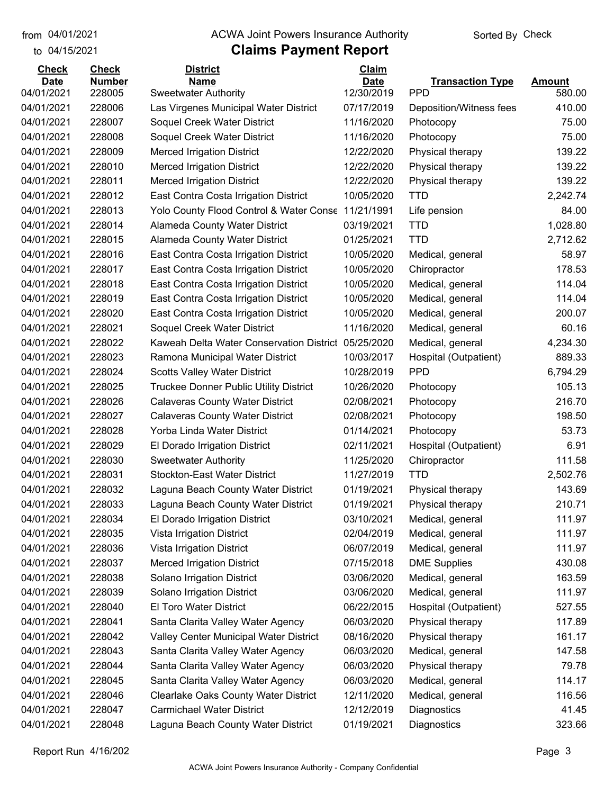to 04/15/2021

#### from 04/01/2021 **Example 20 Travellet Controllet Authority** Check Sorted By Check

| <b>Check</b> | <b>Check</b>  | <b>District</b>                               | Claim       |                         |               |
|--------------|---------------|-----------------------------------------------|-------------|-------------------------|---------------|
| <b>Date</b>  | <b>Number</b> | <b>Name</b>                                   | <b>Date</b> | <b>Transaction Type</b> | <b>Amount</b> |
| 04/01/2021   | 228005        | <b>Sweetwater Authority</b>                   | 12/30/2019  | <b>PPD</b>              | 580.00        |
| 04/01/2021   | 228006        | Las Virgenes Municipal Water District         | 07/17/2019  | Deposition/Witness fees | 410.00        |
| 04/01/2021   | 228007        | Soquel Creek Water District                   | 11/16/2020  | Photocopy               | 75.00         |
| 04/01/2021   | 228008        | Soquel Creek Water District                   | 11/16/2020  | Photocopy               | 75.00         |
| 04/01/2021   | 228009        | <b>Merced Irrigation District</b>             | 12/22/2020  | Physical therapy        | 139.22        |
| 04/01/2021   | 228010        | <b>Merced Irrigation District</b>             | 12/22/2020  | Physical therapy        | 139.22        |
| 04/01/2021   | 228011        | <b>Merced Irrigation District</b>             | 12/22/2020  | Physical therapy        | 139.22        |
| 04/01/2021   | 228012        | East Contra Costa Irrigation District         | 10/05/2020  | <b>TTD</b>              | 2,242.74      |
| 04/01/2021   | 228013        | Yolo County Flood Control & Water Conse       | 11/21/1991  | Life pension            | 84.00         |
| 04/01/2021   | 228014        | Alameda County Water District                 | 03/19/2021  | <b>TTD</b>              | 1,028.80      |
| 04/01/2021   | 228015        | Alameda County Water District                 | 01/25/2021  | <b>TTD</b>              | 2,712.62      |
| 04/01/2021   | 228016        | East Contra Costa Irrigation District         | 10/05/2020  | Medical, general        | 58.97         |
| 04/01/2021   | 228017        | East Contra Costa Irrigation District         | 10/05/2020  | Chiropractor            | 178.53        |
| 04/01/2021   | 228018        | East Contra Costa Irrigation District         | 10/05/2020  | Medical, general        | 114.04        |
| 04/01/2021   | 228019        | East Contra Costa Irrigation District         | 10/05/2020  | Medical, general        | 114.04        |
| 04/01/2021   | 228020        | East Contra Costa Irrigation District         | 10/05/2020  | Medical, general        | 200.07        |
| 04/01/2021   | 228021        | Soquel Creek Water District                   | 11/16/2020  | Medical, general        | 60.16         |
| 04/01/2021   | 228022        | Kaweah Delta Water Conservation District      | 05/25/2020  | Medical, general        | 4,234.30      |
| 04/01/2021   | 228023        | Ramona Municipal Water District               | 10/03/2017  | Hospital (Outpatient)   | 889.33        |
| 04/01/2021   | 228024        | <b>Scotts Valley Water District</b>           | 10/28/2019  | <b>PPD</b>              | 6,794.29      |
| 04/01/2021   | 228025        | <b>Truckee Donner Public Utility District</b> | 10/26/2020  | Photocopy               | 105.13        |
| 04/01/2021   | 228026        | <b>Calaveras County Water District</b>        | 02/08/2021  | Photocopy               | 216.70        |
| 04/01/2021   | 228027        | <b>Calaveras County Water District</b>        | 02/08/2021  | Photocopy               | 198.50        |
| 04/01/2021   | 228028        | Yorba Linda Water District                    | 01/14/2021  | Photocopy               | 53.73         |
| 04/01/2021   | 228029        | El Dorado Irrigation District                 | 02/11/2021  | Hospital (Outpatient)   | 6.91          |
| 04/01/2021   | 228030        | <b>Sweetwater Authority</b>                   | 11/25/2020  | Chiropractor            | 111.58        |
| 04/01/2021   | 228031        | <b>Stockton-East Water District</b>           | 11/27/2019  | <b>TTD</b>              | 2,502.76      |
| 04/01/2021   | 228032        | Laguna Beach County Water District            | 01/19/2021  | Physical therapy        | 143.69        |
| 04/01/2021   | 228033        | Laguna Beach County Water District            | 01/19/2021  | Physical therapy        | 210.71        |
| 04/01/2021   | 228034        | El Dorado Irrigation District                 | 03/10/2021  | Medical, general        | 111.97        |
| 04/01/2021   | 228035        | Vista Irrigation District                     | 02/04/2019  | Medical, general        | 111.97        |
| 04/01/2021   | 228036        | Vista Irrigation District                     | 06/07/2019  | Medical, general        | 111.97        |
| 04/01/2021   | 228037        | <b>Merced Irrigation District</b>             | 07/15/2018  | <b>DME Supplies</b>     | 430.08        |
| 04/01/2021   | 228038        | Solano Irrigation District                    | 03/06/2020  | Medical, general        | 163.59        |
| 04/01/2021   | 228039        | Solano Irrigation District                    | 03/06/2020  | Medical, general        | 111.97        |
| 04/01/2021   | 228040        | El Toro Water District                        | 06/22/2015  | Hospital (Outpatient)   | 527.55        |
| 04/01/2021   | 228041        | Santa Clarita Valley Water Agency             | 06/03/2020  | Physical therapy        | 117.89        |
| 04/01/2021   | 228042        | Valley Center Municipal Water District        | 08/16/2020  | Physical therapy        | 161.17        |
| 04/01/2021   | 228043        | Santa Clarita Valley Water Agency             | 06/03/2020  | Medical, general        | 147.58        |
| 04/01/2021   | 228044        | Santa Clarita Valley Water Agency             | 06/03/2020  | Physical therapy        | 79.78         |
| 04/01/2021   | 228045        | Santa Clarita Valley Water Agency             | 06/03/2020  | Medical, general        | 114.17        |
| 04/01/2021   | 228046        | <b>Clearlake Oaks County Water District</b>   | 12/11/2020  | Medical, general        | 116.56        |
| 04/01/2021   | 228047        | <b>Carmichael Water District</b>              | 12/12/2019  | Diagnostics             | 41.45         |
| 04/01/2021   | 228048        | Laguna Beach County Water District            | 01/19/2021  | Diagnostics             | 323.66        |
|              |               |                                               |             |                         |               |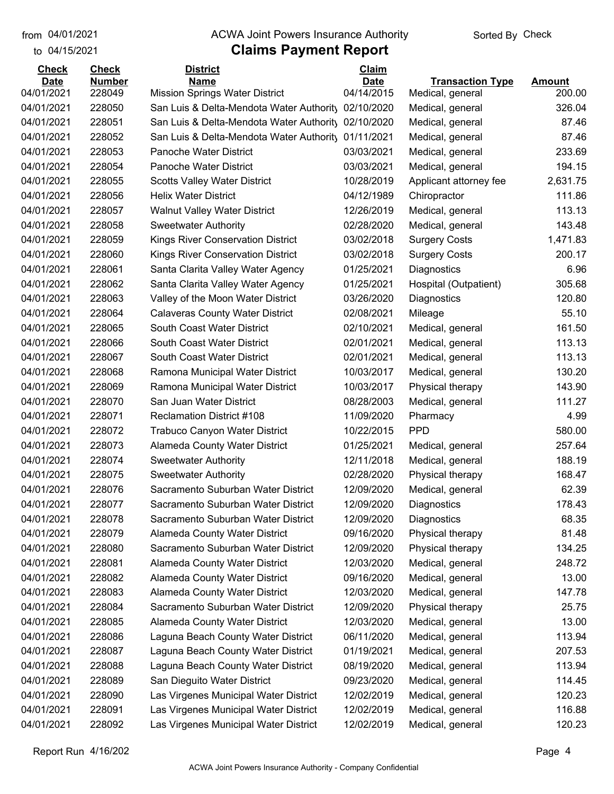to 04/15/2021

### from 04/01/2021 **Example 20 Travellet Controllet Authority** Check Sorted By Check

| <b>Check</b> | <b>Check</b>  | <b>District</b>                                                     | <b>Claim</b> |                         |          |
|--------------|---------------|---------------------------------------------------------------------|--------------|-------------------------|----------|
| <b>Date</b>  | <b>Number</b> | Name                                                                | <b>Date</b>  | <b>Transaction Type</b> | Amount   |
| 04/01/2021   | 228049        | <b>Mission Springs Water District</b>                               | 04/14/2015   | Medical, general        | 200.00   |
| 04/01/2021   | 228050        | San Luis & Delta-Mendota Water Authority                            | 02/10/2020   | Medical, general        | 326.04   |
| 04/01/2021   | 228051        | San Luis & Delta-Mendota Water Authority                            | 02/10/2020   | Medical, general        | 87.46    |
| 04/01/2021   | 228052        | San Luis & Delta-Mendota Water Authority                            | 01/11/2021   | Medical, general        | 87.46    |
| 04/01/2021   | 228053        | <b>Panoche Water District</b>                                       | 03/03/2021   | Medical, general        | 233.69   |
| 04/01/2021   | 228054        | <b>Panoche Water District</b>                                       | 03/03/2021   | Medical, general        | 194.15   |
| 04/01/2021   | 228055        | <b>Scotts Valley Water District</b>                                 | 10/28/2019   | Applicant attorney fee  | 2,631.75 |
| 04/01/2021   | 228056        | <b>Helix Water District</b>                                         | 04/12/1989   | Chiropractor            | 111.86   |
| 04/01/2021   | 228057        | <b>Walnut Valley Water District</b>                                 | 12/26/2019   | Medical, general        | 113.13   |
| 04/01/2021   | 228058        | <b>Sweetwater Authority</b>                                         | 02/28/2020   | Medical, general        | 143.48   |
| 04/01/2021   | 228059        | Kings River Conservation District                                   | 03/02/2018   | <b>Surgery Costs</b>    | 1,471.83 |
| 04/01/2021   | 228060        | <b>Kings River Conservation District</b>                            | 03/02/2018   | <b>Surgery Costs</b>    | 200.17   |
| 04/01/2021   | 228061        | Santa Clarita Valley Water Agency                                   | 01/25/2021   | Diagnostics             | 6.96     |
| 04/01/2021   | 228062        | Santa Clarita Valley Water Agency                                   | 01/25/2021   | Hospital (Outpatient)   | 305.68   |
| 04/01/2021   | 228063        | Valley of the Moon Water District                                   | 03/26/2020   | Diagnostics             | 120.80   |
| 04/01/2021   | 228064        | <b>Calaveras County Water District</b>                              | 02/08/2021   | Mileage                 | 55.10    |
| 04/01/2021   | 228065        | South Coast Water District                                          | 02/10/2021   | Medical, general        | 161.50   |
| 04/01/2021   | 228066        | South Coast Water District                                          | 02/01/2021   | Medical, general        | 113.13   |
| 04/01/2021   | 228067        | South Coast Water District                                          | 02/01/2021   | Medical, general        | 113.13   |
| 04/01/2021   | 228068        | Ramona Municipal Water District                                     | 10/03/2017   | Medical, general        | 130.20   |
| 04/01/2021   | 228069        | Ramona Municipal Water District                                     | 10/03/2017   | Physical therapy        | 143.90   |
| 04/01/2021   | 228070        | San Juan Water District                                             | 08/28/2003   | Medical, general        | 111.27   |
| 04/01/2021   | 228071        | <b>Reclamation District #108</b>                                    | 11/09/2020   | Pharmacy                | 4.99     |
| 04/01/2021   | 228072        | <b>Trabuco Canyon Water District</b>                                | 10/22/2015   | <b>PPD</b>              | 580.00   |
| 04/01/2021   | 228073        | Alameda County Water District                                       | 01/25/2021   | Medical, general        | 257.64   |
| 04/01/2021   | 228074        | <b>Sweetwater Authority</b>                                         | 12/11/2018   | Medical, general        | 188.19   |
| 04/01/2021   | 228075        | <b>Sweetwater Authority</b>                                         | 02/28/2020   | Physical therapy        | 168.47   |
| 04/01/2021   | 228076        | Sacramento Suburban Water District                                  | 12/09/2020   | Medical, general        | 62.39    |
| 04/01/2021   | 228077        | Sacramento Suburban Water District                                  | 12/09/2020   | Diagnostics             | 178.43   |
| 04/01/2021   | 228078        | Sacramento Suburban Water District                                  | 12/09/2020   | Diagnostics             | 68.35    |
| 04/01/2021   | 228079        | Alameda County Water District                                       | 09/16/2020   | Physical therapy        | 81.48    |
| 04/01/2021   | 228080        | Sacramento Suburban Water District                                  | 12/09/2020   | Physical therapy        | 134.25   |
| 04/01/2021   | 228081        | Alameda County Water District                                       | 12/03/2020   | Medical, general        | 248.72   |
| 04/01/2021   | 228082        | Alameda County Water District                                       | 09/16/2020   | Medical, general        | 13.00    |
| 04/01/2021   | 228083        |                                                                     | 12/03/2020   |                         | 147.78   |
|              |               | Alameda County Water District<br>Sacramento Suburban Water District |              | Medical, general        |          |
| 04/01/2021   | 228084        |                                                                     | 12/09/2020   | Physical therapy        | 25.75    |
| 04/01/2021   | 228085        | Alameda County Water District                                       | 12/03/2020   | Medical, general        | 13.00    |
| 04/01/2021   | 228086        | Laguna Beach County Water District                                  | 06/11/2020   | Medical, general        | 113.94   |
| 04/01/2021   | 228087        | Laguna Beach County Water District                                  | 01/19/2021   | Medical, general        | 207.53   |
| 04/01/2021   | 228088        | Laguna Beach County Water District                                  | 08/19/2020   | Medical, general        | 113.94   |
| 04/01/2021   | 228089        | San Dieguito Water District                                         | 09/23/2020   | Medical, general        | 114.45   |
| 04/01/2021   | 228090        | Las Virgenes Municipal Water District                               | 12/02/2019   | Medical, general        | 120.23   |
| 04/01/2021   | 228091        | Las Virgenes Municipal Water District                               | 12/02/2019   | Medical, general        | 116.88   |
| 04/01/2021   | 228092        | Las Virgenes Municipal Water District                               | 12/02/2019   | Medical, general        | 120.23   |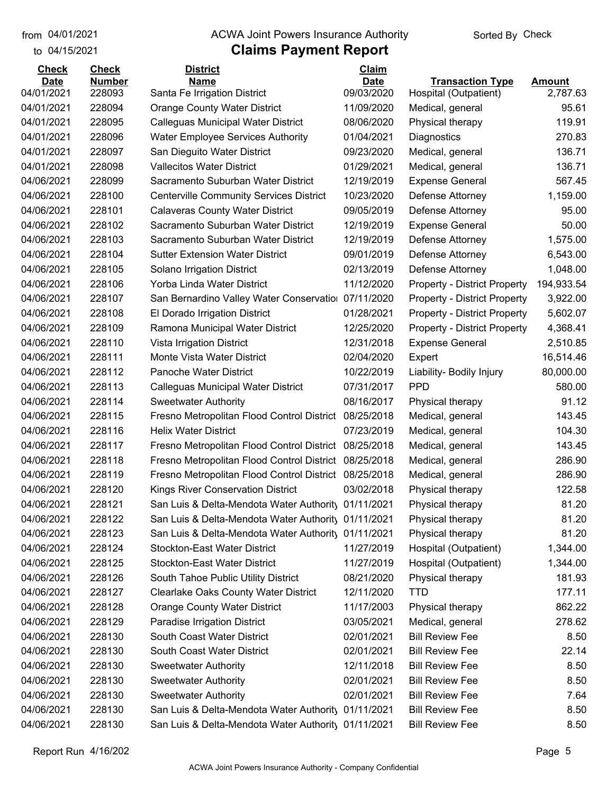#### from 04/01/2021 **Example 20 Travellet Controllet Authority** Check Sorted By Check

### to 04/15/2021

| <b>Check</b> | <b>Check</b>  | <b>District</b>                                     | Claim       |                                     |               |
|--------------|---------------|-----------------------------------------------------|-------------|-------------------------------------|---------------|
| <b>Date</b>  | <b>Number</b> | <b>Name</b>                                         | <b>Date</b> | <b>Transaction Type</b>             | <b>Amount</b> |
| 04/01/2021   | 228093        | Santa Fe Irrigation District                        | 09/03/2020  | Hospital (Outpatient)               | 2,787.63      |
| 04/01/2021   | 228094        | <b>Orange County Water District</b>                 | 11/09/2020  | Medical, general                    | 95.61         |
| 04/01/2021   | 228095        | Calleguas Municipal Water District                  | 08/06/2020  | Physical therapy                    | 119.91        |
| 04/01/2021   | 228096        | <b>Water Employee Services Authority</b>            | 01/04/2021  | Diagnostics                         | 270.83        |
| 04/01/2021   | 228097        | San Dieguito Water District                         | 09/23/2020  | Medical, general                    | 136.71        |
| 04/01/2021   | 228098        | <b>Vallecitos Water District</b>                    | 01/29/2021  | Medical, general                    | 136.71        |
| 04/06/2021   | 228099        | Sacramento Suburban Water District                  | 12/19/2019  | <b>Expense General</b>              | 567.45        |
| 04/06/2021   | 228100        | <b>Centerville Community Services District</b>      | 10/23/2020  | Defense Attorney                    | 1,159.00      |
| 04/06/2021   | 228101        | <b>Calaveras County Water District</b>              | 09/05/2019  | Defense Attorney                    | 95.00         |
| 04/06/2021   | 228102        | Sacramento Suburban Water District                  | 12/19/2019  | <b>Expense General</b>              | 50.00         |
| 04/06/2021   | 228103        | Sacramento Suburban Water District                  | 12/19/2019  | Defense Attorney                    | 1,575.00      |
| 04/06/2021   | 228104        | <b>Sutter Extension Water District</b>              | 09/01/2019  | Defense Attorney                    | 6,543.00      |
| 04/06/2021   | 228105        | Solano Irrigation District                          | 02/13/2019  | Defense Attorney                    | 1,048.00      |
| 04/06/2021   | 228106        | Yorba Linda Water District                          | 11/12/2020  | <b>Property - District Property</b> | 194,933.54    |
| 04/06/2021   | 228107        | San Bernardino Valley Water Conservatio             | 07/11/2020  | <b>Property - District Property</b> | 3,922.00      |
| 04/06/2021   | 228108        | El Dorado Irrigation District                       | 01/28/2021  | <b>Property - District Property</b> | 5,602.07      |
| 04/06/2021   | 228109        | Ramona Municipal Water District                     | 12/25/2020  | <b>Property - District Property</b> | 4,368.41      |
| 04/06/2021   | 228110        | Vista Irrigation District                           | 12/31/2018  | <b>Expense General</b>              | 2,510.85      |
| 04/06/2021   | 228111        | Monte Vista Water District                          | 02/04/2020  | Expert                              | 16,514.46     |
| 04/06/2021   | 228112        | <b>Panoche Water District</b>                       | 10/22/2019  | Liability- Bodily Injury            | 80,000.00     |
| 04/06/2021   | 228113        | Calleguas Municipal Water District                  | 07/31/2017  | <b>PPD</b>                          | 580.00        |
| 04/06/2021   | 228114        | <b>Sweetwater Authority</b>                         | 08/16/2017  | Physical therapy                    | 91.12         |
| 04/06/2021   | 228115        | Fresno Metropolitan Flood Control District          | 08/25/2018  | Medical, general                    | 143.45        |
| 04/06/2021   | 228116        | <b>Helix Water District</b>                         | 07/23/2019  | Medical, general                    | 104.30        |
| 04/06/2021   | 228117        | Fresno Metropolitan Flood Control District          | 08/25/2018  | Medical, general                    | 143.45        |
| 04/06/2021   | 228118        | Fresno Metropolitan Flood Control District          | 08/25/2018  | Medical, general                    | 286.90        |
| 04/06/2021   | 228119        | Fresno Metropolitan Flood Control District          | 08/25/2018  | Medical, general                    | 286.90        |
| 04/06/2021   | 228120        | <b>Kings River Conservation District</b>            | 03/02/2018  | Physical therapy                    | 122.58        |
| 04/06/2021   | 228121        | San Luis & Delta-Mendota Water Authority 01/11/2021 |             | Physical therapy                    | 81.20         |
| 04/06/2021   | 228122        | San Luis & Delta-Mendota Water Authority            | 01/11/2021  | Physical therapy                    | 81.20         |
| 04/06/2021   | 228123        | San Luis & Delta-Mendota Water Authority 01/11/2021 |             | Physical therapy                    | 81.20         |
| 04/06/2021   | 228124        | <b>Stockton-East Water District</b>                 | 11/27/2019  | Hospital (Outpatient)               | 1,344.00      |
| 04/06/2021   | 228125        | <b>Stockton-East Water District</b>                 | 11/27/2019  | Hospital (Outpatient)               | 1,344.00      |
| 04/06/2021   | 228126        | South Tahoe Public Utility District                 | 08/21/2020  | Physical therapy                    | 181.93        |
| 04/06/2021   | 228127        | <b>Clearlake Oaks County Water District</b>         | 12/11/2020  | <b>TTD</b>                          | 177.11        |
| 04/06/2021   | 228128        | <b>Orange County Water District</b>                 | 11/17/2003  | Physical therapy                    | 862.22        |
| 04/06/2021   | 228129        | Paradise Irrigation District                        | 03/05/2021  | Medical, general                    | 278.62        |
| 04/06/2021   | 228130        | South Coast Water District                          | 02/01/2021  | <b>Bill Review Fee</b>              | 8.50          |
| 04/06/2021   | 228130        | South Coast Water District                          | 02/01/2021  | <b>Bill Review Fee</b>              | 22.14         |
| 04/06/2021   | 228130        | <b>Sweetwater Authority</b>                         | 12/11/2018  | <b>Bill Review Fee</b>              | 8.50          |
| 04/06/2021   | 228130        | <b>Sweetwater Authority</b>                         | 02/01/2021  | <b>Bill Review Fee</b>              | 8.50          |
| 04/06/2021   | 228130        | <b>Sweetwater Authority</b>                         | 02/01/2021  | <b>Bill Review Fee</b>              | 7.64          |
| 04/06/2021   | 228130        | San Luis & Delta-Mendota Water Authority            | 01/11/2021  | <b>Bill Review Fee</b>              | 8.50          |
| 04/06/2021   | 228130        | San Luis & Delta-Mendota Water Authority 01/11/2021 |             | <b>Bill Review Fee</b>              | 8.50          |
|              |               |                                                     |             |                                     |               |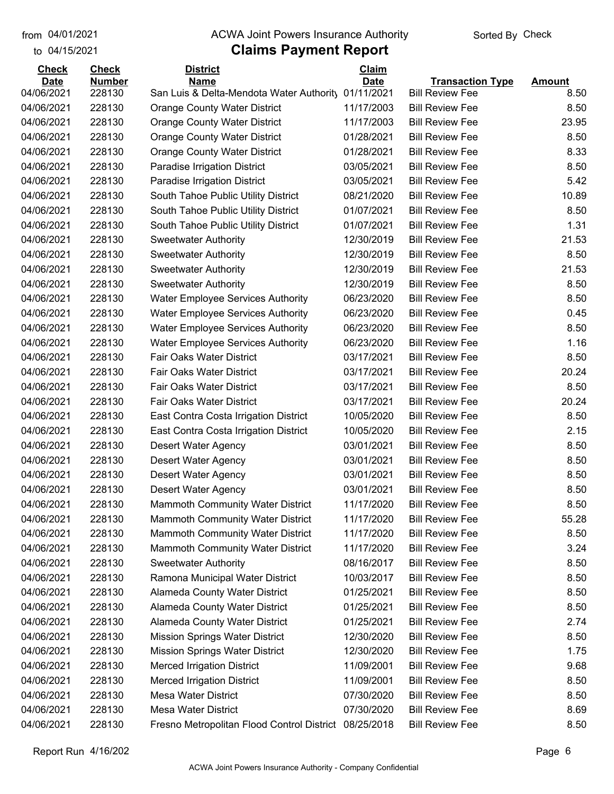to 04/15/2021

#### from 04/01/2021 **Example 20 Travellet Controllet Authority** Check Sorted By Check

| <b>Check</b>             | <b>Check</b>     | <b>District</b>                                         | <b>Claim</b>             |                                                   |               |
|--------------------------|------------------|---------------------------------------------------------|--------------------------|---------------------------------------------------|---------------|
| <b>Date</b>              | <b>Number</b>    | <b>Name</b><br>San Luis & Delta-Mendota Water Authority | <b>Date</b>              | <b>Transaction Type</b><br><b>Bill Review Fee</b> | <b>Amount</b> |
| 04/06/2021<br>04/06/2021 | 228130<br>228130 |                                                         | 01/11/2021<br>11/17/2003 | <b>Bill Review Fee</b>                            | 8.50<br>8.50  |
|                          | 228130           | <b>Orange County Water District</b>                     |                          | <b>Bill Review Fee</b>                            | 23.95         |
| 04/06/2021               |                  | <b>Orange County Water District</b>                     | 11/17/2003               |                                                   |               |
| 04/06/2021               | 228130           | <b>Orange County Water District</b>                     | 01/28/2021               | <b>Bill Review Fee</b>                            | 8.50          |
| 04/06/2021               | 228130           | <b>Orange County Water District</b>                     | 01/28/2021               | <b>Bill Review Fee</b>                            | 8.33          |
| 04/06/2021               | 228130           | Paradise Irrigation District                            | 03/05/2021               | <b>Bill Review Fee</b>                            | 8.50          |
| 04/06/2021               | 228130           | Paradise Irrigation District                            | 03/05/2021               | <b>Bill Review Fee</b>                            | 5.42          |
| 04/06/2021               | 228130           | South Tahoe Public Utility District                     | 08/21/2020               | <b>Bill Review Fee</b>                            | 10.89         |
| 04/06/2021               | 228130           | South Tahoe Public Utility District                     | 01/07/2021               | <b>Bill Review Fee</b>                            | 8.50          |
| 04/06/2021               | 228130           | South Tahoe Public Utility District                     | 01/07/2021               | <b>Bill Review Fee</b>                            | 1.31          |
| 04/06/2021               | 228130           | <b>Sweetwater Authority</b>                             | 12/30/2019               | <b>Bill Review Fee</b>                            | 21.53         |
| 04/06/2021               | 228130           | <b>Sweetwater Authority</b>                             | 12/30/2019               | <b>Bill Review Fee</b>                            | 8.50          |
| 04/06/2021               | 228130           | <b>Sweetwater Authority</b>                             | 12/30/2019               | <b>Bill Review Fee</b>                            | 21.53         |
| 04/06/2021               | 228130           | <b>Sweetwater Authority</b>                             | 12/30/2019               | <b>Bill Review Fee</b>                            | 8.50          |
| 04/06/2021               | 228130           | <b>Water Employee Services Authority</b>                | 06/23/2020               | <b>Bill Review Fee</b>                            | 8.50          |
| 04/06/2021               | 228130           | <b>Water Employee Services Authority</b>                | 06/23/2020               | <b>Bill Review Fee</b>                            | 0.45          |
| 04/06/2021               | 228130           | <b>Water Employee Services Authority</b>                | 06/23/2020               | <b>Bill Review Fee</b>                            | 8.50          |
| 04/06/2021               | 228130           | <b>Water Employee Services Authority</b>                | 06/23/2020               | <b>Bill Review Fee</b>                            | 1.16          |
| 04/06/2021               | 228130           | <b>Fair Oaks Water District</b>                         | 03/17/2021               | <b>Bill Review Fee</b>                            | 8.50          |
| 04/06/2021               | 228130           | Fair Oaks Water District                                | 03/17/2021               | <b>Bill Review Fee</b>                            | 20.24         |
| 04/06/2021               | 228130           | Fair Oaks Water District                                | 03/17/2021               | <b>Bill Review Fee</b>                            | 8.50          |
| 04/06/2021               | 228130           | Fair Oaks Water District                                | 03/17/2021               | <b>Bill Review Fee</b>                            | 20.24         |
| 04/06/2021               | 228130           | East Contra Costa Irrigation District                   | 10/05/2020               | <b>Bill Review Fee</b>                            | 8.50          |
| 04/06/2021               | 228130           | East Contra Costa Irrigation District                   | 10/05/2020               | <b>Bill Review Fee</b>                            | 2.15          |
| 04/06/2021               | 228130           | Desert Water Agency                                     | 03/01/2021               | <b>Bill Review Fee</b>                            | 8.50          |
| 04/06/2021               | 228130           | Desert Water Agency                                     | 03/01/2021               | <b>Bill Review Fee</b>                            | 8.50          |
| 04/06/2021               | 228130           | Desert Water Agency                                     | 03/01/2021               | <b>Bill Review Fee</b>                            | 8.50          |
| 04/06/2021               | 228130           | Desert Water Agency                                     | 03/01/2021               | <b>Bill Review Fee</b>                            | 8.50          |
| 04/06/2021               | 228130           | Mammoth Community Water District                        | 11/17/2020               | <b>Bill Review Fee</b>                            | 8.50          |
| 04/06/2021               | 228130           | <b>Mammoth Community Water District</b>                 | 11/17/2020               | <b>Bill Review Fee</b>                            | 55.28         |
| 04/06/2021               | 228130           | Mammoth Community Water District                        | 11/17/2020               | <b>Bill Review Fee</b>                            | 8.50          |
| 04/06/2021               | 228130           | Mammoth Community Water District                        | 11/17/2020               | <b>Bill Review Fee</b>                            | 3.24          |
| 04/06/2021               | 228130           | <b>Sweetwater Authority</b>                             | 08/16/2017               | <b>Bill Review Fee</b>                            | 8.50          |
| 04/06/2021               | 228130           | Ramona Municipal Water District                         | 10/03/2017               | <b>Bill Review Fee</b>                            | 8.50          |
| 04/06/2021               | 228130           | Alameda County Water District                           | 01/25/2021               | <b>Bill Review Fee</b>                            | 8.50          |
| 04/06/2021               | 228130           | Alameda County Water District                           | 01/25/2021               | <b>Bill Review Fee</b>                            | 8.50          |
| 04/06/2021               | 228130           | Alameda County Water District                           | 01/25/2021               | <b>Bill Review Fee</b>                            | 2.74          |
| 04/06/2021               | 228130           | <b>Mission Springs Water District</b>                   | 12/30/2020               | <b>Bill Review Fee</b>                            | 8.50          |
| 04/06/2021               | 228130           | <b>Mission Springs Water District</b>                   | 12/30/2020               | <b>Bill Review Fee</b>                            | 1.75          |
| 04/06/2021               | 228130           | <b>Merced Irrigation District</b>                       | 11/09/2001               | <b>Bill Review Fee</b>                            | 9.68          |
| 04/06/2021               | 228130           | <b>Merced Irrigation District</b>                       | 11/09/2001               | <b>Bill Review Fee</b>                            | 8.50          |
| 04/06/2021               | 228130           | Mesa Water District                                     | 07/30/2020               | <b>Bill Review Fee</b>                            | 8.50          |
| 04/06/2021               | 228130           | Mesa Water District                                     | 07/30/2020               | <b>Bill Review Fee</b>                            | 8.69          |
| 04/06/2021               | 228130           | Fresno Metropolitan Flood Control District 08/25/2018   |                          | <b>Bill Review Fee</b>                            | 8.50          |
|                          |                  |                                                         |                          |                                                   |               |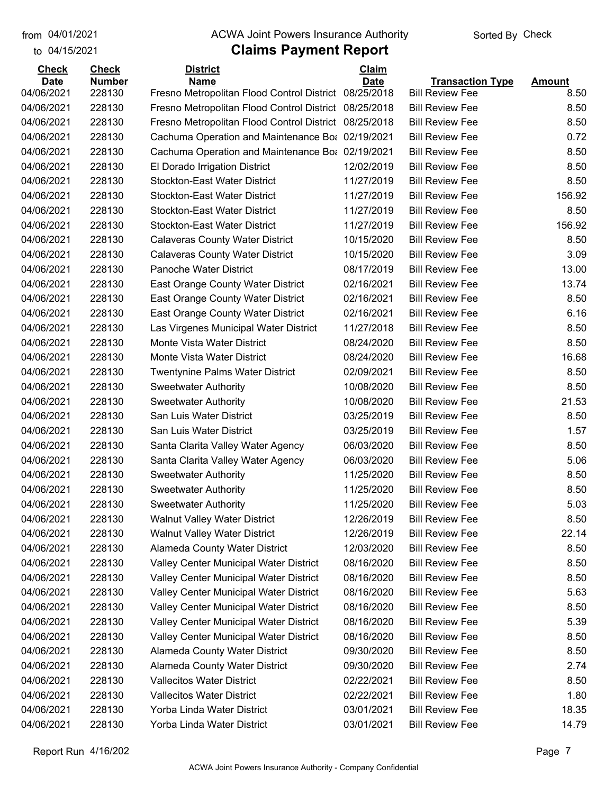to 04/15/2021

#### from 04/01/2021 **Example 20 Travellet Controllet Authority** Check Sorted By Check

| <b>Check</b> | <b>Check</b>  | <b>District</b>                                  | Claim       |                         |               |
|--------------|---------------|--------------------------------------------------|-------------|-------------------------|---------------|
| <b>Date</b>  | <b>Number</b> | <b>Name</b>                                      | <b>Date</b> | <b>Transaction Type</b> | <b>Amount</b> |
| 04/06/2021   | 228130        | Fresno Metropolitan Flood Control District       | 08/25/2018  | <b>Bill Review Fee</b>  | 8.50          |
| 04/06/2021   | 228130        | Fresno Metropolitan Flood Control District       | 08/25/2018  | <b>Bill Review Fee</b>  | 8.50          |
| 04/06/2021   | 228130        | Fresno Metropolitan Flood Control District       | 08/25/2018  | <b>Bill Review Fee</b>  | 8.50          |
| 04/06/2021   | 228130        | Cachuma Operation and Maintenance Bo: 02/19/2021 |             | <b>Bill Review Fee</b>  | 0.72          |
| 04/06/2021   | 228130        | Cachuma Operation and Maintenance Bo: 02/19/2021 |             | <b>Bill Review Fee</b>  | 8.50          |
| 04/06/2021   | 228130        | El Dorado Irrigation District                    | 12/02/2019  | <b>Bill Review Fee</b>  | 8.50          |
| 04/06/2021   | 228130        | <b>Stockton-East Water District</b>              | 11/27/2019  | <b>Bill Review Fee</b>  | 8.50          |
| 04/06/2021   | 228130        | <b>Stockton-East Water District</b>              | 11/27/2019  | <b>Bill Review Fee</b>  | 156.92        |
| 04/06/2021   | 228130        | <b>Stockton-East Water District</b>              | 11/27/2019  | <b>Bill Review Fee</b>  | 8.50          |
| 04/06/2021   | 228130        | <b>Stockton-East Water District</b>              | 11/27/2019  | <b>Bill Review Fee</b>  | 156.92        |
| 04/06/2021   | 228130        | <b>Calaveras County Water District</b>           | 10/15/2020  | <b>Bill Review Fee</b>  | 8.50          |
| 04/06/2021   | 228130        | <b>Calaveras County Water District</b>           | 10/15/2020  | <b>Bill Review Fee</b>  | 3.09          |
| 04/06/2021   | 228130        | Panoche Water District                           | 08/17/2019  | <b>Bill Review Fee</b>  | 13.00         |
| 04/06/2021   | 228130        | East Orange County Water District                | 02/16/2021  | <b>Bill Review Fee</b>  | 13.74         |
| 04/06/2021   | 228130        | <b>East Orange County Water District</b>         | 02/16/2021  | <b>Bill Review Fee</b>  | 8.50          |
| 04/06/2021   | 228130        | East Orange County Water District                | 02/16/2021  | <b>Bill Review Fee</b>  | 6.16          |
| 04/06/2021   | 228130        | Las Virgenes Municipal Water District            | 11/27/2018  | <b>Bill Review Fee</b>  | 8.50          |
| 04/06/2021   | 228130        | Monte Vista Water District                       | 08/24/2020  | <b>Bill Review Fee</b>  | 8.50          |
| 04/06/2021   | 228130        | Monte Vista Water District                       | 08/24/2020  | <b>Bill Review Fee</b>  | 16.68         |
| 04/06/2021   | 228130        | <b>Twentynine Palms Water District</b>           | 02/09/2021  | <b>Bill Review Fee</b>  | 8.50          |
| 04/06/2021   | 228130        | <b>Sweetwater Authority</b>                      | 10/08/2020  | <b>Bill Review Fee</b>  | 8.50          |
| 04/06/2021   | 228130        | <b>Sweetwater Authority</b>                      | 10/08/2020  | <b>Bill Review Fee</b>  | 21.53         |
| 04/06/2021   | 228130        | San Luis Water District                          | 03/25/2019  | <b>Bill Review Fee</b>  | 8.50          |
| 04/06/2021   | 228130        | San Luis Water District                          | 03/25/2019  | <b>Bill Review Fee</b>  | 1.57          |
| 04/06/2021   | 228130        | Santa Clarita Valley Water Agency                | 06/03/2020  | <b>Bill Review Fee</b>  | 8.50          |
| 04/06/2021   | 228130        | Santa Clarita Valley Water Agency                | 06/03/2020  | <b>Bill Review Fee</b>  | 5.06          |
| 04/06/2021   | 228130        | <b>Sweetwater Authority</b>                      | 11/25/2020  | <b>Bill Review Fee</b>  | 8.50          |
| 04/06/2021   | 228130        | <b>Sweetwater Authority</b>                      | 11/25/2020  | <b>Bill Review Fee</b>  | 8.50          |
| 04/06/2021   | 228130        | <b>Sweetwater Authority</b>                      | 11/25/2020  | <b>Bill Review Fee</b>  | 5.03          |
| 04/06/2021   | 228130        | <b>Walnut Valley Water District</b>              | 12/26/2019  | <b>Bill Review Fee</b>  | 8.50          |
| 04/06/2021   | 228130        | <b>Walnut Valley Water District</b>              | 12/26/2019  | <b>Bill Review Fee</b>  | 22.14         |
| 04/06/2021   | 228130        | Alameda County Water District                    | 12/03/2020  | <b>Bill Review Fee</b>  | 8.50          |
| 04/06/2021   | 228130        | Valley Center Municipal Water District           | 08/16/2020  | <b>Bill Review Fee</b>  | 8.50          |
| 04/06/2021   | 228130        | Valley Center Municipal Water District           | 08/16/2020  | <b>Bill Review Fee</b>  | 8.50          |
| 04/06/2021   | 228130        | Valley Center Municipal Water District           | 08/16/2020  | <b>Bill Review Fee</b>  | 5.63          |
| 04/06/2021   | 228130        | Valley Center Municipal Water District           | 08/16/2020  | <b>Bill Review Fee</b>  | 8.50          |
| 04/06/2021   | 228130        | Valley Center Municipal Water District           | 08/16/2020  | <b>Bill Review Fee</b>  | 5.39          |
| 04/06/2021   | 228130        | Valley Center Municipal Water District           | 08/16/2020  | <b>Bill Review Fee</b>  | 8.50          |
| 04/06/2021   | 228130        | Alameda County Water District                    | 09/30/2020  | <b>Bill Review Fee</b>  | 8.50          |
| 04/06/2021   | 228130        | Alameda County Water District                    | 09/30/2020  | <b>Bill Review Fee</b>  | 2.74          |
| 04/06/2021   | 228130        | <b>Vallecitos Water District</b>                 | 02/22/2021  | <b>Bill Review Fee</b>  | 8.50          |
| 04/06/2021   | 228130        | <b>Vallecitos Water District</b>                 | 02/22/2021  | <b>Bill Review Fee</b>  | 1.80          |
| 04/06/2021   | 228130        | Yorba Linda Water District                       | 03/01/2021  | <b>Bill Review Fee</b>  | 18.35         |
| 04/06/2021   | 228130        | Yorba Linda Water District                       | 03/01/2021  | <b>Bill Review Fee</b>  | 14.79         |
|              |               |                                                  |             |                         |               |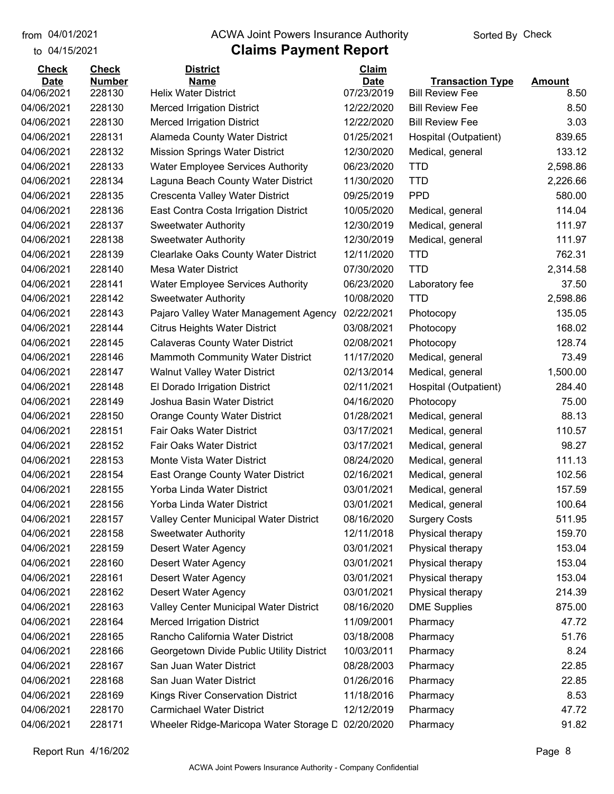#### from 04/01/2021 **Example 20 Travellet Controllet Authority** Check Sorted By Check

#### to 04/15/2021

| <b>Check</b> | <b>Check</b>  | <b>District</b>                           | Claim       |                         |               |
|--------------|---------------|-------------------------------------------|-------------|-------------------------|---------------|
| <b>Date</b>  | <b>Number</b> | <b>Name</b>                               | <b>Date</b> | <b>Transaction Type</b> | <b>Amount</b> |
| 04/06/2021   | 228130        | <b>Helix Water District</b>               | 07/23/2019  | <b>Bill Review Fee</b>  | 8.50          |
| 04/06/2021   | 228130        | <b>Merced Irrigation District</b>         | 12/22/2020  | <b>Bill Review Fee</b>  | 8.50          |
| 04/06/2021   | 228130        | <b>Merced Irrigation District</b>         | 12/22/2020  | <b>Bill Review Fee</b>  | 3.03          |
| 04/06/2021   | 228131        | Alameda County Water District             | 01/25/2021  | Hospital (Outpatient)   | 839.65        |
| 04/06/2021   | 228132        | <b>Mission Springs Water District</b>     | 12/30/2020  | Medical, general        | 133.12        |
| 04/06/2021   | 228133        | <b>Water Employee Services Authority</b>  | 06/23/2020  | <b>TTD</b>              | 2,598.86      |
| 04/06/2021   | 228134        | Laguna Beach County Water District        | 11/30/2020  | <b>TTD</b>              | 2,226.66      |
| 04/06/2021   | 228135        | Crescenta Valley Water District           | 09/25/2019  | <b>PPD</b>              | 580.00        |
| 04/06/2021   | 228136        | East Contra Costa Irrigation District     | 10/05/2020  | Medical, general        | 114.04        |
| 04/06/2021   | 228137        | <b>Sweetwater Authority</b>               | 12/30/2019  | Medical, general        | 111.97        |
| 04/06/2021   | 228138        | <b>Sweetwater Authority</b>               | 12/30/2019  | Medical, general        | 111.97        |
| 04/06/2021   | 228139        | Clearlake Oaks County Water District      | 12/11/2020  | <b>TTD</b>              | 762.31        |
| 04/06/2021   | 228140        | <b>Mesa Water District</b>                | 07/30/2020  | <b>TTD</b>              | 2,314.58      |
| 04/06/2021   | 228141        | Water Employee Services Authority         | 06/23/2020  | Laboratory fee          | 37.50         |
| 04/06/2021   | 228142        | <b>Sweetwater Authority</b>               | 10/08/2020  | <b>TTD</b>              | 2,598.86      |
| 04/06/2021   | 228143        | Pajaro Valley Water Management Agency     | 02/22/2021  | Photocopy               | 135.05        |
| 04/06/2021   | 228144        | <b>Citrus Heights Water District</b>      | 03/08/2021  | Photocopy               | 168.02        |
| 04/06/2021   | 228145        | <b>Calaveras County Water District</b>    | 02/08/2021  | Photocopy               | 128.74        |
| 04/06/2021   | 228146        | <b>Mammoth Community Water District</b>   | 11/17/2020  | Medical, general        | 73.49         |
| 04/06/2021   | 228147        | <b>Walnut Valley Water District</b>       | 02/13/2014  | Medical, general        | 1,500.00      |
| 04/06/2021   | 228148        | El Dorado Irrigation District             | 02/11/2021  | Hospital (Outpatient)   | 284.40        |
| 04/06/2021   | 228149        | Joshua Basin Water District               | 04/16/2020  | Photocopy               | 75.00         |
| 04/06/2021   | 228150        | <b>Orange County Water District</b>       | 01/28/2021  | Medical, general        | 88.13         |
| 04/06/2021   | 228151        | Fair Oaks Water District                  | 03/17/2021  | Medical, general        | 110.57        |
| 04/06/2021   | 228152        | <b>Fair Oaks Water District</b>           | 03/17/2021  | Medical, general        | 98.27         |
| 04/06/2021   | 228153        | Monte Vista Water District                | 08/24/2020  | Medical, general        | 111.13        |
| 04/06/2021   | 228154        | East Orange County Water District         | 02/16/2021  | Medical, general        | 102.56        |
| 04/06/2021   | 228155        | Yorba Linda Water District                | 03/01/2021  | Medical, general        | 157.59        |
| 04/06/2021   | 228156        | Yorba Linda Water District                | 03/01/2021  | Medical, general        | 100.64        |
| 04/06/2021   | 228157        | Valley Center Municipal Water District    | 08/16/2020  | <b>Surgery Costs</b>    | 511.95        |
| 04/06/2021   | 228158        | <b>Sweetwater Authority</b>               | 12/11/2018  | Physical therapy        | 159.70        |
| 04/06/2021   | 228159        | Desert Water Agency                       | 03/01/2021  | Physical therapy        | 153.04        |
| 04/06/2021   | 228160        | <b>Desert Water Agency</b>                | 03/01/2021  | Physical therapy        | 153.04        |
| 04/06/2021   | 228161        | <b>Desert Water Agency</b>                | 03/01/2021  | Physical therapy        | 153.04        |
| 04/06/2021   | 228162        | <b>Desert Water Agency</b>                | 03/01/2021  | Physical therapy        | 214.39        |
| 04/06/2021   | 228163        | Valley Center Municipal Water District    | 08/16/2020  | <b>DME Supplies</b>     | 875.00        |
| 04/06/2021   | 228164        | <b>Merced Irrigation District</b>         | 11/09/2001  | Pharmacy                | 47.72         |
| 04/06/2021   | 228165        | Rancho California Water District          | 03/18/2008  | Pharmacy                | 51.76         |
| 04/06/2021   | 228166        | Georgetown Divide Public Utility District | 10/03/2011  | Pharmacy                | 8.24          |
| 04/06/2021   | 228167        | San Juan Water District                   | 08/28/2003  | Pharmacy                | 22.85         |
| 04/06/2021   | 228168        | San Juan Water District                   | 01/26/2016  | Pharmacy                | 22.85         |
| 04/06/2021   | 228169        | Kings River Conservation District         | 11/18/2016  | Pharmacy                | 8.53          |
| 04/06/2021   | 228170        | <b>Carmichael Water District</b>          | 12/12/2019  | Pharmacy                | 47.72         |
| 04/06/2021   | 228171        | Wheeler Ridge-Maricopa Water Storage D    | 02/20/2020  | Pharmacy                | 91.82         |
|              |               |                                           |             |                         |               |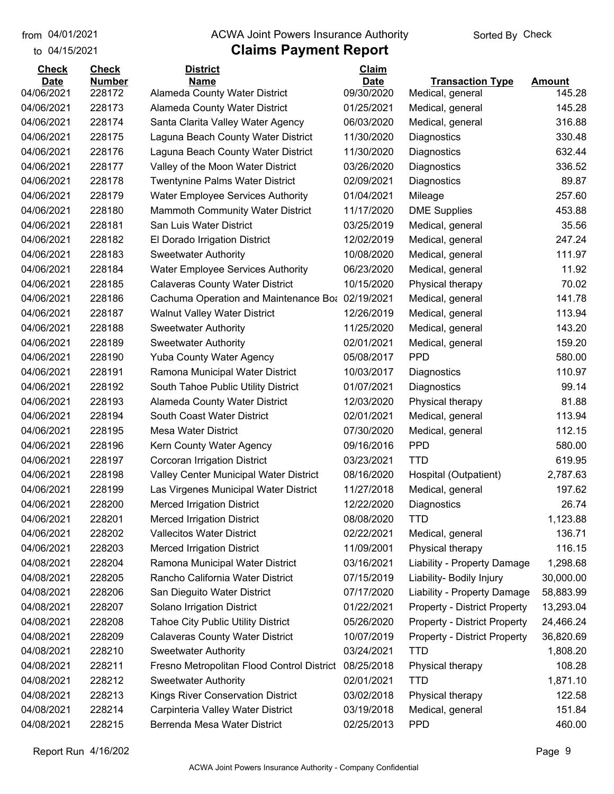to 04/15/2021

#### from 04/01/2021 **Example 20 Travellet Controllet Authority** Check Sorted By Check

| <b>Number</b><br><b>Name</b><br><b>Date</b><br><b>Date</b><br><b>Transaction Type</b><br><b>Amount</b><br>09/30/2020<br>04/06/2021<br>228172<br>145.28<br>Alameda County Water District<br>Medical, general<br>228173<br>Alameda County Water District<br>01/25/2021<br>145.28<br>04/06/2021<br>Medical, general<br>316.88<br>04/06/2021<br>228174<br>Santa Clarita Valley Water Agency<br>06/03/2020<br>Medical, general<br>04/06/2021<br>228175<br>Laguna Beach County Water District<br>11/30/2020<br>330.48<br>Diagnostics<br>04/06/2021<br>228176<br>Laguna Beach County Water District<br>11/30/2020<br>Diagnostics<br>632.44<br>336.52<br>04/06/2021<br>228177<br>Valley of the Moon Water District<br>03/26/2020<br>Diagnostics<br>89.87<br>04/06/2021<br>228178<br>Twentynine Palms Water District<br>02/09/2021<br>Diagnostics<br>257.60<br>04/06/2021<br>228179<br><b>Water Employee Services Authority</b><br>01/04/2021<br>Mileage<br>228180<br>Mammoth Community Water District<br>11/17/2020<br>453.88<br>04/06/2021<br><b>DME Supplies</b><br>35.56<br>04/06/2021<br>228181<br>San Luis Water District<br>03/25/2019<br>Medical, general<br>228182<br>12/02/2019<br>247.24<br>04/06/2021<br>El Dorado Irrigation District<br>Medical, general<br>111.97<br>04/06/2021<br>228183<br><b>Sweetwater Authority</b><br>10/08/2020<br>Medical, general<br>04/06/2021<br>228184<br><b>Water Employee Services Authority</b><br>06/23/2020<br>11.92<br>Medical, general<br>70.02<br>04/06/2021<br>228185<br><b>Calaveras County Water District</b><br>10/15/2020<br>Physical therapy<br>228186<br>141.78<br>04/06/2021<br>Cachuma Operation and Maintenance Bot 02/19/2021<br>Medical, general<br>04/06/2021<br>228187<br>12/26/2019<br>113.94<br><b>Walnut Valley Water District</b><br>Medical, general<br>143.20<br>04/06/2021<br>228188<br>11/25/2020<br>Medical, general<br><b>Sweetwater Authority</b><br>228189<br><b>Sweetwater Authority</b><br>02/01/2021<br>159.20<br>04/06/2021<br>Medical, general<br><b>PPD</b><br>580.00<br>04/06/2021<br>228190<br><b>Yuba County Water Agency</b><br>05/08/2017<br>228191<br>Ramona Municipal Water District<br>110.97<br>04/06/2021<br>10/03/2017<br>Diagnostics<br>99.14<br>04/06/2021<br>228192<br>South Tahoe Public Utility District<br>01/07/2021<br>Diagnostics<br>81.88<br>04/06/2021<br>228193<br>Alameda County Water District<br>12/03/2020<br>Physical therapy<br>04/06/2021<br>228194<br>South Coast Water District<br>02/01/2021<br>Medical, general<br>113.94<br>112.15<br>04/06/2021<br>228195<br><b>Mesa Water District</b><br>07/30/2020<br>Medical, general<br><b>PPD</b><br>04/06/2021<br>228196<br>Kern County Water Agency<br>09/16/2016<br>580.00<br>04/06/2021<br>228197<br><b>Corcoran Irrigation District</b><br>03/23/2021<br><b>TTD</b><br>619.95<br>228198<br>Valley Center Municipal Water District<br>08/16/2020<br>2,787.63<br>04/06/2021<br>Hospital (Outpatient)<br>197.62<br>04/06/2021<br>228199<br>Las Virgenes Municipal Water District<br>11/27/2018<br>Medical, general<br>04/06/2021<br>228200<br><b>Merced Irrigation District</b><br>12/22/2020<br>26.74<br>Diagnostics<br>04/06/2021<br>228201<br>08/08/2020<br><b>TTD</b><br>1,123.88<br><b>Merced Irrigation District</b><br>228202<br><b>Vallecitos Water District</b><br>02/22/2021<br>136.71<br>04/06/2021<br>Medical, general<br>228203<br>116.15<br>04/06/2021<br><b>Merced Irrigation District</b><br>11/09/2001<br>Physical therapy<br>1,298.68<br>04/08/2021<br>228204<br>Ramona Municipal Water District<br>03/16/2021<br>Liability - Property Damage<br>Rancho California Water District<br>04/08/2021<br>228205<br>07/15/2019<br>Liability- Bodily Injury<br>30,000.00<br>04/08/2021<br>228206<br>San Dieguito Water District<br>07/17/2020<br>Liability - Property Damage<br>58,883.99<br>04/08/2021<br>228207<br>Solano Irrigation District<br>01/22/2021<br><b>Property - District Property</b><br>13,293.04<br>04/08/2021<br>228208<br><b>Tahoe City Public Utility District</b><br>05/26/2020<br><b>Property - District Property</b><br>24,466.24<br>04/08/2021<br>228209<br><b>Calaveras County Water District</b><br>10/07/2019<br><b>Property - District Property</b><br>36,820.69<br>04/08/2021<br>228210<br><b>Sweetwater Authority</b><br>03/24/2021<br><b>TTD</b><br>1,808.20<br>228211<br>108.28<br>04/08/2021<br>Fresno Metropolitan Flood Control District<br>08/25/2018<br>Physical therapy<br>02/01/2021<br>1,871.10<br>04/08/2021<br>228212<br><b>Sweetwater Authority</b><br><b>TTD</b><br>Kings River Conservation District<br>04/08/2021<br>228213<br>03/02/2018<br>122.58<br>Physical therapy<br>04/08/2021<br>228214<br>Carpinteria Valley Water District<br>03/19/2018<br>Medical, general<br>151.84<br>Berrenda Mesa Water District<br><b>PPD</b><br>460.00<br>04/08/2021<br>228215<br>02/25/2013 | <b>Check</b> | <b>Check</b> | <b>District</b> | Claim |  |
|----------------------------------------------------------------------------------------------------------------------------------------------------------------------------------------------------------------------------------------------------------------------------------------------------------------------------------------------------------------------------------------------------------------------------------------------------------------------------------------------------------------------------------------------------------------------------------------------------------------------------------------------------------------------------------------------------------------------------------------------------------------------------------------------------------------------------------------------------------------------------------------------------------------------------------------------------------------------------------------------------------------------------------------------------------------------------------------------------------------------------------------------------------------------------------------------------------------------------------------------------------------------------------------------------------------------------------------------------------------------------------------------------------------------------------------------------------------------------------------------------------------------------------------------------------------------------------------------------------------------------------------------------------------------------------------------------------------------------------------------------------------------------------------------------------------------------------------------------------------------------------------------------------------------------------------------------------------------------------------------------------------------------------------------------------------------------------------------------------------------------------------------------------------------------------------------------------------------------------------------------------------------------------------------------------------------------------------------------------------------------------------------------------------------------------------------------------------------------------------------------------------------------------------------------------------------------------------------------------------------------------------------------------------------------------------------------------------------------------------------------------------------------------------------------------------------------------------------------------------------------------------------------------------------------------------------------------------------------------------------------------------------------------------------------------------------------------------------------------------------------------------------------------------------------------------------------------------------------------------------------------------------------------------------------------------------------------------------------------------------------------------------------------------------------------------------------------------------------------------------------------------------------------------------------------------------------------------------------------------------------------------------------------------------------------------------------------------------------------------------------------------------------------------------------------------------------------------------------------------------------------------------------------------------------------------------------------------------------------------------------------------------------------------------------------------------------------------------------------------------------------------------------------------------------------------------------------------------------------------------------------------------------------------------------------------------------------------------------------------------------------------------------------------------------------------------------------------------------------------------------------------------------------------------------------------------------------------------------------------------------------------------------------------------------------------------------------------------------------------------------------------------------------------------------------------------------------------------------------------------------------------------|--------------|--------------|-----------------|-------|--|
|                                                                                                                                                                                                                                                                                                                                                                                                                                                                                                                                                                                                                                                                                                                                                                                                                                                                                                                                                                                                                                                                                                                                                                                                                                                                                                                                                                                                                                                                                                                                                                                                                                                                                                                                                                                                                                                                                                                                                                                                                                                                                                                                                                                                                                                                                                                                                                                                                                                                                                                                                                                                                                                                                                                                                                                                                                                                                                                                                                                                                                                                                                                                                                                                                                                                                                                                                                                                                                                                                                                                                                                                                                                                                                                                                                                                                                                                                                                                                                                                                                                                                                                                                                                                                                                                                                                                                                                                                                                                                                                                                                                                                                                                                                                                                                                                                                                                                              |              |              |                 |       |  |
|                                                                                                                                                                                                                                                                                                                                                                                                                                                                                                                                                                                                                                                                                                                                                                                                                                                                                                                                                                                                                                                                                                                                                                                                                                                                                                                                                                                                                                                                                                                                                                                                                                                                                                                                                                                                                                                                                                                                                                                                                                                                                                                                                                                                                                                                                                                                                                                                                                                                                                                                                                                                                                                                                                                                                                                                                                                                                                                                                                                                                                                                                                                                                                                                                                                                                                                                                                                                                                                                                                                                                                                                                                                                                                                                                                                                                                                                                                                                                                                                                                                                                                                                                                                                                                                                                                                                                                                                                                                                                                                                                                                                                                                                                                                                                                                                                                                                                              |              |              |                 |       |  |
|                                                                                                                                                                                                                                                                                                                                                                                                                                                                                                                                                                                                                                                                                                                                                                                                                                                                                                                                                                                                                                                                                                                                                                                                                                                                                                                                                                                                                                                                                                                                                                                                                                                                                                                                                                                                                                                                                                                                                                                                                                                                                                                                                                                                                                                                                                                                                                                                                                                                                                                                                                                                                                                                                                                                                                                                                                                                                                                                                                                                                                                                                                                                                                                                                                                                                                                                                                                                                                                                                                                                                                                                                                                                                                                                                                                                                                                                                                                                                                                                                                                                                                                                                                                                                                                                                                                                                                                                                                                                                                                                                                                                                                                                                                                                                                                                                                                                                              |              |              |                 |       |  |
|                                                                                                                                                                                                                                                                                                                                                                                                                                                                                                                                                                                                                                                                                                                                                                                                                                                                                                                                                                                                                                                                                                                                                                                                                                                                                                                                                                                                                                                                                                                                                                                                                                                                                                                                                                                                                                                                                                                                                                                                                                                                                                                                                                                                                                                                                                                                                                                                                                                                                                                                                                                                                                                                                                                                                                                                                                                                                                                                                                                                                                                                                                                                                                                                                                                                                                                                                                                                                                                                                                                                                                                                                                                                                                                                                                                                                                                                                                                                                                                                                                                                                                                                                                                                                                                                                                                                                                                                                                                                                                                                                                                                                                                                                                                                                                                                                                                                                              |              |              |                 |       |  |
|                                                                                                                                                                                                                                                                                                                                                                                                                                                                                                                                                                                                                                                                                                                                                                                                                                                                                                                                                                                                                                                                                                                                                                                                                                                                                                                                                                                                                                                                                                                                                                                                                                                                                                                                                                                                                                                                                                                                                                                                                                                                                                                                                                                                                                                                                                                                                                                                                                                                                                                                                                                                                                                                                                                                                                                                                                                                                                                                                                                                                                                                                                                                                                                                                                                                                                                                                                                                                                                                                                                                                                                                                                                                                                                                                                                                                                                                                                                                                                                                                                                                                                                                                                                                                                                                                                                                                                                                                                                                                                                                                                                                                                                                                                                                                                                                                                                                                              |              |              |                 |       |  |
|                                                                                                                                                                                                                                                                                                                                                                                                                                                                                                                                                                                                                                                                                                                                                                                                                                                                                                                                                                                                                                                                                                                                                                                                                                                                                                                                                                                                                                                                                                                                                                                                                                                                                                                                                                                                                                                                                                                                                                                                                                                                                                                                                                                                                                                                                                                                                                                                                                                                                                                                                                                                                                                                                                                                                                                                                                                                                                                                                                                                                                                                                                                                                                                                                                                                                                                                                                                                                                                                                                                                                                                                                                                                                                                                                                                                                                                                                                                                                                                                                                                                                                                                                                                                                                                                                                                                                                                                                                                                                                                                                                                                                                                                                                                                                                                                                                                                                              |              |              |                 |       |  |
|                                                                                                                                                                                                                                                                                                                                                                                                                                                                                                                                                                                                                                                                                                                                                                                                                                                                                                                                                                                                                                                                                                                                                                                                                                                                                                                                                                                                                                                                                                                                                                                                                                                                                                                                                                                                                                                                                                                                                                                                                                                                                                                                                                                                                                                                                                                                                                                                                                                                                                                                                                                                                                                                                                                                                                                                                                                                                                                                                                                                                                                                                                                                                                                                                                                                                                                                                                                                                                                                                                                                                                                                                                                                                                                                                                                                                                                                                                                                                                                                                                                                                                                                                                                                                                                                                                                                                                                                                                                                                                                                                                                                                                                                                                                                                                                                                                                                                              |              |              |                 |       |  |
|                                                                                                                                                                                                                                                                                                                                                                                                                                                                                                                                                                                                                                                                                                                                                                                                                                                                                                                                                                                                                                                                                                                                                                                                                                                                                                                                                                                                                                                                                                                                                                                                                                                                                                                                                                                                                                                                                                                                                                                                                                                                                                                                                                                                                                                                                                                                                                                                                                                                                                                                                                                                                                                                                                                                                                                                                                                                                                                                                                                                                                                                                                                                                                                                                                                                                                                                                                                                                                                                                                                                                                                                                                                                                                                                                                                                                                                                                                                                                                                                                                                                                                                                                                                                                                                                                                                                                                                                                                                                                                                                                                                                                                                                                                                                                                                                                                                                                              |              |              |                 |       |  |
|                                                                                                                                                                                                                                                                                                                                                                                                                                                                                                                                                                                                                                                                                                                                                                                                                                                                                                                                                                                                                                                                                                                                                                                                                                                                                                                                                                                                                                                                                                                                                                                                                                                                                                                                                                                                                                                                                                                                                                                                                                                                                                                                                                                                                                                                                                                                                                                                                                                                                                                                                                                                                                                                                                                                                                                                                                                                                                                                                                                                                                                                                                                                                                                                                                                                                                                                                                                                                                                                                                                                                                                                                                                                                                                                                                                                                                                                                                                                                                                                                                                                                                                                                                                                                                                                                                                                                                                                                                                                                                                                                                                                                                                                                                                                                                                                                                                                                              |              |              |                 |       |  |
|                                                                                                                                                                                                                                                                                                                                                                                                                                                                                                                                                                                                                                                                                                                                                                                                                                                                                                                                                                                                                                                                                                                                                                                                                                                                                                                                                                                                                                                                                                                                                                                                                                                                                                                                                                                                                                                                                                                                                                                                                                                                                                                                                                                                                                                                                                                                                                                                                                                                                                                                                                                                                                                                                                                                                                                                                                                                                                                                                                                                                                                                                                                                                                                                                                                                                                                                                                                                                                                                                                                                                                                                                                                                                                                                                                                                                                                                                                                                                                                                                                                                                                                                                                                                                                                                                                                                                                                                                                                                                                                                                                                                                                                                                                                                                                                                                                                                                              |              |              |                 |       |  |
|                                                                                                                                                                                                                                                                                                                                                                                                                                                                                                                                                                                                                                                                                                                                                                                                                                                                                                                                                                                                                                                                                                                                                                                                                                                                                                                                                                                                                                                                                                                                                                                                                                                                                                                                                                                                                                                                                                                                                                                                                                                                                                                                                                                                                                                                                                                                                                                                                                                                                                                                                                                                                                                                                                                                                                                                                                                                                                                                                                                                                                                                                                                                                                                                                                                                                                                                                                                                                                                                                                                                                                                                                                                                                                                                                                                                                                                                                                                                                                                                                                                                                                                                                                                                                                                                                                                                                                                                                                                                                                                                                                                                                                                                                                                                                                                                                                                                                              |              |              |                 |       |  |
|                                                                                                                                                                                                                                                                                                                                                                                                                                                                                                                                                                                                                                                                                                                                                                                                                                                                                                                                                                                                                                                                                                                                                                                                                                                                                                                                                                                                                                                                                                                                                                                                                                                                                                                                                                                                                                                                                                                                                                                                                                                                                                                                                                                                                                                                                                                                                                                                                                                                                                                                                                                                                                                                                                                                                                                                                                                                                                                                                                                                                                                                                                                                                                                                                                                                                                                                                                                                                                                                                                                                                                                                                                                                                                                                                                                                                                                                                                                                                                                                                                                                                                                                                                                                                                                                                                                                                                                                                                                                                                                                                                                                                                                                                                                                                                                                                                                                                              |              |              |                 |       |  |
|                                                                                                                                                                                                                                                                                                                                                                                                                                                                                                                                                                                                                                                                                                                                                                                                                                                                                                                                                                                                                                                                                                                                                                                                                                                                                                                                                                                                                                                                                                                                                                                                                                                                                                                                                                                                                                                                                                                                                                                                                                                                                                                                                                                                                                                                                                                                                                                                                                                                                                                                                                                                                                                                                                                                                                                                                                                                                                                                                                                                                                                                                                                                                                                                                                                                                                                                                                                                                                                                                                                                                                                                                                                                                                                                                                                                                                                                                                                                                                                                                                                                                                                                                                                                                                                                                                                                                                                                                                                                                                                                                                                                                                                                                                                                                                                                                                                                                              |              |              |                 |       |  |
|                                                                                                                                                                                                                                                                                                                                                                                                                                                                                                                                                                                                                                                                                                                                                                                                                                                                                                                                                                                                                                                                                                                                                                                                                                                                                                                                                                                                                                                                                                                                                                                                                                                                                                                                                                                                                                                                                                                                                                                                                                                                                                                                                                                                                                                                                                                                                                                                                                                                                                                                                                                                                                                                                                                                                                                                                                                                                                                                                                                                                                                                                                                                                                                                                                                                                                                                                                                                                                                                                                                                                                                                                                                                                                                                                                                                                                                                                                                                                                                                                                                                                                                                                                                                                                                                                                                                                                                                                                                                                                                                                                                                                                                                                                                                                                                                                                                                                              |              |              |                 |       |  |
|                                                                                                                                                                                                                                                                                                                                                                                                                                                                                                                                                                                                                                                                                                                                                                                                                                                                                                                                                                                                                                                                                                                                                                                                                                                                                                                                                                                                                                                                                                                                                                                                                                                                                                                                                                                                                                                                                                                                                                                                                                                                                                                                                                                                                                                                                                                                                                                                                                                                                                                                                                                                                                                                                                                                                                                                                                                                                                                                                                                                                                                                                                                                                                                                                                                                                                                                                                                                                                                                                                                                                                                                                                                                                                                                                                                                                                                                                                                                                                                                                                                                                                                                                                                                                                                                                                                                                                                                                                                                                                                                                                                                                                                                                                                                                                                                                                                                                              |              |              |                 |       |  |
|                                                                                                                                                                                                                                                                                                                                                                                                                                                                                                                                                                                                                                                                                                                                                                                                                                                                                                                                                                                                                                                                                                                                                                                                                                                                                                                                                                                                                                                                                                                                                                                                                                                                                                                                                                                                                                                                                                                                                                                                                                                                                                                                                                                                                                                                                                                                                                                                                                                                                                                                                                                                                                                                                                                                                                                                                                                                                                                                                                                                                                                                                                                                                                                                                                                                                                                                                                                                                                                                                                                                                                                                                                                                                                                                                                                                                                                                                                                                                                                                                                                                                                                                                                                                                                                                                                                                                                                                                                                                                                                                                                                                                                                                                                                                                                                                                                                                                              |              |              |                 |       |  |
|                                                                                                                                                                                                                                                                                                                                                                                                                                                                                                                                                                                                                                                                                                                                                                                                                                                                                                                                                                                                                                                                                                                                                                                                                                                                                                                                                                                                                                                                                                                                                                                                                                                                                                                                                                                                                                                                                                                                                                                                                                                                                                                                                                                                                                                                                                                                                                                                                                                                                                                                                                                                                                                                                                                                                                                                                                                                                                                                                                                                                                                                                                                                                                                                                                                                                                                                                                                                                                                                                                                                                                                                                                                                                                                                                                                                                                                                                                                                                                                                                                                                                                                                                                                                                                                                                                                                                                                                                                                                                                                                                                                                                                                                                                                                                                                                                                                                                              |              |              |                 |       |  |
|                                                                                                                                                                                                                                                                                                                                                                                                                                                                                                                                                                                                                                                                                                                                                                                                                                                                                                                                                                                                                                                                                                                                                                                                                                                                                                                                                                                                                                                                                                                                                                                                                                                                                                                                                                                                                                                                                                                                                                                                                                                                                                                                                                                                                                                                                                                                                                                                                                                                                                                                                                                                                                                                                                                                                                                                                                                                                                                                                                                                                                                                                                                                                                                                                                                                                                                                                                                                                                                                                                                                                                                                                                                                                                                                                                                                                                                                                                                                                                                                                                                                                                                                                                                                                                                                                                                                                                                                                                                                                                                                                                                                                                                                                                                                                                                                                                                                                              |              |              |                 |       |  |
|                                                                                                                                                                                                                                                                                                                                                                                                                                                                                                                                                                                                                                                                                                                                                                                                                                                                                                                                                                                                                                                                                                                                                                                                                                                                                                                                                                                                                                                                                                                                                                                                                                                                                                                                                                                                                                                                                                                                                                                                                                                                                                                                                                                                                                                                                                                                                                                                                                                                                                                                                                                                                                                                                                                                                                                                                                                                                                                                                                                                                                                                                                                                                                                                                                                                                                                                                                                                                                                                                                                                                                                                                                                                                                                                                                                                                                                                                                                                                                                                                                                                                                                                                                                                                                                                                                                                                                                                                                                                                                                                                                                                                                                                                                                                                                                                                                                                                              |              |              |                 |       |  |
|                                                                                                                                                                                                                                                                                                                                                                                                                                                                                                                                                                                                                                                                                                                                                                                                                                                                                                                                                                                                                                                                                                                                                                                                                                                                                                                                                                                                                                                                                                                                                                                                                                                                                                                                                                                                                                                                                                                                                                                                                                                                                                                                                                                                                                                                                                                                                                                                                                                                                                                                                                                                                                                                                                                                                                                                                                                                                                                                                                                                                                                                                                                                                                                                                                                                                                                                                                                                                                                                                                                                                                                                                                                                                                                                                                                                                                                                                                                                                                                                                                                                                                                                                                                                                                                                                                                                                                                                                                                                                                                                                                                                                                                                                                                                                                                                                                                                                              |              |              |                 |       |  |
|                                                                                                                                                                                                                                                                                                                                                                                                                                                                                                                                                                                                                                                                                                                                                                                                                                                                                                                                                                                                                                                                                                                                                                                                                                                                                                                                                                                                                                                                                                                                                                                                                                                                                                                                                                                                                                                                                                                                                                                                                                                                                                                                                                                                                                                                                                                                                                                                                                                                                                                                                                                                                                                                                                                                                                                                                                                                                                                                                                                                                                                                                                                                                                                                                                                                                                                                                                                                                                                                                                                                                                                                                                                                                                                                                                                                                                                                                                                                                                                                                                                                                                                                                                                                                                                                                                                                                                                                                                                                                                                                                                                                                                                                                                                                                                                                                                                                                              |              |              |                 |       |  |
|                                                                                                                                                                                                                                                                                                                                                                                                                                                                                                                                                                                                                                                                                                                                                                                                                                                                                                                                                                                                                                                                                                                                                                                                                                                                                                                                                                                                                                                                                                                                                                                                                                                                                                                                                                                                                                                                                                                                                                                                                                                                                                                                                                                                                                                                                                                                                                                                                                                                                                                                                                                                                                                                                                                                                                                                                                                                                                                                                                                                                                                                                                                                                                                                                                                                                                                                                                                                                                                                                                                                                                                                                                                                                                                                                                                                                                                                                                                                                                                                                                                                                                                                                                                                                                                                                                                                                                                                                                                                                                                                                                                                                                                                                                                                                                                                                                                                                              |              |              |                 |       |  |
|                                                                                                                                                                                                                                                                                                                                                                                                                                                                                                                                                                                                                                                                                                                                                                                                                                                                                                                                                                                                                                                                                                                                                                                                                                                                                                                                                                                                                                                                                                                                                                                                                                                                                                                                                                                                                                                                                                                                                                                                                                                                                                                                                                                                                                                                                                                                                                                                                                                                                                                                                                                                                                                                                                                                                                                                                                                                                                                                                                                                                                                                                                                                                                                                                                                                                                                                                                                                                                                                                                                                                                                                                                                                                                                                                                                                                                                                                                                                                                                                                                                                                                                                                                                                                                                                                                                                                                                                                                                                                                                                                                                                                                                                                                                                                                                                                                                                                              |              |              |                 |       |  |
|                                                                                                                                                                                                                                                                                                                                                                                                                                                                                                                                                                                                                                                                                                                                                                                                                                                                                                                                                                                                                                                                                                                                                                                                                                                                                                                                                                                                                                                                                                                                                                                                                                                                                                                                                                                                                                                                                                                                                                                                                                                                                                                                                                                                                                                                                                                                                                                                                                                                                                                                                                                                                                                                                                                                                                                                                                                                                                                                                                                                                                                                                                                                                                                                                                                                                                                                                                                                                                                                                                                                                                                                                                                                                                                                                                                                                                                                                                                                                                                                                                                                                                                                                                                                                                                                                                                                                                                                                                                                                                                                                                                                                                                                                                                                                                                                                                                                                              |              |              |                 |       |  |
|                                                                                                                                                                                                                                                                                                                                                                                                                                                                                                                                                                                                                                                                                                                                                                                                                                                                                                                                                                                                                                                                                                                                                                                                                                                                                                                                                                                                                                                                                                                                                                                                                                                                                                                                                                                                                                                                                                                                                                                                                                                                                                                                                                                                                                                                                                                                                                                                                                                                                                                                                                                                                                                                                                                                                                                                                                                                                                                                                                                                                                                                                                                                                                                                                                                                                                                                                                                                                                                                                                                                                                                                                                                                                                                                                                                                                                                                                                                                                                                                                                                                                                                                                                                                                                                                                                                                                                                                                                                                                                                                                                                                                                                                                                                                                                                                                                                                                              |              |              |                 |       |  |
|                                                                                                                                                                                                                                                                                                                                                                                                                                                                                                                                                                                                                                                                                                                                                                                                                                                                                                                                                                                                                                                                                                                                                                                                                                                                                                                                                                                                                                                                                                                                                                                                                                                                                                                                                                                                                                                                                                                                                                                                                                                                                                                                                                                                                                                                                                                                                                                                                                                                                                                                                                                                                                                                                                                                                                                                                                                                                                                                                                                                                                                                                                                                                                                                                                                                                                                                                                                                                                                                                                                                                                                                                                                                                                                                                                                                                                                                                                                                                                                                                                                                                                                                                                                                                                                                                                                                                                                                                                                                                                                                                                                                                                                                                                                                                                                                                                                                                              |              |              |                 |       |  |
|                                                                                                                                                                                                                                                                                                                                                                                                                                                                                                                                                                                                                                                                                                                                                                                                                                                                                                                                                                                                                                                                                                                                                                                                                                                                                                                                                                                                                                                                                                                                                                                                                                                                                                                                                                                                                                                                                                                                                                                                                                                                                                                                                                                                                                                                                                                                                                                                                                                                                                                                                                                                                                                                                                                                                                                                                                                                                                                                                                                                                                                                                                                                                                                                                                                                                                                                                                                                                                                                                                                                                                                                                                                                                                                                                                                                                                                                                                                                                                                                                                                                                                                                                                                                                                                                                                                                                                                                                                                                                                                                                                                                                                                                                                                                                                                                                                                                                              |              |              |                 |       |  |
|                                                                                                                                                                                                                                                                                                                                                                                                                                                                                                                                                                                                                                                                                                                                                                                                                                                                                                                                                                                                                                                                                                                                                                                                                                                                                                                                                                                                                                                                                                                                                                                                                                                                                                                                                                                                                                                                                                                                                                                                                                                                                                                                                                                                                                                                                                                                                                                                                                                                                                                                                                                                                                                                                                                                                                                                                                                                                                                                                                                                                                                                                                                                                                                                                                                                                                                                                                                                                                                                                                                                                                                                                                                                                                                                                                                                                                                                                                                                                                                                                                                                                                                                                                                                                                                                                                                                                                                                                                                                                                                                                                                                                                                                                                                                                                                                                                                                                              |              |              |                 |       |  |
|                                                                                                                                                                                                                                                                                                                                                                                                                                                                                                                                                                                                                                                                                                                                                                                                                                                                                                                                                                                                                                                                                                                                                                                                                                                                                                                                                                                                                                                                                                                                                                                                                                                                                                                                                                                                                                                                                                                                                                                                                                                                                                                                                                                                                                                                                                                                                                                                                                                                                                                                                                                                                                                                                                                                                                                                                                                                                                                                                                                                                                                                                                                                                                                                                                                                                                                                                                                                                                                                                                                                                                                                                                                                                                                                                                                                                                                                                                                                                                                                                                                                                                                                                                                                                                                                                                                                                                                                                                                                                                                                                                                                                                                                                                                                                                                                                                                                                              |              |              |                 |       |  |
|                                                                                                                                                                                                                                                                                                                                                                                                                                                                                                                                                                                                                                                                                                                                                                                                                                                                                                                                                                                                                                                                                                                                                                                                                                                                                                                                                                                                                                                                                                                                                                                                                                                                                                                                                                                                                                                                                                                                                                                                                                                                                                                                                                                                                                                                                                                                                                                                                                                                                                                                                                                                                                                                                                                                                                                                                                                                                                                                                                                                                                                                                                                                                                                                                                                                                                                                                                                                                                                                                                                                                                                                                                                                                                                                                                                                                                                                                                                                                                                                                                                                                                                                                                                                                                                                                                                                                                                                                                                                                                                                                                                                                                                                                                                                                                                                                                                                                              |              |              |                 |       |  |
|                                                                                                                                                                                                                                                                                                                                                                                                                                                                                                                                                                                                                                                                                                                                                                                                                                                                                                                                                                                                                                                                                                                                                                                                                                                                                                                                                                                                                                                                                                                                                                                                                                                                                                                                                                                                                                                                                                                                                                                                                                                                                                                                                                                                                                                                                                                                                                                                                                                                                                                                                                                                                                                                                                                                                                                                                                                                                                                                                                                                                                                                                                                                                                                                                                                                                                                                                                                                                                                                                                                                                                                                                                                                                                                                                                                                                                                                                                                                                                                                                                                                                                                                                                                                                                                                                                                                                                                                                                                                                                                                                                                                                                                                                                                                                                                                                                                                                              |              |              |                 |       |  |
|                                                                                                                                                                                                                                                                                                                                                                                                                                                                                                                                                                                                                                                                                                                                                                                                                                                                                                                                                                                                                                                                                                                                                                                                                                                                                                                                                                                                                                                                                                                                                                                                                                                                                                                                                                                                                                                                                                                                                                                                                                                                                                                                                                                                                                                                                                                                                                                                                                                                                                                                                                                                                                                                                                                                                                                                                                                                                                                                                                                                                                                                                                                                                                                                                                                                                                                                                                                                                                                                                                                                                                                                                                                                                                                                                                                                                                                                                                                                                                                                                                                                                                                                                                                                                                                                                                                                                                                                                                                                                                                                                                                                                                                                                                                                                                                                                                                                                              |              |              |                 |       |  |
|                                                                                                                                                                                                                                                                                                                                                                                                                                                                                                                                                                                                                                                                                                                                                                                                                                                                                                                                                                                                                                                                                                                                                                                                                                                                                                                                                                                                                                                                                                                                                                                                                                                                                                                                                                                                                                                                                                                                                                                                                                                                                                                                                                                                                                                                                                                                                                                                                                                                                                                                                                                                                                                                                                                                                                                                                                                                                                                                                                                                                                                                                                                                                                                                                                                                                                                                                                                                                                                                                                                                                                                                                                                                                                                                                                                                                                                                                                                                                                                                                                                                                                                                                                                                                                                                                                                                                                                                                                                                                                                                                                                                                                                                                                                                                                                                                                                                                              |              |              |                 |       |  |
|                                                                                                                                                                                                                                                                                                                                                                                                                                                                                                                                                                                                                                                                                                                                                                                                                                                                                                                                                                                                                                                                                                                                                                                                                                                                                                                                                                                                                                                                                                                                                                                                                                                                                                                                                                                                                                                                                                                                                                                                                                                                                                                                                                                                                                                                                                                                                                                                                                                                                                                                                                                                                                                                                                                                                                                                                                                                                                                                                                                                                                                                                                                                                                                                                                                                                                                                                                                                                                                                                                                                                                                                                                                                                                                                                                                                                                                                                                                                                                                                                                                                                                                                                                                                                                                                                                                                                                                                                                                                                                                                                                                                                                                                                                                                                                                                                                                                                              |              |              |                 |       |  |
|                                                                                                                                                                                                                                                                                                                                                                                                                                                                                                                                                                                                                                                                                                                                                                                                                                                                                                                                                                                                                                                                                                                                                                                                                                                                                                                                                                                                                                                                                                                                                                                                                                                                                                                                                                                                                                                                                                                                                                                                                                                                                                                                                                                                                                                                                                                                                                                                                                                                                                                                                                                                                                                                                                                                                                                                                                                                                                                                                                                                                                                                                                                                                                                                                                                                                                                                                                                                                                                                                                                                                                                                                                                                                                                                                                                                                                                                                                                                                                                                                                                                                                                                                                                                                                                                                                                                                                                                                                                                                                                                                                                                                                                                                                                                                                                                                                                                                              |              |              |                 |       |  |
|                                                                                                                                                                                                                                                                                                                                                                                                                                                                                                                                                                                                                                                                                                                                                                                                                                                                                                                                                                                                                                                                                                                                                                                                                                                                                                                                                                                                                                                                                                                                                                                                                                                                                                                                                                                                                                                                                                                                                                                                                                                                                                                                                                                                                                                                                                                                                                                                                                                                                                                                                                                                                                                                                                                                                                                                                                                                                                                                                                                                                                                                                                                                                                                                                                                                                                                                                                                                                                                                                                                                                                                                                                                                                                                                                                                                                                                                                                                                                                                                                                                                                                                                                                                                                                                                                                                                                                                                                                                                                                                                                                                                                                                                                                                                                                                                                                                                                              |              |              |                 |       |  |
|                                                                                                                                                                                                                                                                                                                                                                                                                                                                                                                                                                                                                                                                                                                                                                                                                                                                                                                                                                                                                                                                                                                                                                                                                                                                                                                                                                                                                                                                                                                                                                                                                                                                                                                                                                                                                                                                                                                                                                                                                                                                                                                                                                                                                                                                                                                                                                                                                                                                                                                                                                                                                                                                                                                                                                                                                                                                                                                                                                                                                                                                                                                                                                                                                                                                                                                                                                                                                                                                                                                                                                                                                                                                                                                                                                                                                                                                                                                                                                                                                                                                                                                                                                                                                                                                                                                                                                                                                                                                                                                                                                                                                                                                                                                                                                                                                                                                                              |              |              |                 |       |  |
|                                                                                                                                                                                                                                                                                                                                                                                                                                                                                                                                                                                                                                                                                                                                                                                                                                                                                                                                                                                                                                                                                                                                                                                                                                                                                                                                                                                                                                                                                                                                                                                                                                                                                                                                                                                                                                                                                                                                                                                                                                                                                                                                                                                                                                                                                                                                                                                                                                                                                                                                                                                                                                                                                                                                                                                                                                                                                                                                                                                                                                                                                                                                                                                                                                                                                                                                                                                                                                                                                                                                                                                                                                                                                                                                                                                                                                                                                                                                                                                                                                                                                                                                                                                                                                                                                                                                                                                                                                                                                                                                                                                                                                                                                                                                                                                                                                                                                              |              |              |                 |       |  |
|                                                                                                                                                                                                                                                                                                                                                                                                                                                                                                                                                                                                                                                                                                                                                                                                                                                                                                                                                                                                                                                                                                                                                                                                                                                                                                                                                                                                                                                                                                                                                                                                                                                                                                                                                                                                                                                                                                                                                                                                                                                                                                                                                                                                                                                                                                                                                                                                                                                                                                                                                                                                                                                                                                                                                                                                                                                                                                                                                                                                                                                                                                                                                                                                                                                                                                                                                                                                                                                                                                                                                                                                                                                                                                                                                                                                                                                                                                                                                                                                                                                                                                                                                                                                                                                                                                                                                                                                                                                                                                                                                                                                                                                                                                                                                                                                                                                                                              |              |              |                 |       |  |
|                                                                                                                                                                                                                                                                                                                                                                                                                                                                                                                                                                                                                                                                                                                                                                                                                                                                                                                                                                                                                                                                                                                                                                                                                                                                                                                                                                                                                                                                                                                                                                                                                                                                                                                                                                                                                                                                                                                                                                                                                                                                                                                                                                                                                                                                                                                                                                                                                                                                                                                                                                                                                                                                                                                                                                                                                                                                                                                                                                                                                                                                                                                                                                                                                                                                                                                                                                                                                                                                                                                                                                                                                                                                                                                                                                                                                                                                                                                                                                                                                                                                                                                                                                                                                                                                                                                                                                                                                                                                                                                                                                                                                                                                                                                                                                                                                                                                                              |              |              |                 |       |  |
|                                                                                                                                                                                                                                                                                                                                                                                                                                                                                                                                                                                                                                                                                                                                                                                                                                                                                                                                                                                                                                                                                                                                                                                                                                                                                                                                                                                                                                                                                                                                                                                                                                                                                                                                                                                                                                                                                                                                                                                                                                                                                                                                                                                                                                                                                                                                                                                                                                                                                                                                                                                                                                                                                                                                                                                                                                                                                                                                                                                                                                                                                                                                                                                                                                                                                                                                                                                                                                                                                                                                                                                                                                                                                                                                                                                                                                                                                                                                                                                                                                                                                                                                                                                                                                                                                                                                                                                                                                                                                                                                                                                                                                                                                                                                                                                                                                                                                              |              |              |                 |       |  |
|                                                                                                                                                                                                                                                                                                                                                                                                                                                                                                                                                                                                                                                                                                                                                                                                                                                                                                                                                                                                                                                                                                                                                                                                                                                                                                                                                                                                                                                                                                                                                                                                                                                                                                                                                                                                                                                                                                                                                                                                                                                                                                                                                                                                                                                                                                                                                                                                                                                                                                                                                                                                                                                                                                                                                                                                                                                                                                                                                                                                                                                                                                                                                                                                                                                                                                                                                                                                                                                                                                                                                                                                                                                                                                                                                                                                                                                                                                                                                                                                                                                                                                                                                                                                                                                                                                                                                                                                                                                                                                                                                                                                                                                                                                                                                                                                                                                                                              |              |              |                 |       |  |
|                                                                                                                                                                                                                                                                                                                                                                                                                                                                                                                                                                                                                                                                                                                                                                                                                                                                                                                                                                                                                                                                                                                                                                                                                                                                                                                                                                                                                                                                                                                                                                                                                                                                                                                                                                                                                                                                                                                                                                                                                                                                                                                                                                                                                                                                                                                                                                                                                                                                                                                                                                                                                                                                                                                                                                                                                                                                                                                                                                                                                                                                                                                                                                                                                                                                                                                                                                                                                                                                                                                                                                                                                                                                                                                                                                                                                                                                                                                                                                                                                                                                                                                                                                                                                                                                                                                                                                                                                                                                                                                                                                                                                                                                                                                                                                                                                                                                                              |              |              |                 |       |  |
|                                                                                                                                                                                                                                                                                                                                                                                                                                                                                                                                                                                                                                                                                                                                                                                                                                                                                                                                                                                                                                                                                                                                                                                                                                                                                                                                                                                                                                                                                                                                                                                                                                                                                                                                                                                                                                                                                                                                                                                                                                                                                                                                                                                                                                                                                                                                                                                                                                                                                                                                                                                                                                                                                                                                                                                                                                                                                                                                                                                                                                                                                                                                                                                                                                                                                                                                                                                                                                                                                                                                                                                                                                                                                                                                                                                                                                                                                                                                                                                                                                                                                                                                                                                                                                                                                                                                                                                                                                                                                                                                                                                                                                                                                                                                                                                                                                                                                              |              |              |                 |       |  |
|                                                                                                                                                                                                                                                                                                                                                                                                                                                                                                                                                                                                                                                                                                                                                                                                                                                                                                                                                                                                                                                                                                                                                                                                                                                                                                                                                                                                                                                                                                                                                                                                                                                                                                                                                                                                                                                                                                                                                                                                                                                                                                                                                                                                                                                                                                                                                                                                                                                                                                                                                                                                                                                                                                                                                                                                                                                                                                                                                                                                                                                                                                                                                                                                                                                                                                                                                                                                                                                                                                                                                                                                                                                                                                                                                                                                                                                                                                                                                                                                                                                                                                                                                                                                                                                                                                                                                                                                                                                                                                                                                                                                                                                                                                                                                                                                                                                                                              |              |              |                 |       |  |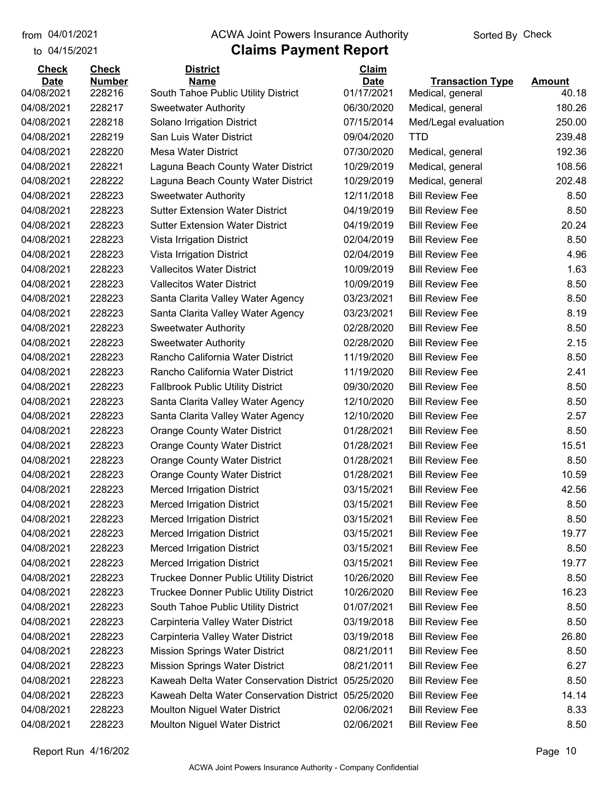to 04/15/2021 04/01/2021

#### from 04/01/2021 **Example 20 Travellet Controllet Authority** Check Sorted By Check

## **Claims Payment Report**

| <b>Check</b>              | <b>Check</b>     | <b>District</b>                                                    | <b>Claim</b>             |                                      |                 |
|---------------------------|------------------|--------------------------------------------------------------------|--------------------------|--------------------------------------|-----------------|
| <b>Date</b><br>04/08/2021 | <b>Number</b>    | <b>Name</b>                                                        | <b>Date</b>              | <b>Transaction Type</b>              | <b>Amount</b>   |
| 04/08/2021                | 228216<br>228217 | South Tahoe Public Utility District<br><b>Sweetwater Authority</b> | 01/17/2021<br>06/30/2020 | Medical, general<br>Medical, general | 40.18<br>180.26 |
| 04/08/2021                |                  |                                                                    |                          |                                      |                 |
| 04/08/2021                | 228218           | Solano Irrigation District                                         | 07/15/2014               | Med/Legal evaluation                 | 250.00          |
|                           | 228219           | San Luis Water District                                            | 09/04/2020               | <b>TTD</b>                           | 239.48          |
| 04/08/2021                | 228220           | <b>Mesa Water District</b>                                         | 07/30/2020               | Medical, general                     | 192.36          |
| 04/08/2021                | 228221           | Laguna Beach County Water District                                 | 10/29/2019               | Medical, general                     | 108.56          |
| 04/08/2021                | 228222           | Laguna Beach County Water District                                 | 10/29/2019               | Medical, general                     | 202.48          |
| 04/08/2021                | 228223           | <b>Sweetwater Authority</b>                                        | 12/11/2018               | <b>Bill Review Fee</b>               | 8.50            |
| 04/08/2021                | 228223           | <b>Sutter Extension Water District</b>                             | 04/19/2019               | <b>Bill Review Fee</b>               | 8.50            |
| 04/08/2021                | 228223           | <b>Sutter Extension Water District</b>                             | 04/19/2019               | <b>Bill Review Fee</b>               | 20.24           |
| 04/08/2021                | 228223           | Vista Irrigation District                                          | 02/04/2019               | <b>Bill Review Fee</b>               | 8.50            |
| 04/08/2021                | 228223           | Vista Irrigation District                                          | 02/04/2019               | <b>Bill Review Fee</b>               | 4.96            |
| 04/08/2021                | 228223           | <b>Vallecitos Water District</b>                                   | 10/09/2019               | <b>Bill Review Fee</b>               | 1.63            |
| 04/08/2021                | 228223           | <b>Vallecitos Water District</b>                                   | 10/09/2019               | <b>Bill Review Fee</b>               | 8.50            |
| 04/08/2021                | 228223           | Santa Clarita Valley Water Agency                                  | 03/23/2021               | <b>Bill Review Fee</b>               | 8.50            |
| 04/08/2021                | 228223           | Santa Clarita Valley Water Agency                                  | 03/23/2021               | <b>Bill Review Fee</b>               | 8.19            |
| 04/08/2021                | 228223           | <b>Sweetwater Authority</b>                                        | 02/28/2020               | <b>Bill Review Fee</b>               | 8.50            |
| 04/08/2021                | 228223           | <b>Sweetwater Authority</b>                                        | 02/28/2020               | <b>Bill Review Fee</b>               | 2.15            |
| 04/08/2021                | 228223           | Rancho California Water District                                   | 11/19/2020               | <b>Bill Review Fee</b>               | 8.50            |
| 04/08/2021                | 228223           | Rancho California Water District                                   | 11/19/2020               | <b>Bill Review Fee</b>               | 2.41            |
| 04/08/2021                | 228223           | <b>Fallbrook Public Utility District</b>                           | 09/30/2020               | <b>Bill Review Fee</b>               | 8.50            |
| 04/08/2021                | 228223           | Santa Clarita Valley Water Agency                                  | 12/10/2020               | <b>Bill Review Fee</b>               | 8.50            |
| 04/08/2021                | 228223           | Santa Clarita Valley Water Agency                                  | 12/10/2020               | <b>Bill Review Fee</b>               | 2.57            |
| 04/08/2021                | 228223           | Orange County Water District                                       | 01/28/2021               | <b>Bill Review Fee</b>               | 8.50            |
| 04/08/2021                | 228223           | <b>Orange County Water District</b>                                | 01/28/2021               | <b>Bill Review Fee</b>               | 15.51           |
| 04/08/2021                | 228223           | <b>Orange County Water District</b>                                | 01/28/2021               | <b>Bill Review Fee</b>               | 8.50            |
| 04/08/2021                | 228223           | <b>Orange County Water District</b>                                | 01/28/2021               | <b>Bill Review Fee</b>               | 10.59           |
| 04/08/2021                | 228223           | <b>Merced Irrigation District</b>                                  | 03/15/2021               | <b>Bill Review Fee</b>               | 42.56           |
| 04/08/2021                | 228223           | <b>Merced Irrigation District</b>                                  | 03/15/2021               | <b>Bill Review Fee</b>               | 8.50            |
| 04/08/2021                | 228223           | <b>Merced Irrigation District</b>                                  | 03/15/2021               | <b>Bill Review Fee</b>               | 8.50            |
| 04/08/2021                | 228223           | <b>Merced Irrigation District</b>                                  | 03/15/2021               | <b>Bill Review Fee</b>               | 19.77           |
| 04/08/2021                | 228223           | <b>Merced Irrigation District</b>                                  | 03/15/2021               | <b>Bill Review Fee</b>               | 8.50            |
| 04/08/2021                | 228223           | <b>Merced Irrigation District</b>                                  | 03/15/2021               | <b>Bill Review Fee</b>               | 19.77           |
| 04/08/2021                | 228223           | <b>Truckee Donner Public Utility District</b>                      | 10/26/2020               | <b>Bill Review Fee</b>               | 8.50            |
| 04/08/2021                | 228223           | <b>Truckee Donner Public Utility District</b>                      | 10/26/2020               | <b>Bill Review Fee</b>               | 16.23           |
| 04/08/2021                | 228223           | South Tahoe Public Utility District                                | 01/07/2021               | <b>Bill Review Fee</b>               | 8.50            |
| 04/08/2021                | 228223           | Carpinteria Valley Water District                                  | 03/19/2018               | <b>Bill Review Fee</b>               | 8.50            |
| 04/08/2021                | 228223           | Carpinteria Valley Water District                                  | 03/19/2018               | <b>Bill Review Fee</b>               | 26.80           |
| 04/08/2021                | 228223           | <b>Mission Springs Water District</b>                              | 08/21/2011               | <b>Bill Review Fee</b>               | 8.50            |
| 04/08/2021                | 228223           | <b>Mission Springs Water District</b>                              | 08/21/2011               | <b>Bill Review Fee</b>               | 6.27            |
| 04/08/2021                | 228223           | Kaweah Delta Water Conservation District                           | 05/25/2020               | <b>Bill Review Fee</b>               | 8.50            |
| 04/08/2021                | 228223           | Kaweah Delta Water Conservation District                           | 05/25/2020               | <b>Bill Review Fee</b>               | 14.14           |
| 04/08/2021                | 228223           | Moulton Niguel Water District                                      | 02/06/2021               | <b>Bill Review Fee</b>               | 8.33            |
| 04/08/2021                | 228223           | Moulton Niguel Water District                                      | 02/06/2021               | <b>Bill Review Fee</b>               | 8.50            |
|                           |                  |                                                                    |                          |                                      |                 |

Report Run 4/16/202 Page 10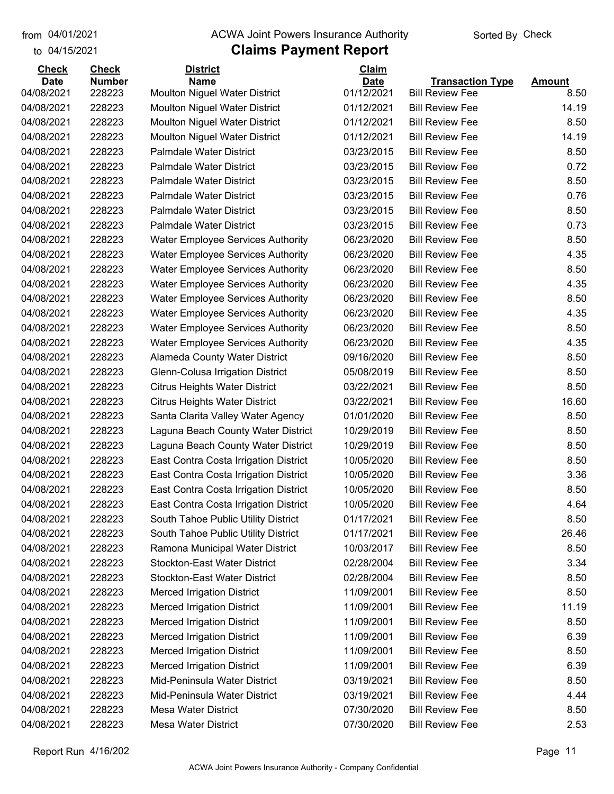#### from 04/01/2021 **Example 20 Travellet Controllet Authority** Check Sorted By Check

#### to 04/15/2021

| <b>Check</b> | <b>Check</b>  | <b>District</b>                          | Claim       |                         |               |
|--------------|---------------|------------------------------------------|-------------|-------------------------|---------------|
| <b>Date</b>  | <b>Number</b> | <b>Name</b>                              | <b>Date</b> | <b>Transaction Type</b> | <b>Amount</b> |
| 04/08/2021   | 228223        | Moulton Niguel Water District            | 01/12/2021  | <b>Bill Review Fee</b>  | 8.50          |
| 04/08/2021   | 228223        | <b>Moulton Niguel Water District</b>     | 01/12/2021  | <b>Bill Review Fee</b>  | 14.19         |
| 04/08/2021   | 228223        | <b>Moulton Niguel Water District</b>     | 01/12/2021  | <b>Bill Review Fee</b>  | 8.50          |
| 04/08/2021   | 228223        | <b>Moulton Niguel Water District</b>     | 01/12/2021  | <b>Bill Review Fee</b>  | 14.19         |
| 04/08/2021   | 228223        | <b>Palmdale Water District</b>           | 03/23/2015  | <b>Bill Review Fee</b>  | 8.50          |
| 04/08/2021   | 228223        | <b>Palmdale Water District</b>           | 03/23/2015  | <b>Bill Review Fee</b>  | 0.72          |
| 04/08/2021   | 228223        | <b>Palmdale Water District</b>           | 03/23/2015  | <b>Bill Review Fee</b>  | 8.50          |
| 04/08/2021   | 228223        | <b>Palmdale Water District</b>           | 03/23/2015  | <b>Bill Review Fee</b>  | 0.76          |
| 04/08/2021   | 228223        | <b>Palmdale Water District</b>           | 03/23/2015  | <b>Bill Review Fee</b>  | 8.50          |
| 04/08/2021   | 228223        | <b>Palmdale Water District</b>           | 03/23/2015  | <b>Bill Review Fee</b>  | 0.73          |
| 04/08/2021   | 228223        | Water Employee Services Authority        | 06/23/2020  | <b>Bill Review Fee</b>  | 8.50          |
| 04/08/2021   | 228223        | Water Employee Services Authority        | 06/23/2020  | <b>Bill Review Fee</b>  | 4.35          |
| 04/08/2021   | 228223        | <b>Water Employee Services Authority</b> | 06/23/2020  | <b>Bill Review Fee</b>  | 8.50          |
| 04/08/2021   | 228223        | <b>Water Employee Services Authority</b> | 06/23/2020  | <b>Bill Review Fee</b>  | 4.35          |
| 04/08/2021   | 228223        | <b>Water Employee Services Authority</b> | 06/23/2020  | <b>Bill Review Fee</b>  | 8.50          |
| 04/08/2021   | 228223        | <b>Water Employee Services Authority</b> | 06/23/2020  | <b>Bill Review Fee</b>  | 4.35          |
| 04/08/2021   | 228223        | <b>Water Employee Services Authority</b> | 06/23/2020  | <b>Bill Review Fee</b>  | 8.50          |
| 04/08/2021   | 228223        | <b>Water Employee Services Authority</b> | 06/23/2020  | <b>Bill Review Fee</b>  | 4.35          |
| 04/08/2021   | 228223        | Alameda County Water District            | 09/16/2020  | <b>Bill Review Fee</b>  | 8.50          |
| 04/08/2021   | 228223        | Glenn-Colusa Irrigation District         | 05/08/2019  | <b>Bill Review Fee</b>  | 8.50          |
| 04/08/2021   | 228223        | <b>Citrus Heights Water District</b>     | 03/22/2021  | <b>Bill Review Fee</b>  | 8.50          |
| 04/08/2021   | 228223        | <b>Citrus Heights Water District</b>     | 03/22/2021  | <b>Bill Review Fee</b>  | 16.60         |
| 04/08/2021   | 228223        | Santa Clarita Valley Water Agency        | 01/01/2020  | <b>Bill Review Fee</b>  | 8.50          |
| 04/08/2021   | 228223        | Laguna Beach County Water District       | 10/29/2019  | <b>Bill Review Fee</b>  | 8.50          |
| 04/08/2021   | 228223        | Laguna Beach County Water District       | 10/29/2019  | <b>Bill Review Fee</b>  | 8.50          |
| 04/08/2021   | 228223        | East Contra Costa Irrigation District    | 10/05/2020  | <b>Bill Review Fee</b>  | 8.50          |
| 04/08/2021   | 228223        | East Contra Costa Irrigation District    | 10/05/2020  | <b>Bill Review Fee</b>  | 3.36          |
| 04/08/2021   | 228223        | East Contra Costa Irrigation District    | 10/05/2020  | <b>Bill Review Fee</b>  | 8.50          |
| 04/08/2021   | 228223        | East Contra Costa Irrigation District    | 10/05/2020  | <b>Bill Review Fee</b>  | 4.64          |
| 04/08/2021   | 228223        | South Tahoe Public Utility District      | 01/17/2021  | <b>Bill Review Fee</b>  | 8.50          |
| 04/08/2021   | 228223        | South Tahoe Public Utility District      | 01/17/2021  | <b>Bill Review Fee</b>  | 26.46         |
| 04/08/2021   | 228223        | Ramona Municipal Water District          | 10/03/2017  | <b>Bill Review Fee</b>  | 8.50          |
| 04/08/2021   | 228223        | <b>Stockton-East Water District</b>      | 02/28/2004  | <b>Bill Review Fee</b>  | 3.34          |
| 04/08/2021   | 228223        | <b>Stockton-East Water District</b>      | 02/28/2004  | <b>Bill Review Fee</b>  | 8.50          |
| 04/08/2021   | 228223        | <b>Merced Irrigation District</b>        | 11/09/2001  | <b>Bill Review Fee</b>  | 8.50          |
| 04/08/2021   | 228223        | <b>Merced Irrigation District</b>        | 11/09/2001  | <b>Bill Review Fee</b>  | 11.19         |
| 04/08/2021   | 228223        | <b>Merced Irrigation District</b>        | 11/09/2001  | <b>Bill Review Fee</b>  | 8.50          |
| 04/08/2021   | 228223        | <b>Merced Irrigation District</b>        | 11/09/2001  | <b>Bill Review Fee</b>  | 6.39          |
| 04/08/2021   | 228223        | <b>Merced Irrigation District</b>        | 11/09/2001  | <b>Bill Review Fee</b>  | 8.50          |
| 04/08/2021   | 228223        | <b>Merced Irrigation District</b>        | 11/09/2001  | <b>Bill Review Fee</b>  | 6.39          |
| 04/08/2021   | 228223        | Mid-Peninsula Water District             | 03/19/2021  | <b>Bill Review Fee</b>  | 8.50          |
| 04/08/2021   | 228223        | Mid-Peninsula Water District             | 03/19/2021  | <b>Bill Review Fee</b>  | 4.44          |
| 04/08/2021   | 228223        | <b>Mesa Water District</b>               | 07/30/2020  | <b>Bill Review Fee</b>  | 8.50          |
| 04/08/2021   | 228223        | <b>Mesa Water District</b>               | 07/30/2020  | <b>Bill Review Fee</b>  | 2.53          |
|              |               |                                          |             |                         |               |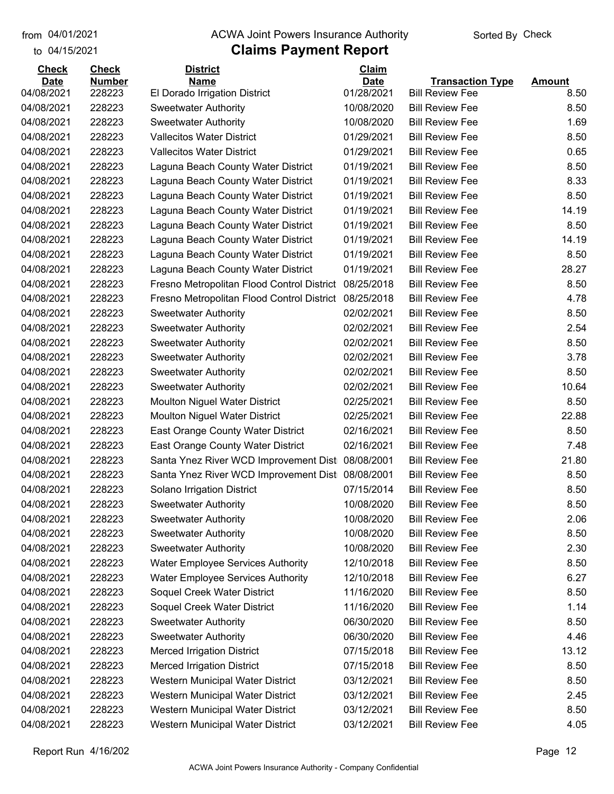#### from 04/01/2021 **Example 20 Travellet Controllet Authority** Check Sorted By Check

### to 04/15/2021

| <b>Check</b> | <b>Check</b>  | <b>District</b>                            | Claim       |                         |               |
|--------------|---------------|--------------------------------------------|-------------|-------------------------|---------------|
| <b>Date</b>  | <b>Number</b> | <b>Name</b>                                | <b>Date</b> | <b>Transaction Type</b> | <b>Amount</b> |
| 04/08/2021   | 228223        | El Dorado Irrigation District              | 01/28/2021  | <b>Bill Review Fee</b>  | 8.50          |
| 04/08/2021   | 228223        | <b>Sweetwater Authority</b>                | 10/08/2020  | <b>Bill Review Fee</b>  | 8.50          |
| 04/08/2021   | 228223        | <b>Sweetwater Authority</b>                | 10/08/2020  | <b>Bill Review Fee</b>  | 1.69          |
| 04/08/2021   | 228223        | <b>Vallecitos Water District</b>           | 01/29/2021  | <b>Bill Review Fee</b>  | 8.50          |
| 04/08/2021   | 228223        | <b>Vallecitos Water District</b>           | 01/29/2021  | <b>Bill Review Fee</b>  | 0.65          |
| 04/08/2021   | 228223        | Laguna Beach County Water District         | 01/19/2021  | <b>Bill Review Fee</b>  | 8.50          |
| 04/08/2021   | 228223        | Laguna Beach County Water District         | 01/19/2021  | <b>Bill Review Fee</b>  | 8.33          |
| 04/08/2021   | 228223        | Laguna Beach County Water District         | 01/19/2021  | <b>Bill Review Fee</b>  | 8.50          |
| 04/08/2021   | 228223        | Laguna Beach County Water District         | 01/19/2021  | <b>Bill Review Fee</b>  | 14.19         |
| 04/08/2021   | 228223        | Laguna Beach County Water District         | 01/19/2021  | <b>Bill Review Fee</b>  | 8.50          |
| 04/08/2021   | 228223        | Laguna Beach County Water District         | 01/19/2021  | <b>Bill Review Fee</b>  | 14.19         |
| 04/08/2021   | 228223        | Laguna Beach County Water District         | 01/19/2021  | <b>Bill Review Fee</b>  | 8.50          |
| 04/08/2021   | 228223        | Laguna Beach County Water District         | 01/19/2021  | <b>Bill Review Fee</b>  | 28.27         |
| 04/08/2021   | 228223        | Fresno Metropolitan Flood Control District | 08/25/2018  | <b>Bill Review Fee</b>  | 8.50          |
| 04/08/2021   | 228223        | Fresno Metropolitan Flood Control District | 08/25/2018  | <b>Bill Review Fee</b>  | 4.78          |
| 04/08/2021   | 228223        | <b>Sweetwater Authority</b>                | 02/02/2021  | <b>Bill Review Fee</b>  | 8.50          |
| 04/08/2021   | 228223        | <b>Sweetwater Authority</b>                | 02/02/2021  | <b>Bill Review Fee</b>  | 2.54          |
| 04/08/2021   | 228223        | <b>Sweetwater Authority</b>                | 02/02/2021  | <b>Bill Review Fee</b>  | 8.50          |
| 04/08/2021   | 228223        | <b>Sweetwater Authority</b>                | 02/02/2021  | <b>Bill Review Fee</b>  | 3.78          |
| 04/08/2021   | 228223        | <b>Sweetwater Authority</b>                | 02/02/2021  | <b>Bill Review Fee</b>  | 8.50          |
| 04/08/2021   | 228223        | <b>Sweetwater Authority</b>                | 02/02/2021  | <b>Bill Review Fee</b>  | 10.64         |
| 04/08/2021   | 228223        | <b>Moulton Niguel Water District</b>       | 02/25/2021  | <b>Bill Review Fee</b>  | 8.50          |
| 04/08/2021   | 228223        | <b>Moulton Niguel Water District</b>       | 02/25/2021  | <b>Bill Review Fee</b>  | 22.88         |
| 04/08/2021   | 228223        | East Orange County Water District          | 02/16/2021  | <b>Bill Review Fee</b>  | 8.50          |
| 04/08/2021   | 228223        | East Orange County Water District          | 02/16/2021  | <b>Bill Review Fee</b>  | 7.48          |
| 04/08/2021   | 228223        | Santa Ynez River WCD Improvement Dist      | 08/08/2001  | <b>Bill Review Fee</b>  | 21.80         |
| 04/08/2021   | 228223        | Santa Ynez River WCD Improvement Dist      | 08/08/2001  | <b>Bill Review Fee</b>  | 8.50          |
| 04/08/2021   | 228223        | Solano Irrigation District                 | 07/15/2014  | <b>Bill Review Fee</b>  | 8.50          |
| 04/08/2021   | 228223        | <b>Sweetwater Authority</b>                | 10/08/2020  | <b>Bill Review Fee</b>  | 8.50          |
| 04/08/2021   | 228223        | <b>Sweetwater Authority</b>                | 10/08/2020  | <b>Bill Review Fee</b>  | 2.06          |
| 04/08/2021   | 228223        | <b>Sweetwater Authority</b>                | 10/08/2020  | <b>Bill Review Fee</b>  | 8.50          |
| 04/08/2021   | 228223        | <b>Sweetwater Authority</b>                | 10/08/2020  | <b>Bill Review Fee</b>  | 2.30          |
| 04/08/2021   | 228223        | <b>Water Employee Services Authority</b>   | 12/10/2018  | <b>Bill Review Fee</b>  | 8.50          |
| 04/08/2021   | 228223        | <b>Water Employee Services Authority</b>   | 12/10/2018  | <b>Bill Review Fee</b>  | 6.27          |
| 04/08/2021   | 228223        | Soquel Creek Water District                | 11/16/2020  | <b>Bill Review Fee</b>  | 8.50          |
| 04/08/2021   | 228223        | Soquel Creek Water District                | 11/16/2020  | <b>Bill Review Fee</b>  | 1.14          |
| 04/08/2021   | 228223        | <b>Sweetwater Authority</b>                | 06/30/2020  | <b>Bill Review Fee</b>  | 8.50          |
| 04/08/2021   | 228223        | <b>Sweetwater Authority</b>                | 06/30/2020  | <b>Bill Review Fee</b>  | 4.46          |
| 04/08/2021   | 228223        | <b>Merced Irrigation District</b>          | 07/15/2018  | <b>Bill Review Fee</b>  | 13.12         |
| 04/08/2021   | 228223        | <b>Merced Irrigation District</b>          | 07/15/2018  | <b>Bill Review Fee</b>  | 8.50          |
| 04/08/2021   | 228223        | Western Municipal Water District           | 03/12/2021  | <b>Bill Review Fee</b>  | 8.50          |
| 04/08/2021   | 228223        | Western Municipal Water District           | 03/12/2021  | <b>Bill Review Fee</b>  | 2.45          |
| 04/08/2021   | 228223        | Western Municipal Water District           | 03/12/2021  | <b>Bill Review Fee</b>  | 8.50          |
| 04/08/2021   | 228223        | Western Municipal Water District           | 03/12/2021  | <b>Bill Review Fee</b>  | 4.05          |
|              |               |                                            |             |                         |               |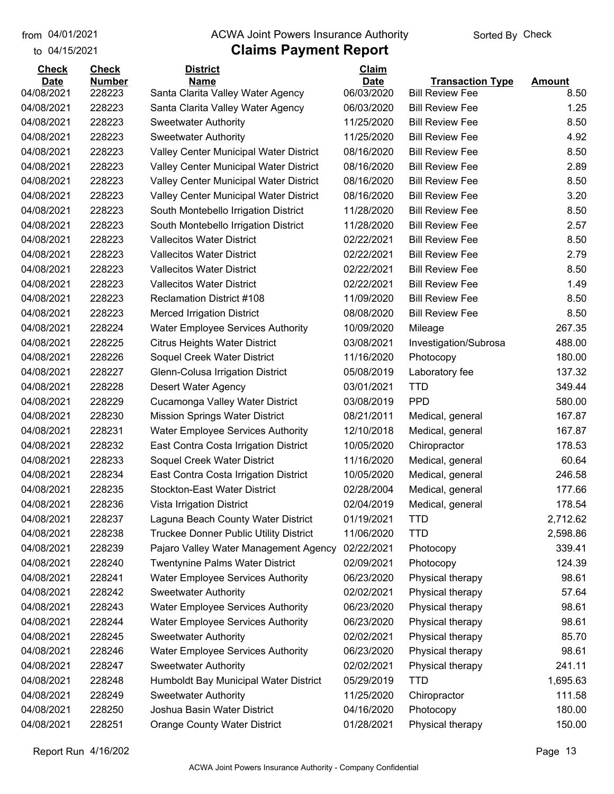#### from 04/01/2021 **Example 20 Travellet Controllet Authority** Check Sorted By Check

### to 04/15/2021

| <b>Check</b>              | <b>Check</b>            | <b>District</b>                                  | Claim                     |                                                   |                       |
|---------------------------|-------------------------|--------------------------------------------------|---------------------------|---------------------------------------------------|-----------------------|
| <b>Date</b><br>04/08/2021 | <b>Number</b><br>228223 | <b>Name</b><br>Santa Clarita Valley Water Agency | <b>Date</b><br>06/03/2020 | <b>Transaction Type</b><br><b>Bill Review Fee</b> | <b>Amount</b><br>8.50 |
| 04/08/2021                | 228223                  | Santa Clarita Valley Water Agency                | 06/03/2020                | <b>Bill Review Fee</b>                            | 1.25                  |
| 04/08/2021                | 228223                  | <b>Sweetwater Authority</b>                      | 11/25/2020                | <b>Bill Review Fee</b>                            | 8.50                  |
| 04/08/2021                | 228223                  | <b>Sweetwater Authority</b>                      | 11/25/2020                | <b>Bill Review Fee</b>                            | 4.92                  |
| 04/08/2021                | 228223                  | Valley Center Municipal Water District           | 08/16/2020                | <b>Bill Review Fee</b>                            | 8.50                  |
| 04/08/2021                | 228223                  | Valley Center Municipal Water District           | 08/16/2020                | <b>Bill Review Fee</b>                            | 2.89                  |
| 04/08/2021                | 228223                  | Valley Center Municipal Water District           | 08/16/2020                | <b>Bill Review Fee</b>                            | 8.50                  |
| 04/08/2021                | 228223                  | Valley Center Municipal Water District           | 08/16/2020                | <b>Bill Review Fee</b>                            | 3.20                  |
| 04/08/2021                | 228223                  | South Montebello Irrigation District             | 11/28/2020                | <b>Bill Review Fee</b>                            | 8.50                  |
| 04/08/2021                | 228223                  | South Montebello Irrigation District             | 11/28/2020                | <b>Bill Review Fee</b>                            | 2.57                  |
| 04/08/2021                | 228223                  | <b>Vallecitos Water District</b>                 | 02/22/2021                | <b>Bill Review Fee</b>                            | 8.50                  |
| 04/08/2021                | 228223                  | <b>Vallecitos Water District</b>                 | 02/22/2021                | <b>Bill Review Fee</b>                            | 2.79                  |
| 04/08/2021                | 228223                  | <b>Vallecitos Water District</b>                 | 02/22/2021                | <b>Bill Review Fee</b>                            | 8.50                  |
| 04/08/2021                | 228223                  | <b>Vallecitos Water District</b>                 | 02/22/2021                | <b>Bill Review Fee</b>                            | 1.49                  |
| 04/08/2021                | 228223                  | <b>Reclamation District #108</b>                 | 11/09/2020                | <b>Bill Review Fee</b>                            | 8.50                  |
| 04/08/2021                | 228223                  | <b>Merced Irrigation District</b>                | 08/08/2020                | <b>Bill Review Fee</b>                            | 8.50                  |
| 04/08/2021                | 228224                  | <b>Water Employee Services Authority</b>         | 10/09/2020                | Mileage                                           | 267.35                |
| 04/08/2021                | 228225                  | <b>Citrus Heights Water District</b>             | 03/08/2021                | Investigation/Subrosa                             | 488.00                |
| 04/08/2021                | 228226                  | Soquel Creek Water District                      | 11/16/2020                | Photocopy                                         | 180.00                |
| 04/08/2021                | 228227                  | Glenn-Colusa Irrigation District                 | 05/08/2019                | Laboratory fee                                    | 137.32                |
| 04/08/2021                | 228228                  | Desert Water Agency                              | 03/01/2021                | <b>TTD</b>                                        | 349.44                |
| 04/08/2021                | 228229                  | Cucamonga Valley Water District                  | 03/08/2019                | <b>PPD</b>                                        | 580.00                |
| 04/08/2021                | 228230                  | <b>Mission Springs Water District</b>            | 08/21/2011                | Medical, general                                  | 167.87                |
| 04/08/2021                | 228231                  | <b>Water Employee Services Authority</b>         | 12/10/2018                | Medical, general                                  | 167.87                |
| 04/08/2021                | 228232                  | East Contra Costa Irrigation District            | 10/05/2020                | Chiropractor                                      | 178.53                |
| 04/08/2021                | 228233                  | Soquel Creek Water District                      | 11/16/2020                | Medical, general                                  | 60.64                 |
| 04/08/2021                | 228234                  | East Contra Costa Irrigation District            | 10/05/2020                | Medical, general                                  | 246.58                |
| 04/08/2021                | 228235                  | <b>Stockton-East Water District</b>              | 02/28/2004                | Medical, general                                  | 177.66                |
| 04/08/2021                | 228236                  | Vista Irrigation District                        | 02/04/2019                | Medical, general                                  | 178.54                |
| 04/08/2021                | 228237                  | Laguna Beach County Water District               | 01/19/2021                | <b>TTD</b>                                        | 2,712.62              |
| 04/08/2021                | 228238                  | Truckee Donner Public Utility District           | 11/06/2020                | <b>TTD</b>                                        | 2,598.86              |
| 04/08/2021                | 228239                  | Pajaro Valley Water Management Agency            | 02/22/2021                | Photocopy                                         | 339.41                |
| 04/08/2021                | 228240                  | <b>Twentynine Palms Water District</b>           | 02/09/2021                | Photocopy                                         | 124.39                |
| 04/08/2021                | 228241                  | <b>Water Employee Services Authority</b>         | 06/23/2020                | Physical therapy                                  | 98.61                 |
| 04/08/2021                | 228242                  | <b>Sweetwater Authority</b>                      | 02/02/2021                | Physical therapy                                  | 57.64                 |
| 04/08/2021                | 228243                  | <b>Water Employee Services Authority</b>         | 06/23/2020                | Physical therapy                                  | 98.61                 |
| 04/08/2021                | 228244                  | <b>Water Employee Services Authority</b>         | 06/23/2020                | Physical therapy                                  | 98.61                 |
| 04/08/2021                | 228245                  | <b>Sweetwater Authority</b>                      | 02/02/2021                | Physical therapy                                  | 85.70                 |
| 04/08/2021                | 228246                  | <b>Water Employee Services Authority</b>         | 06/23/2020                | Physical therapy                                  | 98.61                 |
| 04/08/2021                | 228247                  | <b>Sweetwater Authority</b>                      | 02/02/2021                | Physical therapy                                  | 241.11                |
| 04/08/2021                | 228248                  | Humboldt Bay Municipal Water District            | 05/29/2019                | <b>TTD</b>                                        | 1,695.63              |
| 04/08/2021                | 228249                  | <b>Sweetwater Authority</b>                      | 11/25/2020                | Chiropractor                                      | 111.58                |
| 04/08/2021                | 228250                  | Joshua Basin Water District                      | 04/16/2020                | Photocopy                                         | 180.00                |
| 04/08/2021                | 228251                  | <b>Orange County Water District</b>              | 01/28/2021                | Physical therapy                                  | 150.00                |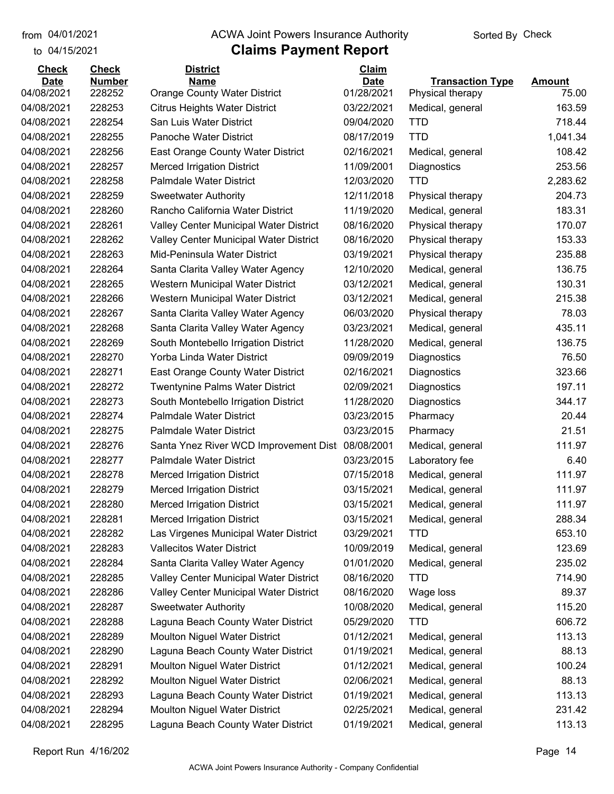#### from 04/01/2021 **Example 20 Travellet Controllet Authority** Check Sorted By Check

#### to 04/15/2021

| <b>Check</b> | <b>Check</b>  | <b>District</b>                                  | <b>Claim</b> |                         |               |
|--------------|---------------|--------------------------------------------------|--------------|-------------------------|---------------|
| <b>Date</b>  | <b>Number</b> | <b>Name</b>                                      | <b>Date</b>  | <b>Transaction Type</b> | <b>Amount</b> |
| 04/08/2021   | 228252        | <b>Orange County Water District</b>              | 01/28/2021   | Physical therapy        | 75.00         |
| 04/08/2021   | 228253        | <b>Citrus Heights Water District</b>             | 03/22/2021   | Medical, general        | 163.59        |
| 04/08/2021   | 228254        | San Luis Water District                          | 09/04/2020   | <b>TTD</b>              | 718.44        |
| 04/08/2021   | 228255        | <b>Panoche Water District</b>                    | 08/17/2019   | <b>TTD</b>              | 1,041.34      |
| 04/08/2021   | 228256        | East Orange County Water District                | 02/16/2021   | Medical, general        | 108.42        |
| 04/08/2021   | 228257        | <b>Merced Irrigation District</b>                | 11/09/2001   | Diagnostics             | 253.56        |
| 04/08/2021   | 228258        | <b>Palmdale Water District</b>                   | 12/03/2020   | <b>TTD</b>              | 2,283.62      |
| 04/08/2021   | 228259        | <b>Sweetwater Authority</b>                      | 12/11/2018   | Physical therapy        | 204.73        |
| 04/08/2021   | 228260        | Rancho California Water District                 | 11/19/2020   | Medical, general        | 183.31        |
| 04/08/2021   | 228261        | Valley Center Municipal Water District           | 08/16/2020   | Physical therapy        | 170.07        |
| 04/08/2021   | 228262        | Valley Center Municipal Water District           | 08/16/2020   | Physical therapy        | 153.33        |
| 04/08/2021   | 228263        | Mid-Peninsula Water District                     | 03/19/2021   | Physical therapy        | 235.88        |
| 04/08/2021   | 228264        | Santa Clarita Valley Water Agency                | 12/10/2020   | Medical, general        | 136.75        |
| 04/08/2021   | 228265        | Western Municipal Water District                 | 03/12/2021   | Medical, general        | 130.31        |
| 04/08/2021   | 228266        | Western Municipal Water District                 | 03/12/2021   | Medical, general        | 215.38        |
| 04/08/2021   | 228267        | Santa Clarita Valley Water Agency                | 06/03/2020   | Physical therapy        | 78.03         |
| 04/08/2021   | 228268        | Santa Clarita Valley Water Agency                | 03/23/2021   | Medical, general        | 435.11        |
| 04/08/2021   | 228269        | South Montebello Irrigation District             | 11/28/2020   | Medical, general        | 136.75        |
| 04/08/2021   | 228270        | Yorba Linda Water District                       | 09/09/2019   | Diagnostics             | 76.50         |
| 04/08/2021   | 228271        | East Orange County Water District                | 02/16/2021   | Diagnostics             | 323.66        |
| 04/08/2021   | 228272        | <b>Twentynine Palms Water District</b>           | 02/09/2021   | Diagnostics             | 197.11        |
| 04/08/2021   | 228273        | South Montebello Irrigation District             | 11/28/2020   | Diagnostics             | 344.17        |
| 04/08/2021   | 228274        | <b>Palmdale Water District</b>                   | 03/23/2015   | Pharmacy                | 20.44         |
| 04/08/2021   | 228275        | Palmdale Water District                          | 03/23/2015   | Pharmacy                | 21.51         |
| 04/08/2021   | 228276        | Santa Ynez River WCD Improvement Dist 08/08/2001 |              | Medical, general        | 111.97        |
| 04/08/2021   | 228277        | <b>Palmdale Water District</b>                   | 03/23/2015   | Laboratory fee          | 6.40          |
| 04/08/2021   | 228278        | <b>Merced Irrigation District</b>                | 07/15/2018   | Medical, general        | 111.97        |
| 04/08/2021   | 228279        | <b>Merced Irrigation District</b>                | 03/15/2021   | Medical, general        | 111.97        |
| 04/08/2021   | 228280        | <b>Merced Irrigation District</b>                | 03/15/2021   | Medical, general        | 111.97        |
| 04/08/2021   | 228281        | <b>Merced Irrigation District</b>                | 03/15/2021   | Medical, general        | 288.34        |
| 04/08/2021   | 228282        | Las Virgenes Municipal Water District            | 03/29/2021   | <b>TTD</b>              | 653.10        |
| 04/08/2021   | 228283        | <b>Vallecitos Water District</b>                 | 10/09/2019   | Medical, general        | 123.69        |
| 04/08/2021   | 228284        | Santa Clarita Valley Water Agency                | 01/01/2020   | Medical, general        | 235.02        |
| 04/08/2021   | 228285        | Valley Center Municipal Water District           | 08/16/2020   | <b>TTD</b>              | 714.90        |
| 04/08/2021   | 228286        | Valley Center Municipal Water District           | 08/16/2020   | Wage loss               | 89.37         |
| 04/08/2021   | 228287        | <b>Sweetwater Authority</b>                      | 10/08/2020   | Medical, general        | 115.20        |
| 04/08/2021   | 228288        | Laguna Beach County Water District               | 05/29/2020   | <b>TTD</b>              | 606.72        |
| 04/08/2021   | 228289        | Moulton Niguel Water District                    | 01/12/2021   | Medical, general        | 113.13        |
| 04/08/2021   | 228290        | Laguna Beach County Water District               | 01/19/2021   | Medical, general        | 88.13         |
| 04/08/2021   | 228291        | <b>Moulton Niguel Water District</b>             | 01/12/2021   | Medical, general        | 100.24        |
| 04/08/2021   | 228292        | <b>Moulton Niguel Water District</b>             | 02/06/2021   | Medical, general        | 88.13         |
| 04/08/2021   | 228293        | Laguna Beach County Water District               | 01/19/2021   | Medical, general        | 113.13        |
| 04/08/2021   | 228294        | Moulton Niguel Water District                    | 02/25/2021   | Medical, general        | 231.42        |
| 04/08/2021   | 228295        | Laguna Beach County Water District               | 01/19/2021   | Medical, general        | 113.13        |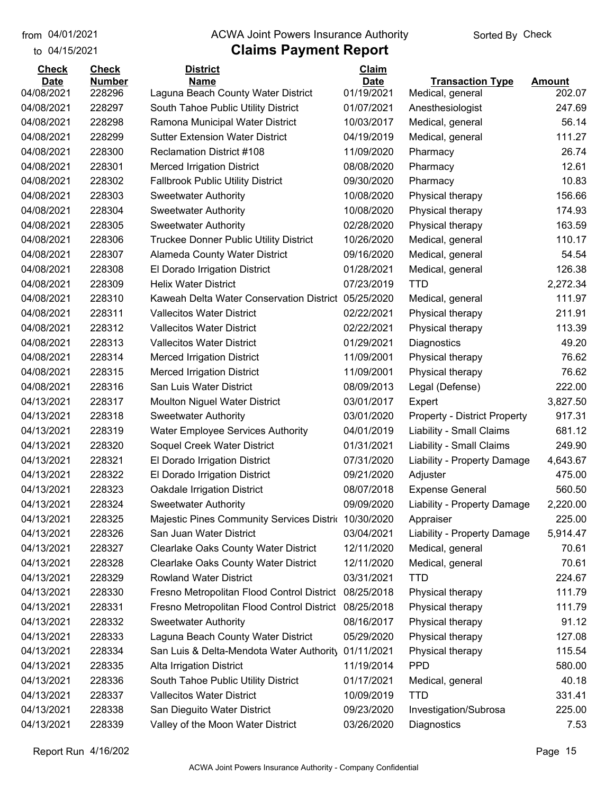to 04/15/2021

#### from 04/01/2021 **Example 20 Travellet Controllet Authority** Check Sorted By Check

| <b>Check</b> | <b>Check</b>  | <b>District</b>                                      | Claim       |                                     |               |
|--------------|---------------|------------------------------------------------------|-------------|-------------------------------------|---------------|
| <b>Date</b>  | <b>Number</b> | <b>Name</b>                                          | <b>Date</b> | <b>Transaction Type</b>             | <b>Amount</b> |
| 04/08/2021   | 228296        | Laguna Beach County Water District                   | 01/19/2021  | Medical, general                    | 202.07        |
| 04/08/2021   | 228297        | South Tahoe Public Utility District                  | 01/07/2021  | Anesthesiologist                    | 247.69        |
| 04/08/2021   | 228298        | Ramona Municipal Water District                      | 10/03/2017  | Medical, general                    | 56.14         |
| 04/08/2021   | 228299        | <b>Sutter Extension Water District</b>               | 04/19/2019  | Medical, general                    | 111.27        |
| 04/08/2021   | 228300        | <b>Reclamation District #108</b>                     | 11/09/2020  | Pharmacy                            | 26.74         |
| 04/08/2021   | 228301        | <b>Merced Irrigation District</b>                    | 08/08/2020  | Pharmacy                            | 12.61         |
| 04/08/2021   | 228302        | <b>Fallbrook Public Utility District</b>             | 09/30/2020  | Pharmacy                            | 10.83         |
| 04/08/2021   | 228303        | <b>Sweetwater Authority</b>                          | 10/08/2020  | Physical therapy                    | 156.66        |
| 04/08/2021   | 228304        | <b>Sweetwater Authority</b>                          | 10/08/2020  | Physical therapy                    | 174.93        |
| 04/08/2021   | 228305        | <b>Sweetwater Authority</b>                          | 02/28/2020  | Physical therapy                    | 163.59        |
| 04/08/2021   | 228306        | <b>Truckee Donner Public Utility District</b>        | 10/26/2020  | Medical, general                    | 110.17        |
| 04/08/2021   | 228307        | Alameda County Water District                        | 09/16/2020  | Medical, general                    | 54.54         |
| 04/08/2021   | 228308        | El Dorado Irrigation District                        | 01/28/2021  | Medical, general                    | 126.38        |
| 04/08/2021   | 228309        | <b>Helix Water District</b>                          | 07/23/2019  | <b>TTD</b>                          | 2,272.34      |
| 04/08/2021   | 228310        | Kaweah Delta Water Conservation District             | 05/25/2020  | Medical, general                    | 111.97        |
| 04/08/2021   | 228311        | <b>Vallecitos Water District</b>                     | 02/22/2021  | Physical therapy                    | 211.91        |
| 04/08/2021   | 228312        | <b>Vallecitos Water District</b>                     | 02/22/2021  | Physical therapy                    | 113.39        |
| 04/08/2021   | 228313        | <b>Vallecitos Water District</b>                     | 01/29/2021  | Diagnostics                         | 49.20         |
| 04/08/2021   | 228314        | <b>Merced Irrigation District</b>                    | 11/09/2001  | Physical therapy                    | 76.62         |
| 04/08/2021   | 228315        | <b>Merced Irrigation District</b>                    | 11/09/2001  | Physical therapy                    | 76.62         |
| 04/08/2021   | 228316        | San Luis Water District                              | 08/09/2013  | Legal (Defense)                     | 222.00        |
| 04/13/2021   | 228317        | <b>Moulton Niguel Water District</b>                 | 03/01/2017  | Expert                              | 3,827.50      |
| 04/13/2021   | 228318        | <b>Sweetwater Authority</b>                          | 03/01/2020  | <b>Property - District Property</b> | 917.31        |
| 04/13/2021   | 228319        | <b>Water Employee Services Authority</b>             | 04/01/2019  | Liability - Small Claims            | 681.12        |
| 04/13/2021   | 228320        | Soquel Creek Water District                          | 01/31/2021  | Liability - Small Claims            | 249.90        |
| 04/13/2021   | 228321        | El Dorado Irrigation District                        | 07/31/2020  | Liability - Property Damage         | 4,643.67      |
| 04/13/2021   | 228322        | El Dorado Irrigation District                        | 09/21/2020  | Adjuster                            | 475.00        |
| 04/13/2021   | 228323        | <b>Oakdale Irrigation District</b>                   | 08/07/2018  | <b>Expense General</b>              | 560.50        |
| 04/13/2021   | 228324        | <b>Sweetwater Authority</b>                          | 09/09/2020  | Liability - Property Damage         | 2,220.00      |
| 04/13/2021   | 228325        | Majestic Pines Community Services Distric 10/30/2020 |             | Appraiser                           | 225.00        |
| 04/13/2021   | 228326        | San Juan Water District                              | 03/04/2021  | Liability - Property Damage         | 5,914.47      |
| 04/13/2021   | 228327        | <b>Clearlake Oaks County Water District</b>          | 12/11/2020  | Medical, general                    | 70.61         |
| 04/13/2021   | 228328        | <b>Clearlake Oaks County Water District</b>          | 12/11/2020  | Medical, general                    | 70.61         |
| 04/13/2021   | 228329        | <b>Rowland Water District</b>                        | 03/31/2021  | <b>TTD</b>                          | 224.67        |
| 04/13/2021   | 228330        | Fresno Metropolitan Flood Control District           | 08/25/2018  | Physical therapy                    | 111.79        |
| 04/13/2021   | 228331        | Fresno Metropolitan Flood Control District           | 08/25/2018  | Physical therapy                    | 111.79        |
| 04/13/2021   | 228332        | <b>Sweetwater Authority</b>                          | 08/16/2017  | Physical therapy                    | 91.12         |
| 04/13/2021   | 228333        | Laguna Beach County Water District                   | 05/29/2020  | Physical therapy                    | 127.08        |
| 04/13/2021   | 228334        | San Luis & Delta-Mendota Water Authority             | 01/11/2021  | Physical therapy                    | 115.54        |
| 04/13/2021   | 228335        | Alta Irrigation District                             | 11/19/2014  | <b>PPD</b>                          | 580.00        |
| 04/13/2021   | 228336        | South Tahoe Public Utility District                  | 01/17/2021  | Medical, general                    | 40.18         |
| 04/13/2021   | 228337        | <b>Vallecitos Water District</b>                     | 10/09/2019  | <b>TTD</b>                          | 331.41        |
| 04/13/2021   | 228338        | San Dieguito Water District                          | 09/23/2020  | Investigation/Subrosa               | 225.00        |
| 04/13/2021   | 228339        | Valley of the Moon Water District                    | 03/26/2020  | Diagnostics                         | 7.53          |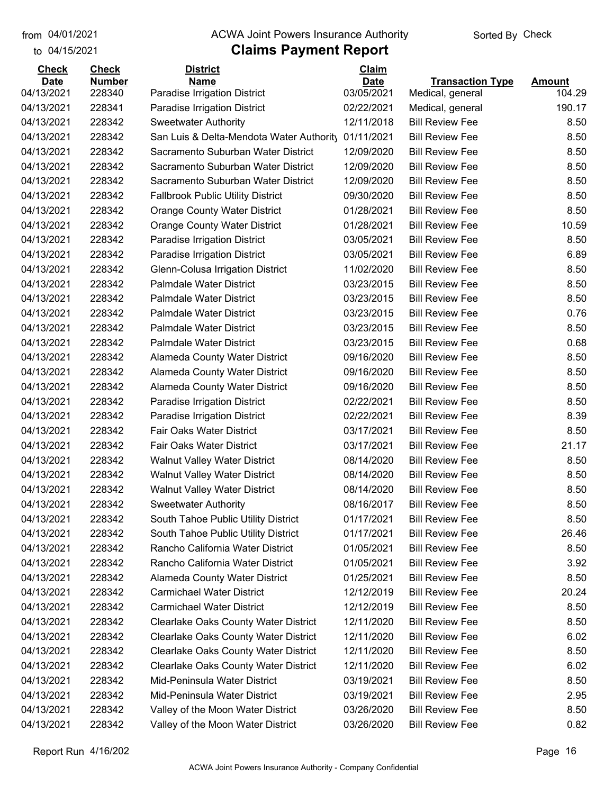to 04/15/2021 04/01/2021

### from 04/01/2021 **Example 20 Travellet Controllet Authority** Check Sorted By Check

| <b>Check</b>              | <b>Check</b>            | <b>District</b>                             | Claim                     |                                             |                         |
|---------------------------|-------------------------|---------------------------------------------|---------------------------|---------------------------------------------|-------------------------|
| <b>Date</b><br>04/13/2021 | <b>Number</b><br>228340 | <b>Name</b><br>Paradise Irrigation District | <b>Date</b><br>03/05/2021 | <b>Transaction Type</b><br>Medical, general | <b>Amount</b><br>104.29 |
| 04/13/2021                | 228341                  | Paradise Irrigation District                | 02/22/2021                | Medical, general                            | 190.17                  |
| 04/13/2021                | 228342                  | <b>Sweetwater Authority</b>                 | 12/11/2018                | <b>Bill Review Fee</b>                      | 8.50                    |
| 04/13/2021                | 228342                  | San Luis & Delta-Mendota Water Authority    | 01/11/2021                | <b>Bill Review Fee</b>                      | 8.50                    |
| 04/13/2021                | 228342                  | Sacramento Suburban Water District          | 12/09/2020                | <b>Bill Review Fee</b>                      | 8.50                    |
| 04/13/2021                | 228342                  | Sacramento Suburban Water District          | 12/09/2020                | <b>Bill Review Fee</b>                      | 8.50                    |
| 04/13/2021                | 228342                  | Sacramento Suburban Water District          | 12/09/2020                | <b>Bill Review Fee</b>                      | 8.50                    |
| 04/13/2021                | 228342                  | <b>Fallbrook Public Utility District</b>    | 09/30/2020                | <b>Bill Review Fee</b>                      | 8.50                    |
| 04/13/2021                | 228342                  | <b>Orange County Water District</b>         | 01/28/2021                | <b>Bill Review Fee</b>                      | 8.50                    |
| 04/13/2021                | 228342                  | <b>Orange County Water District</b>         | 01/28/2021                | <b>Bill Review Fee</b>                      | 10.59                   |
| 04/13/2021                | 228342                  | Paradise Irrigation District                | 03/05/2021                | <b>Bill Review Fee</b>                      | 8.50                    |
| 04/13/2021                | 228342                  | Paradise Irrigation District                | 03/05/2021                | <b>Bill Review Fee</b>                      | 6.89                    |
| 04/13/2021                | 228342                  | Glenn-Colusa Irrigation District            | 11/02/2020                | <b>Bill Review Fee</b>                      | 8.50                    |
| 04/13/2021                | 228342                  | <b>Palmdale Water District</b>              | 03/23/2015                | <b>Bill Review Fee</b>                      | 8.50                    |
| 04/13/2021                | 228342                  | <b>Palmdale Water District</b>              | 03/23/2015                | <b>Bill Review Fee</b>                      | 8.50                    |
| 04/13/2021                | 228342                  | <b>Palmdale Water District</b>              | 03/23/2015                | <b>Bill Review Fee</b>                      | 0.76                    |
| 04/13/2021                | 228342                  | <b>Palmdale Water District</b>              | 03/23/2015                | <b>Bill Review Fee</b>                      | 8.50                    |
| 04/13/2021                | 228342                  | <b>Palmdale Water District</b>              | 03/23/2015                | <b>Bill Review Fee</b>                      | 0.68                    |
| 04/13/2021                | 228342                  | <b>Alameda County Water District</b>        | 09/16/2020                | <b>Bill Review Fee</b>                      | 8.50                    |
| 04/13/2021                | 228342                  | <b>Alameda County Water District</b>        | 09/16/2020                | <b>Bill Review Fee</b>                      | 8.50                    |
| 04/13/2021                | 228342                  | <b>Alameda County Water District</b>        | 09/16/2020                | <b>Bill Review Fee</b>                      | 8.50                    |
| 04/13/2021                | 228342                  | Paradise Irrigation District                | 02/22/2021                | <b>Bill Review Fee</b>                      | 8.50                    |
| 04/13/2021                | 228342                  | Paradise Irrigation District                | 02/22/2021                | <b>Bill Review Fee</b>                      | 8.39                    |
| 04/13/2021                | 228342                  | Fair Oaks Water District                    | 03/17/2021                | <b>Bill Review Fee</b>                      | 8.50                    |
| 04/13/2021                | 228342                  | Fair Oaks Water District                    | 03/17/2021                | <b>Bill Review Fee</b>                      | 21.17                   |
| 04/13/2021                | 228342                  | <b>Walnut Valley Water District</b>         | 08/14/2020                | <b>Bill Review Fee</b>                      | 8.50                    |
| 04/13/2021                | 228342                  | <b>Walnut Valley Water District</b>         | 08/14/2020                | <b>Bill Review Fee</b>                      | 8.50                    |
| 04/13/2021                | 228342                  | <b>Walnut Valley Water District</b>         | 08/14/2020                | <b>Bill Review Fee</b>                      | 8.50                    |
| 04/13/2021                | 228342                  | <b>Sweetwater Authority</b>                 | 08/16/2017                | <b>Bill Review Fee</b>                      | 8.50                    |
| 04/13/2021                | 228342                  | South Tahoe Public Utility District         | 01/17/2021                | <b>Bill Review Fee</b>                      | 8.50                    |
| 04/13/2021                | 228342                  | South Tahoe Public Utility District         | 01/17/2021                | <b>Bill Review Fee</b>                      | 26.46                   |
| 04/13/2021                | 228342                  | Rancho California Water District            | 01/05/2021                | <b>Bill Review Fee</b>                      | 8.50                    |
| 04/13/2021                | 228342                  | Rancho California Water District            | 01/05/2021                | <b>Bill Review Fee</b>                      | 3.92                    |
| 04/13/2021                | 228342                  | Alameda County Water District               | 01/25/2021                | <b>Bill Review Fee</b>                      | 8.50                    |
| 04/13/2021                | 228342                  | <b>Carmichael Water District</b>            | 12/12/2019                | <b>Bill Review Fee</b>                      | 20.24                   |
| 04/13/2021                | 228342                  | <b>Carmichael Water District</b>            | 12/12/2019                | <b>Bill Review Fee</b>                      | 8.50                    |
| 04/13/2021                | 228342                  | <b>Clearlake Oaks County Water District</b> | 12/11/2020                | <b>Bill Review Fee</b>                      | 8.50                    |
| 04/13/2021                | 228342                  | Clearlake Oaks County Water District        | 12/11/2020                | <b>Bill Review Fee</b>                      | 6.02                    |
| 04/13/2021                | 228342                  | <b>Clearlake Oaks County Water District</b> | 12/11/2020                | <b>Bill Review Fee</b>                      | 8.50                    |
| 04/13/2021                | 228342                  | Clearlake Oaks County Water District        | 12/11/2020                | <b>Bill Review Fee</b>                      | 6.02                    |
| 04/13/2021                | 228342                  | Mid-Peninsula Water District                | 03/19/2021                | <b>Bill Review Fee</b>                      | 8.50                    |
| 04/13/2021                | 228342                  | Mid-Peninsula Water District                | 03/19/2021                | <b>Bill Review Fee</b>                      | 2.95                    |
| 04/13/2021                | 228342                  | Valley of the Moon Water District           | 03/26/2020                | <b>Bill Review Fee</b>                      | 8.50                    |
| 04/13/2021                | 228342                  | Valley of the Moon Water District           | 03/26/2020                | <b>Bill Review Fee</b>                      | 0.82                    |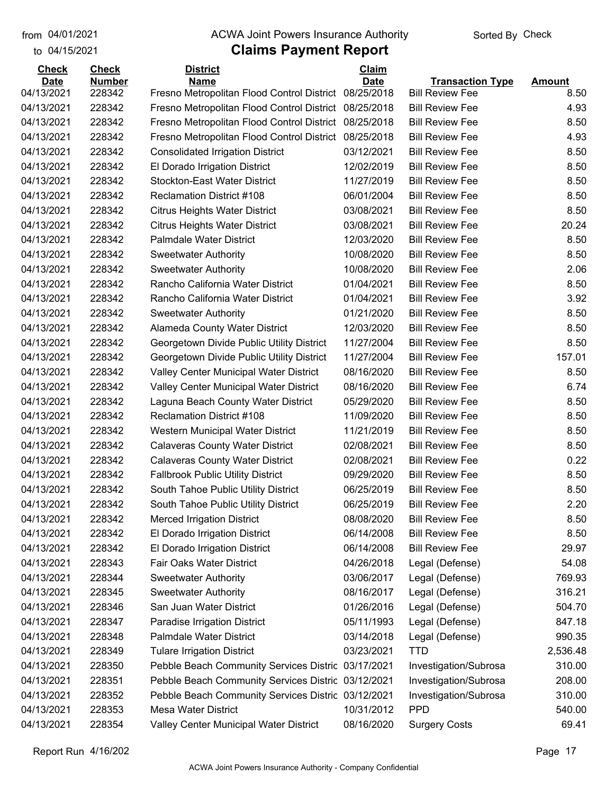to 04/15/2021

#### from 04/01/2021 **Example 20 Travellet Controllet Authority** Check Sorted By Check

| <b>Check</b> | <b>Check</b>  | <b>District</b>                                    | <b>Claim</b> |                         |               |
|--------------|---------------|----------------------------------------------------|--------------|-------------------------|---------------|
| <b>Date</b>  | <b>Number</b> | <b>Name</b>                                        | <b>Date</b>  | <b>Transaction Type</b> | <b>Amount</b> |
| 04/13/2021   | 228342        | Fresno Metropolitan Flood Control District         | 08/25/2018   | <b>Bill Review Fee</b>  | 8.50          |
| 04/13/2021   | 228342        | Fresno Metropolitan Flood Control District         | 08/25/2018   | <b>Bill Review Fee</b>  | 4.93          |
| 04/13/2021   | 228342        | Fresno Metropolitan Flood Control District         | 08/25/2018   | <b>Bill Review Fee</b>  | 8.50          |
| 04/13/2021   | 228342        | Fresno Metropolitan Flood Control District         | 08/25/2018   | <b>Bill Review Fee</b>  | 4.93          |
| 04/13/2021   | 228342        | <b>Consolidated Irrigation District</b>            | 03/12/2021   | <b>Bill Review Fee</b>  | 8.50          |
| 04/13/2021   | 228342        | El Dorado Irrigation District                      | 12/02/2019   | <b>Bill Review Fee</b>  | 8.50          |
| 04/13/2021   | 228342        | <b>Stockton-East Water District</b>                | 11/27/2019   | <b>Bill Review Fee</b>  | 8.50          |
| 04/13/2021   | 228342        | <b>Reclamation District #108</b>                   | 06/01/2004   | <b>Bill Review Fee</b>  | 8.50          |
| 04/13/2021   | 228342        | <b>Citrus Heights Water District</b>               | 03/08/2021   | <b>Bill Review Fee</b>  | 8.50          |
| 04/13/2021   | 228342        | <b>Citrus Heights Water District</b>               | 03/08/2021   | <b>Bill Review Fee</b>  | 20.24         |
| 04/13/2021   | 228342        | Palmdale Water District                            | 12/03/2020   | <b>Bill Review Fee</b>  | 8.50          |
| 04/13/2021   | 228342        | <b>Sweetwater Authority</b>                        | 10/08/2020   | <b>Bill Review Fee</b>  | 8.50          |
| 04/13/2021   | 228342        | <b>Sweetwater Authority</b>                        | 10/08/2020   | <b>Bill Review Fee</b>  | 2.06          |
| 04/13/2021   | 228342        | Rancho California Water District                   | 01/04/2021   | <b>Bill Review Fee</b>  | 8.50          |
| 04/13/2021   | 228342        | Rancho California Water District                   | 01/04/2021   | <b>Bill Review Fee</b>  | 3.92          |
| 04/13/2021   | 228342        | <b>Sweetwater Authority</b>                        | 01/21/2020   | <b>Bill Review Fee</b>  | 8.50          |
| 04/13/2021   | 228342        | <b>Alameda County Water District</b>               | 12/03/2020   | <b>Bill Review Fee</b>  | 8.50          |
| 04/13/2021   | 228342        | Georgetown Divide Public Utility District          | 11/27/2004   | <b>Bill Review Fee</b>  | 8.50          |
| 04/13/2021   | 228342        | Georgetown Divide Public Utility District          | 11/27/2004   | <b>Bill Review Fee</b>  | 157.01        |
| 04/13/2021   | 228342        | Valley Center Municipal Water District             | 08/16/2020   | <b>Bill Review Fee</b>  | 8.50          |
| 04/13/2021   | 228342        | Valley Center Municipal Water District             | 08/16/2020   | <b>Bill Review Fee</b>  | 6.74          |
| 04/13/2021   | 228342        | Laguna Beach County Water District                 | 05/29/2020   | <b>Bill Review Fee</b>  | 8.50          |
| 04/13/2021   | 228342        | <b>Reclamation District #108</b>                   | 11/09/2020   | <b>Bill Review Fee</b>  | 8.50          |
| 04/13/2021   | 228342        | Western Municipal Water District                   | 11/21/2019   | <b>Bill Review Fee</b>  | 8.50          |
| 04/13/2021   | 228342        | <b>Calaveras County Water District</b>             | 02/08/2021   | <b>Bill Review Fee</b>  | 8.50          |
| 04/13/2021   | 228342        | <b>Calaveras County Water District</b>             | 02/08/2021   | <b>Bill Review Fee</b>  | 0.22          |
| 04/13/2021   | 228342        | <b>Fallbrook Public Utility District</b>           | 09/29/2020   | <b>Bill Review Fee</b>  | 8.50          |
| 04/13/2021   | 228342        | South Tahoe Public Utility District                | 06/25/2019   | <b>Bill Review Fee</b>  | 8.50          |
| 04/13/2021   | 228342        | South Tahoe Public Utility District                | 06/25/2019   | <b>Bill Review Fee</b>  | 2.20          |
| 04/13/2021   | 228342        | <b>Merced Irrigation District</b>                  | 08/08/2020   | <b>Bill Review Fee</b>  | 8.50          |
| 04/13/2021   | 228342        | El Dorado Irrigation District                      | 06/14/2008   | <b>Bill Review Fee</b>  | 8.50          |
| 04/13/2021   | 228342        | El Dorado Irrigation District                      | 06/14/2008   | <b>Bill Review Fee</b>  | 29.97         |
| 04/13/2021   | 228343        | Fair Oaks Water District                           | 04/26/2018   | Legal (Defense)         | 54.08         |
| 04/13/2021   | 228344        | <b>Sweetwater Authority</b>                        | 03/06/2017   | Legal (Defense)         | 769.93        |
| 04/13/2021   | 228345        | <b>Sweetwater Authority</b>                        | 08/16/2017   | Legal (Defense)         | 316.21        |
| 04/13/2021   | 228346        | San Juan Water District                            | 01/26/2016   | Legal (Defense)         | 504.70        |
| 04/13/2021   | 228347        | Paradise Irrigation District                       | 05/11/1993   | Legal (Defense)         | 847.18        |
| 04/13/2021   | 228348        | <b>Palmdale Water District</b>                     | 03/14/2018   | Legal (Defense)         | 990.35        |
| 04/13/2021   | 228349        | <b>Tulare Irrigation District</b>                  | 03/23/2021   | <b>TTD</b>              | 2,536.48      |
| 04/13/2021   | 228350        | Pebble Beach Community Services Distric 03/17/2021 |              | Investigation/Subrosa   | 310.00        |
| 04/13/2021   | 228351        | Pebble Beach Community Services Distric 03/12/2021 |              | Investigation/Subrosa   | 208.00        |
| 04/13/2021   | 228352        | Pebble Beach Community Services Distric            | 03/12/2021   | Investigation/Subrosa   | 310.00        |
| 04/13/2021   | 228353        | <b>Mesa Water District</b>                         | 10/31/2012   | <b>PPD</b>              | 540.00        |
| 04/13/2021   | 228354        | Valley Center Municipal Water District             | 08/16/2020   | <b>Surgery Costs</b>    | 69.41         |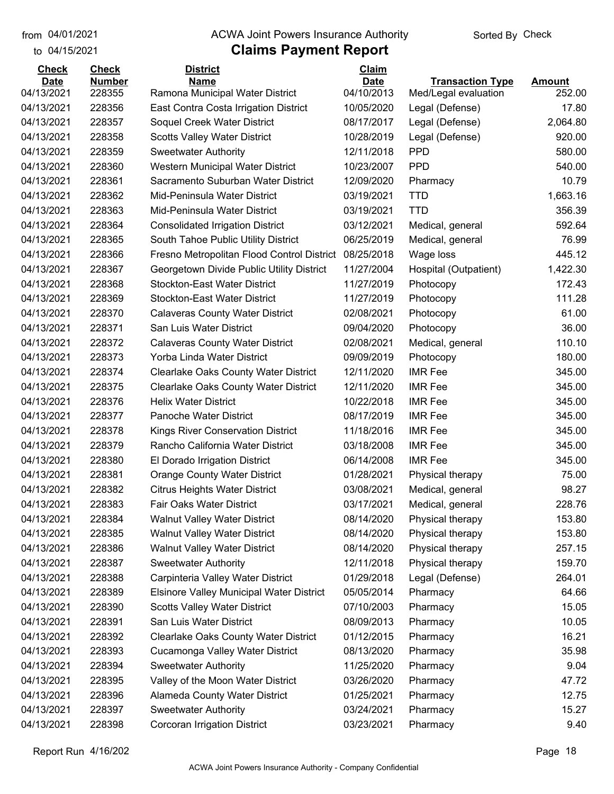to 04/15/2021

#### from 04/01/2021 **Example 20 Travellet Controllet Authority** Check Sorted By Check

| <b>Check</b> | <b>Check</b>  | <b>District</b>                                 | Claim       |                         |               |
|--------------|---------------|-------------------------------------------------|-------------|-------------------------|---------------|
| <b>Date</b>  | <b>Number</b> | <b>Name</b>                                     | <b>Date</b> | <b>Transaction Type</b> | <b>Amount</b> |
| 04/13/2021   | 228355        | Ramona Municipal Water District                 | 04/10/2013  | Med/Legal evaluation    | 252.00        |
| 04/13/2021   | 228356        | East Contra Costa Irrigation District           | 10/05/2020  | Legal (Defense)         | 17.80         |
| 04/13/2021   | 228357        | Soquel Creek Water District                     | 08/17/2017  | Legal (Defense)         | 2,064.80      |
| 04/13/2021   | 228358        | <b>Scotts Valley Water District</b>             | 10/28/2019  | Legal (Defense)         | 920.00        |
| 04/13/2021   | 228359        | <b>Sweetwater Authority</b>                     | 12/11/2018  | <b>PPD</b>              | 580.00        |
| 04/13/2021   | 228360        | Western Municipal Water District                | 10/23/2007  | <b>PPD</b>              | 540.00        |
| 04/13/2021   | 228361        | Sacramento Suburban Water District              | 12/09/2020  | Pharmacy                | 10.79         |
| 04/13/2021   | 228362        | Mid-Peninsula Water District                    | 03/19/2021  | <b>TTD</b>              | 1,663.16      |
| 04/13/2021   | 228363        | Mid-Peninsula Water District                    | 03/19/2021  | <b>TTD</b>              | 356.39        |
| 04/13/2021   | 228364        | <b>Consolidated Irrigation District</b>         | 03/12/2021  | Medical, general        | 592.64        |
| 04/13/2021   | 228365        | South Tahoe Public Utility District             | 06/25/2019  | Medical, general        | 76.99         |
| 04/13/2021   | 228366        | Fresno Metropolitan Flood Control District      | 08/25/2018  | Wage loss               | 445.12        |
| 04/13/2021   | 228367        | Georgetown Divide Public Utility District       | 11/27/2004  | Hospital (Outpatient)   | 1,422.30      |
| 04/13/2021   | 228368        | <b>Stockton-East Water District</b>             | 11/27/2019  | Photocopy               | 172.43        |
| 04/13/2021   | 228369        | <b>Stockton-East Water District</b>             | 11/27/2019  | Photocopy               | 111.28        |
| 04/13/2021   | 228370        | <b>Calaveras County Water District</b>          | 02/08/2021  | Photocopy               | 61.00         |
| 04/13/2021   | 228371        | San Luis Water District                         | 09/04/2020  | Photocopy               | 36.00         |
| 04/13/2021   | 228372        | <b>Calaveras County Water District</b>          | 02/08/2021  | Medical, general        | 110.10        |
| 04/13/2021   | 228373        | Yorba Linda Water District                      | 09/09/2019  | Photocopy               | 180.00        |
| 04/13/2021   | 228374        | <b>Clearlake Oaks County Water District</b>     | 12/11/2020  | <b>IMR Fee</b>          | 345.00        |
| 04/13/2021   | 228375        | <b>Clearlake Oaks County Water District</b>     | 12/11/2020  | <b>IMR Fee</b>          | 345.00        |
| 04/13/2021   | 228376        | <b>Helix Water District</b>                     | 10/22/2018  | <b>IMR Fee</b>          | 345.00        |
| 04/13/2021   | 228377        | Panoche Water District                          | 08/17/2019  | <b>IMR Fee</b>          | 345.00        |
| 04/13/2021   | 228378        | Kings River Conservation District               | 11/18/2016  | <b>IMR Fee</b>          | 345.00        |
| 04/13/2021   | 228379        | Rancho California Water District                | 03/18/2008  | <b>IMR Fee</b>          | 345.00        |
| 04/13/2021   | 228380        | El Dorado Irrigation District                   | 06/14/2008  | <b>IMR Fee</b>          | 345.00        |
| 04/13/2021   | 228381        | <b>Orange County Water District</b>             | 01/28/2021  | Physical therapy        | 75.00         |
| 04/13/2021   | 228382        | <b>Citrus Heights Water District</b>            | 03/08/2021  | Medical, general        | 98.27         |
| 04/13/2021   | 228383        | Fair Oaks Water District                        | 03/17/2021  | Medical, general        | 228.76        |
| 04/13/2021   | 228384        | <b>Walnut Valley Water District</b>             | 08/14/2020  | Physical therapy        | 153.80        |
| 04/13/2021   | 228385        | <b>Walnut Valley Water District</b>             | 08/14/2020  | Physical therapy        | 153.80        |
| 04/13/2021   | 228386        | <b>Walnut Valley Water District</b>             | 08/14/2020  | Physical therapy        | 257.15        |
| 04/13/2021   | 228387        | <b>Sweetwater Authority</b>                     | 12/11/2018  | Physical therapy        | 159.70        |
| 04/13/2021   | 228388        | Carpinteria Valley Water District               | 01/29/2018  | Legal (Defense)         | 264.01        |
| 04/13/2021   | 228389        | <b>Elsinore Valley Municipal Water District</b> | 05/05/2014  | Pharmacy                | 64.66         |
| 04/13/2021   | 228390        | <b>Scotts Valley Water District</b>             | 07/10/2003  | Pharmacy                | 15.05         |
| 04/13/2021   | 228391        | San Luis Water District                         | 08/09/2013  | Pharmacy                | 10.05         |
| 04/13/2021   | 228392        | <b>Clearlake Oaks County Water District</b>     | 01/12/2015  | Pharmacy                | 16.21         |
| 04/13/2021   | 228393        | Cucamonga Valley Water District                 | 08/13/2020  | Pharmacy                | 35.98         |
| 04/13/2021   | 228394        | <b>Sweetwater Authority</b>                     | 11/25/2020  | Pharmacy                | 9.04          |
| 04/13/2021   | 228395        | Valley of the Moon Water District               | 03/26/2020  | Pharmacy                | 47.72         |
| 04/13/2021   | 228396        | Alameda County Water District                   | 01/25/2021  | Pharmacy                | 12.75         |
| 04/13/2021   | 228397        | <b>Sweetwater Authority</b>                     | 03/24/2021  | Pharmacy                | 15.27         |
| 04/13/2021   | 228398        | Corcoran Irrigation District                    | 03/23/2021  | Pharmacy                | 9.40          |
|              |               |                                                 |             |                         |               |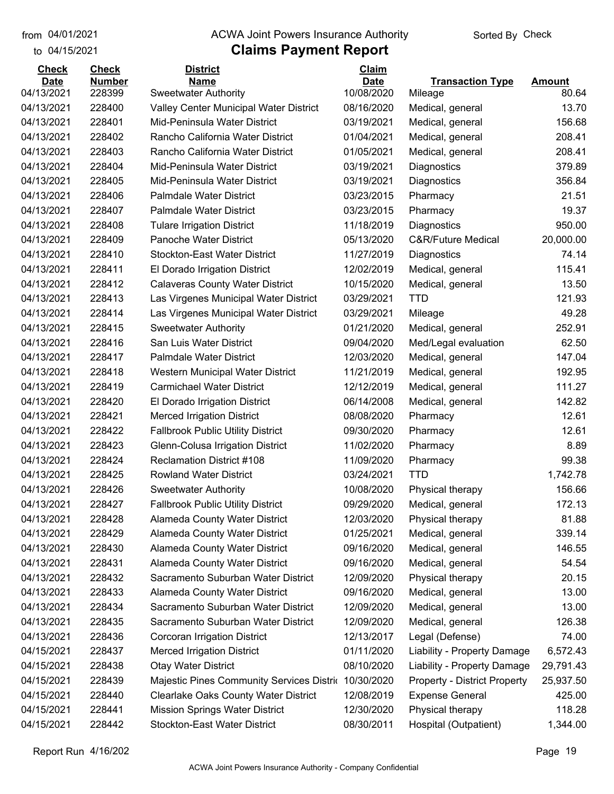to 04/15/2021 04/01/2021

#### from 04/01/2021 **Example 20 Travellet Controllet Authority** Check Sorted By Check

| <b>Check</b> | <b>Check</b>  | <b>District</b>                             | Claim       |                                     |               |
|--------------|---------------|---------------------------------------------|-------------|-------------------------------------|---------------|
| <b>Date</b>  | <b>Number</b> | <b>Name</b>                                 | <b>Date</b> | <b>Transaction Type</b>             | <b>Amount</b> |
| 04/13/2021   | 228399        | <b>Sweetwater Authority</b>                 | 10/08/2020  | Mileage                             | 80.64         |
| 04/13/2021   | 228400        | Valley Center Municipal Water District      | 08/16/2020  | Medical, general                    | 13.70         |
| 04/13/2021   | 228401        | Mid-Peninsula Water District                | 03/19/2021  | Medical, general                    | 156.68        |
| 04/13/2021   | 228402        | Rancho California Water District            | 01/04/2021  | Medical, general                    | 208.41        |
| 04/13/2021   | 228403        | Rancho California Water District            | 01/05/2021  | Medical, general                    | 208.41        |
| 04/13/2021   | 228404        | Mid-Peninsula Water District                | 03/19/2021  | Diagnostics                         | 379.89        |
| 04/13/2021   | 228405        | Mid-Peninsula Water District                | 03/19/2021  | Diagnostics                         | 356.84        |
| 04/13/2021   | 228406        | <b>Palmdale Water District</b>              | 03/23/2015  | Pharmacy                            | 21.51         |
| 04/13/2021   | 228407        | <b>Palmdale Water District</b>              | 03/23/2015  | Pharmacy                            | 19.37         |
| 04/13/2021   | 228408        | <b>Tulare Irrigation District</b>           | 11/18/2019  | Diagnostics                         | 950.00        |
| 04/13/2021   | 228409        | Panoche Water District                      | 05/13/2020  | <b>C&amp;R/Future Medical</b>       | 20,000.00     |
| 04/13/2021   | 228410        | <b>Stockton-East Water District</b>         | 11/27/2019  | Diagnostics                         | 74.14         |
| 04/13/2021   | 228411        | El Dorado Irrigation District               | 12/02/2019  | Medical, general                    | 115.41        |
| 04/13/2021   | 228412        | <b>Calaveras County Water District</b>      | 10/15/2020  | Medical, general                    | 13.50         |
| 04/13/2021   | 228413        | Las Virgenes Municipal Water District       | 03/29/2021  | <b>TTD</b>                          | 121.93        |
| 04/13/2021   | 228414        | Las Virgenes Municipal Water District       | 03/29/2021  | Mileage                             | 49.28         |
| 04/13/2021   | 228415        | <b>Sweetwater Authority</b>                 | 01/21/2020  | Medical, general                    | 252.91        |
| 04/13/2021   | 228416        | San Luis Water District                     | 09/04/2020  | Med/Legal evaluation                | 62.50         |
| 04/13/2021   | 228417        | <b>Palmdale Water District</b>              | 12/03/2020  | Medical, general                    | 147.04        |
| 04/13/2021   | 228418        | Western Municipal Water District            | 11/21/2019  | Medical, general                    | 192.95        |
| 04/13/2021   | 228419        | <b>Carmichael Water District</b>            | 12/12/2019  | Medical, general                    | 111.27        |
| 04/13/2021   | 228420        | El Dorado Irrigation District               | 06/14/2008  | Medical, general                    | 142.82        |
| 04/13/2021   | 228421        | <b>Merced Irrigation District</b>           | 08/08/2020  | Pharmacy                            | 12.61         |
| 04/13/2021   | 228422        | <b>Fallbrook Public Utility District</b>    | 09/30/2020  | Pharmacy                            | 12.61         |
| 04/13/2021   | 228423        | Glenn-Colusa Irrigation District            | 11/02/2020  | Pharmacy                            | 8.89          |
| 04/13/2021   | 228424        | <b>Reclamation District #108</b>            | 11/09/2020  | Pharmacy                            | 99.38         |
| 04/13/2021   | 228425        | <b>Rowland Water District</b>               | 03/24/2021  | <b>TTD</b>                          | 1,742.78      |
| 04/13/2021   | 228426        | <b>Sweetwater Authority</b>                 | 10/08/2020  | Physical therapy                    | 156.66        |
| 04/13/2021   | 228427        | <b>Fallbrook Public Utility District</b>    | 09/29/2020  | Medical, general                    | 172.13        |
| 04/13/2021   | 228428        | <b>Alameda County Water District</b>        | 12/03/2020  | Physical therapy                    | 81.88         |
| 04/13/2021   | 228429        | Alameda County Water District               | 01/25/2021  | Medical, general                    | 339.14        |
| 04/13/2021   | 228430        | <b>Alameda County Water District</b>        | 09/16/2020  | Medical, general                    | 146.55        |
| 04/13/2021   | 228431        | Alameda County Water District               | 09/16/2020  | Medical, general                    | 54.54         |
| 04/13/2021   | 228432        | Sacramento Suburban Water District          | 12/09/2020  | Physical therapy                    | 20.15         |
| 04/13/2021   | 228433        | <b>Alameda County Water District</b>        | 09/16/2020  | Medical, general                    | 13.00         |
| 04/13/2021   | 228434        | Sacramento Suburban Water District          | 12/09/2020  | Medical, general                    | 13.00         |
| 04/13/2021   | 228435        | Sacramento Suburban Water District          | 12/09/2020  | Medical, general                    | 126.38        |
| 04/13/2021   | 228436        | Corcoran Irrigation District                | 12/13/2017  | Legal (Defense)                     | 74.00         |
| 04/15/2021   | 228437        | <b>Merced Irrigation District</b>           | 01/11/2020  | Liability - Property Damage         | 6,572.43      |
| 04/15/2021   | 228438        | <b>Otay Water District</b>                  | 08/10/2020  | Liability - Property Damage         | 29,791.43     |
| 04/15/2021   | 228439        | Majestic Pines Community Services Distrio   | 10/30/2020  | <b>Property - District Property</b> | 25,937.50     |
| 04/15/2021   | 228440        | <b>Clearlake Oaks County Water District</b> | 12/08/2019  | <b>Expense General</b>              | 425.00        |
| 04/15/2021   | 228441        | <b>Mission Springs Water District</b>       | 12/30/2020  | Physical therapy                    | 118.28        |
| 04/15/2021   | 228442        | Stockton-East Water District                | 08/30/2011  | Hospital (Outpatient)               | 1,344.00      |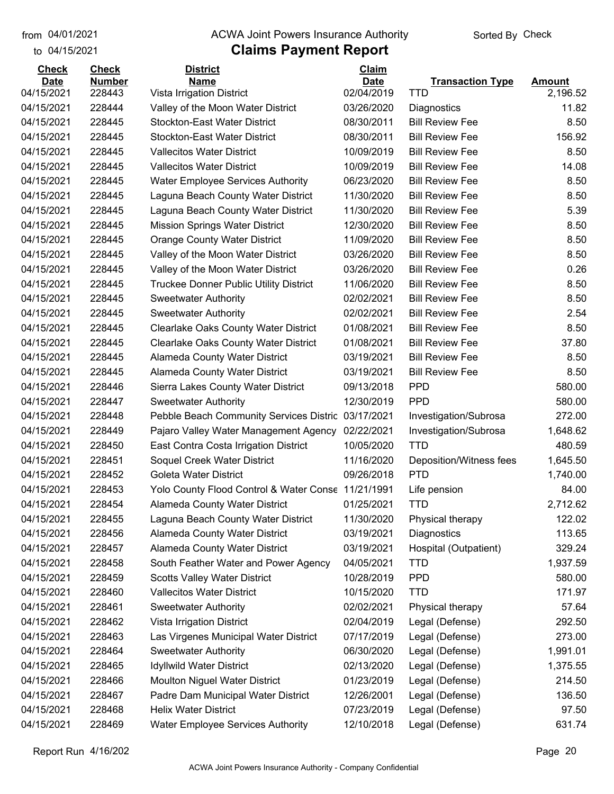#### from 04/01/2021 **Example 20 Travellet Controllet Authority** Check Sorted By Check

### to 04/15/2021

| <b>Check</b> | <b>Check</b>  | <b>District</b>                                    | Claim       |                         |               |
|--------------|---------------|----------------------------------------------------|-------------|-------------------------|---------------|
| <b>Date</b>  | <b>Number</b> | <b>Name</b>                                        | <b>Date</b> | <b>Transaction Type</b> | <b>Amount</b> |
| 04/15/2021   | 228443        | Vista Irrigation District                          | 02/04/2019  | TTD                     | 2,196.52      |
| 04/15/2021   | 228444        | Valley of the Moon Water District                  | 03/26/2020  | Diagnostics             | 11.82         |
| 04/15/2021   | 228445        | <b>Stockton-East Water District</b>                | 08/30/2011  | <b>Bill Review Fee</b>  | 8.50          |
| 04/15/2021   | 228445        | <b>Stockton-East Water District</b>                | 08/30/2011  | <b>Bill Review Fee</b>  | 156.92        |
| 04/15/2021   | 228445        | <b>Vallecitos Water District</b>                   | 10/09/2019  | <b>Bill Review Fee</b>  | 8.50          |
| 04/15/2021   | 228445        | <b>Vallecitos Water District</b>                   | 10/09/2019  | <b>Bill Review Fee</b>  | 14.08         |
| 04/15/2021   | 228445        | <b>Water Employee Services Authority</b>           | 06/23/2020  | <b>Bill Review Fee</b>  | 8.50          |
| 04/15/2021   | 228445        | Laguna Beach County Water District                 | 11/30/2020  | <b>Bill Review Fee</b>  | 8.50          |
| 04/15/2021   | 228445        | Laguna Beach County Water District                 | 11/30/2020  | <b>Bill Review Fee</b>  | 5.39          |
| 04/15/2021   | 228445        | <b>Mission Springs Water District</b>              | 12/30/2020  | <b>Bill Review Fee</b>  | 8.50          |
| 04/15/2021   | 228445        | <b>Orange County Water District</b>                | 11/09/2020  | <b>Bill Review Fee</b>  | 8.50          |
| 04/15/2021   | 228445        | Valley of the Moon Water District                  | 03/26/2020  | <b>Bill Review Fee</b>  | 8.50          |
| 04/15/2021   | 228445        | Valley of the Moon Water District                  | 03/26/2020  | <b>Bill Review Fee</b>  | 0.26          |
| 04/15/2021   | 228445        | <b>Truckee Donner Public Utility District</b>      | 11/06/2020  | <b>Bill Review Fee</b>  | 8.50          |
| 04/15/2021   | 228445        | <b>Sweetwater Authority</b>                        | 02/02/2021  | <b>Bill Review Fee</b>  | 8.50          |
| 04/15/2021   | 228445        | <b>Sweetwater Authority</b>                        | 02/02/2021  | <b>Bill Review Fee</b>  | 2.54          |
| 04/15/2021   | 228445        | Clearlake Oaks County Water District               | 01/08/2021  | <b>Bill Review Fee</b>  | 8.50          |
| 04/15/2021   | 228445        | <b>Clearlake Oaks County Water District</b>        | 01/08/2021  | <b>Bill Review Fee</b>  | 37.80         |
| 04/15/2021   | 228445        | <b>Alameda County Water District</b>               | 03/19/2021  | <b>Bill Review Fee</b>  | 8.50          |
| 04/15/2021   | 228445        | Alameda County Water District                      | 03/19/2021  | <b>Bill Review Fee</b>  | 8.50          |
| 04/15/2021   | 228446        | Sierra Lakes County Water District                 | 09/13/2018  | <b>PPD</b>              | 580.00        |
| 04/15/2021   | 228447        | <b>Sweetwater Authority</b>                        | 12/30/2019  | <b>PPD</b>              | 580.00        |
| 04/15/2021   | 228448        | Pebble Beach Community Services Distric            | 03/17/2021  | Investigation/Subrosa   | 272.00        |
| 04/15/2021   | 228449        | Pajaro Valley Water Management Agency              | 02/22/2021  | Investigation/Subrosa   | 1,648.62      |
| 04/15/2021   | 228450        | East Contra Costa Irrigation District              | 10/05/2020  | <b>TTD</b>              | 480.59        |
| 04/15/2021   | 228451        | Soquel Creek Water District                        | 11/16/2020  | Deposition/Witness fees | 1,645.50      |
| 04/15/2021   | 228452        | <b>Goleta Water District</b>                       | 09/26/2018  | <b>PTD</b>              | 1,740.00      |
| 04/15/2021   | 228453        | Yolo County Flood Control & Water Conse 11/21/1991 |             | Life pension            | 84.00         |
| 04/15/2021   | 228454        | Alameda County Water District                      | 01/25/2021  | <b>TTD</b>              | 2,712.62      |
| 04/15/2021   | 228455        | Laguna Beach County Water District                 | 11/30/2020  | Physical therapy        | 122.02        |
| 04/15/2021   | 228456        | <b>Alameda County Water District</b>               | 03/19/2021  | Diagnostics             | 113.65        |
| 04/15/2021   | 228457        | Alameda County Water District                      | 03/19/2021  | Hospital (Outpatient)   | 329.24        |
| 04/15/2021   | 228458        | South Feather Water and Power Agency               | 04/05/2021  | <b>TTD</b>              | 1,937.59      |
| 04/15/2021   | 228459        | <b>Scotts Valley Water District</b>                | 10/28/2019  | <b>PPD</b>              | 580.00        |
| 04/15/2021   | 228460        | <b>Vallecitos Water District</b>                   | 10/15/2020  | <b>TTD</b>              | 171.97        |
| 04/15/2021   | 228461        | <b>Sweetwater Authority</b>                        | 02/02/2021  | Physical therapy        | 57.64         |
| 04/15/2021   | 228462        | Vista Irrigation District                          | 02/04/2019  | Legal (Defense)         | 292.50        |
| 04/15/2021   | 228463        | Las Virgenes Municipal Water District              | 07/17/2019  | Legal (Defense)         | 273.00        |
| 04/15/2021   | 228464        | <b>Sweetwater Authority</b>                        | 06/30/2020  | Legal (Defense)         | 1,991.01      |
| 04/15/2021   | 228465        | <b>Idyllwild Water District</b>                    | 02/13/2020  | Legal (Defense)         | 1,375.55      |
| 04/15/2021   | 228466        | <b>Moulton Niguel Water District</b>               | 01/23/2019  | Legal (Defense)         | 214.50        |
| 04/15/2021   | 228467        | Padre Dam Municipal Water District                 | 12/26/2001  | Legal (Defense)         | 136.50        |
| 04/15/2021   | 228468        | <b>Helix Water District</b>                        | 07/23/2019  | Legal (Defense)         | 97.50         |
| 04/15/2021   | 228469        | Water Employee Services Authority                  | 12/10/2018  | Legal (Defense)         | 631.74        |
|              |               |                                                    |             |                         |               |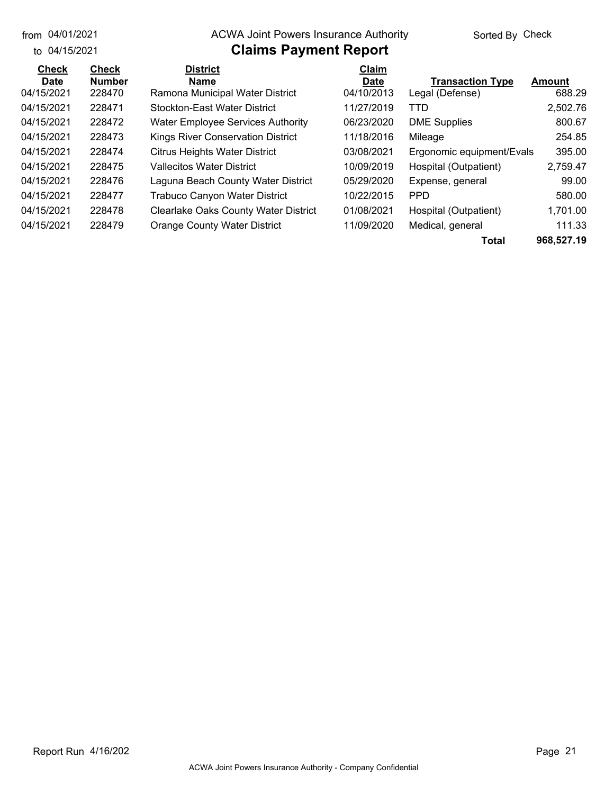from 04/01/2021

#### from 04/01/2021 **Example 20 Travellet Controllet Authority** Check Sorted By Check

#### to 04/15/2021

| <b>Check</b> | <b>Check</b>  | <b>District</b>                             | Claim       |                           |               |
|--------------|---------------|---------------------------------------------|-------------|---------------------------|---------------|
| <b>Date</b>  | <b>Number</b> | Name                                        | <b>Date</b> | <b>Transaction Type</b>   | <b>Amount</b> |
| 04/15/2021   | 228470        | Ramona Municipal Water District             | 04/10/2013  | Legal (Defense)           | 688.29        |
| 04/15/2021   | 228471        | <b>Stockton-East Water District</b>         | 11/27/2019  | <b>TTD</b>                | 2,502.76      |
| 04/15/2021   | 228472        | <b>Water Employee Services Authority</b>    | 06/23/2020  | <b>DME Supplies</b>       | 800.67        |
| 04/15/2021   | 228473        | <b>Kings River Conservation District</b>    | 11/18/2016  | Mileage                   | 254.85        |
| 04/15/2021   | 228474        | <b>Citrus Heights Water District</b>        | 03/08/2021  | Ergonomic equipment/Evals | 395.00        |
| 04/15/2021   | 228475        | <b>Vallecitos Water District</b>            | 10/09/2019  | Hospital (Outpatient)     | 2,759.47      |
| 04/15/2021   | 228476        | Laguna Beach County Water District          | 05/29/2020  | Expense, general          | 99.00         |
| 04/15/2021   | 228477        | Trabuco Canyon Water District               | 10/22/2015  | <b>PPD</b>                | 580.00        |
| 04/15/2021   | 228478        | <b>Clearlake Oaks County Water District</b> | 01/08/2021  | Hospital (Outpatient)     | 1,701.00      |
| 04/15/2021   | 228479        | <b>Orange County Water District</b>         | 11/09/2020  | Medical, general          | 111.33        |
|              |               |                                             |             | Total                     | 968,527.19    |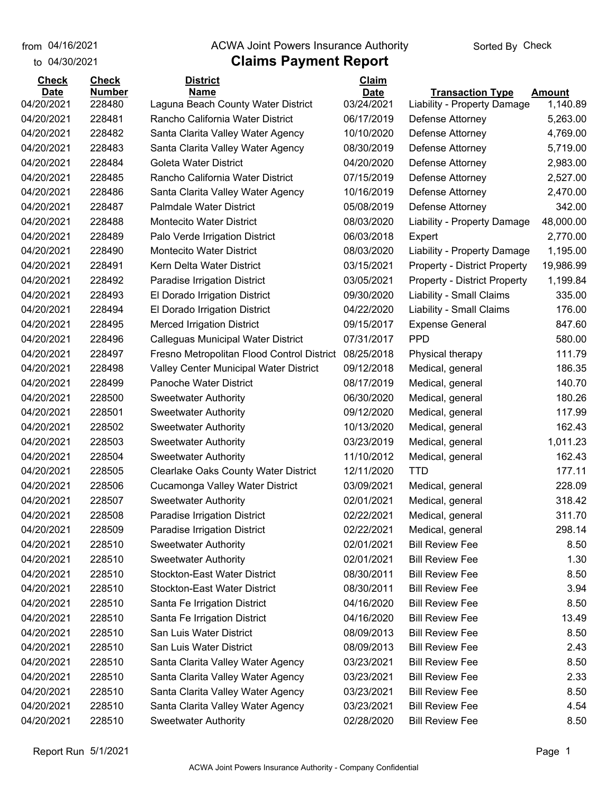from 04/16/2021

to 04/30/2021

### **Claims Payment Report** from 04/16/2021 **Example 20 Travellet Concrete Authority** Check

### **Date Number Name Date Transaction Type Amount Check Check District Claim** 04/20/2021 228480 Laguna Beach County Water District 03/24/2021 Liability - Property Damage 1,140.89 04/20/2021 228481 Rancho California Water District 06/17/2019 Defense Attorney 5,263.00 04/20/2021 228482 Santa Clarita Valley Water Agency 10/10/2020 Defense Attorney 4,769.00 04/20/2021 228483 Santa Clarita Valley Water Agency 08/30/2019 Defense Attorney 5,719.00 04/20/2021 228484 Goleta Water District 04/20/2020 Defense Attorney 2,983.00 04/20/2021 228485 Rancho California Water District 07/15/2019 Defense Attorney 2,527.00 04/20/2021 228486 Santa Clarita Valley Water Agency 10/16/2019 Defense Attorney 2,470.00 04/20/2021 228487 Palmdale Water District 05/08/2019 Defense Attorney 342.00 04/20/2021 228488 Montecito Water District 08/03/2020 Liability - Property Damage 48,000.00 04/20/2021 228489 Palo Verde Irrigation District 06/03/2018 Expert 2,770.00 04/20/2021 228490 Montecito Water District 08/03/2020 Liability - Property Damage 1,195.00 04/20/2021 228491 Kern Delta Water District 03/15/2021 Property - District Property 19,986.99 04/20/2021 228492 Paradise Irrigation District 03/05/2021 Property - District Property 1,199.84 04/20/2021 228493 El Dorado Irrigation District 09/30/2020 Liability - Small Claims 335.00 04/20/2021 228494 El Dorado Irrigation District 04/22/2020 Liability - Small Claims 176.00 04/20/2021 228495 Merced Irrigation District 09/15/2017 Expense General 847.60 04/20/2021 228496 Calleguas Municipal Water District 07/31/2017 PPD 580.00 04/20/2021 228497 Fresno Metropolitan Flood Control District 08/25/2018 Physical therapy 111.79 04/20/2021 228498 Valley Center Municipal Water District 09/12/2018 Medical, general 186.35 04/20/2021 228499 Panoche Water District 08/17/2019 Medical, general 140.70 04/20/2021 228500 Sweetwater Authority 06/30/2020 Medical, general 180.26 04/20/2021 228501 Sweetwater Authority 09/12/2020 Medical, general 117.99 04/20/2021 228502 Sweetwater Authority 10/13/2020 Medical, general 162.43 04/20/2021 228503 Sweetwater Authority 03/23/2019 Medical, general 1,011.23 04/20/2021 228504 Sweetwater Authority 11/10/2012 Medical, general 162.43 04/20/2021 228505 Clearlake Oaks County Water District 12/11/2020 TTD 1977.11 04/20/2021 228506 Cucamonga Valley Water District 03/09/2021 Medical, general 228.09 04/20/2021 228507 Sweetwater Authority 02/01/2021 Medical, general 318.42 04/20/2021 228508 Paradise Irrigation District 02/22/2021 Medical, general 311.70 04/20/2021 228509 Paradise Irrigation District 02/22/2021 Medical, general 298.14 04/20/2021 228510 Sweetwater Authority 02/01/2021 Bill Review Fee 8.50 04/20/2021 228510 Sweetwater Authority 02/01/2021 Bill Review Fee 1.30 04/20/2021 228510 Stockton-East Water District 08/30/2011 Bill Review Fee 8.50 04/20/2021 228510 Stockton-East Water District 08/30/2011 Bill Review Fee 3.94 04/20/2021 228510 Santa Fe Irrigation District 04/16/2020 Bill Review Fee 8.50 04/20/2021 228510 Santa Fe Irrigation District 04/16/2020 Bill Review Fee 13.49 04/20/2021 228510 San Luis Water District 08/09/2013 Bill Review Fee 8.50 04/20/2021 228510 San Luis Water District 08/09/2013 Bill Review Fee 2.43 04/20/2021 228510 Santa Clarita Valley Water Agency 03/23/2021 Bill Review Fee 6.50 04/20/2021 228510 Santa Clarita Valley Water Agency 03/23/2021 Bill Review Fee 2.33 04/20/2021 228510 Santa Clarita Valley Water Agency 03/23/2021 Bill Review Fee 8.50 04/20/2021 228510 Santa Clarita Valley Water Agency 03/23/2021 Bill Review Fee 4.54 04/20/2021 228510 Sweetwater Authority 02/28/2020 Bill Review Fee 8.50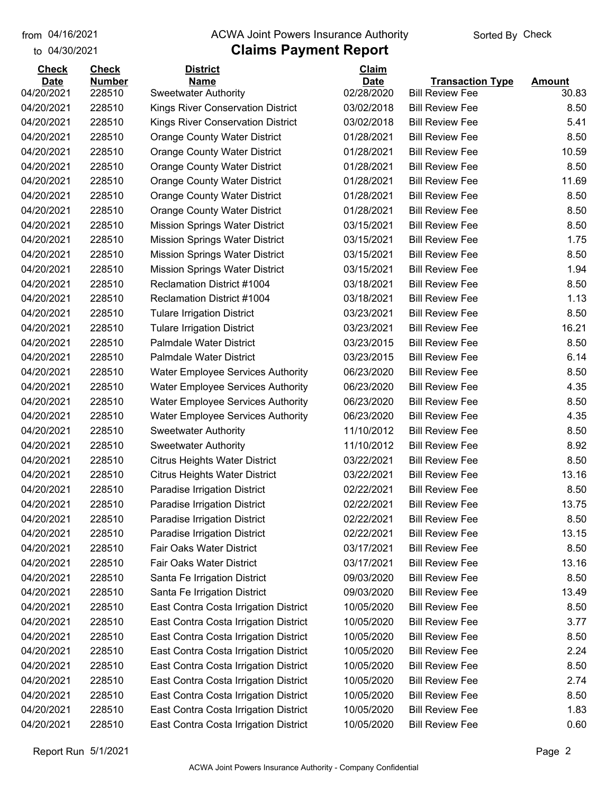#### from 04/16/2021 **The COVA Solic Act Act Authority** Sorted By Check

## to 04/30/2021

| <b>Check</b> | <b>Check</b>  | <b>District</b>                          | Claim       |                         |               |
|--------------|---------------|------------------------------------------|-------------|-------------------------|---------------|
| <b>Date</b>  | <b>Number</b> | <b>Name</b>                              | <b>Date</b> | <b>Transaction Type</b> | <b>Amount</b> |
| 04/20/2021   | 228510        | <b>Sweetwater Authority</b>              | 02/28/2020  | <b>Bill Review Fee</b>  | 30.83         |
| 04/20/2021   | 228510        | <b>Kings River Conservation District</b> | 03/02/2018  | <b>Bill Review Fee</b>  | 8.50          |
| 04/20/2021   | 228510        | <b>Kings River Conservation District</b> | 03/02/2018  | <b>Bill Review Fee</b>  | 5.41          |
| 04/20/2021   | 228510        | <b>Orange County Water District</b>      | 01/28/2021  | <b>Bill Review Fee</b>  | 8.50          |
| 04/20/2021   | 228510        | <b>Orange County Water District</b>      | 01/28/2021  | <b>Bill Review Fee</b>  | 10.59         |
| 04/20/2021   | 228510        | <b>Orange County Water District</b>      | 01/28/2021  | <b>Bill Review Fee</b>  | 8.50          |
| 04/20/2021   | 228510        | <b>Orange County Water District</b>      | 01/28/2021  | <b>Bill Review Fee</b>  | 11.69         |
| 04/20/2021   | 228510        | <b>Orange County Water District</b>      | 01/28/2021  | <b>Bill Review Fee</b>  | 8.50          |
| 04/20/2021   | 228510        | <b>Orange County Water District</b>      | 01/28/2021  | <b>Bill Review Fee</b>  | 8.50          |
| 04/20/2021   | 228510        | <b>Mission Springs Water District</b>    | 03/15/2021  | <b>Bill Review Fee</b>  | 8.50          |
| 04/20/2021   | 228510        | <b>Mission Springs Water District</b>    | 03/15/2021  | <b>Bill Review Fee</b>  | 1.75          |
| 04/20/2021   | 228510        | <b>Mission Springs Water District</b>    | 03/15/2021  | <b>Bill Review Fee</b>  | 8.50          |
| 04/20/2021   | 228510        | <b>Mission Springs Water District</b>    | 03/15/2021  | <b>Bill Review Fee</b>  | 1.94          |
| 04/20/2021   | 228510        | Reclamation District #1004               | 03/18/2021  | <b>Bill Review Fee</b>  | 8.50          |
| 04/20/2021   | 228510        | Reclamation District #1004               | 03/18/2021  | <b>Bill Review Fee</b>  | 1.13          |
| 04/20/2021   | 228510        | <b>Tulare Irrigation District</b>        | 03/23/2021  | <b>Bill Review Fee</b>  | 8.50          |
| 04/20/2021   | 228510        | <b>Tulare Irrigation District</b>        | 03/23/2021  | <b>Bill Review Fee</b>  | 16.21         |
| 04/20/2021   | 228510        | <b>Palmdale Water District</b>           | 03/23/2015  | <b>Bill Review Fee</b>  | 8.50          |
| 04/20/2021   | 228510        | <b>Palmdale Water District</b>           | 03/23/2015  | <b>Bill Review Fee</b>  | 6.14          |
| 04/20/2021   | 228510        | <b>Water Employee Services Authority</b> | 06/23/2020  | <b>Bill Review Fee</b>  | 8.50          |
| 04/20/2021   | 228510        | <b>Water Employee Services Authority</b> | 06/23/2020  | <b>Bill Review Fee</b>  | 4.35          |
| 04/20/2021   | 228510        | <b>Water Employee Services Authority</b> | 06/23/2020  | <b>Bill Review Fee</b>  | 8.50          |
| 04/20/2021   | 228510        | <b>Water Employee Services Authority</b> | 06/23/2020  | <b>Bill Review Fee</b>  | 4.35          |
| 04/20/2021   | 228510        | <b>Sweetwater Authority</b>              | 11/10/2012  | <b>Bill Review Fee</b>  | 8.50          |
| 04/20/2021   | 228510        | <b>Sweetwater Authority</b>              | 11/10/2012  | <b>Bill Review Fee</b>  | 8.92          |
| 04/20/2021   | 228510        | <b>Citrus Heights Water District</b>     | 03/22/2021  | <b>Bill Review Fee</b>  | 8.50          |
| 04/20/2021   | 228510        | <b>Citrus Heights Water District</b>     | 03/22/2021  | <b>Bill Review Fee</b>  | 13.16         |
| 04/20/2021   | 228510        | Paradise Irrigation District             | 02/22/2021  | <b>Bill Review Fee</b>  | 8.50          |
| 04/20/2021   | 228510        | Paradise Irrigation District             | 02/22/2021  | <b>Bill Review Fee</b>  | 13.75         |
| 04/20/2021   | 228510        | Paradise Irrigation District             | 02/22/2021  | <b>Bill Review Fee</b>  | 8.50          |
| 04/20/2021   | 228510        | Paradise Irrigation District             | 02/22/2021  | <b>Bill Review Fee</b>  | 13.15         |
| 04/20/2021   | 228510        | <b>Fair Oaks Water District</b>          | 03/17/2021  | <b>Bill Review Fee</b>  | 8.50          |
| 04/20/2021   | 228510        | Fair Oaks Water District                 | 03/17/2021  | <b>Bill Review Fee</b>  | 13.16         |
| 04/20/2021   | 228510        | Santa Fe Irrigation District             | 09/03/2020  | <b>Bill Review Fee</b>  | 8.50          |
| 04/20/2021   | 228510        | Santa Fe Irrigation District             | 09/03/2020  | <b>Bill Review Fee</b>  | 13.49         |
| 04/20/2021   | 228510        | East Contra Costa Irrigation District    | 10/05/2020  | <b>Bill Review Fee</b>  | 8.50          |
| 04/20/2021   | 228510        | East Contra Costa Irrigation District    | 10/05/2020  | <b>Bill Review Fee</b>  | 3.77          |
| 04/20/2021   | 228510        | East Contra Costa Irrigation District    | 10/05/2020  | <b>Bill Review Fee</b>  | 8.50          |
| 04/20/2021   | 228510        | East Contra Costa Irrigation District    | 10/05/2020  | <b>Bill Review Fee</b>  | 2.24          |
| 04/20/2021   | 228510        | East Contra Costa Irrigation District    | 10/05/2020  | <b>Bill Review Fee</b>  | 8.50          |
| 04/20/2021   | 228510        | East Contra Costa Irrigation District    | 10/05/2020  | <b>Bill Review Fee</b>  | 2.74          |
| 04/20/2021   | 228510        | East Contra Costa Irrigation District    | 10/05/2020  | <b>Bill Review Fee</b>  | 8.50          |
| 04/20/2021   | 228510        | East Contra Costa Irrigation District    | 10/05/2020  | <b>Bill Review Fee</b>  | 1.83          |
| 04/20/2021   | 228510        | East Contra Costa Irrigation District    | 10/05/2020  | <b>Bill Review Fee</b>  | 0.60          |
|              |               |                                          |             |                         |               |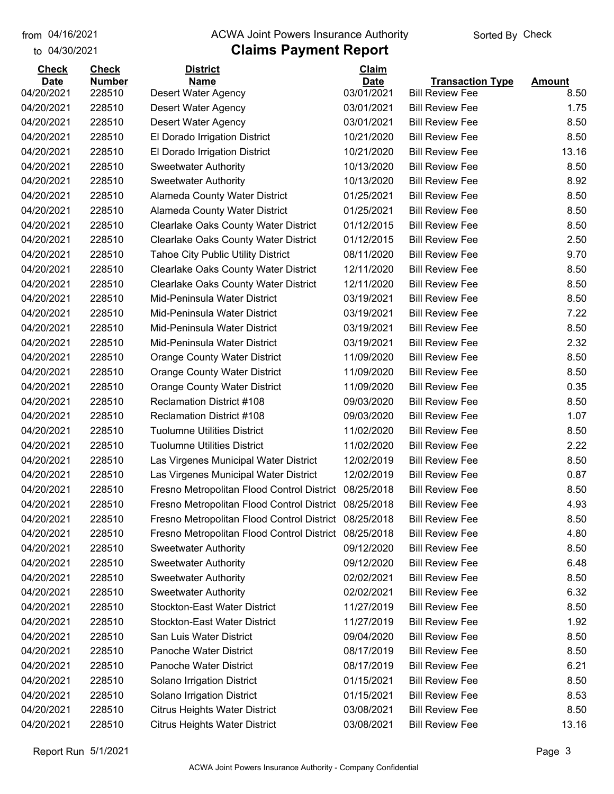## from 04/16/2021 **The COVA Solic Act Act Authority** Sorted By Check

## to 04/30/2021

| <b>Check</b> | <b>Check</b>  | <b>District</b>                                       | Claim       |                         |               |
|--------------|---------------|-------------------------------------------------------|-------------|-------------------------|---------------|
| <b>Date</b>  | <b>Number</b> | <b>Name</b>                                           | <b>Date</b> | <b>Transaction Type</b> | <b>Amount</b> |
| 04/20/2021   | 228510        | <b>Desert Water Agency</b>                            | 03/01/2021  | <b>Bill Review Fee</b>  | 8.50          |
| 04/20/2021   | 228510        | Desert Water Agency                                   | 03/01/2021  | <b>Bill Review Fee</b>  | 1.75          |
| 04/20/2021   | 228510        | Desert Water Agency                                   | 03/01/2021  | <b>Bill Review Fee</b>  | 8.50          |
| 04/20/2021   | 228510        | El Dorado Irrigation District                         | 10/21/2020  | <b>Bill Review Fee</b>  | 8.50          |
| 04/20/2021   | 228510        | El Dorado Irrigation District                         | 10/21/2020  | <b>Bill Review Fee</b>  | 13.16         |
| 04/20/2021   | 228510        | <b>Sweetwater Authority</b>                           | 10/13/2020  | <b>Bill Review Fee</b>  | 8.50          |
| 04/20/2021   | 228510        | <b>Sweetwater Authority</b>                           | 10/13/2020  | <b>Bill Review Fee</b>  | 8.92          |
| 04/20/2021   | 228510        | <b>Alameda County Water District</b>                  | 01/25/2021  | <b>Bill Review Fee</b>  | 8.50          |
| 04/20/2021   | 228510        | Alameda County Water District                         | 01/25/2021  | <b>Bill Review Fee</b>  | 8.50          |
| 04/20/2021   | 228510        | Clearlake Oaks County Water District                  | 01/12/2015  | <b>Bill Review Fee</b>  | 8.50          |
| 04/20/2021   | 228510        | <b>Clearlake Oaks County Water District</b>           | 01/12/2015  | <b>Bill Review Fee</b>  | 2.50          |
| 04/20/2021   | 228510        | <b>Tahoe City Public Utility District</b>             | 08/11/2020  | <b>Bill Review Fee</b>  | 9.70          |
| 04/20/2021   | 228510        | Clearlake Oaks County Water District                  | 12/11/2020  | <b>Bill Review Fee</b>  | 8.50          |
| 04/20/2021   | 228510        | Clearlake Oaks County Water District                  | 12/11/2020  | <b>Bill Review Fee</b>  | 8.50          |
| 04/20/2021   | 228510        | Mid-Peninsula Water District                          | 03/19/2021  | <b>Bill Review Fee</b>  | 8.50          |
| 04/20/2021   | 228510        | Mid-Peninsula Water District                          | 03/19/2021  | <b>Bill Review Fee</b>  | 7.22          |
| 04/20/2021   | 228510        | Mid-Peninsula Water District                          | 03/19/2021  | <b>Bill Review Fee</b>  | 8.50          |
| 04/20/2021   | 228510        | Mid-Peninsula Water District                          | 03/19/2021  | <b>Bill Review Fee</b>  | 2.32          |
| 04/20/2021   | 228510        | <b>Orange County Water District</b>                   | 11/09/2020  | <b>Bill Review Fee</b>  | 8.50          |
| 04/20/2021   | 228510        | <b>Orange County Water District</b>                   | 11/09/2020  | <b>Bill Review Fee</b>  | 8.50          |
| 04/20/2021   | 228510        | <b>Orange County Water District</b>                   | 11/09/2020  | <b>Bill Review Fee</b>  | 0.35          |
| 04/20/2021   | 228510        | <b>Reclamation District #108</b>                      | 09/03/2020  | <b>Bill Review Fee</b>  | 8.50          |
| 04/20/2021   | 228510        | <b>Reclamation District #108</b>                      | 09/03/2020  | <b>Bill Review Fee</b>  | 1.07          |
| 04/20/2021   | 228510        | <b>Tuolumne Utilities District</b>                    | 11/02/2020  | <b>Bill Review Fee</b>  | 8.50          |
| 04/20/2021   | 228510        | <b>Tuolumne Utilities District</b>                    | 11/02/2020  | <b>Bill Review Fee</b>  | 2.22          |
| 04/20/2021   | 228510        | Las Virgenes Municipal Water District                 | 12/02/2019  | <b>Bill Review Fee</b>  | 8.50          |
| 04/20/2021   | 228510        | Las Virgenes Municipal Water District                 | 12/02/2019  | <b>Bill Review Fee</b>  | 0.87          |
| 04/20/2021   | 228510        | Fresno Metropolitan Flood Control District            | 08/25/2018  | <b>Bill Review Fee</b>  | 8.50          |
| 04/20/2021   | 228510        | Fresno Metropolitan Flood Control District            | 08/25/2018  | <b>Bill Review Fee</b>  | 4.93          |
| 04/20/2021   | 228510        | Fresno Metropolitan Flood Control District 08/25/2018 |             | <b>Bill Review Fee</b>  | 8.50          |
| 04/20/2021   | 228510        | Fresno Metropolitan Flood Control District            | 08/25/2018  | <b>Bill Review Fee</b>  | 4.80          |
| 04/20/2021   | 228510        | <b>Sweetwater Authority</b>                           | 09/12/2020  | <b>Bill Review Fee</b>  | 8.50          |
| 04/20/2021   | 228510        | <b>Sweetwater Authority</b>                           | 09/12/2020  | <b>Bill Review Fee</b>  | 6.48          |
| 04/20/2021   | 228510        | <b>Sweetwater Authority</b>                           | 02/02/2021  | <b>Bill Review Fee</b>  | 8.50          |
| 04/20/2021   | 228510        | <b>Sweetwater Authority</b>                           | 02/02/2021  | <b>Bill Review Fee</b>  | 6.32          |
| 04/20/2021   | 228510        | <b>Stockton-East Water District</b>                   | 11/27/2019  | <b>Bill Review Fee</b>  | 8.50          |
| 04/20/2021   | 228510        | <b>Stockton-East Water District</b>                   | 11/27/2019  | <b>Bill Review Fee</b>  | 1.92          |
| 04/20/2021   | 228510        | San Luis Water District                               | 09/04/2020  | <b>Bill Review Fee</b>  | 8.50          |
| 04/20/2021   | 228510        | Panoche Water District                                | 08/17/2019  | <b>Bill Review Fee</b>  | 8.50          |
| 04/20/2021   | 228510        | Panoche Water District                                | 08/17/2019  | <b>Bill Review Fee</b>  | 6.21          |
| 04/20/2021   | 228510        | Solano Irrigation District                            | 01/15/2021  | <b>Bill Review Fee</b>  | 8.50          |
| 04/20/2021   | 228510        | Solano Irrigation District                            | 01/15/2021  | <b>Bill Review Fee</b>  | 8.53          |
| 04/20/2021   | 228510        | <b>Citrus Heights Water District</b>                  | 03/08/2021  | <b>Bill Review Fee</b>  | 8.50          |
| 04/20/2021   | 228510        | <b>Citrus Heights Water District</b>                  | 03/08/2021  | <b>Bill Review Fee</b>  | 13.16         |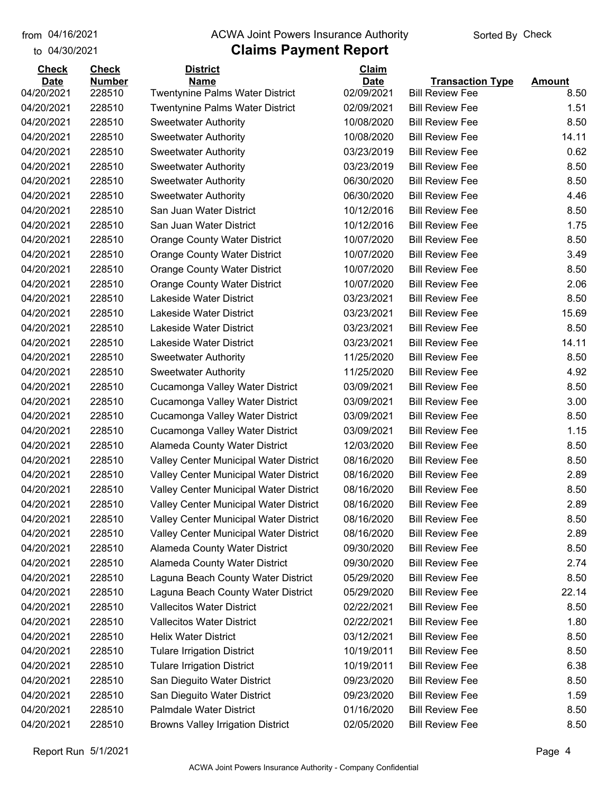## from 04/16/2021 **The COVA Solic Act Act Authority** Sorted By Check

#### to 04/30/2021

| <b>Check</b> | <b>Check</b>  | <b>District</b>                          | Claim       |                         |               |
|--------------|---------------|------------------------------------------|-------------|-------------------------|---------------|
| <b>Date</b>  | <b>Number</b> | <b>Name</b>                              | <b>Date</b> | <b>Transaction Type</b> | <b>Amount</b> |
| 04/20/2021   | 228510        | <b>Twentynine Palms Water District</b>   | 02/09/2021  | <b>Bill Review Fee</b>  | 8.50          |
| 04/20/2021   | 228510        | Twentynine Palms Water District          | 02/09/2021  | <b>Bill Review Fee</b>  | 1.51          |
| 04/20/2021   | 228510        | <b>Sweetwater Authority</b>              | 10/08/2020  | <b>Bill Review Fee</b>  | 8.50          |
| 04/20/2021   | 228510        | <b>Sweetwater Authority</b>              | 10/08/2020  | <b>Bill Review Fee</b>  | 14.11         |
| 04/20/2021   | 228510        | <b>Sweetwater Authority</b>              | 03/23/2019  | <b>Bill Review Fee</b>  | 0.62          |
| 04/20/2021   | 228510        | <b>Sweetwater Authority</b>              | 03/23/2019  | <b>Bill Review Fee</b>  | 8.50          |
| 04/20/2021   | 228510        | <b>Sweetwater Authority</b>              | 06/30/2020  | <b>Bill Review Fee</b>  | 8.50          |
| 04/20/2021   | 228510        | <b>Sweetwater Authority</b>              | 06/30/2020  | <b>Bill Review Fee</b>  | 4.46          |
| 04/20/2021   | 228510        | San Juan Water District                  | 10/12/2016  | <b>Bill Review Fee</b>  | 8.50          |
| 04/20/2021   | 228510        | San Juan Water District                  | 10/12/2016  | <b>Bill Review Fee</b>  | 1.75          |
| 04/20/2021   | 228510        | <b>Orange County Water District</b>      | 10/07/2020  | <b>Bill Review Fee</b>  | 8.50          |
| 04/20/2021   | 228510        | <b>Orange County Water District</b>      | 10/07/2020  | <b>Bill Review Fee</b>  | 3.49          |
| 04/20/2021   | 228510        | <b>Orange County Water District</b>      | 10/07/2020  | <b>Bill Review Fee</b>  | 8.50          |
| 04/20/2021   | 228510        | <b>Orange County Water District</b>      | 10/07/2020  | <b>Bill Review Fee</b>  | 2.06          |
| 04/20/2021   | 228510        | Lakeside Water District                  | 03/23/2021  | <b>Bill Review Fee</b>  | 8.50          |
| 04/20/2021   | 228510        | Lakeside Water District                  | 03/23/2021  | <b>Bill Review Fee</b>  | 15.69         |
| 04/20/2021   | 228510        | Lakeside Water District                  | 03/23/2021  | <b>Bill Review Fee</b>  | 8.50          |
| 04/20/2021   | 228510        | Lakeside Water District                  | 03/23/2021  | <b>Bill Review Fee</b>  | 14.11         |
| 04/20/2021   | 228510        | <b>Sweetwater Authority</b>              | 11/25/2020  | <b>Bill Review Fee</b>  | 8.50          |
| 04/20/2021   | 228510        | <b>Sweetwater Authority</b>              | 11/25/2020  | <b>Bill Review Fee</b>  | 4.92          |
| 04/20/2021   | 228510        | Cucamonga Valley Water District          | 03/09/2021  | <b>Bill Review Fee</b>  | 8.50          |
| 04/20/2021   | 228510        | Cucamonga Valley Water District          | 03/09/2021  | <b>Bill Review Fee</b>  | 3.00          |
| 04/20/2021   | 228510        | Cucamonga Valley Water District          | 03/09/2021  | <b>Bill Review Fee</b>  | 8.50          |
| 04/20/2021   | 228510        | Cucamonga Valley Water District          | 03/09/2021  | <b>Bill Review Fee</b>  | 1.15          |
| 04/20/2021   | 228510        | Alameda County Water District            | 12/03/2020  | <b>Bill Review Fee</b>  | 8.50          |
| 04/20/2021   | 228510        | Valley Center Municipal Water District   | 08/16/2020  | <b>Bill Review Fee</b>  | 8.50          |
| 04/20/2021   | 228510        | Valley Center Municipal Water District   | 08/16/2020  | <b>Bill Review Fee</b>  | 2.89          |
| 04/20/2021   | 228510        | Valley Center Municipal Water District   | 08/16/2020  | <b>Bill Review Fee</b>  | 8.50          |
| 04/20/2021   | 228510        | Valley Center Municipal Water District   | 08/16/2020  | <b>Bill Review Fee</b>  | 2.89          |
| 04/20/2021   | 228510        | Valley Center Municipal Water District   | 08/16/2020  | <b>Bill Review Fee</b>  | 8.50          |
| 04/20/2021   | 228510        | Valley Center Municipal Water District   | 08/16/2020  | <b>Bill Review Fee</b>  | 2.89          |
| 04/20/2021   | 228510        | Alameda County Water District            | 09/30/2020  | <b>Bill Review Fee</b>  | 8.50          |
| 04/20/2021   | 228510        | Alameda County Water District            | 09/30/2020  | <b>Bill Review Fee</b>  | 2.74          |
| 04/20/2021   | 228510        | Laguna Beach County Water District       | 05/29/2020  | <b>Bill Review Fee</b>  | 8.50          |
| 04/20/2021   | 228510        | Laguna Beach County Water District       | 05/29/2020  | <b>Bill Review Fee</b>  | 22.14         |
| 04/20/2021   | 228510        | <b>Vallecitos Water District</b>         | 02/22/2021  | <b>Bill Review Fee</b>  | 8.50          |
| 04/20/2021   | 228510        | <b>Vallecitos Water District</b>         | 02/22/2021  | <b>Bill Review Fee</b>  | 1.80          |
| 04/20/2021   | 228510        | <b>Helix Water District</b>              | 03/12/2021  | <b>Bill Review Fee</b>  | 8.50          |
| 04/20/2021   | 228510        | <b>Tulare Irrigation District</b>        | 10/19/2011  | <b>Bill Review Fee</b>  | 8.50          |
| 04/20/2021   | 228510        | <b>Tulare Irrigation District</b>        | 10/19/2011  | <b>Bill Review Fee</b>  | 6.38          |
| 04/20/2021   | 228510        | San Dieguito Water District              | 09/23/2020  | <b>Bill Review Fee</b>  | 8.50          |
| 04/20/2021   | 228510        | San Dieguito Water District              | 09/23/2020  | <b>Bill Review Fee</b>  | 1.59          |
| 04/20/2021   | 228510        | <b>Palmdale Water District</b>           | 01/16/2020  | <b>Bill Review Fee</b>  | 8.50          |
| 04/20/2021   | 228510        | <b>Browns Valley Irrigation District</b> | 02/05/2020  | <b>Bill Review Fee</b>  | 8.50          |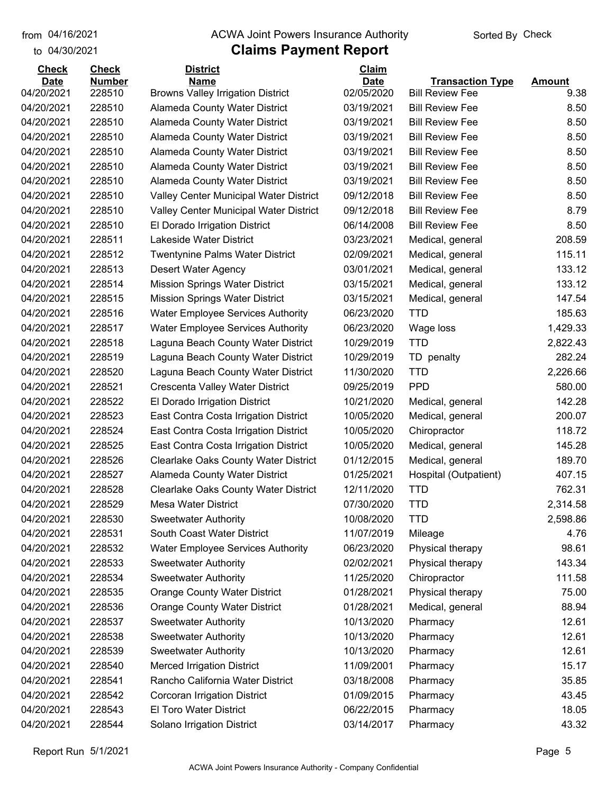## from 04/16/2021 **The COVA Solic Act Act Authority** Sorted By Check

## to 04/30/2021

| <b>Check</b> | <b>Check</b>  | <b>District</b>                             | Claim       |                         |               |
|--------------|---------------|---------------------------------------------|-------------|-------------------------|---------------|
| <b>Date</b>  | <b>Number</b> | <b>Name</b>                                 | <b>Date</b> | <b>Transaction Type</b> | <b>Amount</b> |
| 04/20/2021   | 228510        | <b>Browns Valley Irrigation District</b>    | 02/05/2020  | <b>Bill Review Fee</b>  | 9.38          |
| 04/20/2021   | 228510        | Alameda County Water District               | 03/19/2021  | <b>Bill Review Fee</b>  | 8.50          |
| 04/20/2021   | 228510        | Alameda County Water District               | 03/19/2021  | <b>Bill Review Fee</b>  | 8.50          |
| 04/20/2021   | 228510        | <b>Alameda County Water District</b>        | 03/19/2021  | <b>Bill Review Fee</b>  | 8.50          |
| 04/20/2021   | 228510        | <b>Alameda County Water District</b>        | 03/19/2021  | <b>Bill Review Fee</b>  | 8.50          |
| 04/20/2021   | 228510        | <b>Alameda County Water District</b>        | 03/19/2021  | <b>Bill Review Fee</b>  | 8.50          |
| 04/20/2021   | 228510        | <b>Alameda County Water District</b>        | 03/19/2021  | <b>Bill Review Fee</b>  | 8.50          |
| 04/20/2021   | 228510        | Valley Center Municipal Water District      | 09/12/2018  | <b>Bill Review Fee</b>  | 8.50          |
| 04/20/2021   | 228510        | Valley Center Municipal Water District      | 09/12/2018  | <b>Bill Review Fee</b>  | 8.79          |
| 04/20/2021   | 228510        | El Dorado Irrigation District               | 06/14/2008  | <b>Bill Review Fee</b>  | 8.50          |
| 04/20/2021   | 228511        | Lakeside Water District                     | 03/23/2021  | Medical, general        | 208.59        |
| 04/20/2021   | 228512        | <b>Twentynine Palms Water District</b>      | 02/09/2021  | Medical, general        | 115.11        |
| 04/20/2021   | 228513        | <b>Desert Water Agency</b>                  | 03/01/2021  | Medical, general        | 133.12        |
| 04/20/2021   | 228514        | <b>Mission Springs Water District</b>       | 03/15/2021  | Medical, general        | 133.12        |
| 04/20/2021   | 228515        | <b>Mission Springs Water District</b>       | 03/15/2021  | Medical, general        | 147.54        |
| 04/20/2021   | 228516        | <b>Water Employee Services Authority</b>    | 06/23/2020  | <b>TTD</b>              | 185.63        |
| 04/20/2021   | 228517        | <b>Water Employee Services Authority</b>    | 06/23/2020  | Wage loss               | 1,429.33      |
| 04/20/2021   | 228518        | Laguna Beach County Water District          | 10/29/2019  | <b>TTD</b>              | 2,822.43      |
| 04/20/2021   | 228519        | Laguna Beach County Water District          | 10/29/2019  | TD penalty              | 282.24        |
| 04/20/2021   | 228520        | Laguna Beach County Water District          | 11/30/2020  | <b>TTD</b>              | 2,226.66      |
| 04/20/2021   | 228521        | Crescenta Valley Water District             | 09/25/2019  | <b>PPD</b>              | 580.00        |
| 04/20/2021   | 228522        | El Dorado Irrigation District               | 10/21/2020  | Medical, general        | 142.28        |
| 04/20/2021   | 228523        | East Contra Costa Irrigation District       | 10/05/2020  | Medical, general        | 200.07        |
| 04/20/2021   | 228524        | East Contra Costa Irrigation District       | 10/05/2020  | Chiropractor            | 118.72        |
| 04/20/2021   | 228525        | East Contra Costa Irrigation District       | 10/05/2020  | Medical, general        | 145.28        |
| 04/20/2021   | 228526        | <b>Clearlake Oaks County Water District</b> | 01/12/2015  | Medical, general        | 189.70        |
| 04/20/2021   | 228527        | Alameda County Water District               | 01/25/2021  | Hospital (Outpatient)   | 407.15        |
| 04/20/2021   | 228528        | <b>Clearlake Oaks County Water District</b> | 12/11/2020  | <b>TTD</b>              | 762.31        |
| 04/20/2021   | 228529        | <b>Mesa Water District</b>                  | 07/30/2020  | <b>TTD</b>              | 2,314.58      |
| 04/20/2021   | 228530        | <b>Sweetwater Authority</b>                 | 10/08/2020  | <b>TTD</b>              | 2,598.86      |
| 04/20/2021   | 228531        | South Coast Water District                  | 11/07/2019  | Mileage                 | 4.76          |
| 04/20/2021   | 228532        | <b>Water Employee Services Authority</b>    | 06/23/2020  | Physical therapy        | 98.61         |
| 04/20/2021   | 228533        | <b>Sweetwater Authority</b>                 | 02/02/2021  | Physical therapy        | 143.34        |
| 04/20/2021   | 228534        | <b>Sweetwater Authority</b>                 | 11/25/2020  | Chiropractor            | 111.58        |
| 04/20/2021   | 228535        | <b>Orange County Water District</b>         | 01/28/2021  | Physical therapy        | 75.00         |
| 04/20/2021   | 228536        | <b>Orange County Water District</b>         | 01/28/2021  | Medical, general        | 88.94         |
| 04/20/2021   | 228537        | <b>Sweetwater Authority</b>                 | 10/13/2020  | Pharmacy                | 12.61         |
| 04/20/2021   | 228538        | <b>Sweetwater Authority</b>                 | 10/13/2020  | Pharmacy                | 12.61         |
| 04/20/2021   | 228539        | <b>Sweetwater Authority</b>                 | 10/13/2020  | Pharmacy                | 12.61         |
| 04/20/2021   | 228540        | <b>Merced Irrigation District</b>           | 11/09/2001  | Pharmacy                | 15.17         |
| 04/20/2021   | 228541        | Rancho California Water District            | 03/18/2008  | Pharmacy                | 35.85         |
| 04/20/2021   | 228542        | Corcoran Irrigation District                | 01/09/2015  | Pharmacy                | 43.45         |
| 04/20/2021   | 228543        | El Toro Water District                      | 06/22/2015  | Pharmacy                | 18.05         |
| 04/20/2021   | 228544        | Solano Irrigation District                  | 03/14/2017  | Pharmacy                | 43.32         |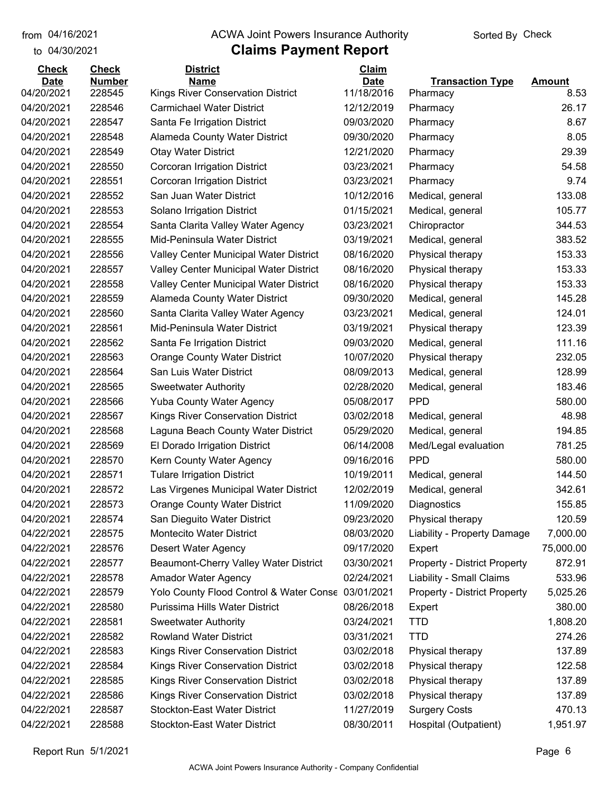## from 04/16/2021 **The COVA Solic Act Act Authority** Sorted By Check

#### to 04/30/2021

| <b>Check</b> | <b>Check</b>  | <b>District</b>                                    | Claim       |                                     |               |
|--------------|---------------|----------------------------------------------------|-------------|-------------------------------------|---------------|
| <b>Date</b>  | <b>Number</b> | <b>Name</b>                                        | <b>Date</b> | <b>Transaction Type</b>             | <b>Amount</b> |
| 04/20/2021   | 228545        | <b>Kings River Conservation District</b>           | 11/18/2016  | Pharmacy                            | 8.53          |
| 04/20/2021   | 228546        | <b>Carmichael Water District</b>                   | 12/12/2019  | Pharmacy                            | 26.17         |
| 04/20/2021   | 228547        | Santa Fe Irrigation District                       | 09/03/2020  | Pharmacy                            | 8.67          |
| 04/20/2021   | 228548        | Alameda County Water District                      | 09/30/2020  | Pharmacy                            | 8.05          |
| 04/20/2021   | 228549        | <b>Otay Water District</b>                         | 12/21/2020  | Pharmacy                            | 29.39         |
| 04/20/2021   | 228550        | Corcoran Irrigation District                       | 03/23/2021  | Pharmacy                            | 54.58         |
| 04/20/2021   | 228551        | Corcoran Irrigation District                       | 03/23/2021  | Pharmacy                            | 9.74          |
| 04/20/2021   | 228552        | San Juan Water District                            | 10/12/2016  | Medical, general                    | 133.08        |
| 04/20/2021   | 228553        | Solano Irrigation District                         | 01/15/2021  | Medical, general                    | 105.77        |
| 04/20/2021   | 228554        | Santa Clarita Valley Water Agency                  | 03/23/2021  | Chiropractor                        | 344.53        |
| 04/20/2021   | 228555        | Mid-Peninsula Water District                       | 03/19/2021  | Medical, general                    | 383.52        |
| 04/20/2021   | 228556        | Valley Center Municipal Water District             | 08/16/2020  | Physical therapy                    | 153.33        |
| 04/20/2021   | 228557        | Valley Center Municipal Water District             | 08/16/2020  | Physical therapy                    | 153.33        |
| 04/20/2021   | 228558        | Valley Center Municipal Water District             | 08/16/2020  | Physical therapy                    | 153.33        |
| 04/20/2021   | 228559        | Alameda County Water District                      | 09/30/2020  | Medical, general                    | 145.28        |
| 04/20/2021   | 228560        | Santa Clarita Valley Water Agency                  | 03/23/2021  | Medical, general                    | 124.01        |
| 04/20/2021   | 228561        | Mid-Peninsula Water District                       | 03/19/2021  | Physical therapy                    | 123.39        |
| 04/20/2021   | 228562        | Santa Fe Irrigation District                       | 09/03/2020  | Medical, general                    | 111.16        |
| 04/20/2021   | 228563        | <b>Orange County Water District</b>                | 10/07/2020  | Physical therapy                    | 232.05        |
| 04/20/2021   | 228564        | San Luis Water District                            | 08/09/2013  | Medical, general                    | 128.99        |
| 04/20/2021   | 228565        | <b>Sweetwater Authority</b>                        | 02/28/2020  | Medical, general                    | 183.46        |
| 04/20/2021   | 228566        | <b>Yuba County Water Agency</b>                    | 05/08/2017  | <b>PPD</b>                          | 580.00        |
| 04/20/2021   | 228567        | Kings River Conservation District                  | 03/02/2018  | Medical, general                    | 48.98         |
| 04/20/2021   | 228568        | Laguna Beach County Water District                 | 05/29/2020  | Medical, general                    | 194.85        |
| 04/20/2021   | 228569        | El Dorado Irrigation District                      | 06/14/2008  | Med/Legal evaluation                | 781.25        |
| 04/20/2021   | 228570        | Kern County Water Agency                           | 09/16/2016  | <b>PPD</b>                          | 580.00        |
| 04/20/2021   | 228571        | <b>Tulare Irrigation District</b>                  | 10/19/2011  | Medical, general                    | 144.50        |
| 04/20/2021   | 228572        | Las Virgenes Municipal Water District              | 12/02/2019  | Medical, general                    | 342.61        |
| 04/20/2021   | 228573        | <b>Orange County Water District</b>                | 11/09/2020  | Diagnostics                         | 155.85        |
| 04/20/2021   | 228574        | San Dieguito Water District                        | 09/23/2020  | Physical therapy                    | 120.59        |
| 04/22/2021   | 228575        | <b>Montecito Water District</b>                    | 08/03/2020  | Liability - Property Damage         | 7,000.00      |
| 04/22/2021   | 228576        | Desert Water Agency                                | 09/17/2020  | Expert                              | 75,000.00     |
| 04/22/2021   | 228577        | Beaumont-Cherry Valley Water District              | 03/30/2021  | <b>Property - District Property</b> | 872.91        |
| 04/22/2021   | 228578        | Amador Water Agency                                | 02/24/2021  | Liability - Small Claims            | 533.96        |
| 04/22/2021   | 228579        | Yolo County Flood Control & Water Conse 03/01/2021 |             | <b>Property - District Property</b> | 5,025.26      |
| 04/22/2021   | 228580        | Purissima Hills Water District                     | 08/26/2018  | Expert                              | 380.00        |
| 04/22/2021   | 228581        | <b>Sweetwater Authority</b>                        | 03/24/2021  | <b>TTD</b>                          | 1,808.20      |
| 04/22/2021   | 228582        | <b>Rowland Water District</b>                      | 03/31/2021  | <b>TTD</b>                          | 274.26        |
| 04/22/2021   | 228583        | Kings River Conservation District                  | 03/02/2018  | Physical therapy                    | 137.89        |
| 04/22/2021   | 228584        | Kings River Conservation District                  | 03/02/2018  | Physical therapy                    | 122.58        |
| 04/22/2021   | 228585        | Kings River Conservation District                  | 03/02/2018  | Physical therapy                    | 137.89        |
| 04/22/2021   | 228586        | Kings River Conservation District                  | 03/02/2018  | Physical therapy                    | 137.89        |
| 04/22/2021   | 228587        | Stockton-East Water District                       | 11/27/2019  | <b>Surgery Costs</b>                | 470.13        |
| 04/22/2021   | 228588        | <b>Stockton-East Water District</b>                | 08/30/2011  | Hospital (Outpatient)               | 1,951.97      |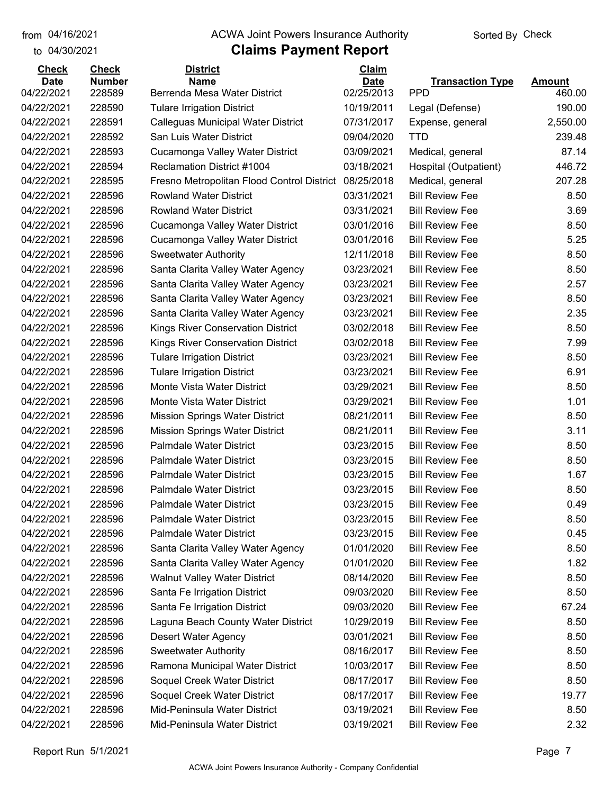to 04/30/2021

## from 04/16/2021 **The COVA Solic Act Act Authority** Sorted By Check

| <b>Check</b>              | <b>Check</b>            | <b>District</b>                                               | <b>Claim</b>              |                                       |                  |
|---------------------------|-------------------------|---------------------------------------------------------------|---------------------------|---------------------------------------|------------------|
| <b>Date</b><br>04/22/2021 | <b>Number</b><br>228589 | <b>Name</b><br>Berrenda Mesa Water District                   | <b>Date</b><br>02/25/2013 | <b>Transaction Type</b><br><b>PPD</b> | Amount<br>460.00 |
| 04/22/2021                | 228590                  | <b>Tulare Irrigation District</b>                             | 10/19/2011                |                                       | 190.00           |
| 04/22/2021                | 228591                  |                                                               | 07/31/2017                | Legal (Defense)                       | 2,550.00         |
| 04/22/2021                | 228592                  | Calleguas Municipal Water District<br>San Luis Water District | 09/04/2020                | Expense, general<br><b>TTD</b>        | 239.48           |
|                           |                         |                                                               |                           |                                       | 87.14            |
| 04/22/2021                | 228593                  | Cucamonga Valley Water District                               | 03/09/2021                | Medical, general                      |                  |
| 04/22/2021                | 228594                  | <b>Reclamation District #1004</b>                             | 03/18/2021                | Hospital (Outpatient)                 | 446.72           |
| 04/22/2021                | 228595                  | Fresno Metropolitan Flood Control District                    | 08/25/2018                | Medical, general                      | 207.28           |
| 04/22/2021                | 228596                  | <b>Rowland Water District</b>                                 | 03/31/2021                | <b>Bill Review Fee</b>                | 8.50             |
| 04/22/2021                | 228596                  | <b>Rowland Water District</b>                                 | 03/31/2021                | <b>Bill Review Fee</b>                | 3.69             |
| 04/22/2021                | 228596                  | Cucamonga Valley Water District                               | 03/01/2016                | <b>Bill Review Fee</b>                | 8.50             |
| 04/22/2021                | 228596                  | Cucamonga Valley Water District                               | 03/01/2016                | <b>Bill Review Fee</b>                | 5.25             |
| 04/22/2021                | 228596                  | <b>Sweetwater Authority</b>                                   | 12/11/2018                | <b>Bill Review Fee</b>                | 8.50             |
| 04/22/2021                | 228596                  | Santa Clarita Valley Water Agency                             | 03/23/2021                | <b>Bill Review Fee</b>                | 8.50             |
| 04/22/2021                | 228596                  | Santa Clarita Valley Water Agency                             | 03/23/2021                | <b>Bill Review Fee</b>                | 2.57             |
| 04/22/2021                | 228596                  | Santa Clarita Valley Water Agency                             | 03/23/2021                | <b>Bill Review Fee</b>                | 8.50             |
| 04/22/2021                | 228596                  | Santa Clarita Valley Water Agency                             | 03/23/2021                | <b>Bill Review Fee</b>                | 2.35             |
| 04/22/2021                | 228596                  | Kings River Conservation District                             | 03/02/2018                | <b>Bill Review Fee</b>                | 8.50             |
| 04/22/2021                | 228596                  | Kings River Conservation District                             | 03/02/2018                | <b>Bill Review Fee</b>                | 7.99             |
| 04/22/2021                | 228596                  | <b>Tulare Irrigation District</b>                             | 03/23/2021                | <b>Bill Review Fee</b>                | 8.50             |
| 04/22/2021                | 228596                  | <b>Tulare Irrigation District</b>                             | 03/23/2021                | <b>Bill Review Fee</b>                | 6.91             |
| 04/22/2021                | 228596                  | Monte Vista Water District                                    | 03/29/2021                | <b>Bill Review Fee</b>                | 8.50             |
| 04/22/2021                | 228596                  | Monte Vista Water District                                    | 03/29/2021                | <b>Bill Review Fee</b>                | 1.01             |
| 04/22/2021                | 228596                  | <b>Mission Springs Water District</b>                         | 08/21/2011                | <b>Bill Review Fee</b>                | 8.50             |
| 04/22/2021                | 228596                  | <b>Mission Springs Water District</b>                         | 08/21/2011                | <b>Bill Review Fee</b>                | 3.11             |
| 04/22/2021                | 228596                  | Palmdale Water District                                       | 03/23/2015                | <b>Bill Review Fee</b>                | 8.50             |
| 04/22/2021                | 228596                  | <b>Palmdale Water District</b>                                | 03/23/2015                | <b>Bill Review Fee</b>                | 8.50             |
| 04/22/2021                | 228596                  | <b>Palmdale Water District</b>                                | 03/23/2015                | <b>Bill Review Fee</b>                | 1.67             |
| 04/22/2021                | 228596                  | <b>Palmdale Water District</b>                                | 03/23/2015                | <b>Bill Review Fee</b>                | 8.50             |
| 04/22/2021                | 228596                  | <b>Palmdale Water District</b>                                | 03/23/2015                | <b>Bill Review Fee</b>                | 0.49             |
| 04/22/2021                | 228596                  | <b>Palmdale Water District</b>                                | 03/23/2015                | <b>Bill Review Fee</b>                | 8.50             |
| 04/22/2021                | 228596                  | <b>Palmdale Water District</b>                                | 03/23/2015                | <b>Bill Review Fee</b>                | 0.45             |
| 04/22/2021                | 228596                  | Santa Clarita Valley Water Agency                             | 01/01/2020                | <b>Bill Review Fee</b>                | 8.50             |
| 04/22/2021                | 228596                  | Santa Clarita Valley Water Agency                             | 01/01/2020                | <b>Bill Review Fee</b>                | 1.82             |
| 04/22/2021                | 228596                  | <b>Walnut Valley Water District</b>                           | 08/14/2020                | <b>Bill Review Fee</b>                | 8.50             |
| 04/22/2021                | 228596                  | Santa Fe Irrigation District                                  | 09/03/2020                | <b>Bill Review Fee</b>                | 8.50             |
| 04/22/2021                | 228596                  | Santa Fe Irrigation District                                  | 09/03/2020                | <b>Bill Review Fee</b>                | 67.24            |
| 04/22/2021                | 228596                  | Laguna Beach County Water District                            | 10/29/2019                | <b>Bill Review Fee</b>                | 8.50             |
| 04/22/2021                | 228596                  | Desert Water Agency                                           | 03/01/2021                | <b>Bill Review Fee</b>                | 8.50             |
| 04/22/2021                | 228596                  | <b>Sweetwater Authority</b>                                   | 08/16/2017                | <b>Bill Review Fee</b>                | 8.50             |
| 04/22/2021                | 228596                  | Ramona Municipal Water District                               | 10/03/2017                | <b>Bill Review Fee</b>                | 8.50             |
| 04/22/2021                | 228596                  | Soquel Creek Water District                                   | 08/17/2017                | <b>Bill Review Fee</b>                | 8.50             |
| 04/22/2021                | 228596                  | Soquel Creek Water District                                   | 08/17/2017                | <b>Bill Review Fee</b>                | 19.77            |
| 04/22/2021                | 228596                  | Mid-Peninsula Water District                                  | 03/19/2021                | <b>Bill Review Fee</b>                | 8.50             |
| 04/22/2021                | 228596                  | Mid-Peninsula Water District                                  | 03/19/2021                | <b>Bill Review Fee</b>                | 2.32             |
|                           |                         |                                                               |                           |                                       |                  |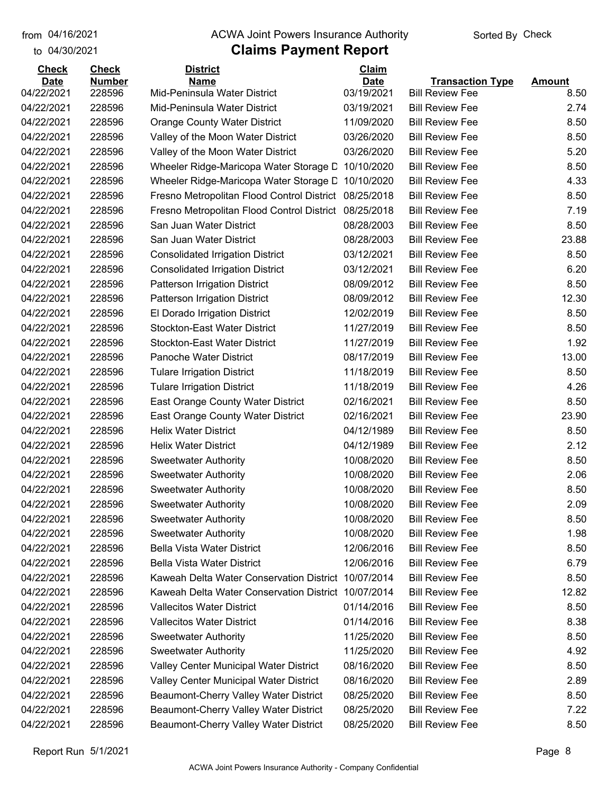to 04/30/2021

#### from 04/16/2021 **The COVA Solic Act Act Authority** Sorted By Check

| <b>Check</b><br><b>Date</b> | <b>Check</b><br><b>Number</b> | <b>District</b><br><b>Name</b>             | Claim<br><b>Date</b> | <b>Transaction Type</b> | <b>Amount</b> |
|-----------------------------|-------------------------------|--------------------------------------------|----------------------|-------------------------|---------------|
| 04/22/2021                  | 228596                        | Mid-Peninsula Water District               | 03/19/2021           | <b>Bill Review Fee</b>  | 8.50          |
| 04/22/2021                  | 228596                        | Mid-Peninsula Water District               | 03/19/2021           | <b>Bill Review Fee</b>  | 2.74          |
| 04/22/2021                  | 228596                        | <b>Orange County Water District</b>        | 11/09/2020           | <b>Bill Review Fee</b>  | 8.50          |
| 04/22/2021                  | 228596                        | Valley of the Moon Water District          | 03/26/2020           | <b>Bill Review Fee</b>  | 8.50          |
| 04/22/2021                  | 228596                        | Valley of the Moon Water District          | 03/26/2020           | <b>Bill Review Fee</b>  | 5.20          |
| 04/22/2021                  | 228596                        | Wheeler Ridge-Maricopa Water Storage D     | 10/10/2020           | <b>Bill Review Fee</b>  | 8.50          |
| 04/22/2021                  | 228596                        | Wheeler Ridge-Maricopa Water Storage D     | 10/10/2020           | <b>Bill Review Fee</b>  | 4.33          |
| 04/22/2021                  | 228596                        | Fresno Metropolitan Flood Control District | 08/25/2018           | <b>Bill Review Fee</b>  | 8.50          |
| 04/22/2021                  | 228596                        | Fresno Metropolitan Flood Control District | 08/25/2018           | <b>Bill Review Fee</b>  | 7.19          |
| 04/22/2021                  | 228596                        | San Juan Water District                    | 08/28/2003           | <b>Bill Review Fee</b>  | 8.50          |
| 04/22/2021                  | 228596                        | San Juan Water District                    | 08/28/2003           | <b>Bill Review Fee</b>  | 23.88         |
| 04/22/2021                  | 228596                        | <b>Consolidated Irrigation District</b>    | 03/12/2021           | <b>Bill Review Fee</b>  | 8.50          |
| 04/22/2021                  | 228596                        | <b>Consolidated Irrigation District</b>    | 03/12/2021           | <b>Bill Review Fee</b>  | 6.20          |
| 04/22/2021                  | 228596                        | Patterson Irrigation District              | 08/09/2012           | <b>Bill Review Fee</b>  | 8.50          |
| 04/22/2021                  | 228596                        | Patterson Irrigation District              | 08/09/2012           | <b>Bill Review Fee</b>  | 12.30         |
| 04/22/2021                  | 228596                        | El Dorado Irrigation District              | 12/02/2019           | <b>Bill Review Fee</b>  | 8.50          |
| 04/22/2021                  | 228596                        | <b>Stockton-East Water District</b>        | 11/27/2019           | <b>Bill Review Fee</b>  | 8.50          |
| 04/22/2021                  | 228596                        | <b>Stockton-East Water District</b>        | 11/27/2019           | <b>Bill Review Fee</b>  | 1.92          |
| 04/22/2021                  | 228596                        | Panoche Water District                     | 08/17/2019           | <b>Bill Review Fee</b>  | 13.00         |
| 04/22/2021                  | 228596                        | <b>Tulare Irrigation District</b>          | 11/18/2019           | <b>Bill Review Fee</b>  | 8.50          |
| 04/22/2021                  | 228596                        | <b>Tulare Irrigation District</b>          | 11/18/2019           | <b>Bill Review Fee</b>  | 4.26          |
| 04/22/2021                  | 228596                        | East Orange County Water District          | 02/16/2021           | <b>Bill Review Fee</b>  | 8.50          |
| 04/22/2021                  | 228596                        | East Orange County Water District          | 02/16/2021           | <b>Bill Review Fee</b>  | 23.90         |
| 04/22/2021                  | 228596                        | <b>Helix Water District</b>                | 04/12/1989           | <b>Bill Review Fee</b>  | 8.50          |
| 04/22/2021                  | 228596                        | <b>Helix Water District</b>                | 04/12/1989           | <b>Bill Review Fee</b>  | 2.12          |
| 04/22/2021                  | 228596                        | <b>Sweetwater Authority</b>                | 10/08/2020           | <b>Bill Review Fee</b>  | 8.50          |
| 04/22/2021                  | 228596                        | <b>Sweetwater Authority</b>                | 10/08/2020           | <b>Bill Review Fee</b>  | 2.06          |
| 04/22/2021                  | 228596                        | <b>Sweetwater Authority</b>                | 10/08/2020           | <b>Bill Review Fee</b>  | 8.50          |
| 04/22/2021                  | 228596                        | <b>Sweetwater Authority</b>                | 10/08/2020           | <b>Bill Review Fee</b>  | 2.09          |
| 04/22/2021                  | 228596                        | <b>Sweetwater Authority</b>                | 10/08/2020           | <b>Bill Review Fee</b>  | 8.50          |
| 04/22/2021                  | 228596                        | <b>Sweetwater Authority</b>                | 10/08/2020           | <b>Bill Review Fee</b>  | 1.98          |
| 04/22/2021                  | 228596                        | <b>Bella Vista Water District</b>          | 12/06/2016           | <b>Bill Review Fee</b>  | 8.50          |
| 04/22/2021                  | 228596                        | <b>Bella Vista Water District</b>          | 12/06/2016           | <b>Bill Review Fee</b>  | 6.79          |
| 04/22/2021                  | 228596                        | Kaweah Delta Water Conservation District   | 10/07/2014           | <b>Bill Review Fee</b>  | 8.50          |
| 04/22/2021                  | 228596                        | Kaweah Delta Water Conservation District   | 10/07/2014           | <b>Bill Review Fee</b>  | 12.82         |
| 04/22/2021                  | 228596                        | <b>Vallecitos Water District</b>           | 01/14/2016           | <b>Bill Review Fee</b>  | 8.50          |
| 04/22/2021                  | 228596                        | <b>Vallecitos Water District</b>           | 01/14/2016           | <b>Bill Review Fee</b>  | 8.38          |
| 04/22/2021                  | 228596                        | <b>Sweetwater Authority</b>                | 11/25/2020           | <b>Bill Review Fee</b>  | 8.50          |
| 04/22/2021                  | 228596                        | <b>Sweetwater Authority</b>                | 11/25/2020           | <b>Bill Review Fee</b>  | 4.92          |
| 04/22/2021                  | 228596                        | Valley Center Municipal Water District     | 08/16/2020           | <b>Bill Review Fee</b>  | 8.50          |
| 04/22/2021                  | 228596                        | Valley Center Municipal Water District     | 08/16/2020           | <b>Bill Review Fee</b>  | 2.89          |
| 04/22/2021                  | 228596                        | Beaumont-Cherry Valley Water District      | 08/25/2020           | <b>Bill Review Fee</b>  | 8.50          |
| 04/22/2021                  | 228596                        | Beaumont-Cherry Valley Water District      | 08/25/2020           | <b>Bill Review Fee</b>  | 7.22          |
| 04/22/2021                  | 228596                        | Beaumont-Cherry Valley Water District      | 08/25/2020           | <b>Bill Review Fee</b>  | 8.50          |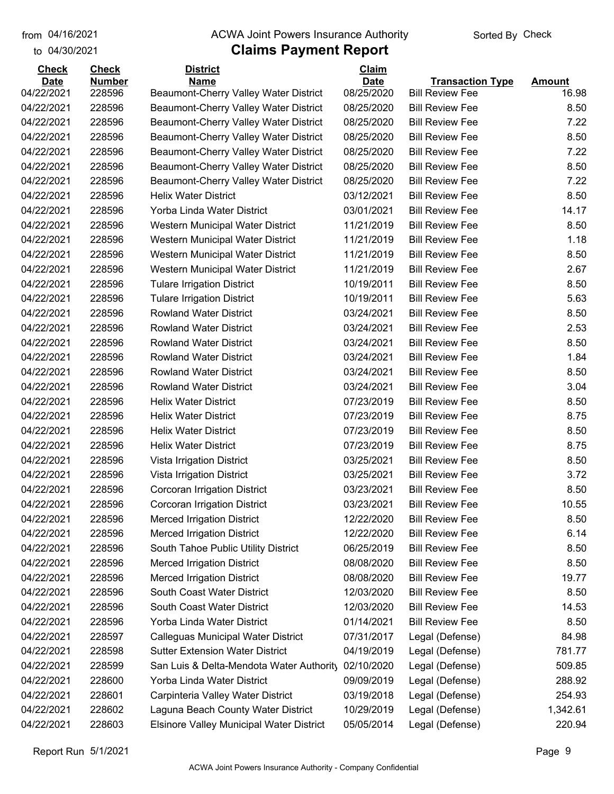to 04/30/2021 04/16/2021

#### from 04/16/2021 **The COVA Solic Act Act Authority** Sorted By Check

| <b>Date</b><br><b>Name</b><br><b>Date</b><br><b>Transaction Type</b><br><b>Amount</b><br>16.98<br>04/22/2021<br>228596<br>Beaumont-Cherry Valley Water District<br>08/25/2020<br><b>Bill Review Fee</b><br>04/22/2021<br>228596<br>Beaumont-Cherry Valley Water District<br>08/25/2020<br><b>Bill Review Fee</b><br>8.50<br>04/22/2021<br>228596<br>Beaumont-Cherry Valley Water District<br>08/25/2020<br><b>Bill Review Fee</b><br>7.22<br>04/22/2021<br>228596<br>Beaumont-Cherry Valley Water District<br>08/25/2020<br><b>Bill Review Fee</b><br>8.50<br>04/22/2021<br>228596<br>Beaumont-Cherry Valley Water District<br>08/25/2020<br><b>Bill Review Fee</b><br>7.22<br>04/22/2021<br>228596<br>08/25/2020<br>8.50<br>Beaumont-Cherry Valley Water District<br><b>Bill Review Fee</b><br>04/22/2021<br>228596<br>08/25/2020<br><b>Bill Review Fee</b><br>7.22<br>Beaumont-Cherry Valley Water District<br>04/22/2021<br>228596<br><b>Helix Water District</b><br>03/12/2021<br><b>Bill Review Fee</b><br>8.50<br>04/22/2021<br>228596<br>Yorba Linda Water District<br>03/01/2021<br><b>Bill Review Fee</b><br>14.17<br>8.50<br>04/22/2021<br>228596<br>Western Municipal Water District<br>11/21/2019<br><b>Bill Review Fee</b><br>04/22/2021<br>228596<br>11/21/2019<br><b>Bill Review Fee</b><br>1.18<br>Western Municipal Water District<br>04/22/2021<br>228596<br>Western Municipal Water District<br>11/21/2019<br><b>Bill Review Fee</b><br>8.50<br>04/22/2021<br>228596<br>Western Municipal Water District<br>11/21/2019<br><b>Bill Review Fee</b><br>2.67<br>10/19/2011<br>04/22/2021<br>228596<br><b>Tulare Irrigation District</b><br><b>Bill Review Fee</b><br>8.50<br>04/22/2021<br>228596<br>10/19/2011<br><b>Bill Review Fee</b><br>5.63<br><b>Tulare Irrigation District</b><br>04/22/2021<br>228596<br><b>Rowland Water District</b><br>03/24/2021<br><b>Bill Review Fee</b><br>8.50<br>04/22/2021<br>228596<br><b>Rowland Water District</b><br>03/24/2021<br><b>Bill Review Fee</b><br>2.53<br>04/22/2021<br>228596<br><b>Rowland Water District</b><br>03/24/2021<br><b>Bill Review Fee</b><br>8.50<br><b>Rowland Water District</b><br>04/22/2021<br>228596<br>03/24/2021<br><b>Bill Review Fee</b><br>1.84<br>04/22/2021<br>228596<br><b>Rowland Water District</b><br>03/24/2021<br><b>Bill Review Fee</b><br>8.50<br>04/22/2021<br>228596<br><b>Rowland Water District</b><br>03/24/2021<br><b>Bill Review Fee</b><br>3.04<br>04/22/2021<br>228596<br><b>Helix Water District</b><br>07/23/2019<br><b>Bill Review Fee</b><br>8.50<br>04/22/2021<br>228596<br><b>Helix Water District</b><br>07/23/2019<br><b>Bill Review Fee</b><br>8.75<br><b>Helix Water District</b><br><b>Bill Review Fee</b><br>8.50<br>04/22/2021<br>228596<br>07/23/2019<br>04/22/2021<br>228596<br><b>Helix Water District</b><br>07/23/2019<br><b>Bill Review Fee</b><br>8.75<br>04/22/2021<br>228596<br>03/25/2021<br><b>Bill Review Fee</b><br>8.50<br>Vista Irrigation District<br>04/22/2021<br>228596<br>03/25/2021<br><b>Bill Review Fee</b><br>3.72<br>Vista Irrigation District<br>03/23/2021<br>04/22/2021<br>228596<br>Corcoran Irrigation District<br><b>Bill Review Fee</b><br>8.50<br>03/23/2021<br>04/22/2021<br>228596<br>10.55<br>Corcoran Irrigation District<br><b>Bill Review Fee</b><br>04/22/2021<br>12/22/2020<br>8.50<br>228596<br><b>Merced Irrigation District</b><br><b>Bill Review Fee</b><br>04/22/2021<br>228596<br><b>Merced Irrigation District</b><br>12/22/2020<br><b>Bill Review Fee</b><br>6.14<br>04/22/2021<br>228596<br>South Tahoe Public Utility District<br>06/25/2019<br><b>Bill Review Fee</b><br>8.50<br>04/22/2021<br><b>Merced Irrigation District</b><br>08/08/2020<br><b>Bill Review Fee</b><br>228596<br>8.50<br><b>Merced Irrigation District</b><br>04/22/2021<br>228596<br>08/08/2020<br><b>Bill Review Fee</b><br>19.77<br>South Coast Water District<br>04/22/2021<br>228596<br>12/03/2020<br><b>Bill Review Fee</b><br>8.50<br>04/22/2021<br>228596<br>South Coast Water District<br>12/03/2020<br><b>Bill Review Fee</b><br>14.53<br>04/22/2021<br>228596<br>Yorba Linda Water District<br>01/14/2021<br><b>Bill Review Fee</b><br>8.50<br>04/22/2021<br>Calleguas Municipal Water District<br>07/31/2017<br>Legal (Defense)<br>84.98<br>228597<br>04/22/2021<br>228598<br><b>Sutter Extension Water District</b><br>04/19/2019<br>781.77<br>Legal (Defense)<br>04/22/2021<br>228599<br>San Luis & Delta-Mendota Water Authority<br>02/10/2020<br>Legal (Defense)<br>509.85<br>04/22/2021<br>228600<br>Yorba Linda Water District<br>09/09/2019<br>Legal (Defense)<br>288.92<br>Carpinteria Valley Water District<br>Legal (Defense)<br>04/22/2021<br>228601<br>03/19/2018<br>254.93<br>04/22/2021<br>228602<br>Laguna Beach County Water District<br>10/29/2019<br>Legal (Defense)<br>1,342.61 | <b>Check</b> | <b>Check</b><br><b>Number</b> | <b>District</b>                                 | Claim      |                 |        |
|-------------------------------------------------------------------------------------------------------------------------------------------------------------------------------------------------------------------------------------------------------------------------------------------------------------------------------------------------------------------------------------------------------------------------------------------------------------------------------------------------------------------------------------------------------------------------------------------------------------------------------------------------------------------------------------------------------------------------------------------------------------------------------------------------------------------------------------------------------------------------------------------------------------------------------------------------------------------------------------------------------------------------------------------------------------------------------------------------------------------------------------------------------------------------------------------------------------------------------------------------------------------------------------------------------------------------------------------------------------------------------------------------------------------------------------------------------------------------------------------------------------------------------------------------------------------------------------------------------------------------------------------------------------------------------------------------------------------------------------------------------------------------------------------------------------------------------------------------------------------------------------------------------------------------------------------------------------------------------------------------------------------------------------------------------------------------------------------------------------------------------------------------------------------------------------------------------------------------------------------------------------------------------------------------------------------------------------------------------------------------------------------------------------------------------------------------------------------------------------------------------------------------------------------------------------------------------------------------------------------------------------------------------------------------------------------------------------------------------------------------------------------------------------------------------------------------------------------------------------------------------------------------------------------------------------------------------------------------------------------------------------------------------------------------------------------------------------------------------------------------------------------------------------------------------------------------------------------------------------------------------------------------------------------------------------------------------------------------------------------------------------------------------------------------------------------------------------------------------------------------------------------------------------------------------------------------------------------------------------------------------------------------------------------------------------------------------------------------------------------------------------------------------------------------------------------------------------------------------------------------------------------------------------------------------------------------------------------------------------------------------------------------------------------------------------------------------------------------------------------------------------------------------------------------------------------------------------------------------------------------------------------------------------------------------------------------------------------------------------------------------------------------------------------------------------------------------------------------------------------------------------------------------------------------------------------------------------------------------------------------------------------------------------------------------------------------------------------------------------------------------------------------------------------------------------------------------------------------------------------|--------------|-------------------------------|-------------------------------------------------|------------|-----------------|--------|
|                                                                                                                                                                                                                                                                                                                                                                                                                                                                                                                                                                                                                                                                                                                                                                                                                                                                                                                                                                                                                                                                                                                                                                                                                                                                                                                                                                                                                                                                                                                                                                                                                                                                                                                                                                                                                                                                                                                                                                                                                                                                                                                                                                                                                                                                                                                                                                                                                                                                                                                                                                                                                                                                                                                                                                                                                                                                                                                                                                                                                                                                                                                                                                                                                                                                                                                                                                                                                                                                                                                                                                                                                                                                                                                                                                                                                                                                                                                                                                                                                                                                                                                                                                                                                                                                                                                                                                                                                                                                                                                                                                                                                                                                                                                                                                                                                                                                   |              |                               |                                                 |            |                 |        |
|                                                                                                                                                                                                                                                                                                                                                                                                                                                                                                                                                                                                                                                                                                                                                                                                                                                                                                                                                                                                                                                                                                                                                                                                                                                                                                                                                                                                                                                                                                                                                                                                                                                                                                                                                                                                                                                                                                                                                                                                                                                                                                                                                                                                                                                                                                                                                                                                                                                                                                                                                                                                                                                                                                                                                                                                                                                                                                                                                                                                                                                                                                                                                                                                                                                                                                                                                                                                                                                                                                                                                                                                                                                                                                                                                                                                                                                                                                                                                                                                                                                                                                                                                                                                                                                                                                                                                                                                                                                                                                                                                                                                                                                                                                                                                                                                                                                                   |              |                               |                                                 |            |                 |        |
|                                                                                                                                                                                                                                                                                                                                                                                                                                                                                                                                                                                                                                                                                                                                                                                                                                                                                                                                                                                                                                                                                                                                                                                                                                                                                                                                                                                                                                                                                                                                                                                                                                                                                                                                                                                                                                                                                                                                                                                                                                                                                                                                                                                                                                                                                                                                                                                                                                                                                                                                                                                                                                                                                                                                                                                                                                                                                                                                                                                                                                                                                                                                                                                                                                                                                                                                                                                                                                                                                                                                                                                                                                                                                                                                                                                                                                                                                                                                                                                                                                                                                                                                                                                                                                                                                                                                                                                                                                                                                                                                                                                                                                                                                                                                                                                                                                                                   |              |                               |                                                 |            |                 |        |
|                                                                                                                                                                                                                                                                                                                                                                                                                                                                                                                                                                                                                                                                                                                                                                                                                                                                                                                                                                                                                                                                                                                                                                                                                                                                                                                                                                                                                                                                                                                                                                                                                                                                                                                                                                                                                                                                                                                                                                                                                                                                                                                                                                                                                                                                                                                                                                                                                                                                                                                                                                                                                                                                                                                                                                                                                                                                                                                                                                                                                                                                                                                                                                                                                                                                                                                                                                                                                                                                                                                                                                                                                                                                                                                                                                                                                                                                                                                                                                                                                                                                                                                                                                                                                                                                                                                                                                                                                                                                                                                                                                                                                                                                                                                                                                                                                                                                   |              |                               |                                                 |            |                 |        |
|                                                                                                                                                                                                                                                                                                                                                                                                                                                                                                                                                                                                                                                                                                                                                                                                                                                                                                                                                                                                                                                                                                                                                                                                                                                                                                                                                                                                                                                                                                                                                                                                                                                                                                                                                                                                                                                                                                                                                                                                                                                                                                                                                                                                                                                                                                                                                                                                                                                                                                                                                                                                                                                                                                                                                                                                                                                                                                                                                                                                                                                                                                                                                                                                                                                                                                                                                                                                                                                                                                                                                                                                                                                                                                                                                                                                                                                                                                                                                                                                                                                                                                                                                                                                                                                                                                                                                                                                                                                                                                                                                                                                                                                                                                                                                                                                                                                                   |              |                               |                                                 |            |                 |        |
|                                                                                                                                                                                                                                                                                                                                                                                                                                                                                                                                                                                                                                                                                                                                                                                                                                                                                                                                                                                                                                                                                                                                                                                                                                                                                                                                                                                                                                                                                                                                                                                                                                                                                                                                                                                                                                                                                                                                                                                                                                                                                                                                                                                                                                                                                                                                                                                                                                                                                                                                                                                                                                                                                                                                                                                                                                                                                                                                                                                                                                                                                                                                                                                                                                                                                                                                                                                                                                                                                                                                                                                                                                                                                                                                                                                                                                                                                                                                                                                                                                                                                                                                                                                                                                                                                                                                                                                                                                                                                                                                                                                                                                                                                                                                                                                                                                                                   |              |                               |                                                 |            |                 |        |
|                                                                                                                                                                                                                                                                                                                                                                                                                                                                                                                                                                                                                                                                                                                                                                                                                                                                                                                                                                                                                                                                                                                                                                                                                                                                                                                                                                                                                                                                                                                                                                                                                                                                                                                                                                                                                                                                                                                                                                                                                                                                                                                                                                                                                                                                                                                                                                                                                                                                                                                                                                                                                                                                                                                                                                                                                                                                                                                                                                                                                                                                                                                                                                                                                                                                                                                                                                                                                                                                                                                                                                                                                                                                                                                                                                                                                                                                                                                                                                                                                                                                                                                                                                                                                                                                                                                                                                                                                                                                                                                                                                                                                                                                                                                                                                                                                                                                   |              |                               |                                                 |            |                 |        |
|                                                                                                                                                                                                                                                                                                                                                                                                                                                                                                                                                                                                                                                                                                                                                                                                                                                                                                                                                                                                                                                                                                                                                                                                                                                                                                                                                                                                                                                                                                                                                                                                                                                                                                                                                                                                                                                                                                                                                                                                                                                                                                                                                                                                                                                                                                                                                                                                                                                                                                                                                                                                                                                                                                                                                                                                                                                                                                                                                                                                                                                                                                                                                                                                                                                                                                                                                                                                                                                                                                                                                                                                                                                                                                                                                                                                                                                                                                                                                                                                                                                                                                                                                                                                                                                                                                                                                                                                                                                                                                                                                                                                                                                                                                                                                                                                                                                                   |              |                               |                                                 |            |                 |        |
|                                                                                                                                                                                                                                                                                                                                                                                                                                                                                                                                                                                                                                                                                                                                                                                                                                                                                                                                                                                                                                                                                                                                                                                                                                                                                                                                                                                                                                                                                                                                                                                                                                                                                                                                                                                                                                                                                                                                                                                                                                                                                                                                                                                                                                                                                                                                                                                                                                                                                                                                                                                                                                                                                                                                                                                                                                                                                                                                                                                                                                                                                                                                                                                                                                                                                                                                                                                                                                                                                                                                                                                                                                                                                                                                                                                                                                                                                                                                                                                                                                                                                                                                                                                                                                                                                                                                                                                                                                                                                                                                                                                                                                                                                                                                                                                                                                                                   |              |                               |                                                 |            |                 |        |
|                                                                                                                                                                                                                                                                                                                                                                                                                                                                                                                                                                                                                                                                                                                                                                                                                                                                                                                                                                                                                                                                                                                                                                                                                                                                                                                                                                                                                                                                                                                                                                                                                                                                                                                                                                                                                                                                                                                                                                                                                                                                                                                                                                                                                                                                                                                                                                                                                                                                                                                                                                                                                                                                                                                                                                                                                                                                                                                                                                                                                                                                                                                                                                                                                                                                                                                                                                                                                                                                                                                                                                                                                                                                                                                                                                                                                                                                                                                                                                                                                                                                                                                                                                                                                                                                                                                                                                                                                                                                                                                                                                                                                                                                                                                                                                                                                                                                   |              |                               |                                                 |            |                 |        |
|                                                                                                                                                                                                                                                                                                                                                                                                                                                                                                                                                                                                                                                                                                                                                                                                                                                                                                                                                                                                                                                                                                                                                                                                                                                                                                                                                                                                                                                                                                                                                                                                                                                                                                                                                                                                                                                                                                                                                                                                                                                                                                                                                                                                                                                                                                                                                                                                                                                                                                                                                                                                                                                                                                                                                                                                                                                                                                                                                                                                                                                                                                                                                                                                                                                                                                                                                                                                                                                                                                                                                                                                                                                                                                                                                                                                                                                                                                                                                                                                                                                                                                                                                                                                                                                                                                                                                                                                                                                                                                                                                                                                                                                                                                                                                                                                                                                                   |              |                               |                                                 |            |                 |        |
|                                                                                                                                                                                                                                                                                                                                                                                                                                                                                                                                                                                                                                                                                                                                                                                                                                                                                                                                                                                                                                                                                                                                                                                                                                                                                                                                                                                                                                                                                                                                                                                                                                                                                                                                                                                                                                                                                                                                                                                                                                                                                                                                                                                                                                                                                                                                                                                                                                                                                                                                                                                                                                                                                                                                                                                                                                                                                                                                                                                                                                                                                                                                                                                                                                                                                                                                                                                                                                                                                                                                                                                                                                                                                                                                                                                                                                                                                                                                                                                                                                                                                                                                                                                                                                                                                                                                                                                                                                                                                                                                                                                                                                                                                                                                                                                                                                                                   |              |                               |                                                 |            |                 |        |
|                                                                                                                                                                                                                                                                                                                                                                                                                                                                                                                                                                                                                                                                                                                                                                                                                                                                                                                                                                                                                                                                                                                                                                                                                                                                                                                                                                                                                                                                                                                                                                                                                                                                                                                                                                                                                                                                                                                                                                                                                                                                                                                                                                                                                                                                                                                                                                                                                                                                                                                                                                                                                                                                                                                                                                                                                                                                                                                                                                                                                                                                                                                                                                                                                                                                                                                                                                                                                                                                                                                                                                                                                                                                                                                                                                                                                                                                                                                                                                                                                                                                                                                                                                                                                                                                                                                                                                                                                                                                                                                                                                                                                                                                                                                                                                                                                                                                   |              |                               |                                                 |            |                 |        |
|                                                                                                                                                                                                                                                                                                                                                                                                                                                                                                                                                                                                                                                                                                                                                                                                                                                                                                                                                                                                                                                                                                                                                                                                                                                                                                                                                                                                                                                                                                                                                                                                                                                                                                                                                                                                                                                                                                                                                                                                                                                                                                                                                                                                                                                                                                                                                                                                                                                                                                                                                                                                                                                                                                                                                                                                                                                                                                                                                                                                                                                                                                                                                                                                                                                                                                                                                                                                                                                                                                                                                                                                                                                                                                                                                                                                                                                                                                                                                                                                                                                                                                                                                                                                                                                                                                                                                                                                                                                                                                                                                                                                                                                                                                                                                                                                                                                                   |              |                               |                                                 |            |                 |        |
|                                                                                                                                                                                                                                                                                                                                                                                                                                                                                                                                                                                                                                                                                                                                                                                                                                                                                                                                                                                                                                                                                                                                                                                                                                                                                                                                                                                                                                                                                                                                                                                                                                                                                                                                                                                                                                                                                                                                                                                                                                                                                                                                                                                                                                                                                                                                                                                                                                                                                                                                                                                                                                                                                                                                                                                                                                                                                                                                                                                                                                                                                                                                                                                                                                                                                                                                                                                                                                                                                                                                                                                                                                                                                                                                                                                                                                                                                                                                                                                                                                                                                                                                                                                                                                                                                                                                                                                                                                                                                                                                                                                                                                                                                                                                                                                                                                                                   |              |                               |                                                 |            |                 |        |
|                                                                                                                                                                                                                                                                                                                                                                                                                                                                                                                                                                                                                                                                                                                                                                                                                                                                                                                                                                                                                                                                                                                                                                                                                                                                                                                                                                                                                                                                                                                                                                                                                                                                                                                                                                                                                                                                                                                                                                                                                                                                                                                                                                                                                                                                                                                                                                                                                                                                                                                                                                                                                                                                                                                                                                                                                                                                                                                                                                                                                                                                                                                                                                                                                                                                                                                                                                                                                                                                                                                                                                                                                                                                                                                                                                                                                                                                                                                                                                                                                                                                                                                                                                                                                                                                                                                                                                                                                                                                                                                                                                                                                                                                                                                                                                                                                                                                   |              |                               |                                                 |            |                 |        |
|                                                                                                                                                                                                                                                                                                                                                                                                                                                                                                                                                                                                                                                                                                                                                                                                                                                                                                                                                                                                                                                                                                                                                                                                                                                                                                                                                                                                                                                                                                                                                                                                                                                                                                                                                                                                                                                                                                                                                                                                                                                                                                                                                                                                                                                                                                                                                                                                                                                                                                                                                                                                                                                                                                                                                                                                                                                                                                                                                                                                                                                                                                                                                                                                                                                                                                                                                                                                                                                                                                                                                                                                                                                                                                                                                                                                                                                                                                                                                                                                                                                                                                                                                                                                                                                                                                                                                                                                                                                                                                                                                                                                                                                                                                                                                                                                                                                                   |              |                               |                                                 |            |                 |        |
|                                                                                                                                                                                                                                                                                                                                                                                                                                                                                                                                                                                                                                                                                                                                                                                                                                                                                                                                                                                                                                                                                                                                                                                                                                                                                                                                                                                                                                                                                                                                                                                                                                                                                                                                                                                                                                                                                                                                                                                                                                                                                                                                                                                                                                                                                                                                                                                                                                                                                                                                                                                                                                                                                                                                                                                                                                                                                                                                                                                                                                                                                                                                                                                                                                                                                                                                                                                                                                                                                                                                                                                                                                                                                                                                                                                                                                                                                                                                                                                                                                                                                                                                                                                                                                                                                                                                                                                                                                                                                                                                                                                                                                                                                                                                                                                                                                                                   |              |                               |                                                 |            |                 |        |
|                                                                                                                                                                                                                                                                                                                                                                                                                                                                                                                                                                                                                                                                                                                                                                                                                                                                                                                                                                                                                                                                                                                                                                                                                                                                                                                                                                                                                                                                                                                                                                                                                                                                                                                                                                                                                                                                                                                                                                                                                                                                                                                                                                                                                                                                                                                                                                                                                                                                                                                                                                                                                                                                                                                                                                                                                                                                                                                                                                                                                                                                                                                                                                                                                                                                                                                                                                                                                                                                                                                                                                                                                                                                                                                                                                                                                                                                                                                                                                                                                                                                                                                                                                                                                                                                                                                                                                                                                                                                                                                                                                                                                                                                                                                                                                                                                                                                   |              |                               |                                                 |            |                 |        |
|                                                                                                                                                                                                                                                                                                                                                                                                                                                                                                                                                                                                                                                                                                                                                                                                                                                                                                                                                                                                                                                                                                                                                                                                                                                                                                                                                                                                                                                                                                                                                                                                                                                                                                                                                                                                                                                                                                                                                                                                                                                                                                                                                                                                                                                                                                                                                                                                                                                                                                                                                                                                                                                                                                                                                                                                                                                                                                                                                                                                                                                                                                                                                                                                                                                                                                                                                                                                                                                                                                                                                                                                                                                                                                                                                                                                                                                                                                                                                                                                                                                                                                                                                                                                                                                                                                                                                                                                                                                                                                                                                                                                                                                                                                                                                                                                                                                                   |              |                               |                                                 |            |                 |        |
|                                                                                                                                                                                                                                                                                                                                                                                                                                                                                                                                                                                                                                                                                                                                                                                                                                                                                                                                                                                                                                                                                                                                                                                                                                                                                                                                                                                                                                                                                                                                                                                                                                                                                                                                                                                                                                                                                                                                                                                                                                                                                                                                                                                                                                                                                                                                                                                                                                                                                                                                                                                                                                                                                                                                                                                                                                                                                                                                                                                                                                                                                                                                                                                                                                                                                                                                                                                                                                                                                                                                                                                                                                                                                                                                                                                                                                                                                                                                                                                                                                                                                                                                                                                                                                                                                                                                                                                                                                                                                                                                                                                                                                                                                                                                                                                                                                                                   |              |                               |                                                 |            |                 |        |
|                                                                                                                                                                                                                                                                                                                                                                                                                                                                                                                                                                                                                                                                                                                                                                                                                                                                                                                                                                                                                                                                                                                                                                                                                                                                                                                                                                                                                                                                                                                                                                                                                                                                                                                                                                                                                                                                                                                                                                                                                                                                                                                                                                                                                                                                                                                                                                                                                                                                                                                                                                                                                                                                                                                                                                                                                                                                                                                                                                                                                                                                                                                                                                                                                                                                                                                                                                                                                                                                                                                                                                                                                                                                                                                                                                                                                                                                                                                                                                                                                                                                                                                                                                                                                                                                                                                                                                                                                                                                                                                                                                                                                                                                                                                                                                                                                                                                   |              |                               |                                                 |            |                 |        |
|                                                                                                                                                                                                                                                                                                                                                                                                                                                                                                                                                                                                                                                                                                                                                                                                                                                                                                                                                                                                                                                                                                                                                                                                                                                                                                                                                                                                                                                                                                                                                                                                                                                                                                                                                                                                                                                                                                                                                                                                                                                                                                                                                                                                                                                                                                                                                                                                                                                                                                                                                                                                                                                                                                                                                                                                                                                                                                                                                                                                                                                                                                                                                                                                                                                                                                                                                                                                                                                                                                                                                                                                                                                                                                                                                                                                                                                                                                                                                                                                                                                                                                                                                                                                                                                                                                                                                                                                                                                                                                                                                                                                                                                                                                                                                                                                                                                                   |              |                               |                                                 |            |                 |        |
|                                                                                                                                                                                                                                                                                                                                                                                                                                                                                                                                                                                                                                                                                                                                                                                                                                                                                                                                                                                                                                                                                                                                                                                                                                                                                                                                                                                                                                                                                                                                                                                                                                                                                                                                                                                                                                                                                                                                                                                                                                                                                                                                                                                                                                                                                                                                                                                                                                                                                                                                                                                                                                                                                                                                                                                                                                                                                                                                                                                                                                                                                                                                                                                                                                                                                                                                                                                                                                                                                                                                                                                                                                                                                                                                                                                                                                                                                                                                                                                                                                                                                                                                                                                                                                                                                                                                                                                                                                                                                                                                                                                                                                                                                                                                                                                                                                                                   |              |                               |                                                 |            |                 |        |
|                                                                                                                                                                                                                                                                                                                                                                                                                                                                                                                                                                                                                                                                                                                                                                                                                                                                                                                                                                                                                                                                                                                                                                                                                                                                                                                                                                                                                                                                                                                                                                                                                                                                                                                                                                                                                                                                                                                                                                                                                                                                                                                                                                                                                                                                                                                                                                                                                                                                                                                                                                                                                                                                                                                                                                                                                                                                                                                                                                                                                                                                                                                                                                                                                                                                                                                                                                                                                                                                                                                                                                                                                                                                                                                                                                                                                                                                                                                                                                                                                                                                                                                                                                                                                                                                                                                                                                                                                                                                                                                                                                                                                                                                                                                                                                                                                                                                   |              |                               |                                                 |            |                 |        |
|                                                                                                                                                                                                                                                                                                                                                                                                                                                                                                                                                                                                                                                                                                                                                                                                                                                                                                                                                                                                                                                                                                                                                                                                                                                                                                                                                                                                                                                                                                                                                                                                                                                                                                                                                                                                                                                                                                                                                                                                                                                                                                                                                                                                                                                                                                                                                                                                                                                                                                                                                                                                                                                                                                                                                                                                                                                                                                                                                                                                                                                                                                                                                                                                                                                                                                                                                                                                                                                                                                                                                                                                                                                                                                                                                                                                                                                                                                                                                                                                                                                                                                                                                                                                                                                                                                                                                                                                                                                                                                                                                                                                                                                                                                                                                                                                                                                                   |              |                               |                                                 |            |                 |        |
|                                                                                                                                                                                                                                                                                                                                                                                                                                                                                                                                                                                                                                                                                                                                                                                                                                                                                                                                                                                                                                                                                                                                                                                                                                                                                                                                                                                                                                                                                                                                                                                                                                                                                                                                                                                                                                                                                                                                                                                                                                                                                                                                                                                                                                                                                                                                                                                                                                                                                                                                                                                                                                                                                                                                                                                                                                                                                                                                                                                                                                                                                                                                                                                                                                                                                                                                                                                                                                                                                                                                                                                                                                                                                                                                                                                                                                                                                                                                                                                                                                                                                                                                                                                                                                                                                                                                                                                                                                                                                                                                                                                                                                                                                                                                                                                                                                                                   |              |                               |                                                 |            |                 |        |
|                                                                                                                                                                                                                                                                                                                                                                                                                                                                                                                                                                                                                                                                                                                                                                                                                                                                                                                                                                                                                                                                                                                                                                                                                                                                                                                                                                                                                                                                                                                                                                                                                                                                                                                                                                                                                                                                                                                                                                                                                                                                                                                                                                                                                                                                                                                                                                                                                                                                                                                                                                                                                                                                                                                                                                                                                                                                                                                                                                                                                                                                                                                                                                                                                                                                                                                                                                                                                                                                                                                                                                                                                                                                                                                                                                                                                                                                                                                                                                                                                                                                                                                                                                                                                                                                                                                                                                                                                                                                                                                                                                                                                                                                                                                                                                                                                                                                   |              |                               |                                                 |            |                 |        |
|                                                                                                                                                                                                                                                                                                                                                                                                                                                                                                                                                                                                                                                                                                                                                                                                                                                                                                                                                                                                                                                                                                                                                                                                                                                                                                                                                                                                                                                                                                                                                                                                                                                                                                                                                                                                                                                                                                                                                                                                                                                                                                                                                                                                                                                                                                                                                                                                                                                                                                                                                                                                                                                                                                                                                                                                                                                                                                                                                                                                                                                                                                                                                                                                                                                                                                                                                                                                                                                                                                                                                                                                                                                                                                                                                                                                                                                                                                                                                                                                                                                                                                                                                                                                                                                                                                                                                                                                                                                                                                                                                                                                                                                                                                                                                                                                                                                                   |              |                               |                                                 |            |                 |        |
|                                                                                                                                                                                                                                                                                                                                                                                                                                                                                                                                                                                                                                                                                                                                                                                                                                                                                                                                                                                                                                                                                                                                                                                                                                                                                                                                                                                                                                                                                                                                                                                                                                                                                                                                                                                                                                                                                                                                                                                                                                                                                                                                                                                                                                                                                                                                                                                                                                                                                                                                                                                                                                                                                                                                                                                                                                                                                                                                                                                                                                                                                                                                                                                                                                                                                                                                                                                                                                                                                                                                                                                                                                                                                                                                                                                                                                                                                                                                                                                                                                                                                                                                                                                                                                                                                                                                                                                                                                                                                                                                                                                                                                                                                                                                                                                                                                                                   |              |                               |                                                 |            |                 |        |
|                                                                                                                                                                                                                                                                                                                                                                                                                                                                                                                                                                                                                                                                                                                                                                                                                                                                                                                                                                                                                                                                                                                                                                                                                                                                                                                                                                                                                                                                                                                                                                                                                                                                                                                                                                                                                                                                                                                                                                                                                                                                                                                                                                                                                                                                                                                                                                                                                                                                                                                                                                                                                                                                                                                                                                                                                                                                                                                                                                                                                                                                                                                                                                                                                                                                                                                                                                                                                                                                                                                                                                                                                                                                                                                                                                                                                                                                                                                                                                                                                                                                                                                                                                                                                                                                                                                                                                                                                                                                                                                                                                                                                                                                                                                                                                                                                                                                   |              |                               |                                                 |            |                 |        |
|                                                                                                                                                                                                                                                                                                                                                                                                                                                                                                                                                                                                                                                                                                                                                                                                                                                                                                                                                                                                                                                                                                                                                                                                                                                                                                                                                                                                                                                                                                                                                                                                                                                                                                                                                                                                                                                                                                                                                                                                                                                                                                                                                                                                                                                                                                                                                                                                                                                                                                                                                                                                                                                                                                                                                                                                                                                                                                                                                                                                                                                                                                                                                                                                                                                                                                                                                                                                                                                                                                                                                                                                                                                                                                                                                                                                                                                                                                                                                                                                                                                                                                                                                                                                                                                                                                                                                                                                                                                                                                                                                                                                                                                                                                                                                                                                                                                                   |              |                               |                                                 |            |                 |        |
|                                                                                                                                                                                                                                                                                                                                                                                                                                                                                                                                                                                                                                                                                                                                                                                                                                                                                                                                                                                                                                                                                                                                                                                                                                                                                                                                                                                                                                                                                                                                                                                                                                                                                                                                                                                                                                                                                                                                                                                                                                                                                                                                                                                                                                                                                                                                                                                                                                                                                                                                                                                                                                                                                                                                                                                                                                                                                                                                                                                                                                                                                                                                                                                                                                                                                                                                                                                                                                                                                                                                                                                                                                                                                                                                                                                                                                                                                                                                                                                                                                                                                                                                                                                                                                                                                                                                                                                                                                                                                                                                                                                                                                                                                                                                                                                                                                                                   |              |                               |                                                 |            |                 |        |
|                                                                                                                                                                                                                                                                                                                                                                                                                                                                                                                                                                                                                                                                                                                                                                                                                                                                                                                                                                                                                                                                                                                                                                                                                                                                                                                                                                                                                                                                                                                                                                                                                                                                                                                                                                                                                                                                                                                                                                                                                                                                                                                                                                                                                                                                                                                                                                                                                                                                                                                                                                                                                                                                                                                                                                                                                                                                                                                                                                                                                                                                                                                                                                                                                                                                                                                                                                                                                                                                                                                                                                                                                                                                                                                                                                                                                                                                                                                                                                                                                                                                                                                                                                                                                                                                                                                                                                                                                                                                                                                                                                                                                                                                                                                                                                                                                                                                   |              |                               |                                                 |            |                 |        |
|                                                                                                                                                                                                                                                                                                                                                                                                                                                                                                                                                                                                                                                                                                                                                                                                                                                                                                                                                                                                                                                                                                                                                                                                                                                                                                                                                                                                                                                                                                                                                                                                                                                                                                                                                                                                                                                                                                                                                                                                                                                                                                                                                                                                                                                                                                                                                                                                                                                                                                                                                                                                                                                                                                                                                                                                                                                                                                                                                                                                                                                                                                                                                                                                                                                                                                                                                                                                                                                                                                                                                                                                                                                                                                                                                                                                                                                                                                                                                                                                                                                                                                                                                                                                                                                                                                                                                                                                                                                                                                                                                                                                                                                                                                                                                                                                                                                                   |              |                               |                                                 |            |                 |        |
|                                                                                                                                                                                                                                                                                                                                                                                                                                                                                                                                                                                                                                                                                                                                                                                                                                                                                                                                                                                                                                                                                                                                                                                                                                                                                                                                                                                                                                                                                                                                                                                                                                                                                                                                                                                                                                                                                                                                                                                                                                                                                                                                                                                                                                                                                                                                                                                                                                                                                                                                                                                                                                                                                                                                                                                                                                                                                                                                                                                                                                                                                                                                                                                                                                                                                                                                                                                                                                                                                                                                                                                                                                                                                                                                                                                                                                                                                                                                                                                                                                                                                                                                                                                                                                                                                                                                                                                                                                                                                                                                                                                                                                                                                                                                                                                                                                                                   |              |                               |                                                 |            |                 |        |
|                                                                                                                                                                                                                                                                                                                                                                                                                                                                                                                                                                                                                                                                                                                                                                                                                                                                                                                                                                                                                                                                                                                                                                                                                                                                                                                                                                                                                                                                                                                                                                                                                                                                                                                                                                                                                                                                                                                                                                                                                                                                                                                                                                                                                                                                                                                                                                                                                                                                                                                                                                                                                                                                                                                                                                                                                                                                                                                                                                                                                                                                                                                                                                                                                                                                                                                                                                                                                                                                                                                                                                                                                                                                                                                                                                                                                                                                                                                                                                                                                                                                                                                                                                                                                                                                                                                                                                                                                                                                                                                                                                                                                                                                                                                                                                                                                                                                   |              |                               |                                                 |            |                 |        |
|                                                                                                                                                                                                                                                                                                                                                                                                                                                                                                                                                                                                                                                                                                                                                                                                                                                                                                                                                                                                                                                                                                                                                                                                                                                                                                                                                                                                                                                                                                                                                                                                                                                                                                                                                                                                                                                                                                                                                                                                                                                                                                                                                                                                                                                                                                                                                                                                                                                                                                                                                                                                                                                                                                                                                                                                                                                                                                                                                                                                                                                                                                                                                                                                                                                                                                                                                                                                                                                                                                                                                                                                                                                                                                                                                                                                                                                                                                                                                                                                                                                                                                                                                                                                                                                                                                                                                                                                                                                                                                                                                                                                                                                                                                                                                                                                                                                                   |              |                               |                                                 |            |                 |        |
|                                                                                                                                                                                                                                                                                                                                                                                                                                                                                                                                                                                                                                                                                                                                                                                                                                                                                                                                                                                                                                                                                                                                                                                                                                                                                                                                                                                                                                                                                                                                                                                                                                                                                                                                                                                                                                                                                                                                                                                                                                                                                                                                                                                                                                                                                                                                                                                                                                                                                                                                                                                                                                                                                                                                                                                                                                                                                                                                                                                                                                                                                                                                                                                                                                                                                                                                                                                                                                                                                                                                                                                                                                                                                                                                                                                                                                                                                                                                                                                                                                                                                                                                                                                                                                                                                                                                                                                                                                                                                                                                                                                                                                                                                                                                                                                                                                                                   |              |                               |                                                 |            |                 |        |
|                                                                                                                                                                                                                                                                                                                                                                                                                                                                                                                                                                                                                                                                                                                                                                                                                                                                                                                                                                                                                                                                                                                                                                                                                                                                                                                                                                                                                                                                                                                                                                                                                                                                                                                                                                                                                                                                                                                                                                                                                                                                                                                                                                                                                                                                                                                                                                                                                                                                                                                                                                                                                                                                                                                                                                                                                                                                                                                                                                                                                                                                                                                                                                                                                                                                                                                                                                                                                                                                                                                                                                                                                                                                                                                                                                                                                                                                                                                                                                                                                                                                                                                                                                                                                                                                                                                                                                                                                                                                                                                                                                                                                                                                                                                                                                                                                                                                   |              |                               |                                                 |            |                 |        |
|                                                                                                                                                                                                                                                                                                                                                                                                                                                                                                                                                                                                                                                                                                                                                                                                                                                                                                                                                                                                                                                                                                                                                                                                                                                                                                                                                                                                                                                                                                                                                                                                                                                                                                                                                                                                                                                                                                                                                                                                                                                                                                                                                                                                                                                                                                                                                                                                                                                                                                                                                                                                                                                                                                                                                                                                                                                                                                                                                                                                                                                                                                                                                                                                                                                                                                                                                                                                                                                                                                                                                                                                                                                                                                                                                                                                                                                                                                                                                                                                                                                                                                                                                                                                                                                                                                                                                                                                                                                                                                                                                                                                                                                                                                                                                                                                                                                                   |              |                               |                                                 |            |                 |        |
|                                                                                                                                                                                                                                                                                                                                                                                                                                                                                                                                                                                                                                                                                                                                                                                                                                                                                                                                                                                                                                                                                                                                                                                                                                                                                                                                                                                                                                                                                                                                                                                                                                                                                                                                                                                                                                                                                                                                                                                                                                                                                                                                                                                                                                                                                                                                                                                                                                                                                                                                                                                                                                                                                                                                                                                                                                                                                                                                                                                                                                                                                                                                                                                                                                                                                                                                                                                                                                                                                                                                                                                                                                                                                                                                                                                                                                                                                                                                                                                                                                                                                                                                                                                                                                                                                                                                                                                                                                                                                                                                                                                                                                                                                                                                                                                                                                                                   |              |                               |                                                 |            |                 |        |
|                                                                                                                                                                                                                                                                                                                                                                                                                                                                                                                                                                                                                                                                                                                                                                                                                                                                                                                                                                                                                                                                                                                                                                                                                                                                                                                                                                                                                                                                                                                                                                                                                                                                                                                                                                                                                                                                                                                                                                                                                                                                                                                                                                                                                                                                                                                                                                                                                                                                                                                                                                                                                                                                                                                                                                                                                                                                                                                                                                                                                                                                                                                                                                                                                                                                                                                                                                                                                                                                                                                                                                                                                                                                                                                                                                                                                                                                                                                                                                                                                                                                                                                                                                                                                                                                                                                                                                                                                                                                                                                                                                                                                                                                                                                                                                                                                                                                   |              |                               |                                                 |            |                 |        |
|                                                                                                                                                                                                                                                                                                                                                                                                                                                                                                                                                                                                                                                                                                                                                                                                                                                                                                                                                                                                                                                                                                                                                                                                                                                                                                                                                                                                                                                                                                                                                                                                                                                                                                                                                                                                                                                                                                                                                                                                                                                                                                                                                                                                                                                                                                                                                                                                                                                                                                                                                                                                                                                                                                                                                                                                                                                                                                                                                                                                                                                                                                                                                                                                                                                                                                                                                                                                                                                                                                                                                                                                                                                                                                                                                                                                                                                                                                                                                                                                                                                                                                                                                                                                                                                                                                                                                                                                                                                                                                                                                                                                                                                                                                                                                                                                                                                                   | 04/22/2021   | 228603                        | <b>Elsinore Valley Municipal Water District</b> | 05/05/2014 | Legal (Defense) | 220.94 |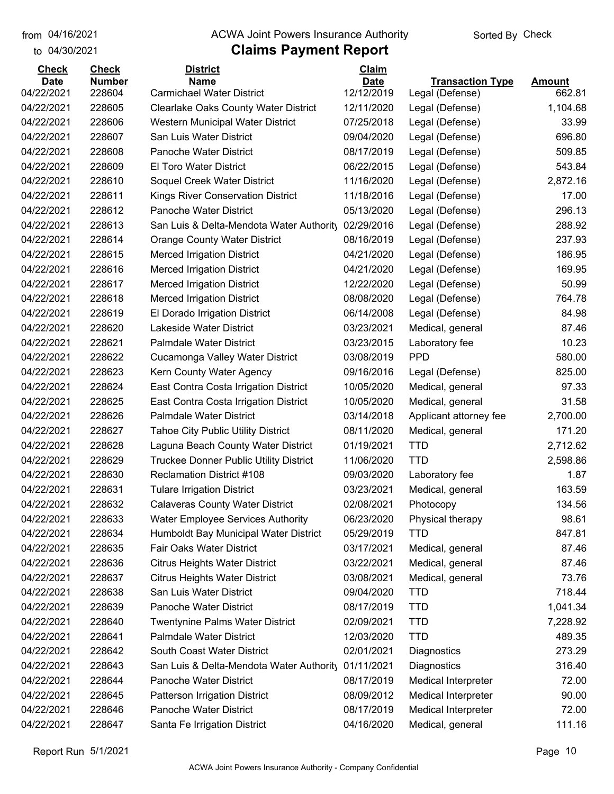to 04/30/2021

## from 04/16/2021 **The COVA Solic Act Act Authority** Sorted By Check

## **Claims Payment Report**

| <b>Check</b> | <b>Check</b>  | <b>District</b>                                                    | Claim       |                         |               |
|--------------|---------------|--------------------------------------------------------------------|-------------|-------------------------|---------------|
| <b>Date</b>  | <b>Number</b> | <b>Name</b>                                                        | <b>Date</b> | <b>Transaction Type</b> | <b>Amount</b> |
| 04/22/2021   | 228604        | <b>Carmichael Water District</b>                                   | 12/12/2019  | Legal (Defense)         | 662.81        |
| 04/22/2021   | 228605        | <b>Clearlake Oaks County Water District</b>                        | 12/11/2020  | Legal (Defense)         | 1,104.68      |
| 04/22/2021   | 228606        | Western Municipal Water District                                   | 07/25/2018  | Legal (Defense)         | 33.99         |
| 04/22/2021   | 228607        | San Luis Water District                                            | 09/04/2020  | Legal (Defense)         | 696.80        |
| 04/22/2021   | 228608        | <b>Panoche Water District</b>                                      | 08/17/2019  | Legal (Defense)         | 509.85        |
| 04/22/2021   | 228609        | <b>El Toro Water District</b>                                      | 06/22/2015  | Legal (Defense)         | 543.84        |
| 04/22/2021   | 228610        | Soquel Creek Water District                                        | 11/16/2020  | Legal (Defense)         | 2,872.16      |
| 04/22/2021   | 228611        | Kings River Conservation District                                  | 11/18/2016  | Legal (Defense)         | 17.00         |
| 04/22/2021   | 228612        | Panoche Water District                                             | 05/13/2020  | Legal (Defense)         | 296.13        |
| 04/22/2021   | 228613        | San Luis & Delta-Mendota Water Authority                           | 02/29/2016  | Legal (Defense)         | 288.92        |
| 04/22/2021   | 228614        | <b>Orange County Water District</b>                                | 08/16/2019  | Legal (Defense)         | 237.93        |
| 04/22/2021   | 228615        | <b>Merced Irrigation District</b>                                  | 04/21/2020  | Legal (Defense)         | 186.95        |
| 04/22/2021   | 228616        | <b>Merced Irrigation District</b>                                  | 04/21/2020  | Legal (Defense)         | 169.95        |
| 04/22/2021   | 228617        | <b>Merced Irrigation District</b>                                  | 12/22/2020  | Legal (Defense)         | 50.99         |
| 04/22/2021   | 228618        | <b>Merced Irrigation District</b>                                  | 08/08/2020  | Legal (Defense)         | 764.78        |
| 04/22/2021   | 228619        | El Dorado Irrigation District                                      | 06/14/2008  | Legal (Defense)         | 84.98         |
| 04/22/2021   | 228620        | Lakeside Water District                                            | 03/23/2021  | Medical, general        | 87.46         |
| 04/22/2021   | 228621        | <b>Palmdale Water District</b>                                     | 03/23/2015  | Laboratory fee          | 10.23         |
| 04/22/2021   | 228622        | Cucamonga Valley Water District                                    | 03/08/2019  | <b>PPD</b>              | 580.00        |
| 04/22/2021   | 228623        | Kern County Water Agency                                           | 09/16/2016  | Legal (Defense)         | 825.00        |
| 04/22/2021   | 228624        | East Contra Costa Irrigation District                              | 10/05/2020  | Medical, general        | 97.33         |
| 04/22/2021   | 228625        | East Contra Costa Irrigation District                              | 10/05/2020  | Medical, general        | 31.58         |
| 04/22/2021   | 228626        | <b>Palmdale Water District</b>                                     | 03/14/2018  | Applicant attorney fee  | 2,700.00      |
| 04/22/2021   | 228627        | <b>Tahoe City Public Utility District</b>                          | 08/11/2020  | Medical, general        | 171.20        |
| 04/22/2021   | 228628        | Laguna Beach County Water District                                 | 01/19/2021  | <b>TTD</b>              | 2,712.62      |
| 04/22/2021   | 228629        | <b>Truckee Donner Public Utility District</b>                      | 11/06/2020  | <b>TTD</b>              | 2,598.86      |
| 04/22/2021   | 228630        | <b>Reclamation District #108</b>                                   | 09/03/2020  | Laboratory fee          | 1.87          |
| 04/22/2021   | 228631        | <b>Tulare Irrigation District</b>                                  | 03/23/2021  | Medical, general        | 163.59        |
| 04/22/2021   | 228632        | <b>Calaveras County Water District</b>                             | 02/08/2021  | Photocopy               | 134.56        |
| 04/22/2021   | 228633        | <b>Water Employee Services Authority</b>                           | 06/23/2020  | Physical therapy        | 98.61         |
| 04/22/2021   | 228634        | Humboldt Bay Municipal Water District                              | 05/29/2019  | <b>TTD</b>              | 847.81        |
| 04/22/2021   | 228635        | Fair Oaks Water District                                           | 03/17/2021  | Medical, general        | 87.46         |
| 04/22/2021   | 228636        | <b>Citrus Heights Water District</b>                               | 03/22/2021  | Medical, general        | 87.46         |
| 04/22/2021   | 228637        | <b>Citrus Heights Water District</b>                               | 03/08/2021  | Medical, general        | 73.76         |
| 04/22/2021   | 228638        | San Luis Water District                                            | 09/04/2020  | <b>TTD</b>              | 718.44        |
| 04/22/2021   | 228639        | Panoche Water District                                             | 08/17/2019  | <b>TTD</b>              | 1,041.34      |
| 04/22/2021   | 228640        | <b>Twentynine Palms Water District</b>                             | 02/09/2021  | <b>TTD</b>              | 7,228.92      |
| 04/22/2021   | 228641        | Palmdale Water District                                            | 12/03/2020  | <b>TTD</b>              | 489.35        |
| 04/22/2021   | 228642        | South Coast Water District                                         | 02/01/2021  | Diagnostics             | 273.29        |
|              |               |                                                                    |             |                         |               |
| 04/22/2021   | 228643        | San Luis & Delta-Mendota Water Authority<br>Panoche Water District | 01/11/2021  | Diagnostics             | 316.40        |
| 04/22/2021   | 228644        |                                                                    | 08/17/2019  | Medical Interpreter     | 72.00         |
| 04/22/2021   | 228645        | Patterson Irrigation District                                      | 08/09/2012  | Medical Interpreter     | 90.00         |
| 04/22/2021   | 228646        | Panoche Water District                                             | 08/17/2019  | Medical Interpreter     | 72.00         |
| 04/22/2021   | 228647        | Santa Fe Irrigation District                                       | 04/16/2020  | Medical, general        | 111.16        |

Report Run 5/1/2021 **Page 10**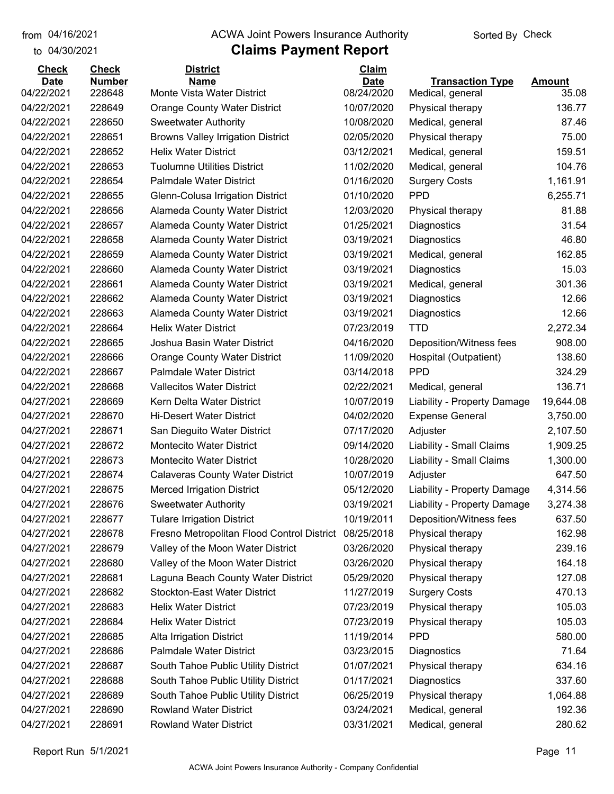## from 04/16/2021 **The COVA Solic Act Act Authority** Sorted By Check

## to 04/30/2021

| <b>Check</b>              | <b>Check</b>            | <b>District</b>                                                         | Claim                     |                             |                 |
|---------------------------|-------------------------|-------------------------------------------------------------------------|---------------------------|-----------------------------|-----------------|
| <b>Date</b><br>04/22/2021 | <b>Number</b><br>228648 | <b>Name</b><br>Monte Vista Water District                               | <b>Date</b><br>08/24/2020 | <b>Transaction Type</b>     | <b>Amount</b>   |
| 04/22/2021                | 228649                  |                                                                         | 10/07/2020                | Medical, general            | 35.08<br>136.77 |
| 04/22/2021                | 228650                  | <b>Orange County Water District</b>                                     | 10/08/2020                | Physical therapy            | 87.46           |
| 04/22/2021                | 228651                  | <b>Sweetwater Authority</b><br><b>Browns Valley Irrigation District</b> | 02/05/2020                | Medical, general            | 75.00           |
| 04/22/2021                | 228652                  | <b>Helix Water District</b>                                             | 03/12/2021                | Physical therapy            | 159.51          |
|                           | 228653                  |                                                                         |                           | Medical, general            | 104.76          |
| 04/22/2021                |                         | <b>Tuolumne Utilities District</b>                                      | 11/02/2020                | Medical, general            |                 |
| 04/22/2021                | 228654                  | <b>Palmdale Water District</b>                                          | 01/16/2020                | <b>Surgery Costs</b>        | 1,161.91        |
| 04/22/2021                | 228655                  | Glenn-Colusa Irrigation District                                        | 01/10/2020                | <b>PPD</b>                  | 6,255.71        |
| 04/22/2021                | 228656                  | <b>Alameda County Water District</b>                                    | 12/03/2020                | Physical therapy            | 81.88           |
| 04/22/2021                | 228657                  | <b>Alameda County Water District</b>                                    | 01/25/2021                | Diagnostics                 | 31.54           |
| 04/22/2021                | 228658                  | Alameda County Water District                                           | 03/19/2021                | Diagnostics                 | 46.80           |
| 04/22/2021                | 228659                  | Alameda County Water District                                           | 03/19/2021                | Medical, general            | 162.85          |
| 04/22/2021                | 228660                  | <b>Alameda County Water District</b>                                    | 03/19/2021                | Diagnostics                 | 15.03           |
| 04/22/2021                | 228661                  | Alameda County Water District                                           | 03/19/2021                | Medical, general            | 301.36          |
| 04/22/2021                | 228662                  | Alameda County Water District                                           | 03/19/2021                | Diagnostics                 | 12.66           |
| 04/22/2021                | 228663                  | Alameda County Water District                                           | 03/19/2021                | Diagnostics                 | 12.66           |
| 04/22/2021                | 228664                  | <b>Helix Water District</b>                                             | 07/23/2019                | <b>TTD</b>                  | 2,272.34        |
| 04/22/2021                | 228665                  | Joshua Basin Water District                                             | 04/16/2020                | Deposition/Witness fees     | 908.00          |
| 04/22/2021                | 228666                  | <b>Orange County Water District</b>                                     | 11/09/2020                | Hospital (Outpatient)       | 138.60          |
| 04/22/2021                | 228667                  | <b>Palmdale Water District</b>                                          | 03/14/2018                | <b>PPD</b>                  | 324.29          |
| 04/22/2021                | 228668                  | <b>Vallecitos Water District</b>                                        | 02/22/2021                | Medical, general            | 136.71          |
| 04/27/2021                | 228669                  | Kern Delta Water District                                               | 10/07/2019                | Liability - Property Damage | 19,644.08       |
| 04/27/2021                | 228670                  | <b>Hi-Desert Water District</b>                                         | 04/02/2020                | <b>Expense General</b>      | 3,750.00        |
| 04/27/2021                | 228671                  | San Dieguito Water District                                             | 07/17/2020                | Adjuster                    | 2,107.50        |
| 04/27/2021                | 228672                  | <b>Montecito Water District</b>                                         | 09/14/2020                | Liability - Small Claims    | 1,909.25        |
| 04/27/2021                | 228673                  | <b>Montecito Water District</b>                                         | 10/28/2020                | Liability - Small Claims    | 1,300.00        |
| 04/27/2021                | 228674                  | <b>Calaveras County Water District</b>                                  | 10/07/2019                | Adjuster                    | 647.50          |
| 04/27/2021                | 228675                  | <b>Merced Irrigation District</b>                                       | 05/12/2020                | Liability - Property Damage | 4,314.56        |
| 04/27/2021                | 228676                  | <b>Sweetwater Authority</b>                                             | 03/19/2021                | Liability - Property Damage | 3,274.38        |
| 04/27/2021                | 228677                  | <b>Tulare Irrigation District</b>                                       | 10/19/2011                | Deposition/Witness fees     | 637.50          |
| 04/27/2021                | 228678                  | Fresno Metropolitan Flood Control District                              | 08/25/2018                | Physical therapy            | 162.98          |
| 04/27/2021                | 228679                  | Valley of the Moon Water District                                       | 03/26/2020                | Physical therapy            | 239.16          |
| 04/27/2021                | 228680                  | Valley of the Moon Water District                                       | 03/26/2020                | Physical therapy            | 164.18          |
| 04/27/2021                | 228681                  | Laguna Beach County Water District                                      | 05/29/2020                | Physical therapy            | 127.08          |
| 04/27/2021                | 228682                  | <b>Stockton-East Water District</b>                                     | 11/27/2019                | <b>Surgery Costs</b>        | 470.13          |
| 04/27/2021                | 228683                  | <b>Helix Water District</b>                                             | 07/23/2019                | Physical therapy            | 105.03          |
| 04/27/2021                | 228684                  | <b>Helix Water District</b>                                             | 07/23/2019                | Physical therapy            | 105.03          |
| 04/27/2021                | 228685                  | Alta Irrigation District                                                | 11/19/2014                | <b>PPD</b>                  | 580.00          |
| 04/27/2021                | 228686                  | Palmdale Water District                                                 | 03/23/2015                | Diagnostics                 | 71.64           |
| 04/27/2021                | 228687                  | South Tahoe Public Utility District                                     | 01/07/2021                | Physical therapy            | 634.16          |
| 04/27/2021                | 228688                  | South Tahoe Public Utility District                                     | 01/17/2021                | Diagnostics                 | 337.60          |
| 04/27/2021                | 228689                  | South Tahoe Public Utility District                                     | 06/25/2019                | Physical therapy            | 1,064.88        |
| 04/27/2021                | 228690                  | <b>Rowland Water District</b>                                           | 03/24/2021                | Medical, general            | 192.36          |
| 04/27/2021                | 228691                  | <b>Rowland Water District</b>                                           | 03/31/2021                | Medical, general            | 280.62          |
|                           |                         |                                                                         |                           |                             |                 |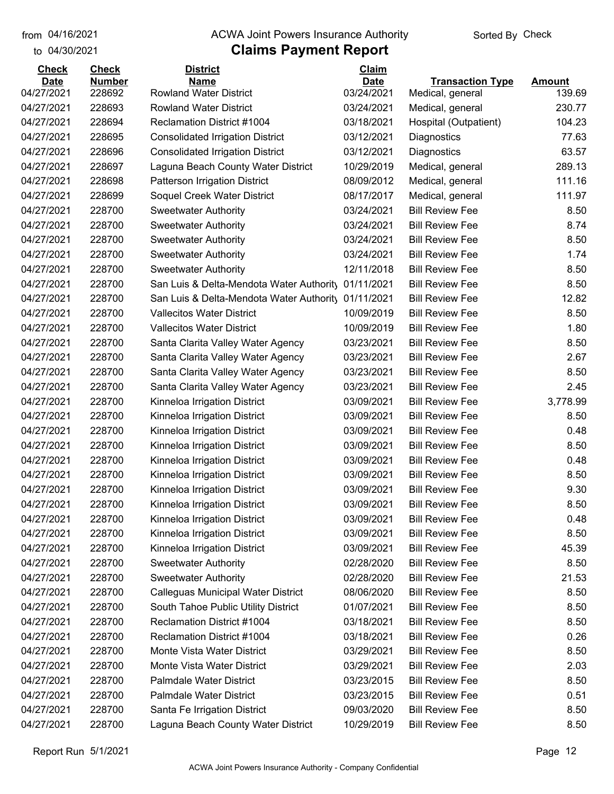## from 04/16/2021 **The COVA Solic Act Act Authority** Sorted By Check

## to 04/30/2021

| <b>Check</b>              | <b>Check</b>            | <b>District</b>                                     | Claim                     |                                             |                         |
|---------------------------|-------------------------|-----------------------------------------------------|---------------------------|---------------------------------------------|-------------------------|
| <b>Date</b><br>04/27/2021 | <b>Number</b><br>228692 | <b>Name</b><br><b>Rowland Water District</b>        | <b>Date</b><br>03/24/2021 | <b>Transaction Type</b><br>Medical, general | <b>Amount</b><br>139.69 |
| 04/27/2021                | 228693                  | <b>Rowland Water District</b>                       | 03/24/2021                | Medical, general                            | 230.77                  |
| 04/27/2021                | 228694                  | Reclamation District #1004                          | 03/18/2021                | Hospital (Outpatient)                       | 104.23                  |
| 04/27/2021                | 228695                  | <b>Consolidated Irrigation District</b>             | 03/12/2021                | Diagnostics                                 | 77.63                   |
| 04/27/2021                | 228696                  | <b>Consolidated Irrigation District</b>             | 03/12/2021                | Diagnostics                                 | 63.57                   |
| 04/27/2021                | 228697                  | Laguna Beach County Water District                  | 10/29/2019                | Medical, general                            | 289.13                  |
| 04/27/2021                | 228698                  | Patterson Irrigation District                       | 08/09/2012                | Medical, general                            | 111.16                  |
| 04/27/2021                | 228699                  | Soquel Creek Water District                         | 08/17/2017                | Medical, general                            | 111.97                  |
| 04/27/2021                | 228700                  | <b>Sweetwater Authority</b>                         | 03/24/2021                | <b>Bill Review Fee</b>                      | 8.50                    |
| 04/27/2021                | 228700                  | <b>Sweetwater Authority</b>                         | 03/24/2021                | <b>Bill Review Fee</b>                      | 8.74                    |
| 04/27/2021                | 228700                  | <b>Sweetwater Authority</b>                         | 03/24/2021                | <b>Bill Review Fee</b>                      | 8.50                    |
| 04/27/2021                | 228700                  | <b>Sweetwater Authority</b>                         | 03/24/2021                | <b>Bill Review Fee</b>                      | 1.74                    |
| 04/27/2021                | 228700                  | <b>Sweetwater Authority</b>                         | 12/11/2018                | <b>Bill Review Fee</b>                      | 8.50                    |
| 04/27/2021                | 228700                  | San Luis & Delta-Mendota Water Authority            | 01/11/2021                | <b>Bill Review Fee</b>                      | 8.50                    |
| 04/27/2021                | 228700                  | San Luis & Delta-Mendota Water Authority 01/11/2021 |                           | <b>Bill Review Fee</b>                      | 12.82                   |
| 04/27/2021                | 228700                  | <b>Vallecitos Water District</b>                    | 10/09/2019                | <b>Bill Review Fee</b>                      | 8.50                    |
| 04/27/2021                | 228700                  | <b>Vallecitos Water District</b>                    | 10/09/2019                | <b>Bill Review Fee</b>                      | 1.80                    |
| 04/27/2021                | 228700                  | Santa Clarita Valley Water Agency                   | 03/23/2021                | <b>Bill Review Fee</b>                      | 8.50                    |
| 04/27/2021                | 228700                  | Santa Clarita Valley Water Agency                   | 03/23/2021                | <b>Bill Review Fee</b>                      | 2.67                    |
| 04/27/2021                | 228700                  | Santa Clarita Valley Water Agency                   | 03/23/2021                | <b>Bill Review Fee</b>                      | 8.50                    |
| 04/27/2021                | 228700                  | Santa Clarita Valley Water Agency                   | 03/23/2021                | <b>Bill Review Fee</b>                      | 2.45                    |
| 04/27/2021                | 228700                  | Kinneloa Irrigation District                        | 03/09/2021                | <b>Bill Review Fee</b>                      | 3,778.99                |
| 04/27/2021                | 228700                  | Kinneloa Irrigation District                        | 03/09/2021                | <b>Bill Review Fee</b>                      | 8.50                    |
| 04/27/2021                | 228700                  | Kinneloa Irrigation District                        | 03/09/2021                | <b>Bill Review Fee</b>                      | 0.48                    |
| 04/27/2021                | 228700                  | Kinneloa Irrigation District                        | 03/09/2021                | <b>Bill Review Fee</b>                      | 8.50                    |
| 04/27/2021                | 228700                  | Kinneloa Irrigation District                        | 03/09/2021                | <b>Bill Review Fee</b>                      | 0.48                    |
| 04/27/2021                | 228700                  | Kinneloa Irrigation District                        | 03/09/2021                | <b>Bill Review Fee</b>                      | 8.50                    |
| 04/27/2021                | 228700                  | Kinneloa Irrigation District                        | 03/09/2021                | <b>Bill Review Fee</b>                      | 9.30                    |
| 04/27/2021                | 228700                  | Kinneloa Irrigation District                        | 03/09/2021                | <b>Bill Review Fee</b>                      | 8.50                    |
| 04/27/2021                | 228700                  | Kinneloa Irrigation District                        | 03/09/2021                | <b>Bill Review Fee</b>                      | 0.48                    |
| 04/27/2021                | 228700                  | Kinneloa Irrigation District                        | 03/09/2021                | <b>Bill Review Fee</b>                      | 8.50                    |
| 04/27/2021                | 228700                  | Kinneloa Irrigation District                        | 03/09/2021                | <b>Bill Review Fee</b>                      | 45.39                   |
| 04/27/2021                | 228700                  | <b>Sweetwater Authority</b>                         | 02/28/2020                | <b>Bill Review Fee</b>                      | 8.50                    |
| 04/27/2021                | 228700                  | <b>Sweetwater Authority</b>                         | 02/28/2020                | <b>Bill Review Fee</b>                      | 21.53                   |
| 04/27/2021                | 228700                  | Calleguas Municipal Water District                  | 08/06/2020                | <b>Bill Review Fee</b>                      | 8.50                    |
| 04/27/2021                | 228700                  | South Tahoe Public Utility District                 | 01/07/2021                | <b>Bill Review Fee</b>                      | 8.50                    |
| 04/27/2021                | 228700                  | Reclamation District #1004                          | 03/18/2021                | <b>Bill Review Fee</b>                      | 8.50                    |
| 04/27/2021                | 228700                  | Reclamation District #1004                          | 03/18/2021                | <b>Bill Review Fee</b>                      | 0.26                    |
| 04/27/2021                | 228700                  | Monte Vista Water District                          | 03/29/2021                | <b>Bill Review Fee</b>                      | 8.50                    |
| 04/27/2021                | 228700                  | Monte Vista Water District                          | 03/29/2021                | <b>Bill Review Fee</b>                      | 2.03                    |
| 04/27/2021                | 228700                  | Palmdale Water District                             | 03/23/2015                | <b>Bill Review Fee</b>                      | 8.50                    |
| 04/27/2021                | 228700                  | Palmdale Water District                             | 03/23/2015                | <b>Bill Review Fee</b>                      | 0.51                    |
| 04/27/2021                | 228700                  | Santa Fe Irrigation District                        | 09/03/2020                | <b>Bill Review Fee</b>                      | 8.50                    |
| 04/27/2021                | 228700                  | Laguna Beach County Water District                  | 10/29/2019                | <b>Bill Review Fee</b>                      | 8.50                    |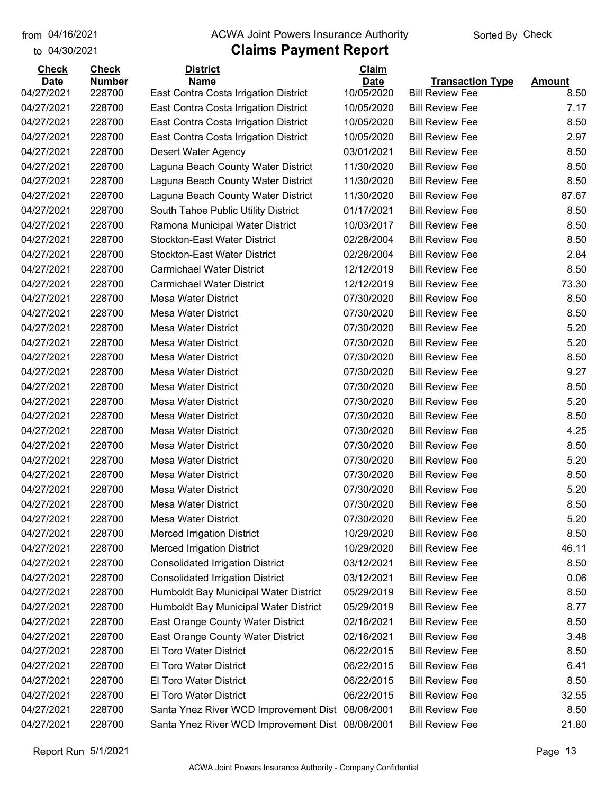to 04/30/2021

#### from 04/16/2021 **The COVA Solic Act Act Authority** Sorted By Check

| <b>Check</b> | <b>Check</b>  | <b>District</b>                                  | <b>Claim</b> |                                                  |               |
|--------------|---------------|--------------------------------------------------|--------------|--------------------------------------------------|---------------|
| <b>Date</b>  | <b>Number</b> | <b>Name</b>                                      | <b>Date</b>  | <b>Transaction Type</b>                          | <b>Amount</b> |
| 04/27/2021   | 228700        | East Contra Costa Irrigation District            | 10/05/2020   | <b>Bill Review Fee</b>                           | 8.50          |
| 04/27/2021   | 228700        | East Contra Costa Irrigation District            | 10/05/2020   | <b>Bill Review Fee</b><br><b>Bill Review Fee</b> | 7.17          |
| 04/27/2021   | 228700        | East Contra Costa Irrigation District            | 10/05/2020   |                                                  | 8.50          |
| 04/27/2021   | 228700        | East Contra Costa Irrigation District            | 10/05/2020   | <b>Bill Review Fee</b>                           | 2.97          |
| 04/27/2021   | 228700        | Desert Water Agency                              | 03/01/2021   | <b>Bill Review Fee</b>                           | 8.50          |
| 04/27/2021   | 228700        | Laguna Beach County Water District               | 11/30/2020   | <b>Bill Review Fee</b>                           | 8.50          |
| 04/27/2021   | 228700        | Laguna Beach County Water District               | 11/30/2020   | <b>Bill Review Fee</b>                           | 8.50          |
| 04/27/2021   | 228700        | Laguna Beach County Water District               | 11/30/2020   | <b>Bill Review Fee</b>                           | 87.67         |
| 04/27/2021   | 228700        | South Tahoe Public Utility District              | 01/17/2021   | <b>Bill Review Fee</b>                           | 8.50          |
| 04/27/2021   | 228700        | Ramona Municipal Water District                  | 10/03/2017   | <b>Bill Review Fee</b>                           | 8.50          |
| 04/27/2021   | 228700        | <b>Stockton-East Water District</b>              | 02/28/2004   | <b>Bill Review Fee</b>                           | 8.50          |
| 04/27/2021   | 228700        | <b>Stockton-East Water District</b>              | 02/28/2004   | <b>Bill Review Fee</b>                           | 2.84          |
| 04/27/2021   | 228700        | <b>Carmichael Water District</b>                 | 12/12/2019   | <b>Bill Review Fee</b>                           | 8.50          |
| 04/27/2021   | 228700        | <b>Carmichael Water District</b>                 | 12/12/2019   | <b>Bill Review Fee</b>                           | 73.30         |
| 04/27/2021   | 228700        | <b>Mesa Water District</b>                       | 07/30/2020   | <b>Bill Review Fee</b>                           | 8.50          |
| 04/27/2021   | 228700        | <b>Mesa Water District</b>                       | 07/30/2020   | <b>Bill Review Fee</b>                           | 8.50          |
| 04/27/2021   | 228700        | <b>Mesa Water District</b>                       | 07/30/2020   | <b>Bill Review Fee</b>                           | 5.20          |
| 04/27/2021   | 228700        | <b>Mesa Water District</b>                       | 07/30/2020   | <b>Bill Review Fee</b>                           | 5.20          |
| 04/27/2021   | 228700        | <b>Mesa Water District</b>                       | 07/30/2020   | <b>Bill Review Fee</b>                           | 8.50          |
| 04/27/2021   | 228700        | <b>Mesa Water District</b>                       | 07/30/2020   | <b>Bill Review Fee</b>                           | 9.27          |
| 04/27/2021   | 228700        | <b>Mesa Water District</b>                       | 07/30/2020   | <b>Bill Review Fee</b>                           | 8.50          |
| 04/27/2021   | 228700        | <b>Mesa Water District</b>                       | 07/30/2020   | <b>Bill Review Fee</b>                           | 5.20          |
| 04/27/2021   | 228700        | <b>Mesa Water District</b>                       | 07/30/2020   | <b>Bill Review Fee</b>                           | 8.50          |
| 04/27/2021   | 228700        | <b>Mesa Water District</b>                       | 07/30/2020   | <b>Bill Review Fee</b>                           | 4.25          |
| 04/27/2021   | 228700        | <b>Mesa Water District</b>                       | 07/30/2020   | <b>Bill Review Fee</b>                           | 8.50          |
| 04/27/2021   | 228700        | <b>Mesa Water District</b>                       | 07/30/2020   | <b>Bill Review Fee</b>                           | 5.20          |
| 04/27/2021   | 228700        | <b>Mesa Water District</b>                       | 07/30/2020   | <b>Bill Review Fee</b>                           | 8.50          |
| 04/27/2021   | 228700        | <b>Mesa Water District</b>                       | 07/30/2020   | <b>Bill Review Fee</b>                           | 5.20          |
| 04/27/2021   | 228700        | <b>Mesa Water District</b>                       | 07/30/2020   | <b>Bill Review Fee</b>                           | 8.50          |
| 04/27/2021   | 228700        | Mesa Water District                              | 07/30/2020   | <b>Bill Review Fee</b>                           | 5.20          |
| 04/27/2021   | 228700        | <b>Merced Irrigation District</b>                | 10/29/2020   | <b>Bill Review Fee</b>                           | 8.50          |
| 04/27/2021   | 228700        | <b>Merced Irrigation District</b>                | 10/29/2020   | <b>Bill Review Fee</b>                           | 46.11         |
| 04/27/2021   | 228700        | <b>Consolidated Irrigation District</b>          | 03/12/2021   | <b>Bill Review Fee</b>                           | 8.50          |
| 04/27/2021   | 228700        | <b>Consolidated Irrigation District</b>          | 03/12/2021   | <b>Bill Review Fee</b>                           | 0.06          |
| 04/27/2021   | 228700        | Humboldt Bay Municipal Water District            | 05/29/2019   | <b>Bill Review Fee</b>                           | 8.50          |
| 04/27/2021   | 228700        | Humboldt Bay Municipal Water District            | 05/29/2019   | <b>Bill Review Fee</b>                           | 8.77          |
| 04/27/2021   | 228700        | East Orange County Water District                | 02/16/2021   | <b>Bill Review Fee</b>                           | 8.50          |
| 04/27/2021   | 228700        | East Orange County Water District                | 02/16/2021   | <b>Bill Review Fee</b>                           | 3.48          |
| 04/27/2021   | 228700        | El Toro Water District                           | 06/22/2015   | <b>Bill Review Fee</b>                           | 8.50          |
| 04/27/2021   | 228700        | El Toro Water District                           | 06/22/2015   | <b>Bill Review Fee</b>                           | 6.41          |
| 04/27/2021   | 228700        | El Toro Water District                           | 06/22/2015   | <b>Bill Review Fee</b>                           | 8.50          |
| 04/27/2021   | 228700        | El Toro Water District                           | 06/22/2015   | <b>Bill Review Fee</b>                           | 32.55         |
| 04/27/2021   | 228700        | Santa Ynez River WCD Improvement Dist 08/08/2001 |              | <b>Bill Review Fee</b>                           | 8.50          |
|              |               |                                                  |              |                                                  |               |
| 04/27/2021   | 228700        | Santa Ynez River WCD Improvement Dist 08/08/2001 |              | <b>Bill Review Fee</b>                           | 21.80         |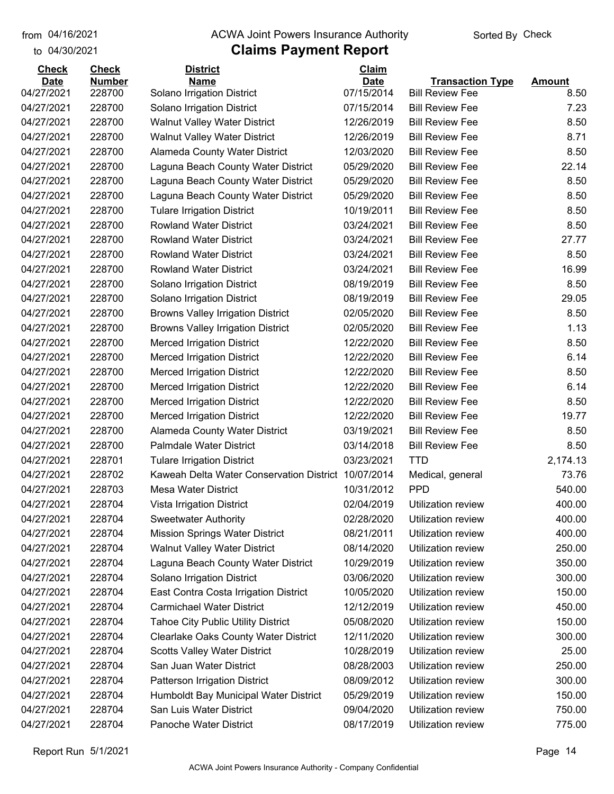#### from 04/16/2021 **The COVA Solic Act Act Authority** Sorted By Check

## to 04/30/2021

| <b>Check</b> | <b>Check</b>  | <b>District</b>                                     | Claim       |                         |               |
|--------------|---------------|-----------------------------------------------------|-------------|-------------------------|---------------|
| <b>Date</b>  | <b>Number</b> | <b>Name</b>                                         | <b>Date</b> | <b>Transaction Type</b> | <b>Amount</b> |
| 04/27/2021   | 228700        | Solano Irrigation District                          | 07/15/2014  | <b>Bill Review Fee</b>  | 8.50          |
| 04/27/2021   | 228700        | Solano Irrigation District                          | 07/15/2014  | <b>Bill Review Fee</b>  | 7.23          |
| 04/27/2021   | 228700        | <b>Walnut Valley Water District</b>                 | 12/26/2019  | <b>Bill Review Fee</b>  | 8.50          |
| 04/27/2021   | 228700        | <b>Walnut Valley Water District</b>                 | 12/26/2019  | <b>Bill Review Fee</b>  | 8.71          |
| 04/27/2021   | 228700        | Alameda County Water District                       | 12/03/2020  | <b>Bill Review Fee</b>  | 8.50          |
| 04/27/2021   | 228700        | Laguna Beach County Water District                  | 05/29/2020  | <b>Bill Review Fee</b>  | 22.14         |
| 04/27/2021   | 228700        | Laguna Beach County Water District                  | 05/29/2020  | <b>Bill Review Fee</b>  | 8.50          |
| 04/27/2021   | 228700        | Laguna Beach County Water District                  | 05/29/2020  | <b>Bill Review Fee</b>  | 8.50          |
| 04/27/2021   | 228700        | <b>Tulare Irrigation District</b>                   | 10/19/2011  | <b>Bill Review Fee</b>  | 8.50          |
| 04/27/2021   | 228700        | <b>Rowland Water District</b>                       | 03/24/2021  | <b>Bill Review Fee</b>  | 8.50          |
| 04/27/2021   | 228700        | <b>Rowland Water District</b>                       | 03/24/2021  | <b>Bill Review Fee</b>  | 27.77         |
| 04/27/2021   | 228700        | <b>Rowland Water District</b>                       | 03/24/2021  | <b>Bill Review Fee</b>  | 8.50          |
| 04/27/2021   | 228700        | <b>Rowland Water District</b>                       | 03/24/2021  | <b>Bill Review Fee</b>  | 16.99         |
| 04/27/2021   | 228700        | Solano Irrigation District                          | 08/19/2019  | <b>Bill Review Fee</b>  | 8.50          |
| 04/27/2021   | 228700        | Solano Irrigation District                          | 08/19/2019  | <b>Bill Review Fee</b>  | 29.05         |
| 04/27/2021   | 228700        | <b>Browns Valley Irrigation District</b>            | 02/05/2020  | <b>Bill Review Fee</b>  | 8.50          |
| 04/27/2021   | 228700        | <b>Browns Valley Irrigation District</b>            | 02/05/2020  | <b>Bill Review Fee</b>  | 1.13          |
| 04/27/2021   | 228700        | <b>Merced Irrigation District</b>                   | 12/22/2020  | <b>Bill Review Fee</b>  | 8.50          |
| 04/27/2021   | 228700        | <b>Merced Irrigation District</b>                   | 12/22/2020  | <b>Bill Review Fee</b>  | 6.14          |
| 04/27/2021   | 228700        | <b>Merced Irrigation District</b>                   | 12/22/2020  | <b>Bill Review Fee</b>  | 8.50          |
| 04/27/2021   | 228700        | <b>Merced Irrigation District</b>                   | 12/22/2020  | <b>Bill Review Fee</b>  | 6.14          |
| 04/27/2021   | 228700        | <b>Merced Irrigation District</b>                   | 12/22/2020  | <b>Bill Review Fee</b>  | 8.50          |
| 04/27/2021   | 228700        | <b>Merced Irrigation District</b>                   | 12/22/2020  | <b>Bill Review Fee</b>  | 19.77         |
| 04/27/2021   | 228700        | <b>Alameda County Water District</b>                | 03/19/2021  | <b>Bill Review Fee</b>  | 8.50          |
| 04/27/2021   | 228700        | <b>Palmdale Water District</b>                      | 03/14/2018  | <b>Bill Review Fee</b>  | 8.50          |
| 04/27/2021   | 228701        | <b>Tulare Irrigation District</b>                   | 03/23/2021  | <b>TTD</b>              | 2,174.13      |
| 04/27/2021   | 228702        | Kaweah Delta Water Conservation District 10/07/2014 |             | Medical, general        | 73.76         |
| 04/27/2021   | 228703        | <b>Mesa Water District</b>                          | 10/31/2012  | <b>PPD</b>              | 540.00        |
| 04/27/2021   | 228704        | Vista Irrigation District                           | 02/04/2019  | Utilization review      | 400.00        |
| 04/27/2021   | 228704        | <b>Sweetwater Authority</b>                         | 02/28/2020  | Utilization review      | 400.00        |
| 04/27/2021   | 228704        | <b>Mission Springs Water District</b>               | 08/21/2011  | Utilization review      | 400.00        |
| 04/27/2021   | 228704        | <b>Walnut Valley Water District</b>                 | 08/14/2020  | Utilization review      | 250.00        |
| 04/27/2021   | 228704        | Laguna Beach County Water District                  | 10/29/2019  | Utilization review      | 350.00        |
| 04/27/2021   | 228704        | Solano Irrigation District                          | 03/06/2020  | Utilization review      | 300.00        |
| 04/27/2021   | 228704        | East Contra Costa Irrigation District               | 10/05/2020  | Utilization review      | 150.00        |
| 04/27/2021   | 228704        | <b>Carmichael Water District</b>                    | 12/12/2019  | Utilization review      | 450.00        |
| 04/27/2021   | 228704        | <b>Tahoe City Public Utility District</b>           | 05/08/2020  | Utilization review      | 150.00        |
| 04/27/2021   | 228704        | <b>Clearlake Oaks County Water District</b>         | 12/11/2020  | Utilization review      | 300.00        |
| 04/27/2021   | 228704        | <b>Scotts Valley Water District</b>                 | 10/28/2019  | Utilization review      | 25.00         |
| 04/27/2021   | 228704        | San Juan Water District                             | 08/28/2003  | Utilization review      | 250.00        |
| 04/27/2021   | 228704        | Patterson Irrigation District                       | 08/09/2012  | Utilization review      | 300.00        |
| 04/27/2021   | 228704        | Humboldt Bay Municipal Water District               | 05/29/2019  | Utilization review      | 150.00        |
| 04/27/2021   | 228704        | San Luis Water District                             | 09/04/2020  | Utilization review      | 750.00        |
| 04/27/2021   | 228704        | Panoche Water District                              | 08/17/2019  | Utilization review      | 775.00        |
|              |               |                                                     |             |                         |               |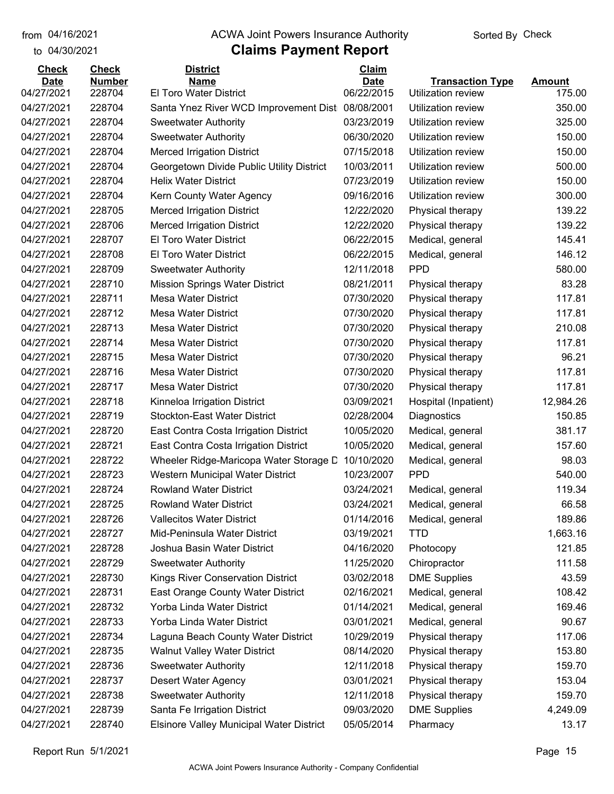to 04/30/2021

## from 04/16/2021 **The COVA Solic Act Act Authority** Sorted By Check

| <b>Check</b> | <b>Check</b>  | <b>District</b>                                 | Claim       |                           |                         |
|--------------|---------------|-------------------------------------------------|-------------|---------------------------|-------------------------|
| <b>Date</b>  | <b>Number</b> | <b>Name</b>                                     | <b>Date</b> | <b>Transaction Type</b>   | <b>Amount</b><br>175.00 |
| 04/27/2021   | 228704        | El Toro Water District                          | 06/22/2015  | <b>Utilization review</b> |                         |
| 04/27/2021   | 228704        | Santa Ynez River WCD Improvement Dist           | 08/08/2001  | Utilization review        | 350.00                  |
| 04/27/2021   | 228704        | <b>Sweetwater Authority</b>                     | 03/23/2019  | Utilization review        | 325.00                  |
| 04/27/2021   | 228704        | <b>Sweetwater Authority</b>                     | 06/30/2020  | Utilization review        | 150.00                  |
| 04/27/2021   | 228704        | <b>Merced Irrigation District</b>               | 07/15/2018  | Utilization review        | 150.00                  |
| 04/27/2021   | 228704        | Georgetown Divide Public Utility District       | 10/03/2011  | Utilization review        | 500.00                  |
| 04/27/2021   | 228704        | <b>Helix Water District</b>                     | 07/23/2019  | Utilization review        | 150.00                  |
| 04/27/2021   | 228704        | Kern County Water Agency                        | 09/16/2016  | Utilization review        | 300.00                  |
| 04/27/2021   | 228705        | <b>Merced Irrigation District</b>               | 12/22/2020  | Physical therapy          | 139.22                  |
| 04/27/2021   | 228706        | <b>Merced Irrigation District</b>               | 12/22/2020  | Physical therapy          | 139.22                  |
| 04/27/2021   | 228707        | El Toro Water District                          | 06/22/2015  | Medical, general          | 145.41                  |
| 04/27/2021   | 228708        | El Toro Water District                          | 06/22/2015  | Medical, general          | 146.12                  |
| 04/27/2021   | 228709        | <b>Sweetwater Authority</b>                     | 12/11/2018  | <b>PPD</b>                | 580.00                  |
| 04/27/2021   | 228710        | <b>Mission Springs Water District</b>           | 08/21/2011  | Physical therapy          | 83.28                   |
| 04/27/2021   | 228711        | <b>Mesa Water District</b>                      | 07/30/2020  | Physical therapy          | 117.81                  |
| 04/27/2021   | 228712        | <b>Mesa Water District</b>                      | 07/30/2020  | Physical therapy          | 117.81                  |
| 04/27/2021   | 228713        | <b>Mesa Water District</b>                      | 07/30/2020  | Physical therapy          | 210.08                  |
| 04/27/2021   | 228714        | <b>Mesa Water District</b>                      | 07/30/2020  | Physical therapy          | 117.81                  |
| 04/27/2021   | 228715        | <b>Mesa Water District</b>                      | 07/30/2020  | Physical therapy          | 96.21                   |
| 04/27/2021   | 228716        | <b>Mesa Water District</b>                      | 07/30/2020  | Physical therapy          | 117.81                  |
| 04/27/2021   | 228717        | <b>Mesa Water District</b>                      | 07/30/2020  | Physical therapy          | 117.81                  |
| 04/27/2021   | 228718        | Kinneloa Irrigation District                    | 03/09/2021  | Hospital (Inpatient)      | 12,984.26               |
| 04/27/2021   | 228719        | <b>Stockton-East Water District</b>             | 02/28/2004  | Diagnostics               | 150.85                  |
| 04/27/2021   | 228720        | East Contra Costa Irrigation District           | 10/05/2020  | Medical, general          | 381.17                  |
| 04/27/2021   | 228721        | East Contra Costa Irrigation District           | 10/05/2020  | Medical, general          | 157.60                  |
| 04/27/2021   | 228722        | Wheeler Ridge-Maricopa Water Storage D          | 10/10/2020  | Medical, general          | 98.03                   |
| 04/27/2021   | 228723        | Western Municipal Water District                | 10/23/2007  | <b>PPD</b>                | 540.00                  |
| 04/27/2021   | 228724        | <b>Rowland Water District</b>                   | 03/24/2021  | Medical, general          | 119.34                  |
| 04/27/2021   | 228725        | <b>Rowland Water District</b>                   | 03/24/2021  | Medical, general          | 66.58                   |
| 04/27/2021   | 228726        | <b>Vallecitos Water District</b>                | 01/14/2016  | Medical, general          | 189.86                  |
| 04/27/2021   | 228727        | Mid-Peninsula Water District                    | 03/19/2021  | <b>TTD</b>                | 1,663.16                |
| 04/27/2021   | 228728        | Joshua Basin Water District                     | 04/16/2020  | Photocopy                 | 121.85                  |
| 04/27/2021   | 228729        | <b>Sweetwater Authority</b>                     | 11/25/2020  | Chiropractor              | 111.58                  |
| 04/27/2021   | 228730        | Kings River Conservation District               | 03/02/2018  | <b>DME Supplies</b>       | 43.59                   |
| 04/27/2021   | 228731        | East Orange County Water District               | 02/16/2021  | Medical, general          | 108.42                  |
| 04/27/2021   | 228732        | Yorba Linda Water District                      | 01/14/2021  | Medical, general          | 169.46                  |
| 04/27/2021   | 228733        | Yorba Linda Water District                      | 03/01/2021  | Medical, general          | 90.67                   |
| 04/27/2021   | 228734        | Laguna Beach County Water District              | 10/29/2019  | Physical therapy          | 117.06                  |
| 04/27/2021   | 228735        | <b>Walnut Valley Water District</b>             | 08/14/2020  | Physical therapy          | 153.80                  |
| 04/27/2021   | 228736        | <b>Sweetwater Authority</b>                     | 12/11/2018  | Physical therapy          | 159.70                  |
| 04/27/2021   | 228737        | <b>Desert Water Agency</b>                      | 03/01/2021  | Physical therapy          | 153.04                  |
| 04/27/2021   | 228738        | <b>Sweetwater Authority</b>                     | 12/11/2018  | Physical therapy          | 159.70                  |
| 04/27/2021   | 228739        | Santa Fe Irrigation District                    | 09/03/2020  | <b>DME Supplies</b>       | 4,249.09                |
| 04/27/2021   | 228740        | <b>Elsinore Valley Municipal Water District</b> | 05/05/2014  | Pharmacy                  | 13.17                   |
|              |               |                                                 |             |                           |                         |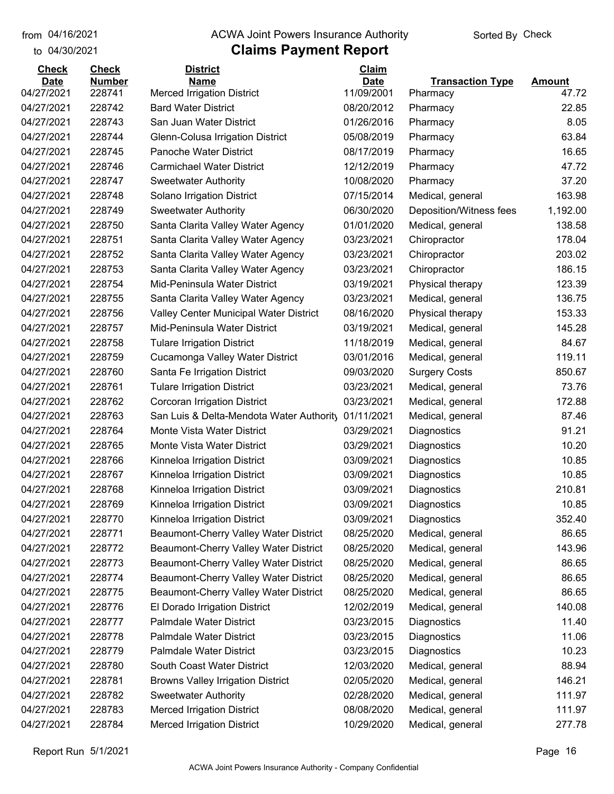to 04/30/2021 04/16/2021

## from 04/16/2021 **The COVA Solic Act Act Authority** Sorted By Check

| <b>Check</b><br><b>Date</b> | <b>Check</b><br><b>Number</b> | <b>District</b><br><b>Name</b>                      | Claim<br><b>Date</b> | <b>Transaction Type</b> | <b>Amount</b> |
|-----------------------------|-------------------------------|-----------------------------------------------------|----------------------|-------------------------|---------------|
| 04/27/2021                  | 228741                        | <b>Merced Irrigation District</b>                   | 11/09/2001           | Pharmacy                | 47.72         |
| 04/27/2021                  | 228742                        | <b>Bard Water District</b>                          | 08/20/2012           | Pharmacy                | 22.85         |
| 04/27/2021                  | 228743                        | San Juan Water District                             | 01/26/2016           | Pharmacy                | 8.05          |
| 04/27/2021                  | 228744                        | Glenn-Colusa Irrigation District                    | 05/08/2019           | Pharmacy                | 63.84         |
| 04/27/2021                  | 228745                        | Panoche Water District                              | 08/17/2019           | Pharmacy                | 16.65         |
| 04/27/2021                  | 228746                        | <b>Carmichael Water District</b>                    | 12/12/2019           | Pharmacy                | 47.72         |
| 04/27/2021                  | 228747                        | <b>Sweetwater Authority</b>                         | 10/08/2020           | Pharmacy                | 37.20         |
| 04/27/2021                  | 228748                        | Solano Irrigation District                          | 07/15/2014           | Medical, general        | 163.98        |
| 04/27/2021                  | 228749                        | <b>Sweetwater Authority</b>                         | 06/30/2020           | Deposition/Witness fees | 1,192.00      |
| 04/27/2021                  | 228750                        | Santa Clarita Valley Water Agency                   | 01/01/2020           | Medical, general        | 138.58        |
| 04/27/2021                  | 228751                        | Santa Clarita Valley Water Agency                   | 03/23/2021           | Chiropractor            | 178.04        |
| 04/27/2021                  | 228752                        | Santa Clarita Valley Water Agency                   | 03/23/2021           | Chiropractor            | 203.02        |
| 04/27/2021                  | 228753                        | Santa Clarita Valley Water Agency                   | 03/23/2021           | Chiropractor            | 186.15        |
| 04/27/2021                  | 228754                        | Mid-Peninsula Water District                        | 03/19/2021           | Physical therapy        | 123.39        |
| 04/27/2021                  | 228755                        | Santa Clarita Valley Water Agency                   | 03/23/2021           | Medical, general        | 136.75        |
| 04/27/2021                  | 228756                        | Valley Center Municipal Water District              | 08/16/2020           | Physical therapy        | 153.33        |
| 04/27/2021                  | 228757                        | Mid-Peninsula Water District                        | 03/19/2021           | Medical, general        | 145.28        |
| 04/27/2021                  | 228758                        | <b>Tulare Irrigation District</b>                   | 11/18/2019           | Medical, general        | 84.67         |
| 04/27/2021                  | 228759                        | Cucamonga Valley Water District                     | 03/01/2016           | Medical, general        | 119.11        |
| 04/27/2021                  | 228760                        | Santa Fe Irrigation District                        | 09/03/2020           | <b>Surgery Costs</b>    | 850.67        |
| 04/27/2021                  | 228761                        | <b>Tulare Irrigation District</b>                   | 03/23/2021           | Medical, general        | 73.76         |
| 04/27/2021                  | 228762                        | <b>Corcoran Irrigation District</b>                 | 03/23/2021           | Medical, general        | 172.88        |
| 04/27/2021                  | 228763                        | San Luis & Delta-Mendota Water Authority 01/11/2021 |                      | Medical, general        | 87.46         |
| 04/27/2021                  | 228764                        | Monte Vista Water District                          | 03/29/2021           | Diagnostics             | 91.21         |
| 04/27/2021                  | 228765                        | Monte Vista Water District                          | 03/29/2021           | Diagnostics             | 10.20         |
| 04/27/2021                  | 228766                        | Kinneloa Irrigation District                        | 03/09/2021           | Diagnostics             | 10.85         |
| 04/27/2021                  | 228767                        | Kinneloa Irrigation District                        | 03/09/2021           | Diagnostics             | 10.85         |
| 04/27/2021                  | 228768                        | Kinneloa Irrigation District                        | 03/09/2021           | Diagnostics             | 210.81        |
| 04/27/2021                  | 228769                        | Kinneloa Irrigation District                        | 03/09/2021           | Diagnostics             | 10.85         |
| 04/27/2021                  | 228770                        | Kinneloa Irrigation District                        | 03/09/2021           | Diagnostics             | 352.40        |
| 04/27/2021                  | 228771                        | Beaumont-Cherry Valley Water District               | 08/25/2020           | Medical, general        | 86.65         |
| 04/27/2021                  | 228772                        | Beaumont-Cherry Valley Water District               | 08/25/2020           | Medical, general        | 143.96        |
| 04/27/2021                  | 228773                        | Beaumont-Cherry Valley Water District               | 08/25/2020           | Medical, general        | 86.65         |
| 04/27/2021                  | 228774                        | Beaumont-Cherry Valley Water District               | 08/25/2020           | Medical, general        | 86.65         |
| 04/27/2021                  | 228775                        | Beaumont-Cherry Valley Water District               | 08/25/2020           | Medical, general        | 86.65         |
| 04/27/2021                  | 228776                        | El Dorado Irrigation District                       | 12/02/2019           | Medical, general        | 140.08        |
| 04/27/2021                  | 228777                        | Palmdale Water District                             | 03/23/2015           | Diagnostics             | 11.40         |
| 04/27/2021                  | 228778                        | Palmdale Water District                             | 03/23/2015           | Diagnostics             | 11.06         |
| 04/27/2021                  | 228779                        | Palmdale Water District                             | 03/23/2015           | Diagnostics             | 10.23         |
| 04/27/2021                  | 228780                        | South Coast Water District                          | 12/03/2020           | Medical, general        | 88.94         |
| 04/27/2021                  | 228781                        | <b>Browns Valley Irrigation District</b>            | 02/05/2020           | Medical, general        | 146.21        |
| 04/27/2021                  | 228782                        | <b>Sweetwater Authority</b>                         | 02/28/2020           | Medical, general        | 111.97        |
| 04/27/2021                  | 228783                        | <b>Merced Irrigation District</b>                   | 08/08/2020           | Medical, general        | 111.97        |
| 04/27/2021                  | 228784                        | <b>Merced Irrigation District</b>                   | 10/29/2020           | Medical, general        | 277.78        |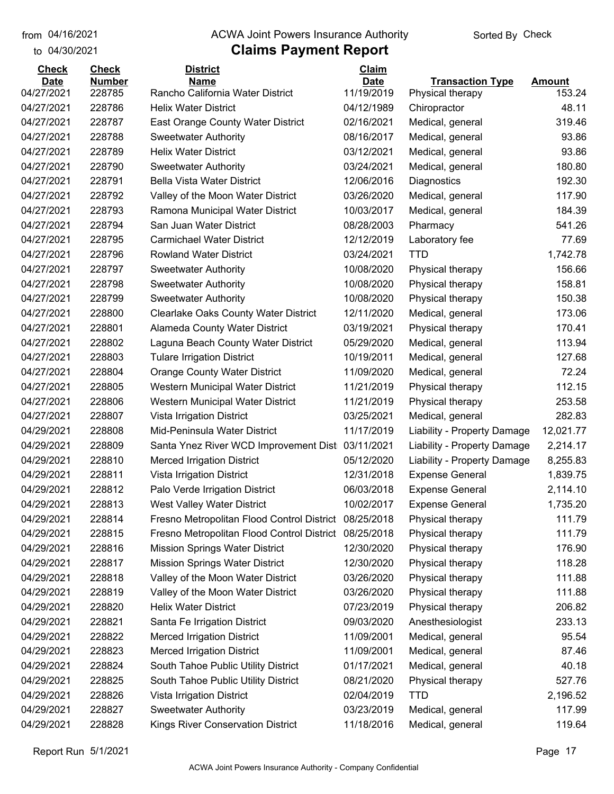to 04/30/2021 04/16/2021

## from 04/16/2021 **The COVA Solic Act Act Authority** Sorted By Check

| <b>Check</b> | <b>Check</b>  | <b>District</b>                                       | Claim      |                             |                 |
|--------------|---------------|-------------------------------------------------------|------------|-----------------------------|-----------------|
| <b>Date</b>  | <b>Number</b> | <b>Name</b>                                           | Date       | <b>Transaction Type</b>     | <b>Amount</b>   |
| 04/27/2021   | 228785        | Rancho California Water District                      | 11/19/2019 | Physical therapy            | 153.24<br>48.11 |
| 04/27/2021   | 228786        | <b>Helix Water District</b>                           | 04/12/1989 | Chiropractor                | 319.46          |
| 04/27/2021   | 228787        | East Orange County Water District                     | 02/16/2021 | Medical, general            |                 |
| 04/27/2021   | 228788        | <b>Sweetwater Authority</b>                           | 08/16/2017 | Medical, general            | 93.86           |
| 04/27/2021   | 228789        | <b>Helix Water District</b>                           | 03/12/2021 | Medical, general            | 93.86           |
| 04/27/2021   | 228790        | <b>Sweetwater Authority</b>                           | 03/24/2021 | Medical, general            | 180.80          |
| 04/27/2021   | 228791        | <b>Bella Vista Water District</b>                     | 12/06/2016 | Diagnostics                 | 192.30          |
| 04/27/2021   | 228792        | Valley of the Moon Water District                     | 03/26/2020 | Medical, general            | 117.90          |
| 04/27/2021   | 228793        | Ramona Municipal Water District                       | 10/03/2017 | Medical, general            | 184.39          |
| 04/27/2021   | 228794        | San Juan Water District                               | 08/28/2003 | Pharmacy                    | 541.26          |
| 04/27/2021   | 228795        | <b>Carmichael Water District</b>                      | 12/12/2019 | Laboratory fee              | 77.69           |
| 04/27/2021   | 228796        | <b>Rowland Water District</b>                         | 03/24/2021 | <b>TTD</b>                  | 1,742.78        |
| 04/27/2021   | 228797        | <b>Sweetwater Authority</b>                           | 10/08/2020 | Physical therapy            | 156.66          |
| 04/27/2021   | 228798        | <b>Sweetwater Authority</b>                           | 10/08/2020 | Physical therapy            | 158.81          |
| 04/27/2021   | 228799        | <b>Sweetwater Authority</b>                           | 10/08/2020 | Physical therapy            | 150.38          |
| 04/27/2021   | 228800        | <b>Clearlake Oaks County Water District</b>           | 12/11/2020 | Medical, general            | 173.06          |
| 04/27/2021   | 228801        | Alameda County Water District                         | 03/19/2021 | Physical therapy            | 170.41          |
| 04/27/2021   | 228802        | Laguna Beach County Water District                    | 05/29/2020 | Medical, general            | 113.94          |
| 04/27/2021   | 228803        | <b>Tulare Irrigation District</b>                     | 10/19/2011 | Medical, general            | 127.68          |
| 04/27/2021   | 228804        | <b>Orange County Water District</b>                   | 11/09/2020 | Medical, general            | 72.24           |
| 04/27/2021   | 228805        | Western Municipal Water District                      | 11/21/2019 | Physical therapy            | 112.15          |
| 04/27/2021   | 228806        | Western Municipal Water District                      | 11/21/2019 | Physical therapy            | 253.58          |
| 04/27/2021   | 228807        | Vista Irrigation District                             | 03/25/2021 | Medical, general            | 282.83          |
| 04/29/2021   | 228808        | Mid-Peninsula Water District                          | 11/17/2019 | Liability - Property Damage | 12,021.77       |
| 04/29/2021   | 228809        | Santa Ynez River WCD Improvement Dist 03/11/2021      |            | Liability - Property Damage | 2,214.17        |
| 04/29/2021   | 228810        | <b>Merced Irrigation District</b>                     | 05/12/2020 | Liability - Property Damage | 8,255.83        |
| 04/29/2021   | 228811        | Vista Irrigation District                             | 12/31/2018 | <b>Expense General</b>      | 1,839.75        |
| 04/29/2021   | 228812        | Palo Verde Irrigation District                        | 06/03/2018 | <b>Expense General</b>      | 2,114.10        |
| 04/29/2021   | 228813        | <b>West Valley Water District</b>                     | 10/02/2017 | <b>Expense General</b>      | 1,735.20        |
| 04/29/2021   | 228814        | Fresno Metropolitan Flood Control District 08/25/2018 |            | Physical therapy            | 111.79          |
| 04/29/2021   | 228815        | Fresno Metropolitan Flood Control District            | 08/25/2018 | Physical therapy            | 111.79          |
| 04/29/2021   | 228816        | <b>Mission Springs Water District</b>                 | 12/30/2020 | Physical therapy            | 176.90          |
| 04/29/2021   | 228817        | <b>Mission Springs Water District</b>                 | 12/30/2020 | Physical therapy            | 118.28          |
| 04/29/2021   | 228818        | Valley of the Moon Water District                     | 03/26/2020 | Physical therapy            | 111.88          |
| 04/29/2021   | 228819        | Valley of the Moon Water District                     | 03/26/2020 | Physical therapy            | 111.88          |
| 04/29/2021   | 228820        | <b>Helix Water District</b>                           | 07/23/2019 | Physical therapy            | 206.82          |
| 04/29/2021   | 228821        | Santa Fe Irrigation District                          | 09/03/2020 | Anesthesiologist            | 233.13          |
| 04/29/2021   | 228822        | <b>Merced Irrigation District</b>                     | 11/09/2001 | Medical, general            | 95.54           |
| 04/29/2021   | 228823        | <b>Merced Irrigation District</b>                     | 11/09/2001 | Medical, general            | 87.46           |
| 04/29/2021   | 228824        | South Tahoe Public Utility District                   | 01/17/2021 | Medical, general            | 40.18           |
| 04/29/2021   | 228825        | South Tahoe Public Utility District                   | 08/21/2020 | Physical therapy            | 527.76          |
| 04/29/2021   | 228826        | Vista Irrigation District                             | 02/04/2019 | <b>TTD</b>                  | 2,196.52        |
| 04/29/2021   | 228827        | <b>Sweetwater Authority</b>                           | 03/23/2019 | Medical, general            | 117.99          |
| 04/29/2021   | 228828        | Kings River Conservation District                     | 11/18/2016 | Medical, general            | 119.64          |
|              |               |                                                       |            |                             |                 |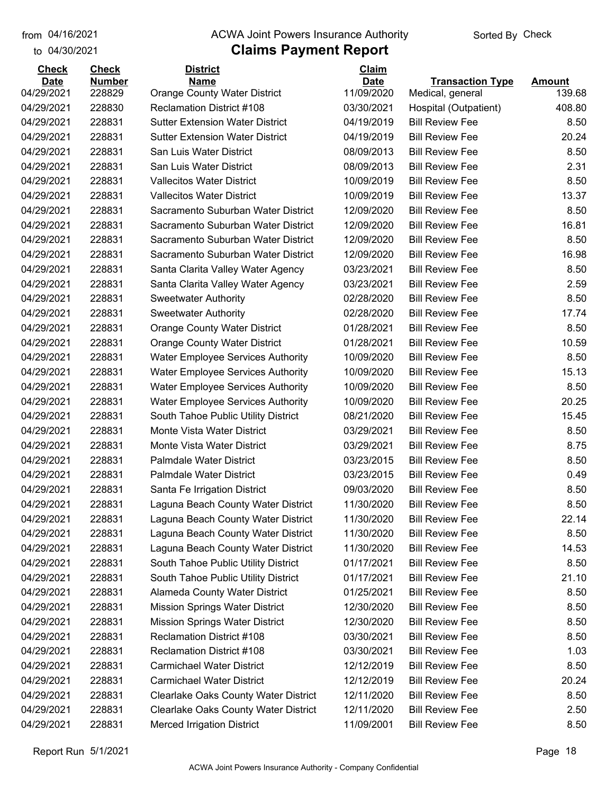## from 04/16/2021 **The COVA Solic Act Act Authority** Sorted By Check

## to 04/30/2021

| <b>Transaction Type</b><br><b>Amount</b><br>228829<br>11/09/2020<br>04/29/2021<br><b>Orange County Water District</b><br>Medical, general<br>139.68<br>228830<br>408.80<br>04/29/2021<br><b>Reclamation District #108</b><br>03/30/2021<br>Hospital (Outpatient)<br>228831<br>04/29/2021<br><b>Sutter Extension Water District</b><br>04/19/2019<br><b>Bill Review Fee</b><br>8.50<br>04/29/2021<br>228831<br><b>Sutter Extension Water District</b><br>04/19/2019<br><b>Bill Review Fee</b><br>20.24<br>04/29/2021<br>228831<br>San Luis Water District<br>08/09/2013<br><b>Bill Review Fee</b><br>8.50<br>04/29/2021<br>228831<br>San Luis Water District<br>08/09/2013<br><b>Bill Review Fee</b><br>2.31<br>228831<br>8.50<br>04/29/2021<br><b>Vallecitos Water District</b><br>10/09/2019<br><b>Bill Review Fee</b><br>13.37<br>228831<br><b>Vallecitos Water District</b><br>10/09/2019<br><b>Bill Review Fee</b><br>04/29/2021<br>04/29/2021<br>228831<br>Sacramento Suburban Water District<br>12/09/2020<br><b>Bill Review Fee</b><br>8.50<br>228831<br>16.81<br>04/29/2021<br>Sacramento Suburban Water District<br>12/09/2020<br><b>Bill Review Fee</b><br>228831<br>Sacramento Suburban Water District<br>8.50<br>12/09/2020<br><b>Bill Review Fee</b><br>228831<br>16.98<br>Sacramento Suburban Water District<br>12/09/2020<br><b>Bill Review Fee</b><br>228831<br>03/23/2021<br><b>Bill Review Fee</b><br>8.50<br>Santa Clarita Valley Water Agency<br>228831<br>03/23/2021<br><b>Bill Review Fee</b><br>2.59<br>Santa Clarita Valley Water Agency<br>228831<br>02/28/2020<br><b>Bill Review Fee</b><br>8.50<br><b>Sweetwater Authority</b><br>228831<br>02/28/2020<br><b>Bill Review Fee</b><br>17.74<br><b>Sweetwater Authority</b><br>8.50<br>228831<br>01/28/2021<br><b>Bill Review Fee</b><br><b>Orange County Water District</b><br>228831<br>01/28/2021<br><b>Bill Review Fee</b><br>10.59<br><b>Orange County Water District</b><br>228831<br><b>Water Employee Services Authority</b><br>10/09/2020<br><b>Bill Review Fee</b><br>8.50<br>15.13<br>228831<br><b>Water Employee Services Authority</b><br>10/09/2020<br><b>Bill Review Fee</b><br>228831<br>8.50<br><b>Water Employee Services Authority</b><br>10/09/2020<br><b>Bill Review Fee</b><br>228831<br>10/09/2020<br><b>Bill Review Fee</b><br>20.25<br><b>Water Employee Services Authority</b><br>228831<br>08/21/2020<br><b>Bill Review Fee</b><br>15.45<br>South Tahoe Public Utility District<br>228831<br>Monte Vista Water District<br><b>Bill Review Fee</b><br>8.50<br>03/29/2021<br>228831<br>8.75<br>Monte Vista Water District<br>03/29/2021<br><b>Bill Review Fee</b><br>228831<br><b>Palmdale Water District</b><br>03/23/2015<br><b>Bill Review Fee</b><br>8.50<br>228831<br><b>Palmdale Water District</b><br>03/23/2015<br><b>Bill Review Fee</b><br>0.49<br>228831<br>09/03/2020<br><b>Bill Review Fee</b><br>8.50<br>Santa Fe Irrigation District<br>228831<br>11/30/2020<br><b>Bill Review Fee</b><br>8.50<br>Laguna Beach County Water District<br>228831<br>11/30/2020<br>22.14<br>Laguna Beach County Water District<br><b>Bill Review Fee</b><br>228831<br>Laguna Beach County Water District<br>11/30/2020<br><b>Bill Review Fee</b><br>8.50<br>228831<br>Laguna Beach County Water District<br>11/30/2020<br><b>Bill Review Fee</b><br>14.53<br>South Tahoe Public Utility District<br><b>Bill Review Fee</b><br>8.50<br>228831<br>01/17/2021<br>228831<br>South Tahoe Public Utility District<br>01/17/2021<br><b>Bill Review Fee</b><br>21.10<br>228831<br>Alameda County Water District<br>01/25/2021<br><b>Bill Review Fee</b><br>8.50<br>228831<br><b>Mission Springs Water District</b><br>12/30/2020<br><b>Bill Review Fee</b><br>8.50<br>228831<br><b>Mission Springs Water District</b><br>12/30/2020<br><b>Bill Review Fee</b><br>8.50<br>228831<br><b>Reclamation District #108</b><br><b>Bill Review Fee</b><br>8.50<br>03/30/2021<br><b>Reclamation District #108</b><br>03/30/2021<br><b>Bill Review Fee</b><br>1.03<br>228831<br>228831<br><b>Carmichael Water District</b><br>12/12/2019<br><b>Bill Review Fee</b><br>8.50<br>228831<br><b>Carmichael Water District</b><br>12/12/2019<br><b>Bill Review Fee</b><br>20.24<br>Clearlake Oaks County Water District<br>12/11/2020<br><b>Bill Review Fee</b><br>8.50<br>228831<br>Clearlake Oaks County Water District<br>12/11/2020<br><b>Bill Review Fee</b><br>2.50<br>228831<br>228831<br><b>Merced Irrigation District</b><br><b>Bill Review Fee</b><br>8.50<br>11/09/2001 | <b>Check</b> | <b>Check</b>  | <b>District</b> | Claim       |  |
|--------------------------------------------------------------------------------------------------------------------------------------------------------------------------------------------------------------------------------------------------------------------------------------------------------------------------------------------------------------------------------------------------------------------------------------------------------------------------------------------------------------------------------------------------------------------------------------------------------------------------------------------------------------------------------------------------------------------------------------------------------------------------------------------------------------------------------------------------------------------------------------------------------------------------------------------------------------------------------------------------------------------------------------------------------------------------------------------------------------------------------------------------------------------------------------------------------------------------------------------------------------------------------------------------------------------------------------------------------------------------------------------------------------------------------------------------------------------------------------------------------------------------------------------------------------------------------------------------------------------------------------------------------------------------------------------------------------------------------------------------------------------------------------------------------------------------------------------------------------------------------------------------------------------------------------------------------------------------------------------------------------------------------------------------------------------------------------------------------------------------------------------------------------------------------------------------------------------------------------------------------------------------------------------------------------------------------------------------------------------------------------------------------------------------------------------------------------------------------------------------------------------------------------------------------------------------------------------------------------------------------------------------------------------------------------------------------------------------------------------------------------------------------------------------------------------------------------------------------------------------------------------------------------------------------------------------------------------------------------------------------------------------------------------------------------------------------------------------------------------------------------------------------------------------------------------------------------------------------------------------------------------------------------------------------------------------------------------------------------------------------------------------------------------------------------------------------------------------------------------------------------------------------------------------------------------------------------------------------------------------------------------------------------------------------------------------------------------------------------------------------------------------------------------------------------------------------------------------------------------------------------------------------------------------------------------------------------------------------------------------------------------------------------------------------------------------------------------------------------------------------------------------------------------------------------------------------------------------------------------------------------------------------------------------------------------------------------------------------------------------------------------------------------------------------------------------------------------------------------------------------------------------------------------------------|--------------|---------------|-----------------|-------------|--|
|                                                                                                                                                                                                                                                                                                                                                                                                                                                                                                                                                                                                                                                                                                                                                                                                                                                                                                                                                                                                                                                                                                                                                                                                                                                                                                                                                                                                                                                                                                                                                                                                                                                                                                                                                                                                                                                                                                                                                                                                                                                                                                                                                                                                                                                                                                                                                                                                                                                                                                                                                                                                                                                                                                                                                                                                                                                                                                                                                                                                                                                                                                                                                                                                                                                                                                                                                                                                                                                                                                                                                                                                                                                                                                                                                                                                                                                                                                                                                                                                                                                                                                                                                                                                                                                                                                                                                                                                                                                                                                                                                        | <b>Date</b>  | <b>Number</b> | <b>Name</b>     | <b>Date</b> |  |
|                                                                                                                                                                                                                                                                                                                                                                                                                                                                                                                                                                                                                                                                                                                                                                                                                                                                                                                                                                                                                                                                                                                                                                                                                                                                                                                                                                                                                                                                                                                                                                                                                                                                                                                                                                                                                                                                                                                                                                                                                                                                                                                                                                                                                                                                                                                                                                                                                                                                                                                                                                                                                                                                                                                                                                                                                                                                                                                                                                                                                                                                                                                                                                                                                                                                                                                                                                                                                                                                                                                                                                                                                                                                                                                                                                                                                                                                                                                                                                                                                                                                                                                                                                                                                                                                                                                                                                                                                                                                                                                                                        |              |               |                 |             |  |
|                                                                                                                                                                                                                                                                                                                                                                                                                                                                                                                                                                                                                                                                                                                                                                                                                                                                                                                                                                                                                                                                                                                                                                                                                                                                                                                                                                                                                                                                                                                                                                                                                                                                                                                                                                                                                                                                                                                                                                                                                                                                                                                                                                                                                                                                                                                                                                                                                                                                                                                                                                                                                                                                                                                                                                                                                                                                                                                                                                                                                                                                                                                                                                                                                                                                                                                                                                                                                                                                                                                                                                                                                                                                                                                                                                                                                                                                                                                                                                                                                                                                                                                                                                                                                                                                                                                                                                                                                                                                                                                                                        |              |               |                 |             |  |
|                                                                                                                                                                                                                                                                                                                                                                                                                                                                                                                                                                                                                                                                                                                                                                                                                                                                                                                                                                                                                                                                                                                                                                                                                                                                                                                                                                                                                                                                                                                                                                                                                                                                                                                                                                                                                                                                                                                                                                                                                                                                                                                                                                                                                                                                                                                                                                                                                                                                                                                                                                                                                                                                                                                                                                                                                                                                                                                                                                                                                                                                                                                                                                                                                                                                                                                                                                                                                                                                                                                                                                                                                                                                                                                                                                                                                                                                                                                                                                                                                                                                                                                                                                                                                                                                                                                                                                                                                                                                                                                                                        |              |               |                 |             |  |
|                                                                                                                                                                                                                                                                                                                                                                                                                                                                                                                                                                                                                                                                                                                                                                                                                                                                                                                                                                                                                                                                                                                                                                                                                                                                                                                                                                                                                                                                                                                                                                                                                                                                                                                                                                                                                                                                                                                                                                                                                                                                                                                                                                                                                                                                                                                                                                                                                                                                                                                                                                                                                                                                                                                                                                                                                                                                                                                                                                                                                                                                                                                                                                                                                                                                                                                                                                                                                                                                                                                                                                                                                                                                                                                                                                                                                                                                                                                                                                                                                                                                                                                                                                                                                                                                                                                                                                                                                                                                                                                                                        |              |               |                 |             |  |
|                                                                                                                                                                                                                                                                                                                                                                                                                                                                                                                                                                                                                                                                                                                                                                                                                                                                                                                                                                                                                                                                                                                                                                                                                                                                                                                                                                                                                                                                                                                                                                                                                                                                                                                                                                                                                                                                                                                                                                                                                                                                                                                                                                                                                                                                                                                                                                                                                                                                                                                                                                                                                                                                                                                                                                                                                                                                                                                                                                                                                                                                                                                                                                                                                                                                                                                                                                                                                                                                                                                                                                                                                                                                                                                                                                                                                                                                                                                                                                                                                                                                                                                                                                                                                                                                                                                                                                                                                                                                                                                                                        |              |               |                 |             |  |
|                                                                                                                                                                                                                                                                                                                                                                                                                                                                                                                                                                                                                                                                                                                                                                                                                                                                                                                                                                                                                                                                                                                                                                                                                                                                                                                                                                                                                                                                                                                                                                                                                                                                                                                                                                                                                                                                                                                                                                                                                                                                                                                                                                                                                                                                                                                                                                                                                                                                                                                                                                                                                                                                                                                                                                                                                                                                                                                                                                                                                                                                                                                                                                                                                                                                                                                                                                                                                                                                                                                                                                                                                                                                                                                                                                                                                                                                                                                                                                                                                                                                                                                                                                                                                                                                                                                                                                                                                                                                                                                                                        |              |               |                 |             |  |
|                                                                                                                                                                                                                                                                                                                                                                                                                                                                                                                                                                                                                                                                                                                                                                                                                                                                                                                                                                                                                                                                                                                                                                                                                                                                                                                                                                                                                                                                                                                                                                                                                                                                                                                                                                                                                                                                                                                                                                                                                                                                                                                                                                                                                                                                                                                                                                                                                                                                                                                                                                                                                                                                                                                                                                                                                                                                                                                                                                                                                                                                                                                                                                                                                                                                                                                                                                                                                                                                                                                                                                                                                                                                                                                                                                                                                                                                                                                                                                                                                                                                                                                                                                                                                                                                                                                                                                                                                                                                                                                                                        |              |               |                 |             |  |
|                                                                                                                                                                                                                                                                                                                                                                                                                                                                                                                                                                                                                                                                                                                                                                                                                                                                                                                                                                                                                                                                                                                                                                                                                                                                                                                                                                                                                                                                                                                                                                                                                                                                                                                                                                                                                                                                                                                                                                                                                                                                                                                                                                                                                                                                                                                                                                                                                                                                                                                                                                                                                                                                                                                                                                                                                                                                                                                                                                                                                                                                                                                                                                                                                                                                                                                                                                                                                                                                                                                                                                                                                                                                                                                                                                                                                                                                                                                                                                                                                                                                                                                                                                                                                                                                                                                                                                                                                                                                                                                                                        |              |               |                 |             |  |
|                                                                                                                                                                                                                                                                                                                                                                                                                                                                                                                                                                                                                                                                                                                                                                                                                                                                                                                                                                                                                                                                                                                                                                                                                                                                                                                                                                                                                                                                                                                                                                                                                                                                                                                                                                                                                                                                                                                                                                                                                                                                                                                                                                                                                                                                                                                                                                                                                                                                                                                                                                                                                                                                                                                                                                                                                                                                                                                                                                                                                                                                                                                                                                                                                                                                                                                                                                                                                                                                                                                                                                                                                                                                                                                                                                                                                                                                                                                                                                                                                                                                                                                                                                                                                                                                                                                                                                                                                                                                                                                                                        |              |               |                 |             |  |
|                                                                                                                                                                                                                                                                                                                                                                                                                                                                                                                                                                                                                                                                                                                                                                                                                                                                                                                                                                                                                                                                                                                                                                                                                                                                                                                                                                                                                                                                                                                                                                                                                                                                                                                                                                                                                                                                                                                                                                                                                                                                                                                                                                                                                                                                                                                                                                                                                                                                                                                                                                                                                                                                                                                                                                                                                                                                                                                                                                                                                                                                                                                                                                                                                                                                                                                                                                                                                                                                                                                                                                                                                                                                                                                                                                                                                                                                                                                                                                                                                                                                                                                                                                                                                                                                                                                                                                                                                                                                                                                                                        |              |               |                 |             |  |
|                                                                                                                                                                                                                                                                                                                                                                                                                                                                                                                                                                                                                                                                                                                                                                                                                                                                                                                                                                                                                                                                                                                                                                                                                                                                                                                                                                                                                                                                                                                                                                                                                                                                                                                                                                                                                                                                                                                                                                                                                                                                                                                                                                                                                                                                                                                                                                                                                                                                                                                                                                                                                                                                                                                                                                                                                                                                                                                                                                                                                                                                                                                                                                                                                                                                                                                                                                                                                                                                                                                                                                                                                                                                                                                                                                                                                                                                                                                                                                                                                                                                                                                                                                                                                                                                                                                                                                                                                                                                                                                                                        | 04/29/2021   |               |                 |             |  |
|                                                                                                                                                                                                                                                                                                                                                                                                                                                                                                                                                                                                                                                                                                                                                                                                                                                                                                                                                                                                                                                                                                                                                                                                                                                                                                                                                                                                                                                                                                                                                                                                                                                                                                                                                                                                                                                                                                                                                                                                                                                                                                                                                                                                                                                                                                                                                                                                                                                                                                                                                                                                                                                                                                                                                                                                                                                                                                                                                                                                                                                                                                                                                                                                                                                                                                                                                                                                                                                                                                                                                                                                                                                                                                                                                                                                                                                                                                                                                                                                                                                                                                                                                                                                                                                                                                                                                                                                                                                                                                                                                        | 04/29/2021   |               |                 |             |  |
|                                                                                                                                                                                                                                                                                                                                                                                                                                                                                                                                                                                                                                                                                                                                                                                                                                                                                                                                                                                                                                                                                                                                                                                                                                                                                                                                                                                                                                                                                                                                                                                                                                                                                                                                                                                                                                                                                                                                                                                                                                                                                                                                                                                                                                                                                                                                                                                                                                                                                                                                                                                                                                                                                                                                                                                                                                                                                                                                                                                                                                                                                                                                                                                                                                                                                                                                                                                                                                                                                                                                                                                                                                                                                                                                                                                                                                                                                                                                                                                                                                                                                                                                                                                                                                                                                                                                                                                                                                                                                                                                                        | 04/29/2021   |               |                 |             |  |
|                                                                                                                                                                                                                                                                                                                                                                                                                                                                                                                                                                                                                                                                                                                                                                                                                                                                                                                                                                                                                                                                                                                                                                                                                                                                                                                                                                                                                                                                                                                                                                                                                                                                                                                                                                                                                                                                                                                                                                                                                                                                                                                                                                                                                                                                                                                                                                                                                                                                                                                                                                                                                                                                                                                                                                                                                                                                                                                                                                                                                                                                                                                                                                                                                                                                                                                                                                                                                                                                                                                                                                                                                                                                                                                                                                                                                                                                                                                                                                                                                                                                                                                                                                                                                                                                                                                                                                                                                                                                                                                                                        | 04/29/2021   |               |                 |             |  |
|                                                                                                                                                                                                                                                                                                                                                                                                                                                                                                                                                                                                                                                                                                                                                                                                                                                                                                                                                                                                                                                                                                                                                                                                                                                                                                                                                                                                                                                                                                                                                                                                                                                                                                                                                                                                                                                                                                                                                                                                                                                                                                                                                                                                                                                                                                                                                                                                                                                                                                                                                                                                                                                                                                                                                                                                                                                                                                                                                                                                                                                                                                                                                                                                                                                                                                                                                                                                                                                                                                                                                                                                                                                                                                                                                                                                                                                                                                                                                                                                                                                                                                                                                                                                                                                                                                                                                                                                                                                                                                                                                        | 04/29/2021   |               |                 |             |  |
|                                                                                                                                                                                                                                                                                                                                                                                                                                                                                                                                                                                                                                                                                                                                                                                                                                                                                                                                                                                                                                                                                                                                                                                                                                                                                                                                                                                                                                                                                                                                                                                                                                                                                                                                                                                                                                                                                                                                                                                                                                                                                                                                                                                                                                                                                                                                                                                                                                                                                                                                                                                                                                                                                                                                                                                                                                                                                                                                                                                                                                                                                                                                                                                                                                                                                                                                                                                                                                                                                                                                                                                                                                                                                                                                                                                                                                                                                                                                                                                                                                                                                                                                                                                                                                                                                                                                                                                                                                                                                                                                                        | 04/29/2021   |               |                 |             |  |
|                                                                                                                                                                                                                                                                                                                                                                                                                                                                                                                                                                                                                                                                                                                                                                                                                                                                                                                                                                                                                                                                                                                                                                                                                                                                                                                                                                                                                                                                                                                                                                                                                                                                                                                                                                                                                                                                                                                                                                                                                                                                                                                                                                                                                                                                                                                                                                                                                                                                                                                                                                                                                                                                                                                                                                                                                                                                                                                                                                                                                                                                                                                                                                                                                                                                                                                                                                                                                                                                                                                                                                                                                                                                                                                                                                                                                                                                                                                                                                                                                                                                                                                                                                                                                                                                                                                                                                                                                                                                                                                                                        | 04/29/2021   |               |                 |             |  |
|                                                                                                                                                                                                                                                                                                                                                                                                                                                                                                                                                                                                                                                                                                                                                                                                                                                                                                                                                                                                                                                                                                                                                                                                                                                                                                                                                                                                                                                                                                                                                                                                                                                                                                                                                                                                                                                                                                                                                                                                                                                                                                                                                                                                                                                                                                                                                                                                                                                                                                                                                                                                                                                                                                                                                                                                                                                                                                                                                                                                                                                                                                                                                                                                                                                                                                                                                                                                                                                                                                                                                                                                                                                                                                                                                                                                                                                                                                                                                                                                                                                                                                                                                                                                                                                                                                                                                                                                                                                                                                                                                        | 04/29/2021   |               |                 |             |  |
|                                                                                                                                                                                                                                                                                                                                                                                                                                                                                                                                                                                                                                                                                                                                                                                                                                                                                                                                                                                                                                                                                                                                                                                                                                                                                                                                                                                                                                                                                                                                                                                                                                                                                                                                                                                                                                                                                                                                                                                                                                                                                                                                                                                                                                                                                                                                                                                                                                                                                                                                                                                                                                                                                                                                                                                                                                                                                                                                                                                                                                                                                                                                                                                                                                                                                                                                                                                                                                                                                                                                                                                                                                                                                                                                                                                                                                                                                                                                                                                                                                                                                                                                                                                                                                                                                                                                                                                                                                                                                                                                                        | 04/29/2021   |               |                 |             |  |
|                                                                                                                                                                                                                                                                                                                                                                                                                                                                                                                                                                                                                                                                                                                                                                                                                                                                                                                                                                                                                                                                                                                                                                                                                                                                                                                                                                                                                                                                                                                                                                                                                                                                                                                                                                                                                                                                                                                                                                                                                                                                                                                                                                                                                                                                                                                                                                                                                                                                                                                                                                                                                                                                                                                                                                                                                                                                                                                                                                                                                                                                                                                                                                                                                                                                                                                                                                                                                                                                                                                                                                                                                                                                                                                                                                                                                                                                                                                                                                                                                                                                                                                                                                                                                                                                                                                                                                                                                                                                                                                                                        | 04/29/2021   |               |                 |             |  |
|                                                                                                                                                                                                                                                                                                                                                                                                                                                                                                                                                                                                                                                                                                                                                                                                                                                                                                                                                                                                                                                                                                                                                                                                                                                                                                                                                                                                                                                                                                                                                                                                                                                                                                                                                                                                                                                                                                                                                                                                                                                                                                                                                                                                                                                                                                                                                                                                                                                                                                                                                                                                                                                                                                                                                                                                                                                                                                                                                                                                                                                                                                                                                                                                                                                                                                                                                                                                                                                                                                                                                                                                                                                                                                                                                                                                                                                                                                                                                                                                                                                                                                                                                                                                                                                                                                                                                                                                                                                                                                                                                        | 04/29/2021   |               |                 |             |  |
|                                                                                                                                                                                                                                                                                                                                                                                                                                                                                                                                                                                                                                                                                                                                                                                                                                                                                                                                                                                                                                                                                                                                                                                                                                                                                                                                                                                                                                                                                                                                                                                                                                                                                                                                                                                                                                                                                                                                                                                                                                                                                                                                                                                                                                                                                                                                                                                                                                                                                                                                                                                                                                                                                                                                                                                                                                                                                                                                                                                                                                                                                                                                                                                                                                                                                                                                                                                                                                                                                                                                                                                                                                                                                                                                                                                                                                                                                                                                                                                                                                                                                                                                                                                                                                                                                                                                                                                                                                                                                                                                                        | 04/29/2021   |               |                 |             |  |
|                                                                                                                                                                                                                                                                                                                                                                                                                                                                                                                                                                                                                                                                                                                                                                                                                                                                                                                                                                                                                                                                                                                                                                                                                                                                                                                                                                                                                                                                                                                                                                                                                                                                                                                                                                                                                                                                                                                                                                                                                                                                                                                                                                                                                                                                                                                                                                                                                                                                                                                                                                                                                                                                                                                                                                                                                                                                                                                                                                                                                                                                                                                                                                                                                                                                                                                                                                                                                                                                                                                                                                                                                                                                                                                                                                                                                                                                                                                                                                                                                                                                                                                                                                                                                                                                                                                                                                                                                                                                                                                                                        | 04/29/2021   |               |                 |             |  |
|                                                                                                                                                                                                                                                                                                                                                                                                                                                                                                                                                                                                                                                                                                                                                                                                                                                                                                                                                                                                                                                                                                                                                                                                                                                                                                                                                                                                                                                                                                                                                                                                                                                                                                                                                                                                                                                                                                                                                                                                                                                                                                                                                                                                                                                                                                                                                                                                                                                                                                                                                                                                                                                                                                                                                                                                                                                                                                                                                                                                                                                                                                                                                                                                                                                                                                                                                                                                                                                                                                                                                                                                                                                                                                                                                                                                                                                                                                                                                                                                                                                                                                                                                                                                                                                                                                                                                                                                                                                                                                                                                        | 04/29/2021   |               |                 |             |  |
|                                                                                                                                                                                                                                                                                                                                                                                                                                                                                                                                                                                                                                                                                                                                                                                                                                                                                                                                                                                                                                                                                                                                                                                                                                                                                                                                                                                                                                                                                                                                                                                                                                                                                                                                                                                                                                                                                                                                                                                                                                                                                                                                                                                                                                                                                                                                                                                                                                                                                                                                                                                                                                                                                                                                                                                                                                                                                                                                                                                                                                                                                                                                                                                                                                                                                                                                                                                                                                                                                                                                                                                                                                                                                                                                                                                                                                                                                                                                                                                                                                                                                                                                                                                                                                                                                                                                                                                                                                                                                                                                                        | 04/29/2021   |               |                 |             |  |
|                                                                                                                                                                                                                                                                                                                                                                                                                                                                                                                                                                                                                                                                                                                                                                                                                                                                                                                                                                                                                                                                                                                                                                                                                                                                                                                                                                                                                                                                                                                                                                                                                                                                                                                                                                                                                                                                                                                                                                                                                                                                                                                                                                                                                                                                                                                                                                                                                                                                                                                                                                                                                                                                                                                                                                                                                                                                                                                                                                                                                                                                                                                                                                                                                                                                                                                                                                                                                                                                                                                                                                                                                                                                                                                                                                                                                                                                                                                                                                                                                                                                                                                                                                                                                                                                                                                                                                                                                                                                                                                                                        | 04/29/2021   |               |                 |             |  |
|                                                                                                                                                                                                                                                                                                                                                                                                                                                                                                                                                                                                                                                                                                                                                                                                                                                                                                                                                                                                                                                                                                                                                                                                                                                                                                                                                                                                                                                                                                                                                                                                                                                                                                                                                                                                                                                                                                                                                                                                                                                                                                                                                                                                                                                                                                                                                                                                                                                                                                                                                                                                                                                                                                                                                                                                                                                                                                                                                                                                                                                                                                                                                                                                                                                                                                                                                                                                                                                                                                                                                                                                                                                                                                                                                                                                                                                                                                                                                                                                                                                                                                                                                                                                                                                                                                                                                                                                                                                                                                                                                        | 04/29/2021   |               |                 |             |  |
|                                                                                                                                                                                                                                                                                                                                                                                                                                                                                                                                                                                                                                                                                                                                                                                                                                                                                                                                                                                                                                                                                                                                                                                                                                                                                                                                                                                                                                                                                                                                                                                                                                                                                                                                                                                                                                                                                                                                                                                                                                                                                                                                                                                                                                                                                                                                                                                                                                                                                                                                                                                                                                                                                                                                                                                                                                                                                                                                                                                                                                                                                                                                                                                                                                                                                                                                                                                                                                                                                                                                                                                                                                                                                                                                                                                                                                                                                                                                                                                                                                                                                                                                                                                                                                                                                                                                                                                                                                                                                                                                                        | 04/29/2021   |               |                 |             |  |
|                                                                                                                                                                                                                                                                                                                                                                                                                                                                                                                                                                                                                                                                                                                                                                                                                                                                                                                                                                                                                                                                                                                                                                                                                                                                                                                                                                                                                                                                                                                                                                                                                                                                                                                                                                                                                                                                                                                                                                                                                                                                                                                                                                                                                                                                                                                                                                                                                                                                                                                                                                                                                                                                                                                                                                                                                                                                                                                                                                                                                                                                                                                                                                                                                                                                                                                                                                                                                                                                                                                                                                                                                                                                                                                                                                                                                                                                                                                                                                                                                                                                                                                                                                                                                                                                                                                                                                                                                                                                                                                                                        | 04/29/2021   |               |                 |             |  |
|                                                                                                                                                                                                                                                                                                                                                                                                                                                                                                                                                                                                                                                                                                                                                                                                                                                                                                                                                                                                                                                                                                                                                                                                                                                                                                                                                                                                                                                                                                                                                                                                                                                                                                                                                                                                                                                                                                                                                                                                                                                                                                                                                                                                                                                                                                                                                                                                                                                                                                                                                                                                                                                                                                                                                                                                                                                                                                                                                                                                                                                                                                                                                                                                                                                                                                                                                                                                                                                                                                                                                                                                                                                                                                                                                                                                                                                                                                                                                                                                                                                                                                                                                                                                                                                                                                                                                                                                                                                                                                                                                        | 04/29/2021   |               |                 |             |  |
|                                                                                                                                                                                                                                                                                                                                                                                                                                                                                                                                                                                                                                                                                                                                                                                                                                                                                                                                                                                                                                                                                                                                                                                                                                                                                                                                                                                                                                                                                                                                                                                                                                                                                                                                                                                                                                                                                                                                                                                                                                                                                                                                                                                                                                                                                                                                                                                                                                                                                                                                                                                                                                                                                                                                                                                                                                                                                                                                                                                                                                                                                                                                                                                                                                                                                                                                                                                                                                                                                                                                                                                                                                                                                                                                                                                                                                                                                                                                                                                                                                                                                                                                                                                                                                                                                                                                                                                                                                                                                                                                                        | 04/29/2021   |               |                 |             |  |
|                                                                                                                                                                                                                                                                                                                                                                                                                                                                                                                                                                                                                                                                                                                                                                                                                                                                                                                                                                                                                                                                                                                                                                                                                                                                                                                                                                                                                                                                                                                                                                                                                                                                                                                                                                                                                                                                                                                                                                                                                                                                                                                                                                                                                                                                                                                                                                                                                                                                                                                                                                                                                                                                                                                                                                                                                                                                                                                                                                                                                                                                                                                                                                                                                                                                                                                                                                                                                                                                                                                                                                                                                                                                                                                                                                                                                                                                                                                                                                                                                                                                                                                                                                                                                                                                                                                                                                                                                                                                                                                                                        | 04/29/2021   |               |                 |             |  |
|                                                                                                                                                                                                                                                                                                                                                                                                                                                                                                                                                                                                                                                                                                                                                                                                                                                                                                                                                                                                                                                                                                                                                                                                                                                                                                                                                                                                                                                                                                                                                                                                                                                                                                                                                                                                                                                                                                                                                                                                                                                                                                                                                                                                                                                                                                                                                                                                                                                                                                                                                                                                                                                                                                                                                                                                                                                                                                                                                                                                                                                                                                                                                                                                                                                                                                                                                                                                                                                                                                                                                                                                                                                                                                                                                                                                                                                                                                                                                                                                                                                                                                                                                                                                                                                                                                                                                                                                                                                                                                                                                        | 04/29/2021   |               |                 |             |  |
|                                                                                                                                                                                                                                                                                                                                                                                                                                                                                                                                                                                                                                                                                                                                                                                                                                                                                                                                                                                                                                                                                                                                                                                                                                                                                                                                                                                                                                                                                                                                                                                                                                                                                                                                                                                                                                                                                                                                                                                                                                                                                                                                                                                                                                                                                                                                                                                                                                                                                                                                                                                                                                                                                                                                                                                                                                                                                                                                                                                                                                                                                                                                                                                                                                                                                                                                                                                                                                                                                                                                                                                                                                                                                                                                                                                                                                                                                                                                                                                                                                                                                                                                                                                                                                                                                                                                                                                                                                                                                                                                                        | 04/29/2021   |               |                 |             |  |
|                                                                                                                                                                                                                                                                                                                                                                                                                                                                                                                                                                                                                                                                                                                                                                                                                                                                                                                                                                                                                                                                                                                                                                                                                                                                                                                                                                                                                                                                                                                                                                                                                                                                                                                                                                                                                                                                                                                                                                                                                                                                                                                                                                                                                                                                                                                                                                                                                                                                                                                                                                                                                                                                                                                                                                                                                                                                                                                                                                                                                                                                                                                                                                                                                                                                                                                                                                                                                                                                                                                                                                                                                                                                                                                                                                                                                                                                                                                                                                                                                                                                                                                                                                                                                                                                                                                                                                                                                                                                                                                                                        | 04/29/2021   |               |                 |             |  |
|                                                                                                                                                                                                                                                                                                                                                                                                                                                                                                                                                                                                                                                                                                                                                                                                                                                                                                                                                                                                                                                                                                                                                                                                                                                                                                                                                                                                                                                                                                                                                                                                                                                                                                                                                                                                                                                                                                                                                                                                                                                                                                                                                                                                                                                                                                                                                                                                                                                                                                                                                                                                                                                                                                                                                                                                                                                                                                                                                                                                                                                                                                                                                                                                                                                                                                                                                                                                                                                                                                                                                                                                                                                                                                                                                                                                                                                                                                                                                                                                                                                                                                                                                                                                                                                                                                                                                                                                                                                                                                                                                        | 04/29/2021   |               |                 |             |  |
|                                                                                                                                                                                                                                                                                                                                                                                                                                                                                                                                                                                                                                                                                                                                                                                                                                                                                                                                                                                                                                                                                                                                                                                                                                                                                                                                                                                                                                                                                                                                                                                                                                                                                                                                                                                                                                                                                                                                                                                                                                                                                                                                                                                                                                                                                                                                                                                                                                                                                                                                                                                                                                                                                                                                                                                                                                                                                                                                                                                                                                                                                                                                                                                                                                                                                                                                                                                                                                                                                                                                                                                                                                                                                                                                                                                                                                                                                                                                                                                                                                                                                                                                                                                                                                                                                                                                                                                                                                                                                                                                                        | 04/29/2021   |               |                 |             |  |
|                                                                                                                                                                                                                                                                                                                                                                                                                                                                                                                                                                                                                                                                                                                                                                                                                                                                                                                                                                                                                                                                                                                                                                                                                                                                                                                                                                                                                                                                                                                                                                                                                                                                                                                                                                                                                                                                                                                                                                                                                                                                                                                                                                                                                                                                                                                                                                                                                                                                                                                                                                                                                                                                                                                                                                                                                                                                                                                                                                                                                                                                                                                                                                                                                                                                                                                                                                                                                                                                                                                                                                                                                                                                                                                                                                                                                                                                                                                                                                                                                                                                                                                                                                                                                                                                                                                                                                                                                                                                                                                                                        | 04/29/2021   |               |                 |             |  |
|                                                                                                                                                                                                                                                                                                                                                                                                                                                                                                                                                                                                                                                                                                                                                                                                                                                                                                                                                                                                                                                                                                                                                                                                                                                                                                                                                                                                                                                                                                                                                                                                                                                                                                                                                                                                                                                                                                                                                                                                                                                                                                                                                                                                                                                                                                                                                                                                                                                                                                                                                                                                                                                                                                                                                                                                                                                                                                                                                                                                                                                                                                                                                                                                                                                                                                                                                                                                                                                                                                                                                                                                                                                                                                                                                                                                                                                                                                                                                                                                                                                                                                                                                                                                                                                                                                                                                                                                                                                                                                                                                        | 04/29/2021   |               |                 |             |  |
|                                                                                                                                                                                                                                                                                                                                                                                                                                                                                                                                                                                                                                                                                                                                                                                                                                                                                                                                                                                                                                                                                                                                                                                                                                                                                                                                                                                                                                                                                                                                                                                                                                                                                                                                                                                                                                                                                                                                                                                                                                                                                                                                                                                                                                                                                                                                                                                                                                                                                                                                                                                                                                                                                                                                                                                                                                                                                                                                                                                                                                                                                                                                                                                                                                                                                                                                                                                                                                                                                                                                                                                                                                                                                                                                                                                                                                                                                                                                                                                                                                                                                                                                                                                                                                                                                                                                                                                                                                                                                                                                                        | 04/29/2021   |               |                 |             |  |
|                                                                                                                                                                                                                                                                                                                                                                                                                                                                                                                                                                                                                                                                                                                                                                                                                                                                                                                                                                                                                                                                                                                                                                                                                                                                                                                                                                                                                                                                                                                                                                                                                                                                                                                                                                                                                                                                                                                                                                                                                                                                                                                                                                                                                                                                                                                                                                                                                                                                                                                                                                                                                                                                                                                                                                                                                                                                                                                                                                                                                                                                                                                                                                                                                                                                                                                                                                                                                                                                                                                                                                                                                                                                                                                                                                                                                                                                                                                                                                                                                                                                                                                                                                                                                                                                                                                                                                                                                                                                                                                                                        | 04/29/2021   |               |                 |             |  |
|                                                                                                                                                                                                                                                                                                                                                                                                                                                                                                                                                                                                                                                                                                                                                                                                                                                                                                                                                                                                                                                                                                                                                                                                                                                                                                                                                                                                                                                                                                                                                                                                                                                                                                                                                                                                                                                                                                                                                                                                                                                                                                                                                                                                                                                                                                                                                                                                                                                                                                                                                                                                                                                                                                                                                                                                                                                                                                                                                                                                                                                                                                                                                                                                                                                                                                                                                                                                                                                                                                                                                                                                                                                                                                                                                                                                                                                                                                                                                                                                                                                                                                                                                                                                                                                                                                                                                                                                                                                                                                                                                        | 04/29/2021   |               |                 |             |  |
|                                                                                                                                                                                                                                                                                                                                                                                                                                                                                                                                                                                                                                                                                                                                                                                                                                                                                                                                                                                                                                                                                                                                                                                                                                                                                                                                                                                                                                                                                                                                                                                                                                                                                                                                                                                                                                                                                                                                                                                                                                                                                                                                                                                                                                                                                                                                                                                                                                                                                                                                                                                                                                                                                                                                                                                                                                                                                                                                                                                                                                                                                                                                                                                                                                                                                                                                                                                                                                                                                                                                                                                                                                                                                                                                                                                                                                                                                                                                                                                                                                                                                                                                                                                                                                                                                                                                                                                                                                                                                                                                                        | 04/29/2021   |               |                 |             |  |
|                                                                                                                                                                                                                                                                                                                                                                                                                                                                                                                                                                                                                                                                                                                                                                                                                                                                                                                                                                                                                                                                                                                                                                                                                                                                                                                                                                                                                                                                                                                                                                                                                                                                                                                                                                                                                                                                                                                                                                                                                                                                                                                                                                                                                                                                                                                                                                                                                                                                                                                                                                                                                                                                                                                                                                                                                                                                                                                                                                                                                                                                                                                                                                                                                                                                                                                                                                                                                                                                                                                                                                                                                                                                                                                                                                                                                                                                                                                                                                                                                                                                                                                                                                                                                                                                                                                                                                                                                                                                                                                                                        | 04/29/2021   |               |                 |             |  |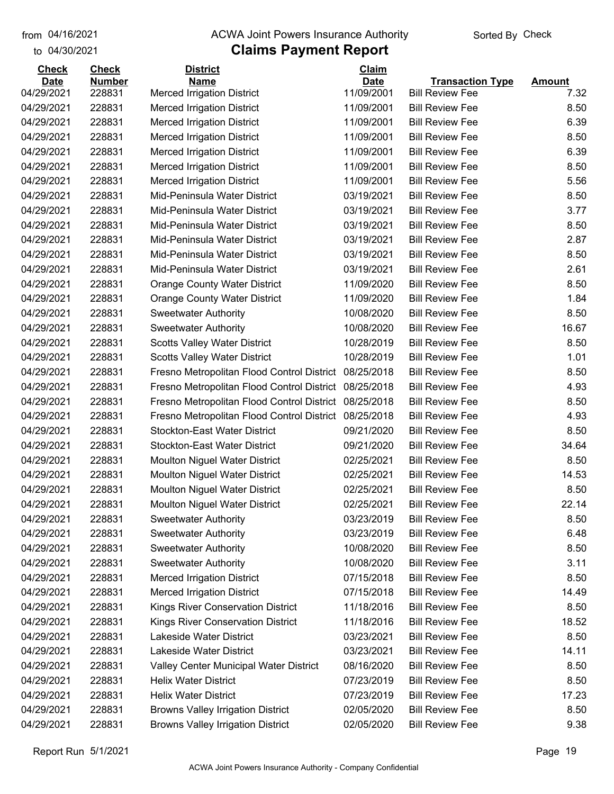## from 04/16/2021 **The COVA Solic Act Act Authority** Sorted By Check

#### to 04/30/2021

| <b>Number</b><br><b>Date</b><br><b>Name</b><br><b>Date</b><br><b>Transaction Type</b><br>04/29/2021<br>228831<br><b>Merced Irrigation District</b><br>11/09/2001<br><b>Bill Review Fee</b><br>228831<br>11/09/2001<br>04/29/2021<br><b>Merced Irrigation District</b><br><b>Bill Review Fee</b><br>04/29/2021<br>228831<br><b>Merced Irrigation District</b><br>11/09/2001<br><b>Bill Review Fee</b> | <b>Amount</b><br>7.32<br>8.50<br>6.39<br>8.50<br>6.39<br>8.50 |
|------------------------------------------------------------------------------------------------------------------------------------------------------------------------------------------------------------------------------------------------------------------------------------------------------------------------------------------------------------------------------------------------------|---------------------------------------------------------------|
|                                                                                                                                                                                                                                                                                                                                                                                                      |                                                               |
|                                                                                                                                                                                                                                                                                                                                                                                                      |                                                               |
|                                                                                                                                                                                                                                                                                                                                                                                                      |                                                               |
|                                                                                                                                                                                                                                                                                                                                                                                                      |                                                               |
| 228831<br>11/09/2001<br><b>Bill Review Fee</b><br>04/29/2021<br><b>Merced Irrigation District</b>                                                                                                                                                                                                                                                                                                    |                                                               |
| 228831<br>04/29/2021<br>11/09/2001<br><b>Bill Review Fee</b><br><b>Merced Irrigation District</b>                                                                                                                                                                                                                                                                                                    |                                                               |
| 04/29/2021<br>228831<br><b>Merced Irrigation District</b><br>11/09/2001<br><b>Bill Review Fee</b>                                                                                                                                                                                                                                                                                                    |                                                               |
| 228831<br><b>Bill Review Fee</b><br>04/29/2021<br><b>Merced Irrigation District</b><br>11/09/2001                                                                                                                                                                                                                                                                                                    | 5.56                                                          |
| 228831<br>04/29/2021<br>Mid-Peninsula Water District<br>03/19/2021<br><b>Bill Review Fee</b>                                                                                                                                                                                                                                                                                                         | 8.50                                                          |
| 03/19/2021<br>04/29/2021<br>228831<br>Mid-Peninsula Water District<br><b>Bill Review Fee</b>                                                                                                                                                                                                                                                                                                         | 3.77                                                          |
| 228831<br>03/19/2021<br>04/29/2021<br>Mid-Peninsula Water District<br><b>Bill Review Fee</b>                                                                                                                                                                                                                                                                                                         | 8.50                                                          |
| 228831<br>04/29/2021<br>Mid-Peninsula Water District<br>03/19/2021<br><b>Bill Review Fee</b>                                                                                                                                                                                                                                                                                                         | 2.87                                                          |
| 228831<br>03/19/2021<br><b>Bill Review Fee</b><br>04/29/2021<br>Mid-Peninsula Water District                                                                                                                                                                                                                                                                                                         | 8.50                                                          |
| 228831<br>Mid-Peninsula Water District<br>03/19/2021<br><b>Bill Review Fee</b><br>04/29/2021                                                                                                                                                                                                                                                                                                         | 2.61                                                          |
| 11/09/2020<br>04/29/2021<br>228831<br><b>Orange County Water District</b><br><b>Bill Review Fee</b>                                                                                                                                                                                                                                                                                                  | 8.50                                                          |
| 04/29/2021<br>228831<br><b>Orange County Water District</b><br>11/09/2020<br><b>Bill Review Fee</b>                                                                                                                                                                                                                                                                                                  | 1.84                                                          |
| 228831<br><b>Bill Review Fee</b><br>04/29/2021<br>10/08/2020<br><b>Sweetwater Authority</b>                                                                                                                                                                                                                                                                                                          | 8.50                                                          |
| 228831<br>04/29/2021<br>10/08/2020<br><b>Bill Review Fee</b><br><b>Sweetwater Authority</b>                                                                                                                                                                                                                                                                                                          | 16.67                                                         |
| 04/29/2021<br>228831<br>10/28/2019<br><b>Bill Review Fee</b><br><b>Scotts Valley Water District</b>                                                                                                                                                                                                                                                                                                  | 8.50                                                          |
| 04/29/2021<br>228831<br><b>Scotts Valley Water District</b><br>10/28/2019<br><b>Bill Review Fee</b>                                                                                                                                                                                                                                                                                                  | 1.01                                                          |
| 04/29/2021<br>228831<br>Fresno Metropolitan Flood Control District<br>08/25/2018<br><b>Bill Review Fee</b>                                                                                                                                                                                                                                                                                           | 8.50                                                          |
| 228831<br>04/29/2021<br>Fresno Metropolitan Flood Control District<br>08/25/2018<br><b>Bill Review Fee</b>                                                                                                                                                                                                                                                                                           | 4.93                                                          |
| 228831<br>08/25/2018<br>04/29/2021<br>Fresno Metropolitan Flood Control District<br><b>Bill Review Fee</b>                                                                                                                                                                                                                                                                                           | 8.50                                                          |
| 04/29/2021<br>228831<br>08/25/2018<br><b>Bill Review Fee</b><br>Fresno Metropolitan Flood Control District                                                                                                                                                                                                                                                                                           | 4.93                                                          |
| 04/29/2021<br>228831<br><b>Stockton-East Water District</b><br>09/21/2020<br><b>Bill Review Fee</b>                                                                                                                                                                                                                                                                                                  | 8.50                                                          |
| 228831<br>04/29/2021<br><b>Stockton-East Water District</b><br>09/21/2020<br><b>Bill Review Fee</b>                                                                                                                                                                                                                                                                                                  | 34.64                                                         |
| 228831<br>04/29/2021<br><b>Moulton Niguel Water District</b><br>02/25/2021<br><b>Bill Review Fee</b>                                                                                                                                                                                                                                                                                                 | 8.50                                                          |
| 04/29/2021<br>228831<br><b>Moulton Niguel Water District</b><br>02/25/2021<br><b>Bill Review Fee</b>                                                                                                                                                                                                                                                                                                 | 14.53                                                         |
| 04/29/2021<br>228831<br><b>Moulton Niguel Water District</b><br>02/25/2021<br><b>Bill Review Fee</b>                                                                                                                                                                                                                                                                                                 | 8.50                                                          |
| 04/29/2021<br>228831<br><b>Moulton Niguel Water District</b><br>02/25/2021<br><b>Bill Review Fee</b>                                                                                                                                                                                                                                                                                                 | 22.14                                                         |
| 04/29/2021<br>228831<br><b>Sweetwater Authority</b><br>03/23/2019<br><b>Bill Review Fee</b>                                                                                                                                                                                                                                                                                                          | 8.50                                                          |
| 04/29/2021<br>228831<br>03/23/2019<br><b>Bill Review Fee</b><br><b>Sweetwater Authority</b>                                                                                                                                                                                                                                                                                                          | 6.48                                                          |
| 04/29/2021<br>228831<br>10/08/2020<br><b>Bill Review Fee</b><br><b>Sweetwater Authority</b>                                                                                                                                                                                                                                                                                                          | 8.50                                                          |
| 04/29/2021<br>228831<br><b>Sweetwater Authority</b><br>10/08/2020<br><b>Bill Review Fee</b>                                                                                                                                                                                                                                                                                                          | 3.11                                                          |
| 04/29/2021<br>228831<br><b>Merced Irrigation District</b><br>07/15/2018<br><b>Bill Review Fee</b>                                                                                                                                                                                                                                                                                                    | 8.50                                                          |
| 04/29/2021<br>228831<br><b>Merced Irrigation District</b><br>07/15/2018<br><b>Bill Review Fee</b>                                                                                                                                                                                                                                                                                                    | 14.49                                                         |
| 04/29/2021<br>228831<br>Kings River Conservation District<br>11/18/2016<br><b>Bill Review Fee</b>                                                                                                                                                                                                                                                                                                    | 8.50                                                          |
| 04/29/2021<br>228831<br>Kings River Conservation District<br>11/18/2016<br><b>Bill Review Fee</b>                                                                                                                                                                                                                                                                                                    | 18.52                                                         |
| Lakeside Water District<br><b>Bill Review Fee</b><br>04/29/2021<br>228831<br>03/23/2021                                                                                                                                                                                                                                                                                                              | 8.50                                                          |
| 04/29/2021<br>228831<br>Lakeside Water District<br>03/23/2021<br><b>Bill Review Fee</b>                                                                                                                                                                                                                                                                                                              | 14.11                                                         |
| 04/29/2021<br>08/16/2020<br><b>Bill Review Fee</b><br>228831<br>Valley Center Municipal Water District                                                                                                                                                                                                                                                                                               | 8.50                                                          |
| 04/29/2021<br>228831<br><b>Helix Water District</b><br>07/23/2019<br><b>Bill Review Fee</b>                                                                                                                                                                                                                                                                                                          | 8.50                                                          |
| 04/29/2021<br>228831<br><b>Helix Water District</b><br><b>Bill Review Fee</b><br>07/23/2019                                                                                                                                                                                                                                                                                                          | 17.23                                                         |
| 04/29/2021<br>228831<br><b>Browns Valley Irrigation District</b><br>02/05/2020<br><b>Bill Review Fee</b>                                                                                                                                                                                                                                                                                             | 8.50                                                          |
| 04/29/2021<br>228831<br><b>Browns Valley Irrigation District</b><br>02/05/2020<br><b>Bill Review Fee</b>                                                                                                                                                                                                                                                                                             | 9.38                                                          |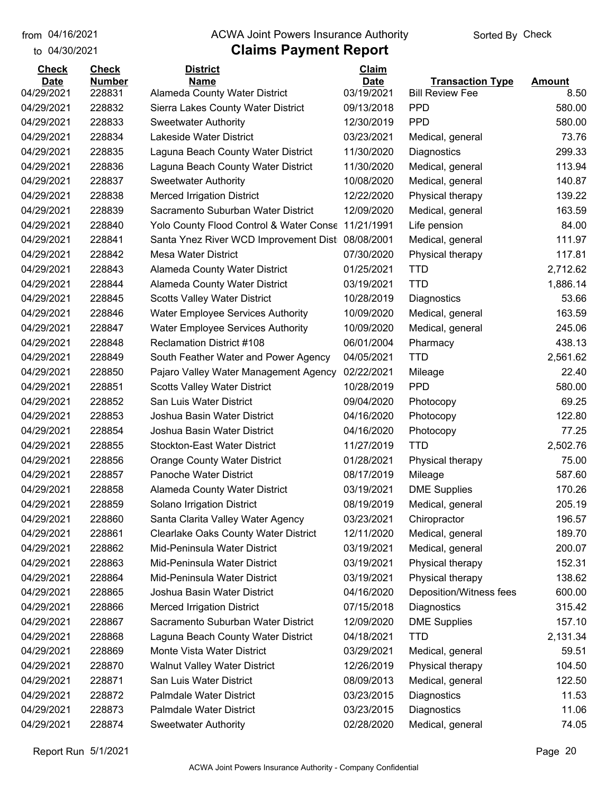to 04/30/2021

## from 04/16/2021 **The COVA Solic Act Act Authority** Sorted By Check

| <b>Check</b> | <b>Check</b>  | <b>District</b>                             | Claim       |                         |               |
|--------------|---------------|---------------------------------------------|-------------|-------------------------|---------------|
| <b>Date</b>  | <b>Number</b> | <b>Name</b>                                 | <b>Date</b> | <b>Transaction Type</b> | <b>Amount</b> |
| 04/29/2021   | 228831        | Alameda County Water District               | 03/19/2021  | <b>Bill Review Fee</b>  | 8.50          |
| 04/29/2021   | 228832        | Sierra Lakes County Water District          | 09/13/2018  | <b>PPD</b>              | 580.00        |
| 04/29/2021   | 228833        | <b>Sweetwater Authority</b>                 | 12/30/2019  | <b>PPD</b>              | 580.00        |
| 04/29/2021   | 228834        | Lakeside Water District                     | 03/23/2021  | Medical, general        | 73.76         |
| 04/29/2021   | 228835        | Laguna Beach County Water District          | 11/30/2020  | Diagnostics             | 299.33        |
| 04/29/2021   | 228836        | Laguna Beach County Water District          | 11/30/2020  | Medical, general        | 113.94        |
| 04/29/2021   | 228837        | <b>Sweetwater Authority</b>                 | 10/08/2020  | Medical, general        | 140.87        |
| 04/29/2021   | 228838        | <b>Merced Irrigation District</b>           | 12/22/2020  | Physical therapy        | 139.22        |
| 04/29/2021   | 228839        | Sacramento Suburban Water District          | 12/09/2020  | Medical, general        | 163.59        |
| 04/29/2021   | 228840        | Yolo County Flood Control & Water Conse     | 11/21/1991  | Life pension            | 84.00         |
| 04/29/2021   | 228841        | Santa Ynez River WCD Improvement Dist       | 08/08/2001  | Medical, general        | 111.97        |
| 04/29/2021   | 228842        | Mesa Water District                         | 07/30/2020  | Physical therapy        | 117.81        |
| 04/29/2021   | 228843        | Alameda County Water District               | 01/25/2021  | <b>TTD</b>              | 2,712.62      |
| 04/29/2021   | 228844        | Alameda County Water District               | 03/19/2021  | <b>TTD</b>              | 1,886.14      |
| 04/29/2021   | 228845        | <b>Scotts Valley Water District</b>         | 10/28/2019  | Diagnostics             | 53.66         |
| 04/29/2021   | 228846        | <b>Water Employee Services Authority</b>    | 10/09/2020  | Medical, general        | 163.59        |
| 04/29/2021   | 228847        | <b>Water Employee Services Authority</b>    | 10/09/2020  | Medical, general        | 245.06        |
| 04/29/2021   | 228848        | <b>Reclamation District #108</b>            | 06/01/2004  | Pharmacy                | 438.13        |
| 04/29/2021   | 228849        | South Feather Water and Power Agency        | 04/05/2021  | <b>TTD</b>              | 2,561.62      |
| 04/29/2021   | 228850        | Pajaro Valley Water Management Agency       | 02/22/2021  | Mileage                 | 22.40         |
| 04/29/2021   | 228851        | <b>Scotts Valley Water District</b>         | 10/28/2019  | <b>PPD</b>              | 580.00        |
| 04/29/2021   | 228852        | San Luis Water District                     | 09/04/2020  | Photocopy               | 69.25         |
| 04/29/2021   | 228853        | Joshua Basin Water District                 | 04/16/2020  | Photocopy               | 122.80        |
| 04/29/2021   | 228854        | Joshua Basin Water District                 | 04/16/2020  | Photocopy               | 77.25         |
| 04/29/2021   | 228855        | <b>Stockton-East Water District</b>         | 11/27/2019  | <b>TTD</b>              | 2,502.76      |
| 04/29/2021   | 228856        | <b>Orange County Water District</b>         | 01/28/2021  | Physical therapy        | 75.00         |
| 04/29/2021   | 228857        | Panoche Water District                      | 08/17/2019  | Mileage                 | 587.60        |
| 04/29/2021   | 228858        | Alameda County Water District               | 03/19/2021  | <b>DME Supplies</b>     | 170.26        |
| 04/29/2021   | 228859        | Solano Irrigation District                  | 08/19/2019  | Medical, general        | 205.19        |
| 04/29/2021   | 228860        | Santa Clarita Valley Water Agency           | 03/23/2021  | Chiropractor            | 196.57        |
| 04/29/2021   | 228861        | <b>Clearlake Oaks County Water District</b> | 12/11/2020  | Medical, general        | 189.70        |
| 04/29/2021   | 228862        | Mid-Peninsula Water District                | 03/19/2021  | Medical, general        | 200.07        |
| 04/29/2021   | 228863        | Mid-Peninsula Water District                | 03/19/2021  | Physical therapy        | 152.31        |
| 04/29/2021   | 228864        | Mid-Peninsula Water District                | 03/19/2021  | Physical therapy        | 138.62        |
| 04/29/2021   | 228865        | Joshua Basin Water District                 | 04/16/2020  | Deposition/Witness fees | 600.00        |
| 04/29/2021   | 228866        | <b>Merced Irrigation District</b>           | 07/15/2018  | Diagnostics             | 315.42        |
| 04/29/2021   | 228867        | Sacramento Suburban Water District          | 12/09/2020  | <b>DME Supplies</b>     | 157.10        |
| 04/29/2021   | 228868        | Laguna Beach County Water District          | 04/18/2021  | <b>TTD</b>              | 2,131.34      |
| 04/29/2021   | 228869        | Monte Vista Water District                  | 03/29/2021  | Medical, general        | 59.51         |
| 04/29/2021   | 228870        | <b>Walnut Valley Water District</b>         | 12/26/2019  | Physical therapy        | 104.50        |
| 04/29/2021   | 228871        | San Luis Water District                     | 08/09/2013  | Medical, general        | 122.50        |
| 04/29/2021   | 228872        | Palmdale Water District                     | 03/23/2015  | Diagnostics             | 11.53         |
| 04/29/2021   | 228873        | Palmdale Water District                     | 03/23/2015  | Diagnostics             | 11.06         |
| 04/29/2021   | 228874        | <b>Sweetwater Authority</b>                 | 02/28/2020  | Medical, general        | 74.05         |
|              |               |                                             |             |                         |               |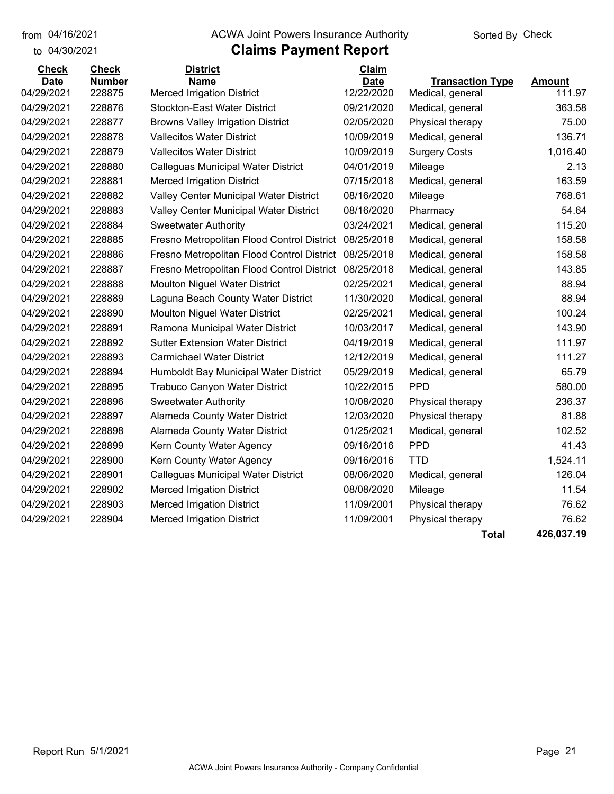to 04/30/2021

#### from 04/16/2021 **The COVA Solic Act Act Authority** Sorted By Check

## **Claims Payment Report**

| <b>Check</b>              | <b>Check</b>            | <b>District</b>                                  | Claim                     |                                             |                         |
|---------------------------|-------------------------|--------------------------------------------------|---------------------------|---------------------------------------------|-------------------------|
| <b>Date</b><br>04/29/2021 | <b>Number</b><br>228875 | <b>Name</b><br><b>Merced Irrigation District</b> | <b>Date</b><br>12/22/2020 | <b>Transaction Type</b><br>Medical, general | <b>Amount</b><br>111.97 |
| 04/29/2021                | 228876                  | <b>Stockton-East Water District</b>              | 09/21/2020                | Medical, general                            | 363.58                  |
| 04/29/2021                | 228877                  | <b>Browns Valley Irrigation District</b>         | 02/05/2020                | Physical therapy                            | 75.00                   |
| 04/29/2021                | 228878                  | <b>Vallecitos Water District</b>                 | 10/09/2019                | Medical, general                            | 136.71                  |
| 04/29/2021                | 228879                  | <b>Vallecitos Water District</b>                 | 10/09/2019                | <b>Surgery Costs</b>                        | 1,016.40                |
| 04/29/2021                | 228880                  | Calleguas Municipal Water District               | 04/01/2019                | Mileage                                     | 2.13                    |
| 04/29/2021                | 228881                  | <b>Merced Irrigation District</b>                | 07/15/2018                | Medical, general                            | 163.59                  |
| 04/29/2021                | 228882                  | Valley Center Municipal Water District           | 08/16/2020                | Mileage                                     | 768.61                  |
| 04/29/2021                | 228883                  | Valley Center Municipal Water District           | 08/16/2020                | Pharmacy                                    | 54.64                   |
| 04/29/2021                | 228884                  | <b>Sweetwater Authority</b>                      | 03/24/2021                | Medical, general                            | 115.20                  |
| 04/29/2021                | 228885                  | Fresno Metropolitan Flood Control District       | 08/25/2018                | Medical, general                            | 158.58                  |
| 04/29/2021                | 228886                  | Fresno Metropolitan Flood Control District       | 08/25/2018                | Medical, general                            | 158.58                  |
| 04/29/2021                | 228887                  | Fresno Metropolitan Flood Control District       | 08/25/2018                | Medical, general                            | 143.85                  |
| 04/29/2021                | 228888                  | <b>Moulton Niguel Water District</b>             | 02/25/2021                | Medical, general                            | 88.94                   |
| 04/29/2021                | 228889                  | Laguna Beach County Water District               | 11/30/2020                | Medical, general                            | 88.94                   |
| 04/29/2021                | 228890                  | <b>Moulton Niguel Water District</b>             | 02/25/2021                | Medical, general                            | 100.24                  |
| 04/29/2021                | 228891                  | Ramona Municipal Water District                  | 10/03/2017                | Medical, general                            | 143.90                  |
| 04/29/2021                | 228892                  | <b>Sutter Extension Water District</b>           | 04/19/2019                | Medical, general                            | 111.97                  |
| 04/29/2021                | 228893                  | <b>Carmichael Water District</b>                 | 12/12/2019                | Medical, general                            | 111.27                  |
| 04/29/2021                | 228894                  | Humboldt Bay Municipal Water District            | 05/29/2019                | Medical, general                            | 65.79                   |
| 04/29/2021                | 228895                  | <b>Trabuco Canyon Water District</b>             | 10/22/2015                | <b>PPD</b>                                  | 580.00                  |
| 04/29/2021                | 228896                  | <b>Sweetwater Authority</b>                      | 10/08/2020                | Physical therapy                            | 236.37                  |
| 04/29/2021                | 228897                  | Alameda County Water District                    | 12/03/2020                | Physical therapy                            | 81.88                   |
| 04/29/2021                | 228898                  | Alameda County Water District                    | 01/25/2021                | Medical, general                            | 102.52                  |
| 04/29/2021                | 228899                  | Kern County Water Agency                         | 09/16/2016                | <b>PPD</b>                                  | 41.43                   |
| 04/29/2021                | 228900                  | Kern County Water Agency                         | 09/16/2016                | TTD                                         | 1,524.11                |
| 04/29/2021                | 228901                  | <b>Calleguas Municipal Water District</b>        | 08/06/2020                | Medical, general                            | 126.04                  |
| 04/29/2021                | 228902                  | <b>Merced Irrigation District</b>                | 08/08/2020                | Mileage                                     | 11.54                   |
| 04/29/2021                | 228903                  | <b>Merced Irrigation District</b>                | 11/09/2001                | Physical therapy                            | 76.62                   |
| 04/29/2021                | 228904                  | <b>Merced Irrigation District</b>                | 11/09/2001                | Physical therapy                            | 76.62                   |
|                           |                         |                                                  |                           |                                             |                         |

**Total 426,037.19**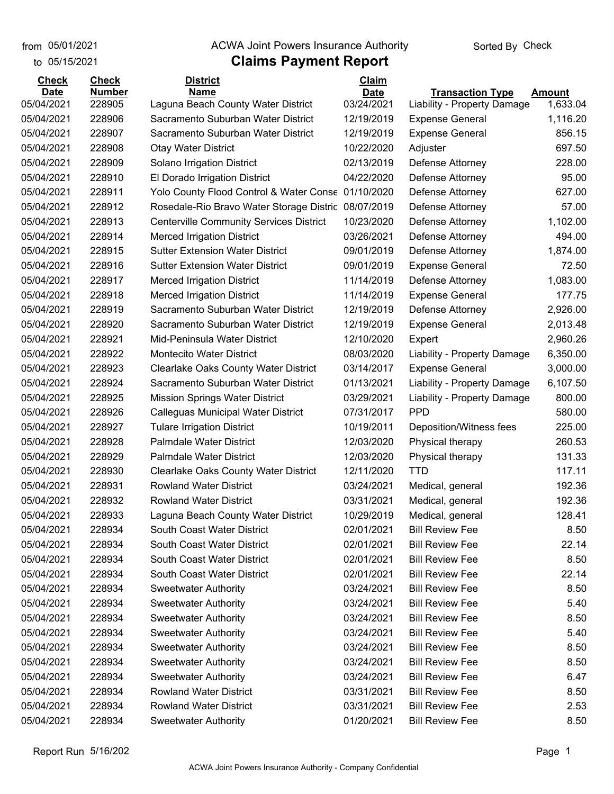## **Claims Payment Report** from 05/01/2021 **The COVA Solic Act Act Authority** Sorted By Check

| 05/15/2021<br>to            |                               | <b>Claims Payment Report</b>                        |                             |                             |               |
|-----------------------------|-------------------------------|-----------------------------------------------------|-----------------------------|-----------------------------|---------------|
| <b>Check</b><br><b>Date</b> | <b>Check</b><br><b>Number</b> | <b>District</b><br><b>Name</b>                      | <b>Claim</b><br><b>Date</b> | <b>Transaction Type</b>     | <b>Amount</b> |
| 05/04/2021                  | 228905                        | Laguna Beach County Water District                  | 03/24/2021                  | Liability - Property Damage | 1,633.04      |
| 05/04/2021                  | 228906                        | Sacramento Suburban Water District                  | 12/19/2019                  | <b>Expense General</b>      | 1,116.20      |
| 05/04/2021                  | 228907                        | Sacramento Suburban Water District                  | 12/19/2019                  | <b>Expense General</b>      | 856.15        |
| 05/04/2021                  | 228908                        | <b>Otay Water District</b>                          | 10/22/2020                  | Adjuster                    | 697.50        |
| 05/04/2021                  | 228909                        | Solano Irrigation District                          | 02/13/2019                  | Defense Attorney            | 228.00        |
| 05/04/2021                  | 228910                        | El Dorado Irrigation District                       | 04/22/2020                  | Defense Attorney            | 95.00         |
| 05/04/2021                  | 228911                        | Yolo County Flood Control & Water Conse             | 01/10/2020                  | Defense Attorney            | 627.00        |
| 05/04/2021                  | 228912                        | Rosedale-Rio Bravo Water Storage Distric 08/07/2019 |                             | Defense Attorney            | 57.00         |
| 05/04/2021                  | 228913                        | <b>Centerville Community Services District</b>      | 10/23/2020                  | Defense Attorney            | 1,102.00      |
| 05/04/2021                  | 228914                        | <b>Merced Irrigation District</b>                   | 03/26/2021                  | Defense Attorney            | 494.00        |
| 05/04/2021                  | 228915                        | <b>Sutter Extension Water District</b>              | 09/01/2019                  | Defense Attorney            | 1,874.00      |
| 05/04/2021                  | 228916                        | <b>Sutter Extension Water District</b>              | 09/01/2019                  | <b>Expense General</b>      | 72.50         |
| 05/04/2021                  | 228917                        | <b>Merced Irrigation District</b>                   | 11/14/2019                  | Defense Attorney            | 1,083.00      |
| 05/04/2021                  | 228918                        | <b>Merced Irrigation District</b>                   | 11/14/2019                  | <b>Expense General</b>      | 177.75        |
| 05/04/2021                  | 228919                        | Sacramento Suburban Water District                  | 12/19/2019                  | Defense Attorney            | 2,926.00      |
| 05/04/2021                  | 228920                        | Sacramento Suburban Water District                  | 12/19/2019                  | <b>Expense General</b>      | 2,013.48      |
| 05/04/2021                  | 228921                        | Mid-Peninsula Water District                        | 12/10/2020                  | Expert                      | 2,960.26      |
| 05/04/2021                  | 228922                        | <b>Montecito Water District</b>                     | 08/03/2020                  | Liability - Property Damage | 6,350.00      |
| 05/04/2021                  | 228923                        | <b>Clearlake Oaks County Water District</b>         | 03/14/2017                  | <b>Expense General</b>      | 3,000.00      |
| 05/04/2021                  | 228924                        | Sacramento Suburban Water District                  | 01/13/2021                  | Liability - Property Damage | 6,107.50      |
| 05/04/2021                  | 228925                        | <b>Mission Springs Water District</b>               | 03/29/2021                  | Liability - Property Damage | 800.00        |
| 05/04/2021                  | 228926                        | Calleguas Municipal Water District                  | 07/31/2017                  | <b>PPD</b>                  | 580.00        |
| 05/04/2021                  | 228927                        | <b>Tulare Irrigation District</b>                   | 10/19/2011                  | Deposition/Witness fees     | 225.00        |
| 05/04/2021                  | 228928                        | Palmdale Water District                             | 12/03/2020                  | Physical therapy            | 260.53        |
| 05/04/2021                  | 228929                        | <b>Palmdale Water District</b>                      | 12/03/2020                  | Physical therapy            | 131.33        |
| 05/04/2021                  | 228930                        | <b>Clearlake Oaks County Water District</b>         | 12/11/2020                  | <b>TTD</b>                  | 117.11        |
| 05/04/2021                  | 228931                        | <b>Rowland Water District</b>                       | 03/24/2021                  | Medical, general            | 192.36        |
| 05/04/2021                  | 228932                        | <b>Rowland Water District</b>                       | 03/31/2021                  | Medical, general            | 192.36        |
| 05/04/2021                  | 228933                        | Laguna Beach County Water District                  | 10/29/2019                  | Medical, general            | 128.41        |
| 05/04/2021                  | 228934                        | South Coast Water District                          | 02/01/2021                  | <b>Bill Review Fee</b>      | 8.50          |
| 05/04/2021                  | 228934                        | South Coast Water District                          | 02/01/2021                  | <b>Bill Review Fee</b>      | 22.14         |
| 05/04/2021                  | 228934                        | South Coast Water District                          | 02/01/2021                  | <b>Bill Review Fee</b>      | 8.50          |
| 05/04/2021                  | 228934                        | South Coast Water District                          | 02/01/2021                  | <b>Bill Review Fee</b>      | 22.14         |
| 05/04/2021                  | 228934                        | <b>Sweetwater Authority</b>                         | 03/24/2021                  | <b>Bill Review Fee</b>      | 8.50          |
| 05/04/2021                  | 228934                        | <b>Sweetwater Authority</b>                         | 03/24/2021                  | <b>Bill Review Fee</b>      | 5.40          |
| 05/04/2021                  | 228934                        | <b>Sweetwater Authority</b>                         | 03/24/2021                  | <b>Bill Review Fee</b>      | 8.50          |
| 05/04/2021                  | 228934                        | <b>Sweetwater Authority</b>                         | 03/24/2021                  | <b>Bill Review Fee</b>      | 5.40          |
| 05/04/2021                  | 228934                        | <b>Sweetwater Authority</b>                         | 03/24/2021                  | <b>Bill Review Fee</b>      | 8.50          |
| 05/04/2021                  | 228934                        | <b>Sweetwater Authority</b>                         | 03/24/2021                  | <b>Bill Review Fee</b>      | 8.50          |
| 05/04/2021                  | 228934                        | <b>Sweetwater Authority</b>                         | 03/24/2021                  | <b>Bill Review Fee</b>      | 6.47          |
| 05/04/2021                  | 228934                        | <b>Rowland Water District</b>                       | 03/31/2021                  | <b>Bill Review Fee</b>      | 8.50          |
| 05/04/2021                  | 228934                        | <b>Rowland Water District</b>                       | 03/31/2021                  | <b>Bill Review Fee</b>      | 2.53          |
| 05/04/2021                  | 228934                        | <b>Sweetwater Authority</b>                         | 01/20/2021                  | <b>Bill Review Fee</b>      | 8.50          |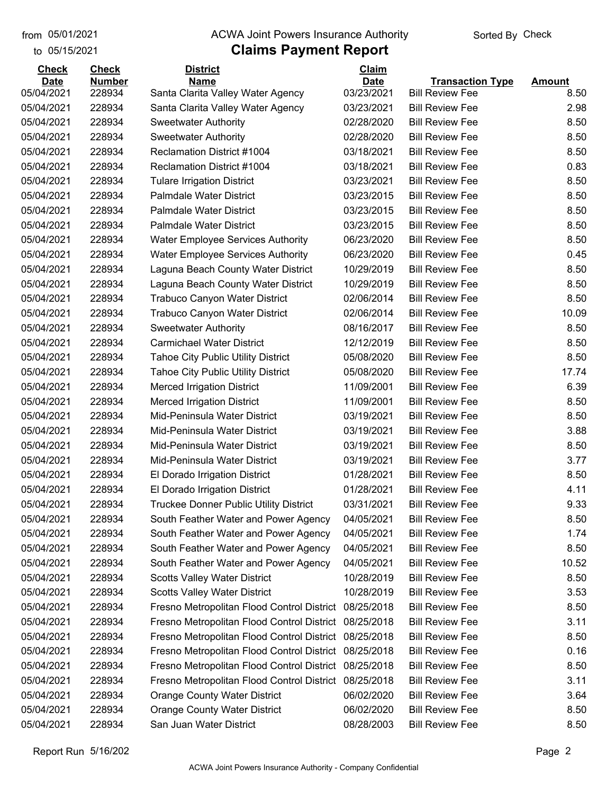to 05/15/2021

## from 05/01/2021 **The COVA Solic Act Act Authority** Sorted By Check

| <b>Check</b> | <b>Check</b>  | <b>District</b>                               | Claim       |                         |               |
|--------------|---------------|-----------------------------------------------|-------------|-------------------------|---------------|
| <b>Date</b>  | <b>Number</b> | <b>Name</b>                                   | <b>Date</b> | <b>Transaction Type</b> | <b>Amount</b> |
| 05/04/2021   | 228934        | Santa Clarita Valley Water Agency             | 03/23/2021  | <b>Bill Review Fee</b>  | 8.50          |
| 05/04/2021   | 228934        | Santa Clarita Valley Water Agency             | 03/23/2021  | <b>Bill Review Fee</b>  | 2.98          |
| 05/04/2021   | 228934        | <b>Sweetwater Authority</b>                   | 02/28/2020  | <b>Bill Review Fee</b>  | 8.50          |
| 05/04/2021   | 228934        | <b>Sweetwater Authority</b>                   | 02/28/2020  | <b>Bill Review Fee</b>  | 8.50          |
| 05/04/2021   | 228934        | <b>Reclamation District #1004</b>             | 03/18/2021  | <b>Bill Review Fee</b>  | 8.50          |
| 05/04/2021   | 228934        | <b>Reclamation District #1004</b>             | 03/18/2021  | <b>Bill Review Fee</b>  | 0.83          |
| 05/04/2021   | 228934        | <b>Tulare Irrigation District</b>             | 03/23/2021  | <b>Bill Review Fee</b>  | 8.50          |
| 05/04/2021   | 228934        | Palmdale Water District                       | 03/23/2015  | <b>Bill Review Fee</b>  | 8.50          |
| 05/04/2021   | 228934        | <b>Palmdale Water District</b>                | 03/23/2015  | <b>Bill Review Fee</b>  | 8.50          |
| 05/04/2021   | 228934        | <b>Palmdale Water District</b>                | 03/23/2015  | <b>Bill Review Fee</b>  | 8.50          |
| 05/04/2021   | 228934        | <b>Water Employee Services Authority</b>      | 06/23/2020  | <b>Bill Review Fee</b>  | 8.50          |
| 05/04/2021   | 228934        | <b>Water Employee Services Authority</b>      | 06/23/2020  | <b>Bill Review Fee</b>  | 0.45          |
| 05/04/2021   | 228934        | Laguna Beach County Water District            | 10/29/2019  | <b>Bill Review Fee</b>  | 8.50          |
| 05/04/2021   | 228934        | Laguna Beach County Water District            | 10/29/2019  | <b>Bill Review Fee</b>  | 8.50          |
| 05/04/2021   | 228934        | <b>Trabuco Canyon Water District</b>          | 02/06/2014  | <b>Bill Review Fee</b>  | 8.50          |
| 05/04/2021   | 228934        | <b>Trabuco Canyon Water District</b>          | 02/06/2014  | <b>Bill Review Fee</b>  | 10.09         |
| 05/04/2021   | 228934        | <b>Sweetwater Authority</b>                   | 08/16/2017  | <b>Bill Review Fee</b>  | 8.50          |
| 05/04/2021   | 228934        | <b>Carmichael Water District</b>              | 12/12/2019  | <b>Bill Review Fee</b>  | 8.50          |
| 05/04/2021   | 228934        | Tahoe City Public Utility District            | 05/08/2020  | <b>Bill Review Fee</b>  | 8.50          |
| 05/04/2021   | 228934        | Tahoe City Public Utility District            | 05/08/2020  | <b>Bill Review Fee</b>  | 17.74         |
| 05/04/2021   | 228934        | <b>Merced Irrigation District</b>             | 11/09/2001  | <b>Bill Review Fee</b>  | 6.39          |
| 05/04/2021   | 228934        | <b>Merced Irrigation District</b>             | 11/09/2001  | <b>Bill Review Fee</b>  | 8.50          |
| 05/04/2021   | 228934        | Mid-Peninsula Water District                  | 03/19/2021  | <b>Bill Review Fee</b>  | 8.50          |
| 05/04/2021   | 228934        | Mid-Peninsula Water District                  | 03/19/2021  | <b>Bill Review Fee</b>  | 3.88          |
| 05/04/2021   | 228934        | Mid-Peninsula Water District                  | 03/19/2021  | <b>Bill Review Fee</b>  | 8.50          |
| 05/04/2021   | 228934        | Mid-Peninsula Water District                  | 03/19/2021  | <b>Bill Review Fee</b>  | 3.77          |
| 05/04/2021   | 228934        | El Dorado Irrigation District                 | 01/28/2021  | <b>Bill Review Fee</b>  | 8.50          |
| 05/04/2021   | 228934        | El Dorado Irrigation District                 | 01/28/2021  | <b>Bill Review Fee</b>  | 4.11          |
| 05/04/2021   | 228934        | <b>Truckee Donner Public Utility District</b> | 03/31/2021  | <b>Bill Review Fee</b>  | 9.33          |
| 05/04/2021   | 228934        | South Feather Water and Power Agency          | 04/05/2021  | <b>Bill Review Fee</b>  | 8.50          |
| 05/04/2021   | 228934        | South Feather Water and Power Agency          | 04/05/2021  | <b>Bill Review Fee</b>  | 1.74          |
| 05/04/2021   | 228934        | South Feather Water and Power Agency          | 04/05/2021  | <b>Bill Review Fee</b>  | 8.50          |
| 05/04/2021   | 228934        | South Feather Water and Power Agency          | 04/05/2021  | <b>Bill Review Fee</b>  | 10.52         |
| 05/04/2021   | 228934        | <b>Scotts Valley Water District</b>           | 10/28/2019  | <b>Bill Review Fee</b>  | 8.50          |
| 05/04/2021   | 228934        | <b>Scotts Valley Water District</b>           | 10/28/2019  | <b>Bill Review Fee</b>  | 3.53          |
| 05/04/2021   | 228934        | Fresno Metropolitan Flood Control District    | 08/25/2018  | <b>Bill Review Fee</b>  | 8.50          |
| 05/04/2021   | 228934        | Fresno Metropolitan Flood Control District    | 08/25/2018  | <b>Bill Review Fee</b>  | 3.11          |
| 05/04/2021   | 228934        | Fresno Metropolitan Flood Control District    | 08/25/2018  | <b>Bill Review Fee</b>  | 8.50          |
| 05/04/2021   | 228934        | Fresno Metropolitan Flood Control District    | 08/25/2018  | <b>Bill Review Fee</b>  | 0.16          |
| 05/04/2021   | 228934        | Fresno Metropolitan Flood Control District    | 08/25/2018  | <b>Bill Review Fee</b>  | 8.50          |
| 05/04/2021   | 228934        | Fresno Metropolitan Flood Control District    | 08/25/2018  | <b>Bill Review Fee</b>  | 3.11          |
| 05/04/2021   | 228934        | <b>Orange County Water District</b>           | 06/02/2020  | <b>Bill Review Fee</b>  | 3.64          |
| 05/04/2021   | 228934        | <b>Orange County Water District</b>           | 06/02/2020  | <b>Bill Review Fee</b>  | 8.50          |
| 05/04/2021   | 228934        | San Juan Water District                       | 08/28/2003  | <b>Bill Review Fee</b>  | 8.50          |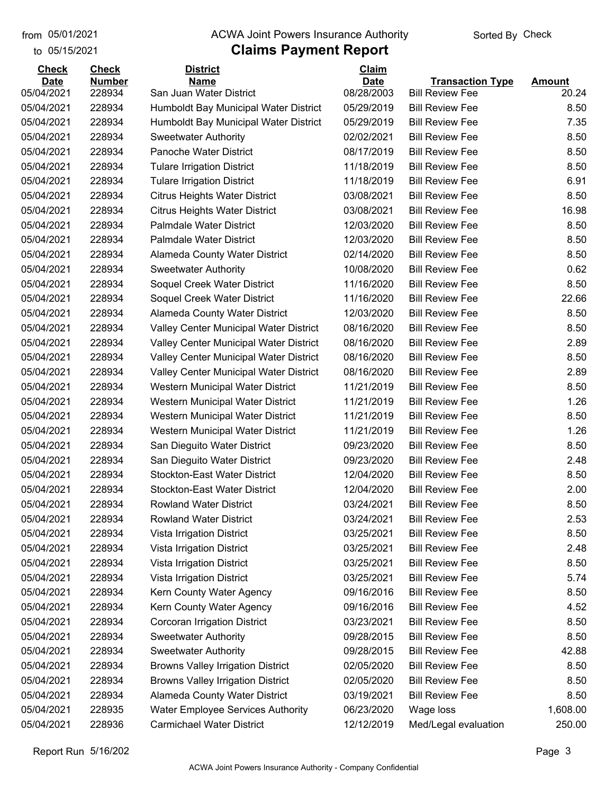to 05/15/2021

## from 05/01/2021 **The COVA Solic Act Act Authority** Sorted By Check

| <b>Check</b>              | <b>Check</b>     | <b>District</b>                                              | Claim                     |                                                   |                        |
|---------------------------|------------------|--------------------------------------------------------------|---------------------------|---------------------------------------------------|------------------------|
| <b>Date</b><br>05/04/2021 | <b>Number</b>    | <b>Name</b><br>San Juan Water District                       | <b>Date</b><br>08/28/2003 | <b>Transaction Type</b><br><b>Bill Review Fee</b> | <b>Amount</b><br>20.24 |
|                           | 228934<br>228934 | Humboldt Bay Municipal Water District                        | 05/29/2019                | <b>Bill Review Fee</b>                            | 8.50                   |
| 05/04/2021<br>05/04/2021  | 228934           |                                                              | 05/29/2019                | <b>Bill Review Fee</b>                            | 7.35                   |
| 05/04/2021                | 228934           | Humboldt Bay Municipal Water District                        | 02/02/2021                | <b>Bill Review Fee</b>                            | 8.50                   |
| 05/04/2021                | 228934           | <b>Sweetwater Authority</b><br><b>Panoche Water District</b> | 08/17/2019                | <b>Bill Review Fee</b>                            | 8.50                   |
|                           | 228934           |                                                              | 11/18/2019                | <b>Bill Review Fee</b>                            | 8.50                   |
| 05/04/2021<br>05/04/2021  | 228934           | <b>Tulare Irrigation District</b>                            | 11/18/2019                | <b>Bill Review Fee</b>                            | 6.91                   |
| 05/04/2021                |                  | <b>Tulare Irrigation District</b>                            |                           |                                                   |                        |
|                           | 228934           | <b>Citrus Heights Water District</b>                         | 03/08/2021                | <b>Bill Review Fee</b>                            | 8.50                   |
| 05/04/2021                | 228934           | <b>Citrus Heights Water District</b>                         | 03/08/2021                | <b>Bill Review Fee</b>                            | 16.98                  |
| 05/04/2021                | 228934           | Palmdale Water District                                      | 12/03/2020                | <b>Bill Review Fee</b>                            | 8.50                   |
| 05/04/2021                | 228934           | <b>Palmdale Water District</b>                               | 12/03/2020                | <b>Bill Review Fee</b>                            | 8.50                   |
| 05/04/2021                | 228934           | <b>Alameda County Water District</b>                         | 02/14/2020                | <b>Bill Review Fee</b>                            | 8.50                   |
| 05/04/2021                | 228934           | <b>Sweetwater Authority</b>                                  | 10/08/2020                | <b>Bill Review Fee</b>                            | 0.62                   |
| 05/04/2021                | 228934           | Soquel Creek Water District                                  | 11/16/2020                | <b>Bill Review Fee</b>                            | 8.50                   |
| 05/04/2021                | 228934           | Soquel Creek Water District                                  | 11/16/2020                | <b>Bill Review Fee</b>                            | 22.66                  |
| 05/04/2021                | 228934           | Alameda County Water District                                | 12/03/2020                | <b>Bill Review Fee</b>                            | 8.50                   |
| 05/04/2021                | 228934           | Valley Center Municipal Water District                       | 08/16/2020                | <b>Bill Review Fee</b>                            | 8.50                   |
| 05/04/2021                | 228934           | Valley Center Municipal Water District                       | 08/16/2020                | <b>Bill Review Fee</b>                            | 2.89                   |
| 05/04/2021                | 228934           | Valley Center Municipal Water District                       | 08/16/2020                | <b>Bill Review Fee</b>                            | 8.50                   |
| 05/04/2021                | 228934           | Valley Center Municipal Water District                       | 08/16/2020                | <b>Bill Review Fee</b>                            | 2.89                   |
| 05/04/2021                | 228934           | Western Municipal Water District                             | 11/21/2019                | <b>Bill Review Fee</b>                            | 8.50                   |
| 05/04/2021                | 228934           | Western Municipal Water District                             | 11/21/2019                | <b>Bill Review Fee</b>                            | 1.26                   |
| 05/04/2021                | 228934           | Western Municipal Water District                             | 11/21/2019                | <b>Bill Review Fee</b>                            | 8.50                   |
| 05/04/2021                | 228934           | Western Municipal Water District                             | 11/21/2019                | <b>Bill Review Fee</b>                            | 1.26                   |
| 05/04/2021                | 228934           | San Dieguito Water District                                  | 09/23/2020                | <b>Bill Review Fee</b>                            | 8.50                   |
| 05/04/2021                | 228934           | San Dieguito Water District                                  | 09/23/2020                | <b>Bill Review Fee</b>                            | 2.48                   |
| 05/04/2021                | 228934           | <b>Stockton-East Water District</b>                          | 12/04/2020                | <b>Bill Review Fee</b>                            | 8.50                   |
| 05/04/2021                | 228934           | <b>Stockton-East Water District</b>                          | 12/04/2020                | <b>Bill Review Fee</b>                            | 2.00                   |
| 05/04/2021                | 228934           | <b>Rowland Water District</b>                                | 03/24/2021                | <b>Bill Review Fee</b>                            | 8.50                   |
| 05/04/2021                | 228934           | <b>Rowland Water District</b>                                | 03/24/2021                | <b>Bill Review Fee</b>                            | 2.53                   |
| 05/04/2021                | 228934           | Vista Irrigation District                                    | 03/25/2021                | <b>Bill Review Fee</b>                            | 8.50                   |
| 05/04/2021                | 228934           | Vista Irrigation District                                    | 03/25/2021                | <b>Bill Review Fee</b>                            | 2.48                   |
| 05/04/2021                | 228934           | Vista Irrigation District                                    | 03/25/2021                | <b>Bill Review Fee</b>                            | 8.50                   |
| 05/04/2021                | 228934           | Vista Irrigation District                                    | 03/25/2021                | <b>Bill Review Fee</b>                            | 5.74                   |
| 05/04/2021                | 228934           | Kern County Water Agency                                     | 09/16/2016                | <b>Bill Review Fee</b>                            | 8.50                   |
| 05/04/2021                | 228934           | Kern County Water Agency                                     | 09/16/2016                | <b>Bill Review Fee</b>                            | 4.52                   |
| 05/04/2021                | 228934           | Corcoran Irrigation District                                 | 03/23/2021                | <b>Bill Review Fee</b>                            | 8.50                   |
| 05/04/2021                | 228934           | <b>Sweetwater Authority</b>                                  | 09/28/2015                | <b>Bill Review Fee</b>                            | 8.50                   |
| 05/04/2021                | 228934           | <b>Sweetwater Authority</b>                                  | 09/28/2015                | <b>Bill Review Fee</b>                            | 42.88                  |
| 05/04/2021                | 228934           | <b>Browns Valley Irrigation District</b>                     | 02/05/2020                | <b>Bill Review Fee</b>                            | 8.50                   |
| 05/04/2021                | 228934           | <b>Browns Valley Irrigation District</b>                     | 02/05/2020                | <b>Bill Review Fee</b>                            | 8.50                   |
| 05/04/2021                | 228934           | Alameda County Water District                                | 03/19/2021                | <b>Bill Review Fee</b>                            | 8.50                   |
| 05/04/2021                | 228935           | <b>Water Employee Services Authority</b>                     | 06/23/2020                | Wage loss                                         | 1,608.00               |
| 05/04/2021                | 228936           | <b>Carmichael Water District</b>                             | 12/12/2019                | Med/Legal evaluation                              | 250.00                 |
|                           |                  |                                                              |                           |                                                   |                        |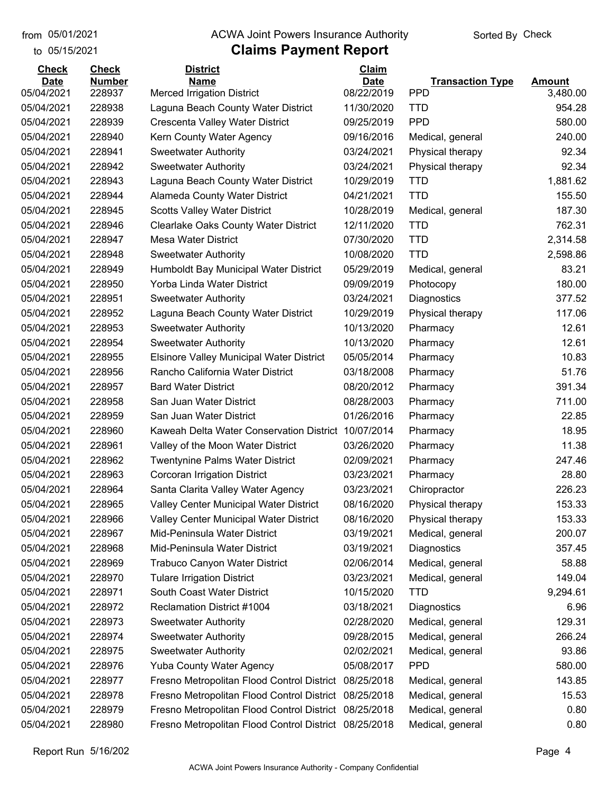to 05/15/2021

#### from 05/01/2021 **The COVA Solic Act Act Authority** Sorted By Check

## **Claims Payment Report**

| <b>Check</b> | <b>Check</b>     | <b>District</b>                                       | Claim                    |                          |                    |
|--------------|------------------|-------------------------------------------------------|--------------------------|--------------------------|--------------------|
| <b>Date</b>  | <b>Number</b>    | <b>Name</b>                                           | <b>Date</b>              | <b>Transaction Type</b>  | <b>Amount</b>      |
| 05/04/2021   | 228937<br>228938 | <b>Merced Irrigation District</b>                     | 08/22/2019<br>11/30/2020 | <b>PPD</b><br><b>TTD</b> | 3,480.00<br>954.28 |
| 05/04/2021   |                  | Laguna Beach County Water District                    |                          | <b>PPD</b>               |                    |
| 05/04/2021   | 228939           | Crescenta Valley Water District                       | 09/25/2019               |                          | 580.00             |
| 05/04/2021   | 228940           | Kern County Water Agency                              | 09/16/2016               | Medical, general         | 240.00             |
| 05/04/2021   | 228941           | <b>Sweetwater Authority</b>                           | 03/24/2021               | Physical therapy         | 92.34              |
| 05/04/2021   | 228942           | <b>Sweetwater Authority</b>                           | 03/24/2021               | Physical therapy         | 92.34              |
| 05/04/2021   | 228943           | Laguna Beach County Water District                    | 10/29/2019               | <b>TTD</b>               | 1,881.62           |
| 05/04/2021   | 228944           | Alameda County Water District                         | 04/21/2021               | <b>TTD</b>               | 155.50             |
| 05/04/2021   | 228945           | <b>Scotts Valley Water District</b>                   | 10/28/2019               | Medical, general         | 187.30             |
| 05/04/2021   | 228946           | <b>Clearlake Oaks County Water District</b>           | 12/11/2020               | <b>TTD</b>               | 762.31             |
| 05/04/2021   | 228947           | <b>Mesa Water District</b>                            | 07/30/2020               | <b>TTD</b>               | 2,314.58           |
| 05/04/2021   | 228948           | <b>Sweetwater Authority</b>                           | 10/08/2020               | <b>TTD</b>               | 2,598.86           |
| 05/04/2021   | 228949           | Humboldt Bay Municipal Water District                 | 05/29/2019               | Medical, general         | 83.21              |
| 05/04/2021   | 228950           | Yorba Linda Water District                            | 09/09/2019               | Photocopy                | 180.00             |
| 05/04/2021   | 228951           | <b>Sweetwater Authority</b>                           | 03/24/2021               | Diagnostics              | 377.52             |
| 05/04/2021   | 228952           | Laguna Beach County Water District                    | 10/29/2019               | Physical therapy         | 117.06             |
| 05/04/2021   | 228953           | <b>Sweetwater Authority</b>                           | 10/13/2020               | Pharmacy                 | 12.61              |
| 05/04/2021   | 228954           | <b>Sweetwater Authority</b>                           | 10/13/2020               | Pharmacy                 | 12.61              |
| 05/04/2021   | 228955           | <b>Elsinore Valley Municipal Water District</b>       | 05/05/2014               | Pharmacy                 | 10.83              |
| 05/04/2021   | 228956           | Rancho California Water District                      | 03/18/2008               | Pharmacy                 | 51.76              |
| 05/04/2021   | 228957           | <b>Bard Water District</b>                            | 08/20/2012               | Pharmacy                 | 391.34             |
| 05/04/2021   | 228958           | San Juan Water District                               | 08/28/2003               | Pharmacy                 | 711.00             |
| 05/04/2021   | 228959           | San Juan Water District                               | 01/26/2016               | Pharmacy                 | 22.85              |
| 05/04/2021   | 228960           | Kaweah Delta Water Conservation District              | 10/07/2014               | Pharmacy                 | 18.95              |
| 05/04/2021   | 228961           | Valley of the Moon Water District                     | 03/26/2020               | Pharmacy                 | 11.38              |
| 05/04/2021   | 228962           | <b>Twentynine Palms Water District</b>                | 02/09/2021               | Pharmacy                 | 247.46             |
| 05/04/2021   | 228963           | Corcoran Irrigation District                          | 03/23/2021               | Pharmacy                 | 28.80              |
| 05/04/2021   | 228964           | Santa Clarita Valley Water Agency                     | 03/23/2021               | Chiropractor             | 226.23             |
| 05/04/2021   | 228965           | Valley Center Municipal Water District                | 08/16/2020               | Physical therapy         | 153.33             |
| 05/04/2021   | 228966           | Valley Center Municipal Water District                | 08/16/2020               | Physical therapy         | 153.33             |
| 05/04/2021   | 228967           | Mid-Peninsula Water District                          | 03/19/2021               | Medical, general         | 200.07             |
| 05/04/2021   | 228968           | Mid-Peninsula Water District                          | 03/19/2021               | Diagnostics              | 357.45             |
| 05/04/2021   | 228969           | Trabuco Canyon Water District                         | 02/06/2014               | Medical, general         | 58.88              |
| 05/04/2021   | 228970           | <b>Tulare Irrigation District</b>                     | 03/23/2021               | Medical, general         | 149.04             |
| 05/04/2021   | 228971           | South Coast Water District                            | 10/15/2020               | <b>TTD</b>               | 9,294.61           |
| 05/04/2021   | 228972           | Reclamation District #1004                            | 03/18/2021               | Diagnostics              | 6.96               |
| 05/04/2021   | 228973           | <b>Sweetwater Authority</b>                           | 02/28/2020               | Medical, general         | 129.31             |
| 05/04/2021   | 228974           | <b>Sweetwater Authority</b>                           | 09/28/2015               | Medical, general         | 266.24             |
| 05/04/2021   | 228975           | <b>Sweetwater Authority</b>                           | 02/02/2021               | Medical, general         | 93.86              |
| 05/04/2021   | 228976           | <b>Yuba County Water Agency</b>                       | 05/08/2017               | <b>PPD</b>               | 580.00             |
| 05/04/2021   | 228977           | Fresno Metropolitan Flood Control District            | 08/25/2018               | Medical, general         | 143.85             |
| 05/04/2021   | 228978           | Fresno Metropolitan Flood Control District            | 08/25/2018               | Medical, general         | 15.53              |
| 05/04/2021   | 228979           | Fresno Metropolitan Flood Control District            | 08/25/2018               | Medical, general         | 0.80               |
| 05/04/2021   | 228980           | Fresno Metropolitan Flood Control District 08/25/2018 |                          | Medical, general         | 0.80               |
|              |                  |                                                       |                          |                          |                    |

Report Run 5/16/202 Page 4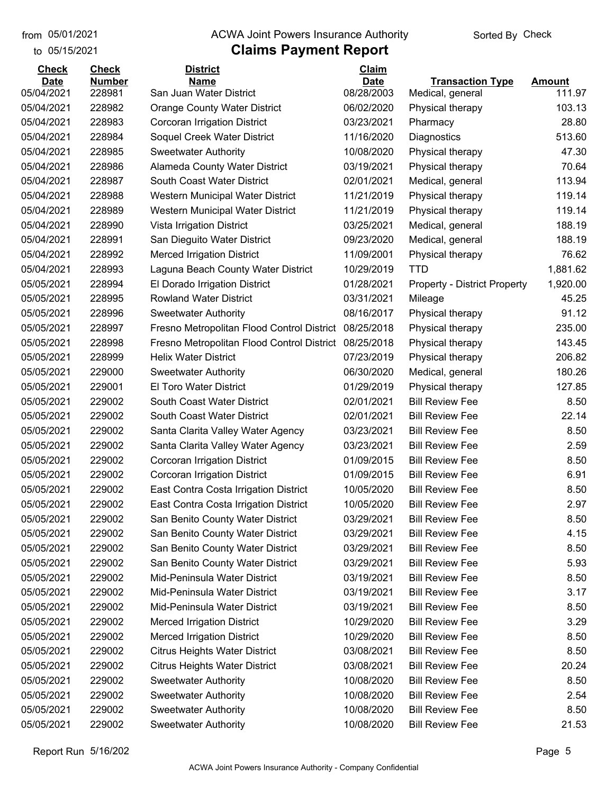to 05/15/2021

#### from 05/01/2021 **The COVA Solic Act Act Authority** Sorted By Check

| <b>Check</b> | <b>Check</b>  | <b>District</b>                            | Claim       |                                     |               |
|--------------|---------------|--------------------------------------------|-------------|-------------------------------------|---------------|
| <b>Date</b>  | <b>Number</b> | <b>Name</b>                                | <b>Date</b> | <b>Transaction Type</b>             | <b>Amount</b> |
| 05/04/2021   | 228981        | San Juan Water District                    | 08/28/2003  | Medical, general                    | 111.97        |
| 05/04/2021   | 228982        | <b>Orange County Water District</b>        | 06/02/2020  | Physical therapy                    | 103.13        |
| 05/04/2021   | 228983        | Corcoran Irrigation District               | 03/23/2021  | Pharmacy                            | 28.80         |
| 05/04/2021   | 228984        | Soquel Creek Water District                | 11/16/2020  | Diagnostics                         | 513.60        |
| 05/04/2021   | 228985        | <b>Sweetwater Authority</b>                | 10/08/2020  | Physical therapy                    | 47.30         |
| 05/04/2021   | 228986        | Alameda County Water District              | 03/19/2021  | Physical therapy                    | 70.64         |
| 05/04/2021   | 228987        | South Coast Water District                 | 02/01/2021  | Medical, general                    | 113.94        |
| 05/04/2021   | 228988        | Western Municipal Water District           | 11/21/2019  | Physical therapy                    | 119.14        |
| 05/04/2021   | 228989        | Western Municipal Water District           | 11/21/2019  | Physical therapy                    | 119.14        |
| 05/04/2021   | 228990        | Vista Irrigation District                  | 03/25/2021  | Medical, general                    | 188.19        |
| 05/04/2021   | 228991        | San Dieguito Water District                | 09/23/2020  | Medical, general                    | 188.19        |
| 05/04/2021   | 228992        | <b>Merced Irrigation District</b>          | 11/09/2001  | Physical therapy                    | 76.62         |
| 05/04/2021   | 228993        | Laguna Beach County Water District         | 10/29/2019  | <b>TTD</b>                          | 1,881.62      |
| 05/05/2021   | 228994        | El Dorado Irrigation District              | 01/28/2021  | <b>Property - District Property</b> | 1,920.00      |
| 05/05/2021   | 228995        | <b>Rowland Water District</b>              | 03/31/2021  | Mileage                             | 45.25         |
| 05/05/2021   | 228996        | <b>Sweetwater Authority</b>                | 08/16/2017  | Physical therapy                    | 91.12         |
| 05/05/2021   | 228997        | Fresno Metropolitan Flood Control District | 08/25/2018  | Physical therapy                    | 235.00        |
| 05/05/2021   | 228998        | Fresno Metropolitan Flood Control District | 08/25/2018  | Physical therapy                    | 143.45        |
| 05/05/2021   | 228999        | <b>Helix Water District</b>                | 07/23/2019  | Physical therapy                    | 206.82        |
| 05/05/2021   | 229000        | <b>Sweetwater Authority</b>                | 06/30/2020  | Medical, general                    | 180.26        |
| 05/05/2021   | 229001        | <b>El Toro Water District</b>              | 01/29/2019  | Physical therapy                    | 127.85        |
| 05/05/2021   | 229002        | South Coast Water District                 | 02/01/2021  | <b>Bill Review Fee</b>              | 8.50          |
| 05/05/2021   | 229002        | South Coast Water District                 | 02/01/2021  | <b>Bill Review Fee</b>              | 22.14         |
| 05/05/2021   | 229002        | Santa Clarita Valley Water Agency          | 03/23/2021  | <b>Bill Review Fee</b>              | 8.50          |
| 05/05/2021   | 229002        | Santa Clarita Valley Water Agency          | 03/23/2021  | <b>Bill Review Fee</b>              | 2.59          |
| 05/05/2021   | 229002        | Corcoran Irrigation District               | 01/09/2015  | <b>Bill Review Fee</b>              | 8.50          |
| 05/05/2021   | 229002        | Corcoran Irrigation District               | 01/09/2015  | <b>Bill Review Fee</b>              | 6.91          |
| 05/05/2021   | 229002        | East Contra Costa Irrigation District      | 10/05/2020  | <b>Bill Review Fee</b>              | 8.50          |
| 05/05/2021   | 229002        | East Contra Costa Irrigation District      | 10/05/2020  | <b>Bill Review Fee</b>              | 2.97          |
| 05/05/2021   | 229002        | San Benito County Water District           | 03/29/2021  | <b>Bill Review Fee</b>              | 8.50          |
| 05/05/2021   | 229002        | San Benito County Water District           | 03/29/2021  | <b>Bill Review Fee</b>              | 4.15          |
| 05/05/2021   | 229002        | San Benito County Water District           | 03/29/2021  | <b>Bill Review Fee</b>              | 8.50          |
| 05/05/2021   | 229002        | San Benito County Water District           | 03/29/2021  | <b>Bill Review Fee</b>              | 5.93          |
| 05/05/2021   | 229002        | Mid-Peninsula Water District               | 03/19/2021  | <b>Bill Review Fee</b>              | 8.50          |
| 05/05/2021   | 229002        | Mid-Peninsula Water District               | 03/19/2021  | <b>Bill Review Fee</b>              | 3.17          |
| 05/05/2021   | 229002        | Mid-Peninsula Water District               | 03/19/2021  | <b>Bill Review Fee</b>              | 8.50          |
| 05/05/2021   | 229002        | <b>Merced Irrigation District</b>          | 10/29/2020  | <b>Bill Review Fee</b>              | 3.29          |
| 05/05/2021   | 229002        | Merced Irrigation District                 | 10/29/2020  | <b>Bill Review Fee</b>              | 8.50          |
| 05/05/2021   | 229002        | <b>Citrus Heights Water District</b>       | 03/08/2021  | <b>Bill Review Fee</b>              | 8.50          |
| 05/05/2021   | 229002        | <b>Citrus Heights Water District</b>       | 03/08/2021  | <b>Bill Review Fee</b>              | 20.24         |
| 05/05/2021   | 229002        | <b>Sweetwater Authority</b>                | 10/08/2020  | <b>Bill Review Fee</b>              | 8.50          |
| 05/05/2021   | 229002        | <b>Sweetwater Authority</b>                | 10/08/2020  | <b>Bill Review Fee</b>              | 2.54          |
| 05/05/2021   | 229002        | <b>Sweetwater Authority</b>                | 10/08/2020  | <b>Bill Review Fee</b>              | 8.50          |
| 05/05/2021   | 229002        | <b>Sweetwater Authority</b>                | 10/08/2020  | <b>Bill Review Fee</b>              | 21.53         |
|              |               |                                            |             |                                     |               |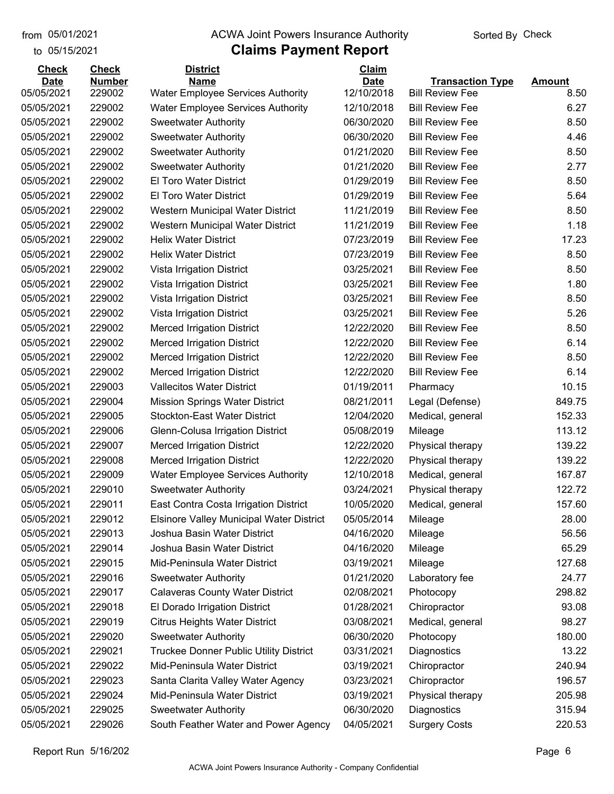## from 05/01/2021 **The COVA Solic Act Act Authority** Sorted By Check

## to 05/15/2021

| <b>Check</b> | <b>Check</b>  | <b>District</b>                                 | Claim       |                         |               |
|--------------|---------------|-------------------------------------------------|-------------|-------------------------|---------------|
| <b>Date</b>  | <b>Number</b> | <b>Name</b>                                     | <b>Date</b> | <b>Transaction Type</b> | <b>Amount</b> |
| 05/05/2021   | 229002        | <b>Water Employee Services Authority</b>        | 12/10/2018  | <b>Bill Review Fee</b>  | 8.50          |
| 05/05/2021   | 229002        | <b>Water Employee Services Authority</b>        | 12/10/2018  | <b>Bill Review Fee</b>  | 6.27          |
| 05/05/2021   | 229002        | <b>Sweetwater Authority</b>                     | 06/30/2020  | <b>Bill Review Fee</b>  | 8.50          |
| 05/05/2021   | 229002        | <b>Sweetwater Authority</b>                     | 06/30/2020  | <b>Bill Review Fee</b>  | 4.46          |
| 05/05/2021   | 229002        | <b>Sweetwater Authority</b>                     | 01/21/2020  | <b>Bill Review Fee</b>  | 8.50          |
| 05/05/2021   | 229002        | <b>Sweetwater Authority</b>                     | 01/21/2020  | <b>Bill Review Fee</b>  | 2.77          |
| 05/05/2021   | 229002        | El Toro Water District                          | 01/29/2019  | <b>Bill Review Fee</b>  | 8.50          |
| 05/05/2021   | 229002        | El Toro Water District                          | 01/29/2019  | <b>Bill Review Fee</b>  | 5.64          |
| 05/05/2021   | 229002        | Western Municipal Water District                | 11/21/2019  | <b>Bill Review Fee</b>  | 8.50          |
| 05/05/2021   | 229002        | Western Municipal Water District                | 11/21/2019  | <b>Bill Review Fee</b>  | 1.18          |
| 05/05/2021   | 229002        | <b>Helix Water District</b>                     | 07/23/2019  | <b>Bill Review Fee</b>  | 17.23         |
| 05/05/2021   | 229002        | <b>Helix Water District</b>                     | 07/23/2019  | <b>Bill Review Fee</b>  | 8.50          |
| 05/05/2021   | 229002        | Vista Irrigation District                       | 03/25/2021  | <b>Bill Review Fee</b>  | 8.50          |
| 05/05/2021   | 229002        | Vista Irrigation District                       | 03/25/2021  | <b>Bill Review Fee</b>  | 1.80          |
| 05/05/2021   | 229002        | Vista Irrigation District                       | 03/25/2021  | <b>Bill Review Fee</b>  | 8.50          |
| 05/05/2021   | 229002        | Vista Irrigation District                       | 03/25/2021  | <b>Bill Review Fee</b>  | 5.26          |
| 05/05/2021   | 229002        | <b>Merced Irrigation District</b>               | 12/22/2020  | <b>Bill Review Fee</b>  | 8.50          |
| 05/05/2021   | 229002        | <b>Merced Irrigation District</b>               | 12/22/2020  | <b>Bill Review Fee</b>  | 6.14          |
| 05/05/2021   | 229002        | <b>Merced Irrigation District</b>               | 12/22/2020  | <b>Bill Review Fee</b>  | 8.50          |
| 05/05/2021   | 229002        | <b>Merced Irrigation District</b>               | 12/22/2020  | <b>Bill Review Fee</b>  | 6.14          |
| 05/05/2021   | 229003        | <b>Vallecitos Water District</b>                | 01/19/2011  | Pharmacy                | 10.15         |
| 05/05/2021   | 229004        | <b>Mission Springs Water District</b>           | 08/21/2011  | Legal (Defense)         | 849.75        |
| 05/05/2021   | 229005        | <b>Stockton-East Water District</b>             | 12/04/2020  | Medical, general        | 152.33        |
| 05/05/2021   | 229006        | Glenn-Colusa Irrigation District                | 05/08/2019  | Mileage                 | 113.12        |
| 05/05/2021   | 229007        | <b>Merced Irrigation District</b>               | 12/22/2020  | Physical therapy        | 139.22        |
| 05/05/2021   | 229008        | <b>Merced Irrigation District</b>               | 12/22/2020  | Physical therapy        | 139.22        |
| 05/05/2021   | 229009        | <b>Water Employee Services Authority</b>        | 12/10/2018  | Medical, general        | 167.87        |
| 05/05/2021   | 229010        | <b>Sweetwater Authority</b>                     | 03/24/2021  | Physical therapy        | 122.72        |
| 05/05/2021   | 229011        | East Contra Costa Irrigation District           | 10/05/2020  | Medical, general        | 157.60        |
| 05/05/2021   | 229012        | <b>Elsinore Valley Municipal Water District</b> | 05/05/2014  | Mileage                 | 28.00         |
| 05/05/2021   | 229013        | Joshua Basin Water District                     | 04/16/2020  | Mileage                 | 56.56         |
| 05/05/2021   | 229014        | Joshua Basin Water District                     | 04/16/2020  | Mileage                 | 65.29         |
| 05/05/2021   | 229015        | Mid-Peninsula Water District                    | 03/19/2021  | Mileage                 | 127.68        |
| 05/05/2021   | 229016        | <b>Sweetwater Authority</b>                     | 01/21/2020  | Laboratory fee          | 24.77         |
| 05/05/2021   | 229017        | <b>Calaveras County Water District</b>          | 02/08/2021  | Photocopy               | 298.82        |
| 05/05/2021   | 229018        | El Dorado Irrigation District                   | 01/28/2021  | Chiropractor            | 93.08         |
| 05/05/2021   | 229019        | <b>Citrus Heights Water District</b>            | 03/08/2021  | Medical, general        | 98.27         |
| 05/05/2021   | 229020        | <b>Sweetwater Authority</b>                     | 06/30/2020  | Photocopy               | 180.00        |
| 05/05/2021   | 229021        | <b>Truckee Donner Public Utility District</b>   | 03/31/2021  | Diagnostics             | 13.22         |
| 05/05/2021   | 229022        | Mid-Peninsula Water District                    | 03/19/2021  | Chiropractor            | 240.94        |
| 05/05/2021   | 229023        | Santa Clarita Valley Water Agency               | 03/23/2021  | Chiropractor            | 196.57        |
| 05/05/2021   | 229024        | Mid-Peninsula Water District                    | 03/19/2021  | Physical therapy        | 205.98        |
| 05/05/2021   | 229025        | <b>Sweetwater Authority</b>                     | 06/30/2020  | Diagnostics             | 315.94        |
| 05/05/2021   | 229026        | South Feather Water and Power Agency            | 04/05/2021  | <b>Surgery Costs</b>    | 220.53        |
|              |               |                                                 |             |                         |               |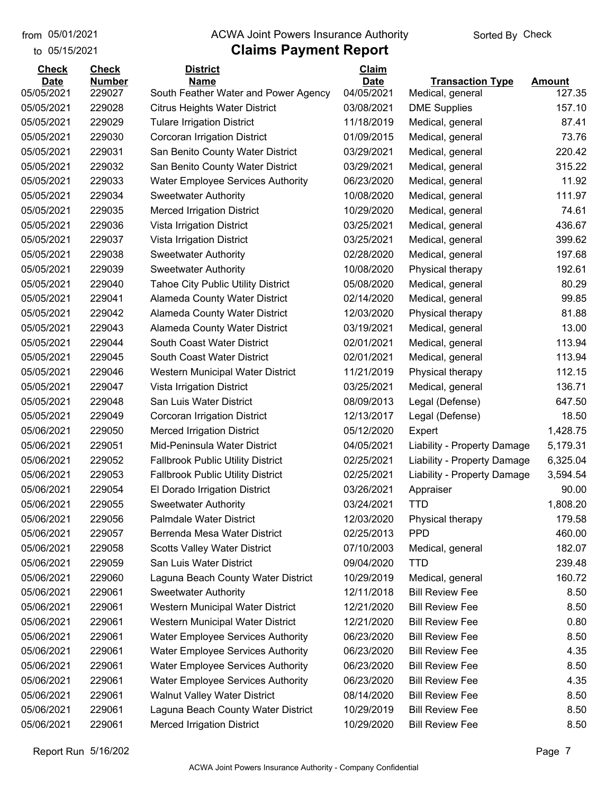to 05/15/2021

## from 05/01/2021 **The COVA Solic Act Act Authority** Sorted By Check

| <b>Check</b>              | <b>Check</b>            | <b>District</b>                                     | <b>Claim</b>              |                                         |                  |
|---------------------------|-------------------------|-----------------------------------------------------|---------------------------|-----------------------------------------|------------------|
| <b>Date</b><br>05/05/2021 | <b>Number</b><br>229027 | <b>Name</b><br>South Feather Water and Power Agency | <b>Date</b><br>04/05/2021 | <b>Transaction Type</b>                 | Amount<br>127.35 |
| 05/05/2021                | 229028                  | <b>Citrus Heights Water District</b>                | 03/08/2021                | Medical, general<br><b>DME Supplies</b> | 157.10           |
| 05/05/2021                | 229029                  | <b>Tulare Irrigation District</b>                   | 11/18/2019                | Medical, general                        | 87.41            |
| 05/05/2021                | 229030                  | Corcoran Irrigation District                        | 01/09/2015                | Medical, general                        | 73.76            |
|                           | 229031                  |                                                     | 03/29/2021                |                                         | 220.42           |
| 05/05/2021                |                         | San Benito County Water District                    |                           | Medical, general                        |                  |
| 05/05/2021                | 229032                  | San Benito County Water District                    | 03/29/2021                | Medical, general                        | 315.22           |
| 05/05/2021                | 229033                  | <b>Water Employee Services Authority</b>            | 06/23/2020                | Medical, general                        | 11.92            |
| 05/05/2021                | 229034                  | <b>Sweetwater Authority</b>                         | 10/08/2020                | Medical, general                        | 111.97           |
| 05/05/2021                | 229035                  | <b>Merced Irrigation District</b>                   | 10/29/2020                | Medical, general                        | 74.61            |
| 05/05/2021                | 229036                  | Vista Irrigation District                           | 03/25/2021                | Medical, general                        | 436.67           |
| 05/05/2021                | 229037                  | Vista Irrigation District                           | 03/25/2021                | Medical, general                        | 399.62           |
| 05/05/2021                | 229038                  | <b>Sweetwater Authority</b>                         | 02/28/2020                | Medical, general                        | 197.68           |
| 05/05/2021                | 229039                  | <b>Sweetwater Authority</b>                         | 10/08/2020                | Physical therapy                        | 192.61           |
| 05/05/2021                | 229040                  | <b>Tahoe City Public Utility District</b>           | 05/08/2020                | Medical, general                        | 80.29            |
| 05/05/2021                | 229041                  | Alameda County Water District                       | 02/14/2020                | Medical, general                        | 99.85            |
| 05/05/2021                | 229042                  | Alameda County Water District                       | 12/03/2020                | Physical therapy                        | 81.88            |
| 05/05/2021                | 229043                  | Alameda County Water District                       | 03/19/2021                | Medical, general                        | 13.00            |
| 05/05/2021                | 229044                  | South Coast Water District                          | 02/01/2021                | Medical, general                        | 113.94           |
| 05/05/2021                | 229045                  | South Coast Water District                          | 02/01/2021                | Medical, general                        | 113.94           |
| 05/05/2021                | 229046                  | Western Municipal Water District                    | 11/21/2019                | Physical therapy                        | 112.15           |
| 05/05/2021                | 229047                  | Vista Irrigation District                           | 03/25/2021                | Medical, general                        | 136.71           |
| 05/05/2021                | 229048                  | San Luis Water District                             | 08/09/2013                | Legal (Defense)                         | 647.50           |
| 05/05/2021                | 229049                  | Corcoran Irrigation District                        | 12/13/2017                | Legal (Defense)                         | 18.50            |
| 05/06/2021                | 229050                  | <b>Merced Irrigation District</b>                   | 05/12/2020                | Expert                                  | 1,428.75         |
| 05/06/2021                | 229051                  | Mid-Peninsula Water District                        | 04/05/2021                | Liability - Property Damage             | 5,179.31         |
| 05/06/2021                | 229052                  | <b>Fallbrook Public Utility District</b>            | 02/25/2021                | Liability - Property Damage             | 6,325.04         |
| 05/06/2021                | 229053                  | <b>Fallbrook Public Utility District</b>            | 02/25/2021                | Liability - Property Damage             | 3,594.54         |
| 05/06/2021                | 229054                  | El Dorado Irrigation District                       | 03/26/2021                | Appraiser                               | 90.00            |
| 05/06/2021                | 229055                  | <b>Sweetwater Authority</b>                         | 03/24/2021                | <b>TTD</b>                              | 1,808.20         |
| 05/06/2021                | 229056                  | <b>Palmdale Water District</b>                      | 12/03/2020                | Physical therapy                        | 179.58           |
| 05/06/2021                | 229057                  | Berrenda Mesa Water District                        | 02/25/2013                | <b>PPD</b>                              | 460.00           |
| 05/06/2021                | 229058                  | <b>Scotts Valley Water District</b>                 | 07/10/2003                | Medical, general                        | 182.07           |
| 05/06/2021                | 229059                  | San Luis Water District                             | 09/04/2020                | <b>TTD</b>                              | 239.48           |
| 05/06/2021                | 229060                  | Laguna Beach County Water District                  | 10/29/2019                | Medical, general                        | 160.72           |
| 05/06/2021                | 229061                  | <b>Sweetwater Authority</b>                         | 12/11/2018                | <b>Bill Review Fee</b>                  | 8.50             |
| 05/06/2021                | 229061                  | Western Municipal Water District                    | 12/21/2020                | <b>Bill Review Fee</b>                  | 8.50             |
| 05/06/2021                | 229061                  | Western Municipal Water District                    | 12/21/2020                | <b>Bill Review Fee</b>                  | 0.80             |
| 05/06/2021                | 229061                  | <b>Water Employee Services Authority</b>            | 06/23/2020                | <b>Bill Review Fee</b>                  | 8.50             |
| 05/06/2021                | 229061                  | Water Employee Services Authority                   | 06/23/2020                | <b>Bill Review Fee</b>                  | 4.35             |
| 05/06/2021                | 229061                  | <b>Water Employee Services Authority</b>            | 06/23/2020                | <b>Bill Review Fee</b>                  | 8.50             |
| 05/06/2021                | 229061                  | Water Employee Services Authority                   | 06/23/2020                | <b>Bill Review Fee</b>                  | 4.35             |
| 05/06/2021                | 229061                  | <b>Walnut Valley Water District</b>                 | 08/14/2020                | <b>Bill Review Fee</b>                  | 8.50             |
| 05/06/2021                | 229061                  | Laguna Beach County Water District                  | 10/29/2019                | <b>Bill Review Fee</b>                  | 8.50             |
| 05/06/2021                | 229061                  | <b>Merced Irrigation District</b>                   | 10/29/2020                | <b>Bill Review Fee</b>                  | 8.50             |
|                           |                         |                                                     |                           |                                         |                  |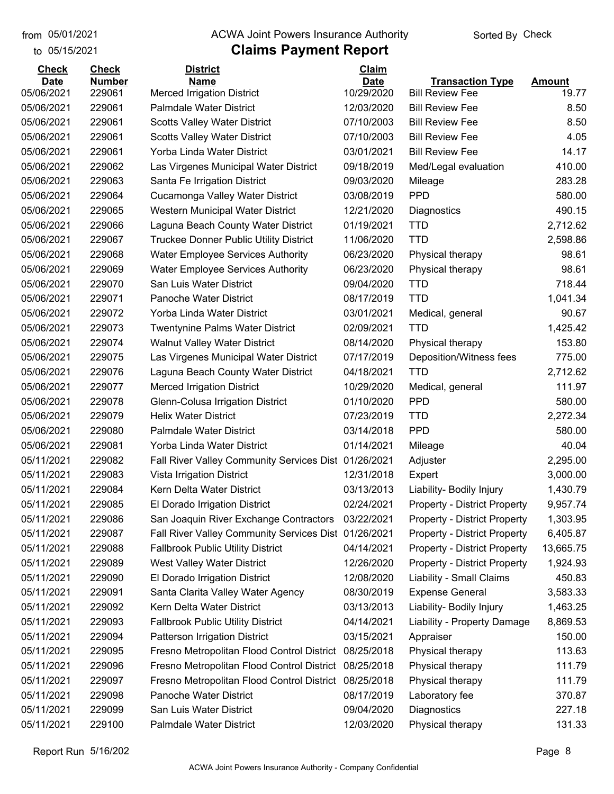## from 05/01/2021 **The COVA Solic Act Act Authority** Sorted By Check

## to 05/15/2021

| <b>Check</b> | <b>Check</b>     | <b>District</b>                                              | Claim                    |                                     |               |
|--------------|------------------|--------------------------------------------------------------|--------------------------|-------------------------------------|---------------|
| <b>Date</b>  | <b>Number</b>    | <b>Name</b>                                                  | <b>Date</b>              | <b>Transaction Type</b>             | <b>Amount</b> |
| 05/06/2021   | 229061<br>229061 | <b>Merced Irrigation District</b><br>Palmdale Water District | 10/29/2020<br>12/03/2020 | <b>Bill Review Fee</b>              | 19.77<br>8.50 |
| 05/06/2021   |                  |                                                              |                          | <b>Bill Review Fee</b>              |               |
| 05/06/2021   | 229061           | <b>Scotts Valley Water District</b>                          | 07/10/2003               | <b>Bill Review Fee</b>              | 8.50          |
| 05/06/2021   | 229061           | <b>Scotts Valley Water District</b>                          | 07/10/2003               | <b>Bill Review Fee</b>              | 4.05          |
| 05/06/2021   | 229061           | Yorba Linda Water District                                   | 03/01/2021               | <b>Bill Review Fee</b>              | 14.17         |
| 05/06/2021   | 229062           | Las Virgenes Municipal Water District                        | 09/18/2019               | Med/Legal evaluation                | 410.00        |
| 05/06/2021   | 229063           | Santa Fe Irrigation District                                 | 09/03/2020               | Mileage                             | 283.28        |
| 05/06/2021   | 229064           | Cucamonga Valley Water District                              | 03/08/2019               | <b>PPD</b>                          | 580.00        |
| 05/06/2021   | 229065           | Western Municipal Water District                             | 12/21/2020               | Diagnostics                         | 490.15        |
| 05/06/2021   | 229066           | Laguna Beach County Water District                           | 01/19/2021               | <b>TTD</b>                          | 2,712.62      |
| 05/06/2021   | 229067           | <b>Truckee Donner Public Utility District</b>                | 11/06/2020               | <b>TTD</b>                          | 2,598.86      |
| 05/06/2021   | 229068           | <b>Water Employee Services Authority</b>                     | 06/23/2020               | Physical therapy                    | 98.61         |
| 05/06/2021   | 229069           | <b>Water Employee Services Authority</b>                     | 06/23/2020               | Physical therapy                    | 98.61         |
| 05/06/2021   | 229070           | San Luis Water District                                      | 09/04/2020               | <b>TTD</b>                          | 718.44        |
| 05/06/2021   | 229071           | Panoche Water District                                       | 08/17/2019               | <b>TTD</b>                          | 1,041.34      |
| 05/06/2021   | 229072           | Yorba Linda Water District                                   | 03/01/2021               | Medical, general                    | 90.67         |
| 05/06/2021   | 229073           | <b>Twentynine Palms Water District</b>                       | 02/09/2021               | <b>TTD</b>                          | 1,425.42      |
| 05/06/2021   | 229074           | <b>Walnut Valley Water District</b>                          | 08/14/2020               | Physical therapy                    | 153.80        |
| 05/06/2021   | 229075           | Las Virgenes Municipal Water District                        | 07/17/2019               | Deposition/Witness fees             | 775.00        |
| 05/06/2021   | 229076           | Laguna Beach County Water District                           | 04/18/2021               | <b>TTD</b>                          | 2,712.62      |
| 05/06/2021   | 229077           | <b>Merced Irrigation District</b>                            | 10/29/2020               | Medical, general                    | 111.97        |
| 05/06/2021   | 229078           | Glenn-Colusa Irrigation District                             | 01/10/2020               | <b>PPD</b>                          | 580.00        |
| 05/06/2021   | 229079           | <b>Helix Water District</b>                                  | 07/23/2019               | <b>TTD</b>                          | 2,272.34      |
| 05/06/2021   | 229080           | Palmdale Water District                                      | 03/14/2018               | <b>PPD</b>                          | 580.00        |
| 05/06/2021   | 229081           | Yorba Linda Water District                                   | 01/14/2021               | Mileage                             | 40.04         |
| 05/11/2021   | 229082           | Fall River Valley Community Services Dist 01/26/2021         |                          | Adjuster                            | 2,295.00      |
| 05/11/2021   | 229083           | Vista Irrigation District                                    | 12/31/2018               | Expert                              | 3,000.00      |
| 05/11/2021   | 229084           | Kern Delta Water District                                    | 03/13/2013               | Liability- Bodily Injury            | 1,430.79      |
| 05/11/2021   | 229085           | El Dorado Irrigation District                                | 02/24/2021               | <b>Property - District Property</b> | 9,957.74      |
| 05/11/2021   | 229086           | San Joaquin River Exchange Contractors                       | 03/22/2021               | <b>Property - District Property</b> | 1,303.95      |
| 05/11/2021   | 229087           | Fall River Valley Community Services Dist 01/26/2021         |                          | <b>Property - District Property</b> | 6,405.87      |
| 05/11/2021   | 229088           | <b>Fallbrook Public Utility District</b>                     | 04/14/2021               | Property - District Property        | 13,665.75     |
| 05/11/2021   | 229089           | West Valley Water District                                   | 12/26/2020               | <b>Property - District Property</b> | 1,924.93      |
| 05/11/2021   | 229090           | El Dorado Irrigation District                                | 12/08/2020               | Liability - Small Claims            | 450.83        |
| 05/11/2021   | 229091           | Santa Clarita Valley Water Agency                            | 08/30/2019               | <b>Expense General</b>              | 3,583.33      |
| 05/11/2021   | 229092           | Kern Delta Water District                                    | 03/13/2013               | Liability- Bodily Injury            | 1,463.25      |
| 05/11/2021   | 229093           | <b>Fallbrook Public Utility District</b>                     | 04/14/2021               | Liability - Property Damage         | 8,869.53      |
| 05/11/2021   | 229094           | <b>Patterson Irrigation District</b>                         | 03/15/2021               | Appraiser                           | 150.00        |
| 05/11/2021   | 229095           | Fresno Metropolitan Flood Control District                   | 08/25/2018               | Physical therapy                    | 113.63        |
| 05/11/2021   | 229096           | Fresno Metropolitan Flood Control District                   | 08/25/2018               | Physical therapy                    | 111.79        |
| 05/11/2021   | 229097           | Fresno Metropolitan Flood Control District                   | 08/25/2018               | Physical therapy                    | 111.79        |
| 05/11/2021   | 229098           | Panoche Water District                                       | 08/17/2019               | Laboratory fee                      | 370.87        |
| 05/11/2021   | 229099           | San Luis Water District                                      | 09/04/2020               | Diagnostics                         | 227.18        |
| 05/11/2021   | 229100           | Palmdale Water District                                      | 12/03/2020               | Physical therapy                    | 131.33        |
|              |                  |                                                              |                          |                                     |               |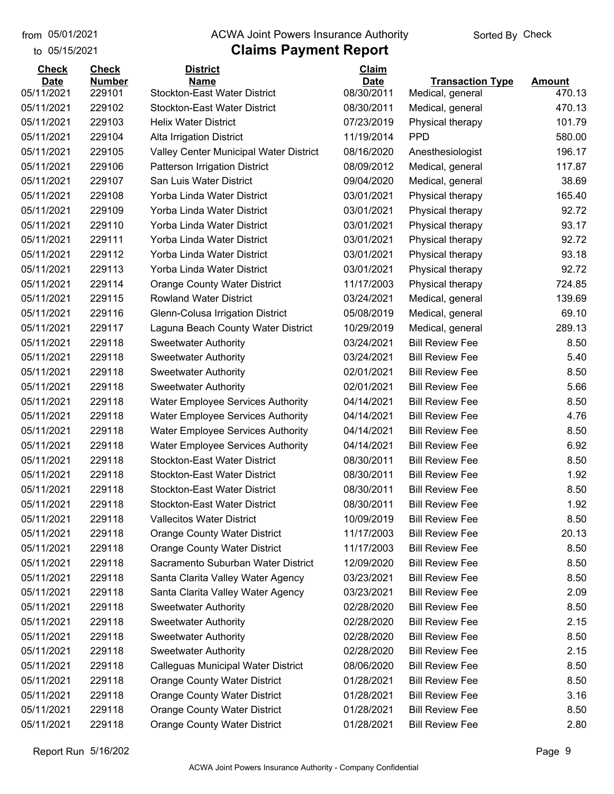to 05/15/2021

## from 05/01/2021 **ACWA Joint Powers Insurance Authority** Sorted By Check

## **Claims Payment Report**

| <b>Check</b> | <b>Check</b>  | <b>District</b>                          | Claim       |                         |               |
|--------------|---------------|------------------------------------------|-------------|-------------------------|---------------|
| <b>Date</b>  | <b>Number</b> | <b>Name</b>                              | <b>Date</b> | <b>Transaction Type</b> | <b>Amount</b> |
| 05/11/2021   | 229101        | <b>Stockton-East Water District</b>      | 08/30/2011  | Medical, general        | 470.13        |
| 05/11/2021   | 229102        | <b>Stockton-East Water District</b>      | 08/30/2011  | Medical, general        | 470.13        |
| 05/11/2021   | 229103        | <b>Helix Water District</b>              | 07/23/2019  | Physical therapy        | 101.79        |
| 05/11/2021   | 229104        | Alta Irrigation District                 | 11/19/2014  | <b>PPD</b>              | 580.00        |
| 05/11/2021   | 229105        | Valley Center Municipal Water District   | 08/16/2020  | Anesthesiologist        | 196.17        |
| 05/11/2021   | 229106        | <b>Patterson Irrigation District</b>     | 08/09/2012  | Medical, general        | 117.87        |
| 05/11/2021   | 229107        | San Luis Water District                  | 09/04/2020  | Medical, general        | 38.69         |
| 05/11/2021   | 229108        | Yorba Linda Water District               | 03/01/2021  | Physical therapy        | 165.40        |
| 05/11/2021   | 229109        | Yorba Linda Water District               | 03/01/2021  | Physical therapy        | 92.72         |
| 05/11/2021   | 229110        | Yorba Linda Water District               | 03/01/2021  | Physical therapy        | 93.17         |
| 05/11/2021   | 229111        | Yorba Linda Water District               | 03/01/2021  | Physical therapy        | 92.72         |
| 05/11/2021   | 229112        | Yorba Linda Water District               | 03/01/2021  | Physical therapy        | 93.18         |
| 05/11/2021   | 229113        | Yorba Linda Water District               | 03/01/2021  | Physical therapy        | 92.72         |
| 05/11/2021   | 229114        | <b>Orange County Water District</b>      | 11/17/2003  | Physical therapy        | 724.85        |
| 05/11/2021   | 229115        | <b>Rowland Water District</b>            | 03/24/2021  | Medical, general        | 139.69        |
| 05/11/2021   | 229116        | Glenn-Colusa Irrigation District         | 05/08/2019  | Medical, general        | 69.10         |
| 05/11/2021   | 229117        | Laguna Beach County Water District       | 10/29/2019  | Medical, general        | 289.13        |
| 05/11/2021   | 229118        | <b>Sweetwater Authority</b>              | 03/24/2021  | <b>Bill Review Fee</b>  | 8.50          |
| 05/11/2021   | 229118        | <b>Sweetwater Authority</b>              | 03/24/2021  | <b>Bill Review Fee</b>  | 5.40          |
| 05/11/2021   | 229118        | <b>Sweetwater Authority</b>              | 02/01/2021  | <b>Bill Review Fee</b>  | 8.50          |
| 05/11/2021   | 229118        | <b>Sweetwater Authority</b>              | 02/01/2021  | <b>Bill Review Fee</b>  | 5.66          |
| 05/11/2021   | 229118        | <b>Water Employee Services Authority</b> | 04/14/2021  | <b>Bill Review Fee</b>  | 8.50          |
| 05/11/2021   | 229118        | <b>Water Employee Services Authority</b> | 04/14/2021  | <b>Bill Review Fee</b>  | 4.76          |
| 05/11/2021   | 229118        | <b>Water Employee Services Authority</b> | 04/14/2021  | <b>Bill Review Fee</b>  | 8.50          |
| 05/11/2021   | 229118        | <b>Water Employee Services Authority</b> | 04/14/2021  | <b>Bill Review Fee</b>  | 6.92          |
| 05/11/2021   | 229118        | <b>Stockton-East Water District</b>      | 08/30/2011  | <b>Bill Review Fee</b>  | 8.50          |
| 05/11/2021   | 229118        | <b>Stockton-East Water District</b>      | 08/30/2011  | <b>Bill Review Fee</b>  | 1.92          |
| 05/11/2021   | 229118        | <b>Stockton-East Water District</b>      | 08/30/2011  | <b>Bill Review Fee</b>  | 8.50          |
| 05/11/2021   | 229118        | <b>Stockton-East Water District</b>      | 08/30/2011  | <b>Bill Review Fee</b>  | 1.92          |
| 05/11/2021   | 229118        | <b>Vallecitos Water District</b>         | 10/09/2019  | <b>Bill Review Fee</b>  | 8.50          |
| 05/11/2021   | 229118        | <b>Orange County Water District</b>      | 11/17/2003  | <b>Bill Review Fee</b>  | 20.13         |
| 05/11/2021   | 229118        | <b>Orange County Water District</b>      | 11/17/2003  | <b>Bill Review Fee</b>  | 8.50          |
| 05/11/2021   | 229118        | Sacramento Suburban Water District       | 12/09/2020  | <b>Bill Review Fee</b>  | 8.50          |
| 05/11/2021   | 229118        | Santa Clarita Valley Water Agency        | 03/23/2021  | <b>Bill Review Fee</b>  | 8.50          |
| 05/11/2021   | 229118        | Santa Clarita Valley Water Agency        | 03/23/2021  | <b>Bill Review Fee</b>  | 2.09          |
| 05/11/2021   | 229118        | <b>Sweetwater Authority</b>              | 02/28/2020  | <b>Bill Review Fee</b>  | 8.50          |
| 05/11/2021   | 229118        | <b>Sweetwater Authority</b>              | 02/28/2020  | <b>Bill Review Fee</b>  | 2.15          |
| 05/11/2021   | 229118        | <b>Sweetwater Authority</b>              | 02/28/2020  | <b>Bill Review Fee</b>  | 8.50          |
| 05/11/2021   | 229118        | <b>Sweetwater Authority</b>              | 02/28/2020  | <b>Bill Review Fee</b>  | 2.15          |
| 05/11/2021   | 229118        | Calleguas Municipal Water District       | 08/06/2020  | <b>Bill Review Fee</b>  | 8.50          |
| 05/11/2021   | 229118        | <b>Orange County Water District</b>      | 01/28/2021  | <b>Bill Review Fee</b>  | 8.50          |
| 05/11/2021   | 229118        | <b>Orange County Water District</b>      | 01/28/2021  | <b>Bill Review Fee</b>  | 3.16          |
| 05/11/2021   | 229118        | <b>Orange County Water District</b>      | 01/28/2021  | <b>Bill Review Fee</b>  | 8.50          |
| 05/11/2021   | 229118        | <b>Orange County Water District</b>      | 01/28/2021  | <b>Bill Review Fee</b>  | 2.80          |

Report Run 5/16/202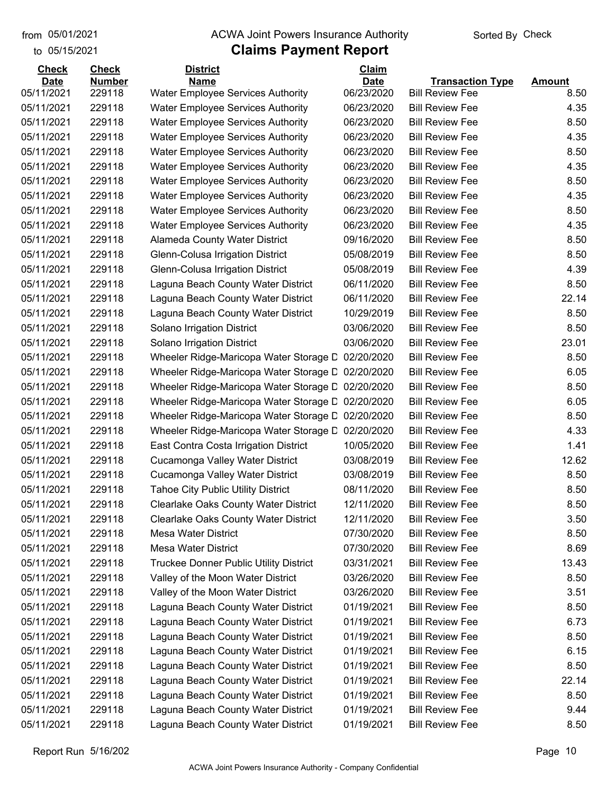## from 05/01/2021 **ACWA Joint Powers Insurance Authority** Sorted By Check

## to 05/15/2021

| <b>Check</b> | <b>Check</b>  | <b>District</b>                                   | Claim       |                         |               |
|--------------|---------------|---------------------------------------------------|-------------|-------------------------|---------------|
| <b>Date</b>  | <b>Number</b> | <b>Name</b>                                       | <b>Date</b> | <b>Transaction Type</b> | <b>Amount</b> |
| 05/11/2021   | 229118        | <b>Water Employee Services Authority</b>          | 06/23/2020  | <b>Bill Review Fee</b>  | 8.50          |
| 05/11/2021   | 229118        | <b>Water Employee Services Authority</b>          | 06/23/2020  | <b>Bill Review Fee</b>  | 4.35          |
| 05/11/2021   | 229118        | <b>Water Employee Services Authority</b>          | 06/23/2020  | <b>Bill Review Fee</b>  | 8.50          |
| 05/11/2021   | 229118        | <b>Water Employee Services Authority</b>          | 06/23/2020  | <b>Bill Review Fee</b>  | 4.35          |
| 05/11/2021   | 229118        | <b>Water Employee Services Authority</b>          | 06/23/2020  | <b>Bill Review Fee</b>  | 8.50          |
| 05/11/2021   | 229118        | <b>Water Employee Services Authority</b>          | 06/23/2020  | <b>Bill Review Fee</b>  | 4.35          |
| 05/11/2021   | 229118        | <b>Water Employee Services Authority</b>          | 06/23/2020  | <b>Bill Review Fee</b>  | 8.50          |
| 05/11/2021   | 229118        | <b>Water Employee Services Authority</b>          | 06/23/2020  | <b>Bill Review Fee</b>  | 4.35          |
| 05/11/2021   | 229118        | <b>Water Employee Services Authority</b>          | 06/23/2020  | <b>Bill Review Fee</b>  | 8.50          |
| 05/11/2021   | 229118        | <b>Water Employee Services Authority</b>          | 06/23/2020  | <b>Bill Review Fee</b>  | 4.35          |
| 05/11/2021   | 229118        | Alameda County Water District                     | 09/16/2020  | <b>Bill Review Fee</b>  | 8.50          |
| 05/11/2021   | 229118        | Glenn-Colusa Irrigation District                  | 05/08/2019  | <b>Bill Review Fee</b>  | 8.50          |
| 05/11/2021   | 229118        | Glenn-Colusa Irrigation District                  | 05/08/2019  | <b>Bill Review Fee</b>  | 4.39          |
| 05/11/2021   | 229118        | Laguna Beach County Water District                | 06/11/2020  | <b>Bill Review Fee</b>  | 8.50          |
| 05/11/2021   | 229118        | Laguna Beach County Water District                | 06/11/2020  | <b>Bill Review Fee</b>  | 22.14         |
| 05/11/2021   | 229118        | Laguna Beach County Water District                | 10/29/2019  | <b>Bill Review Fee</b>  | 8.50          |
| 05/11/2021   | 229118        | Solano Irrigation District                        | 03/06/2020  | <b>Bill Review Fee</b>  | 8.50          |
| 05/11/2021   | 229118        | Solano Irrigation District                        | 03/06/2020  | <b>Bill Review Fee</b>  | 23.01         |
| 05/11/2021   | 229118        | Wheeler Ridge-Maricopa Water Storage D            | 02/20/2020  | <b>Bill Review Fee</b>  | 8.50          |
| 05/11/2021   | 229118        | Wheeler Ridge-Maricopa Water Storage D            | 02/20/2020  | <b>Bill Review Fee</b>  | 6.05          |
| 05/11/2021   | 229118        | Wheeler Ridge-Maricopa Water Storage D            | 02/20/2020  | <b>Bill Review Fee</b>  | 8.50          |
| 05/11/2021   | 229118        | Wheeler Ridge-Maricopa Water Storage D            | 02/20/2020  | <b>Bill Review Fee</b>  | 6.05          |
| 05/11/2021   | 229118        | Wheeler Ridge-Maricopa Water Storage D            | 02/20/2020  | <b>Bill Review Fee</b>  | 8.50          |
| 05/11/2021   | 229118        | Wheeler Ridge-Maricopa Water Storage L 02/20/2020 |             | <b>Bill Review Fee</b>  | 4.33          |
| 05/11/2021   | 229118        | East Contra Costa Irrigation District             | 10/05/2020  | <b>Bill Review Fee</b>  | 1.41          |
| 05/11/2021   | 229118        | Cucamonga Valley Water District                   | 03/08/2019  | <b>Bill Review Fee</b>  | 12.62         |
| 05/11/2021   | 229118        | Cucamonga Valley Water District                   | 03/08/2019  | <b>Bill Review Fee</b>  | 8.50          |
| 05/11/2021   | 229118        | <b>Tahoe City Public Utility District</b>         | 08/11/2020  | <b>Bill Review Fee</b>  | 8.50          |
| 05/11/2021   | 229118        | <b>Clearlake Oaks County Water District</b>       | 12/11/2020  | <b>Bill Review Fee</b>  | 8.50          |
| 05/11/2021   | 229118        | Clearlake Oaks County Water District              | 12/11/2020  | <b>Bill Review Fee</b>  | 3.50          |
| 05/11/2021   | 229118        | Mesa Water District                               | 07/30/2020  | <b>Bill Review Fee</b>  | 8.50          |
| 05/11/2021   | 229118        | Mesa Water District                               | 07/30/2020  | <b>Bill Review Fee</b>  | 8.69          |
| 05/11/2021   | 229118        | Truckee Donner Public Utility District            | 03/31/2021  | <b>Bill Review Fee</b>  | 13.43         |
| 05/11/2021   | 229118        | Valley of the Moon Water District                 | 03/26/2020  | <b>Bill Review Fee</b>  | 8.50          |
| 05/11/2021   | 229118        | Valley of the Moon Water District                 | 03/26/2020  | <b>Bill Review Fee</b>  | 3.51          |
| 05/11/2021   | 229118        | Laguna Beach County Water District                | 01/19/2021  | <b>Bill Review Fee</b>  | 8.50          |
| 05/11/2021   | 229118        | Laguna Beach County Water District                | 01/19/2021  | <b>Bill Review Fee</b>  | 6.73          |
| 05/11/2021   | 229118        | Laguna Beach County Water District                | 01/19/2021  | <b>Bill Review Fee</b>  | 8.50          |
| 05/11/2021   | 229118        | Laguna Beach County Water District                | 01/19/2021  | <b>Bill Review Fee</b>  | 6.15          |
| 05/11/2021   | 229118        | Laguna Beach County Water District                | 01/19/2021  | <b>Bill Review Fee</b>  | 8.50          |
| 05/11/2021   | 229118        | Laguna Beach County Water District                | 01/19/2021  | <b>Bill Review Fee</b>  | 22.14         |
| 05/11/2021   | 229118        | Laguna Beach County Water District                | 01/19/2021  | <b>Bill Review Fee</b>  | 8.50          |
| 05/11/2021   | 229118        | Laguna Beach County Water District                | 01/19/2021  | <b>Bill Review Fee</b>  | 9.44          |
| 05/11/2021   | 229118        | Laguna Beach County Water District                | 01/19/2021  | <b>Bill Review Fee</b>  | 8.50          |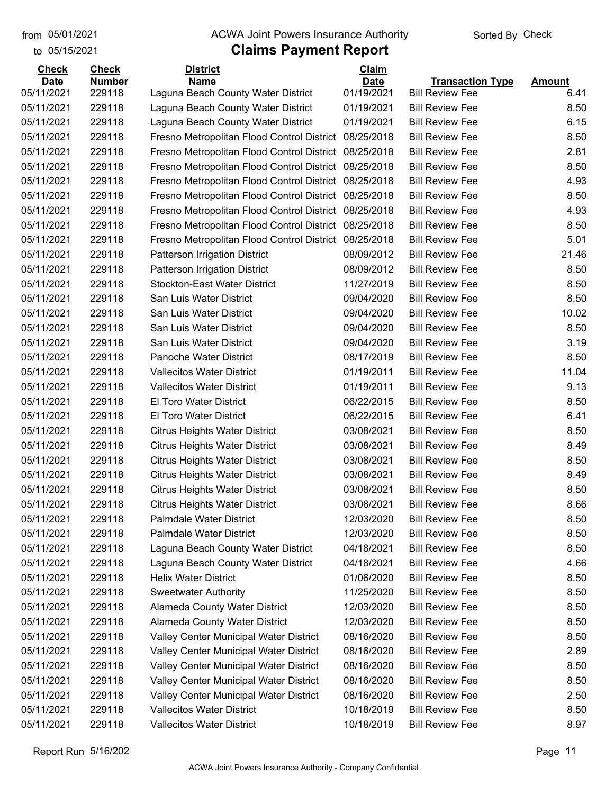to 05/15/2021

#### from 05/01/2021 **ACWA Joint Powers Insurance Authority** Sorted By Check

| <b>Check</b>             | <b>Check</b>     | <b>District</b>                                                          | <b>Claim</b>             |                                                  |               |
|--------------------------|------------------|--------------------------------------------------------------------------|--------------------------|--------------------------------------------------|---------------|
| <b>Date</b>              | <b>Number</b>    | <b>Name</b>                                                              | <b>Date</b>              | <b>Transaction Type</b>                          | <b>Amount</b> |
| 05/11/2021<br>05/11/2021 | 229118<br>229118 | Laguna Beach County Water District<br>Laguna Beach County Water District | 01/19/2021<br>01/19/2021 | <b>Bill Review Fee</b><br><b>Bill Review Fee</b> | 6.41<br>8.50  |
|                          | 229118           |                                                                          |                          |                                                  |               |
| 05/11/2021               | 229118           | Laguna Beach County Water District                                       | 01/19/2021               | <b>Bill Review Fee</b>                           | 6.15          |
| 05/11/2021               |                  | Fresno Metropolitan Flood Control District                               | 08/25/2018               | <b>Bill Review Fee</b>                           | 8.50          |
| 05/11/2021               | 229118           | Fresno Metropolitan Flood Control District                               | 08/25/2018               | <b>Bill Review Fee</b>                           | 2.81          |
| 05/11/2021               | 229118           | Fresno Metropolitan Flood Control District                               | 08/25/2018               | <b>Bill Review Fee</b>                           | 8.50          |
| 05/11/2021               | 229118           | Fresno Metropolitan Flood Control District                               | 08/25/2018               | <b>Bill Review Fee</b>                           | 4.93          |
| 05/11/2021               | 229118           | Fresno Metropolitan Flood Control District                               | 08/25/2018               | <b>Bill Review Fee</b>                           | 8.50          |
| 05/11/2021               | 229118           | Fresno Metropolitan Flood Control District                               | 08/25/2018               | <b>Bill Review Fee</b>                           | 4.93          |
| 05/11/2021               | 229118           | Fresno Metropolitan Flood Control District                               | 08/25/2018               | <b>Bill Review Fee</b>                           | 8.50          |
| 05/11/2021               | 229118           | Fresno Metropolitan Flood Control District                               | 08/25/2018               | <b>Bill Review Fee</b>                           | 5.01          |
| 05/11/2021               | 229118           | <b>Patterson Irrigation District</b>                                     | 08/09/2012               | <b>Bill Review Fee</b>                           | 21.46         |
| 05/11/2021               | 229118           | <b>Patterson Irrigation District</b>                                     | 08/09/2012               | <b>Bill Review Fee</b>                           | 8.50          |
| 05/11/2021               | 229118           | <b>Stockton-East Water District</b>                                      | 11/27/2019               | <b>Bill Review Fee</b>                           | 8.50          |
| 05/11/2021               | 229118           | San Luis Water District                                                  | 09/04/2020               | <b>Bill Review Fee</b>                           | 8.50          |
| 05/11/2021               | 229118           | San Luis Water District                                                  | 09/04/2020               | <b>Bill Review Fee</b>                           | 10.02         |
| 05/11/2021               | 229118           | San Luis Water District                                                  | 09/04/2020               | <b>Bill Review Fee</b>                           | 8.50          |
| 05/11/2021               | 229118           | San Luis Water District                                                  | 09/04/2020               | <b>Bill Review Fee</b>                           | 3.19          |
| 05/11/2021               | 229118           | Panoche Water District                                                   | 08/17/2019               | <b>Bill Review Fee</b>                           | 8.50          |
| 05/11/2021               | 229118           | <b>Vallecitos Water District</b>                                         | 01/19/2011               | <b>Bill Review Fee</b>                           | 11.04         |
| 05/11/2021               | 229118           | <b>Vallecitos Water District</b>                                         | 01/19/2011               | <b>Bill Review Fee</b>                           | 9.13          |
| 05/11/2021               | 229118           | El Toro Water District                                                   | 06/22/2015               | <b>Bill Review Fee</b>                           | 8.50          |
| 05/11/2021               | 229118           | El Toro Water District                                                   | 06/22/2015               | <b>Bill Review Fee</b>                           | 6.41          |
| 05/11/2021               | 229118           | <b>Citrus Heights Water District</b>                                     | 03/08/2021               | <b>Bill Review Fee</b>                           | 8.50          |
| 05/11/2021               | 229118           | <b>Citrus Heights Water District</b>                                     | 03/08/2021               | <b>Bill Review Fee</b>                           | 8.49          |
| 05/11/2021               | 229118           | <b>Citrus Heights Water District</b>                                     | 03/08/2021               | <b>Bill Review Fee</b>                           | 8.50          |
| 05/11/2021               | 229118           | <b>Citrus Heights Water District</b>                                     | 03/08/2021               | <b>Bill Review Fee</b>                           | 8.49          |
| 05/11/2021               | 229118           | <b>Citrus Heights Water District</b>                                     | 03/08/2021               | <b>Bill Review Fee</b>                           | 8.50          |
| 05/11/2021               | 229118           | <b>Citrus Heights Water District</b>                                     | 03/08/2021               | <b>Bill Review Fee</b>                           | 8.66          |
| 05/11/2021               | 229118           | <b>Palmdale Water District</b>                                           | 12/03/2020               | <b>Bill Review Fee</b>                           | 8.50          |
| 05/11/2021               | 229118           | <b>Palmdale Water District</b>                                           | 12/03/2020               | <b>Bill Review Fee</b>                           | 8.50          |
| 05/11/2021               | 229118           | Laguna Beach County Water District                                       | 04/18/2021               | <b>Bill Review Fee</b>                           | 8.50          |
| 05/11/2021               | 229118           | Laguna Beach County Water District                                       | 04/18/2021               | <b>Bill Review Fee</b>                           | 4.66          |
| 05/11/2021               | 229118           | <b>Helix Water District</b>                                              | 01/06/2020               | <b>Bill Review Fee</b>                           | 8.50          |
| 05/11/2021               | 229118           | <b>Sweetwater Authority</b>                                              | 11/25/2020               | <b>Bill Review Fee</b>                           | 8.50          |
| 05/11/2021               | 229118           | Alameda County Water District                                            | 12/03/2020               | <b>Bill Review Fee</b>                           | 8.50          |
| 05/11/2021               | 229118           | Alameda County Water District                                            | 12/03/2020               | <b>Bill Review Fee</b>                           | 8.50          |
| 05/11/2021               | 229118           | Valley Center Municipal Water District                                   | 08/16/2020               | <b>Bill Review Fee</b>                           | 8.50          |
| 05/11/2021               | 229118           | Valley Center Municipal Water District                                   | 08/16/2020               | <b>Bill Review Fee</b>                           | 2.89          |
| 05/11/2021               | 229118           | Valley Center Municipal Water District                                   | 08/16/2020               | <b>Bill Review Fee</b>                           | 8.50          |
| 05/11/2021               | 229118           | Valley Center Municipal Water District                                   | 08/16/2020               | <b>Bill Review Fee</b>                           | 8.50          |
| 05/11/2021               | 229118           | Valley Center Municipal Water District                                   | 08/16/2020               | <b>Bill Review Fee</b>                           | 2.50          |
| 05/11/2021               | 229118           | <b>Vallecitos Water District</b>                                         | 10/18/2019               | <b>Bill Review Fee</b>                           | 8.50          |
| 05/11/2021               | 229118           | <b>Vallecitos Water District</b>                                         | 10/18/2019               | <b>Bill Review Fee</b>                           | 8.97          |
|                          |                  |                                                                          |                          |                                                  |               |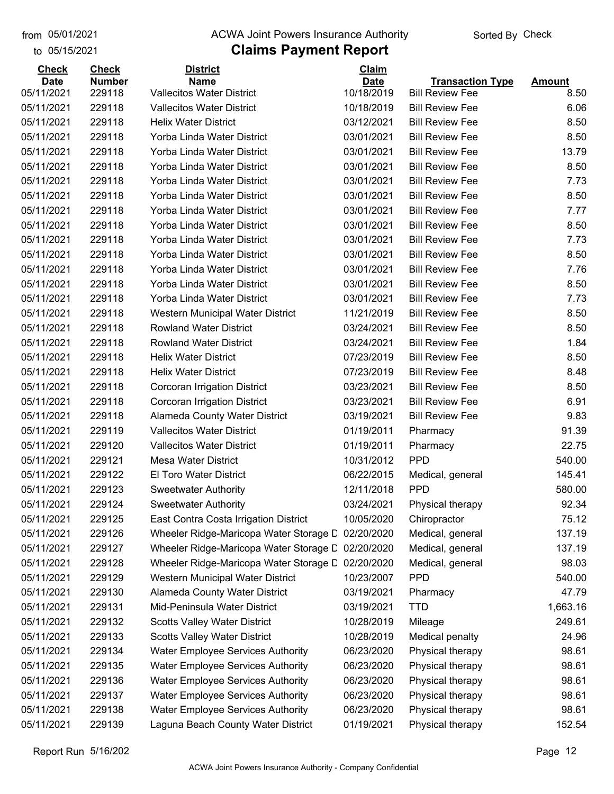## from 05/01/2021 **ACWA Joint Powers Insurance Authority** Sorted By Check

## to 05/15/2021

| <b>Check</b> | <b>Check</b>  | <b>District</b>                          | Claim       |                         |               |
|--------------|---------------|------------------------------------------|-------------|-------------------------|---------------|
| <b>Date</b>  | <b>Number</b> | <b>Name</b>                              | <b>Date</b> | <b>Transaction Type</b> | <b>Amount</b> |
| 05/11/2021   | 229118        | <b>Vallecitos Water District</b>         | 10/18/2019  | <b>Bill Review Fee</b>  | 8.50          |
| 05/11/2021   | 229118        | <b>Vallecitos Water District</b>         | 10/18/2019  | <b>Bill Review Fee</b>  | 6.06          |
| 05/11/2021   | 229118        | <b>Helix Water District</b>              | 03/12/2021  | <b>Bill Review Fee</b>  | 8.50          |
| 05/11/2021   | 229118        | Yorba Linda Water District               | 03/01/2021  | <b>Bill Review Fee</b>  | 8.50          |
| 05/11/2021   | 229118        | Yorba Linda Water District               | 03/01/2021  | <b>Bill Review Fee</b>  | 13.79         |
| 05/11/2021   | 229118        | Yorba Linda Water District               | 03/01/2021  | <b>Bill Review Fee</b>  | 8.50          |
| 05/11/2021   | 229118        | Yorba Linda Water District               | 03/01/2021  | <b>Bill Review Fee</b>  | 7.73          |
| 05/11/2021   | 229118        | Yorba Linda Water District               | 03/01/2021  | <b>Bill Review Fee</b>  | 8.50          |
| 05/11/2021   | 229118        | Yorba Linda Water District               | 03/01/2021  | <b>Bill Review Fee</b>  | 7.77          |
| 05/11/2021   | 229118        | Yorba Linda Water District               | 03/01/2021  | <b>Bill Review Fee</b>  | 8.50          |
| 05/11/2021   | 229118        | Yorba Linda Water District               | 03/01/2021  | <b>Bill Review Fee</b>  | 7.73          |
| 05/11/2021   | 229118        | Yorba Linda Water District               | 03/01/2021  | <b>Bill Review Fee</b>  | 8.50          |
| 05/11/2021   | 229118        | Yorba Linda Water District               | 03/01/2021  | <b>Bill Review Fee</b>  | 7.76          |
| 05/11/2021   | 229118        | Yorba Linda Water District               | 03/01/2021  | <b>Bill Review Fee</b>  | 8.50          |
| 05/11/2021   | 229118        | Yorba Linda Water District               | 03/01/2021  | <b>Bill Review Fee</b>  | 7.73          |
| 05/11/2021   | 229118        | Western Municipal Water District         | 11/21/2019  | <b>Bill Review Fee</b>  | 8.50          |
| 05/11/2021   | 229118        | <b>Rowland Water District</b>            | 03/24/2021  | <b>Bill Review Fee</b>  | 8.50          |
| 05/11/2021   | 229118        | <b>Rowland Water District</b>            | 03/24/2021  | <b>Bill Review Fee</b>  | 1.84          |
| 05/11/2021   | 229118        | <b>Helix Water District</b>              | 07/23/2019  | <b>Bill Review Fee</b>  | 8.50          |
| 05/11/2021   | 229118        | <b>Helix Water District</b>              | 07/23/2019  | <b>Bill Review Fee</b>  | 8.48          |
| 05/11/2021   | 229118        | Corcoran Irrigation District             | 03/23/2021  | <b>Bill Review Fee</b>  | 8.50          |
| 05/11/2021   | 229118        | Corcoran Irrigation District             | 03/23/2021  | <b>Bill Review Fee</b>  | 6.91          |
| 05/11/2021   | 229118        | Alameda County Water District            | 03/19/2021  | <b>Bill Review Fee</b>  | 9.83          |
| 05/11/2021   | 229119        | <b>Vallecitos Water District</b>         | 01/19/2011  | Pharmacy                | 91.39         |
| 05/11/2021   | 229120        | <b>Vallecitos Water District</b>         | 01/19/2011  | Pharmacy                | 22.75         |
| 05/11/2021   | 229121        | <b>Mesa Water District</b>               | 10/31/2012  | <b>PPD</b>              | 540.00        |
| 05/11/2021   | 229122        | <b>El Toro Water District</b>            | 06/22/2015  | Medical, general        | 145.41        |
| 05/11/2021   | 229123        | <b>Sweetwater Authority</b>              | 12/11/2018  | <b>PPD</b>              | 580.00        |
| 05/11/2021   | 229124        | <b>Sweetwater Authority</b>              | 03/24/2021  | Physical therapy        | 92.34         |
| 05/11/2021   | 229125        | East Contra Costa Irrigation District    | 10/05/2020  | Chiropractor            | 75.12         |
| 05/11/2021   | 229126        | Wheeler Ridge-Maricopa Water Storage D   | 02/20/2020  | Medical, general        | 137.19        |
| 05/11/2021   | 229127        | Wheeler Ridge-Maricopa Water Storage D   | 02/20/2020  | Medical, general        | 137.19        |
| 05/11/2021   | 229128        | Wheeler Ridge-Maricopa Water Storage D   | 02/20/2020  | Medical, general        | 98.03         |
| 05/11/2021   | 229129        | Western Municipal Water District         | 10/23/2007  | <b>PPD</b>              | 540.00        |
| 05/11/2021   | 229130        | Alameda County Water District            | 03/19/2021  | Pharmacy                | 47.79         |
| 05/11/2021   | 229131        | Mid-Peninsula Water District             | 03/19/2021  | TTD                     | 1,663.16      |
| 05/11/2021   | 229132        | <b>Scotts Valley Water District</b>      | 10/28/2019  | Mileage                 | 249.61        |
| 05/11/2021   | 229133        | <b>Scotts Valley Water District</b>      | 10/28/2019  | Medical penalty         | 24.96         |
| 05/11/2021   | 229134        | <b>Water Employee Services Authority</b> | 06/23/2020  | Physical therapy        | 98.61         |
| 05/11/2021   | 229135        | <b>Water Employee Services Authority</b> | 06/23/2020  | Physical therapy        | 98.61         |
| 05/11/2021   | 229136        | <b>Water Employee Services Authority</b> | 06/23/2020  | Physical therapy        | 98.61         |
| 05/11/2021   | 229137        | <b>Water Employee Services Authority</b> | 06/23/2020  | Physical therapy        | 98.61         |
| 05/11/2021   | 229138        | <b>Water Employee Services Authority</b> | 06/23/2020  | Physical therapy        | 98.61         |
| 05/11/2021   | 229139        | Laguna Beach County Water District       | 01/19/2021  | Physical therapy        | 152.54        |
|              |               |                                          |             |                         |               |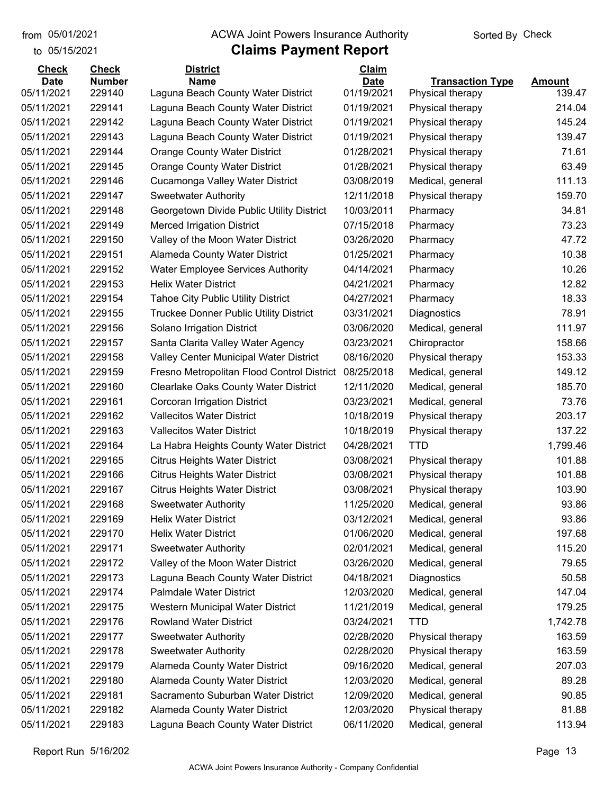to 05/15/2021

#### from 05/01/2021 **ACWA Joint Powers Insurance Authority** Sorted By Check

| <b>Check</b> | <b>Check</b>  | <b>District</b>                               | Claim       |                         |               |
|--------------|---------------|-----------------------------------------------|-------------|-------------------------|---------------|
| <b>Date</b>  | <b>Number</b> | <b>Name</b>                                   | <b>Date</b> | <b>Transaction Type</b> | <b>Amount</b> |
| 05/11/2021   | 229140        | Laguna Beach County Water District            | 01/19/2021  | Physical therapy        | 139.47        |
| 05/11/2021   | 229141        | Laguna Beach County Water District            | 01/19/2021  | Physical therapy        | 214.04        |
| 05/11/2021   | 229142        | Laguna Beach County Water District            | 01/19/2021  | Physical therapy        | 145.24        |
| 05/11/2021   | 229143        | Laguna Beach County Water District            | 01/19/2021  | Physical therapy        | 139.47        |
| 05/11/2021   | 229144        | <b>Orange County Water District</b>           | 01/28/2021  | Physical therapy        | 71.61         |
| 05/11/2021   | 229145        | <b>Orange County Water District</b>           | 01/28/2021  | Physical therapy        | 63.49         |
| 05/11/2021   | 229146        | Cucamonga Valley Water District               | 03/08/2019  | Medical, general        | 111.13        |
| 05/11/2021   | 229147        | <b>Sweetwater Authority</b>                   | 12/11/2018  | Physical therapy        | 159.70        |
| 05/11/2021   | 229148        | Georgetown Divide Public Utility District     | 10/03/2011  | Pharmacy                | 34.81         |
| 05/11/2021   | 229149        | <b>Merced Irrigation District</b>             | 07/15/2018  | Pharmacy                | 73.23         |
| 05/11/2021   | 229150        | Valley of the Moon Water District             | 03/26/2020  | Pharmacy                | 47.72         |
| 05/11/2021   | 229151        | Alameda County Water District                 | 01/25/2021  | Pharmacy                | 10.38         |
| 05/11/2021   | 229152        | <b>Water Employee Services Authority</b>      | 04/14/2021  | Pharmacy                | 10.26         |
| 05/11/2021   | 229153        | <b>Helix Water District</b>                   | 04/21/2021  | Pharmacy                | 12.82         |
| 05/11/2021   | 229154        | <b>Tahoe City Public Utility District</b>     | 04/27/2021  | Pharmacy                | 18.33         |
| 05/11/2021   | 229155        | <b>Truckee Donner Public Utility District</b> | 03/31/2021  | Diagnostics             | 78.91         |
| 05/11/2021   | 229156        | Solano Irrigation District                    | 03/06/2020  | Medical, general        | 111.97        |
| 05/11/2021   | 229157        | Santa Clarita Valley Water Agency             | 03/23/2021  | Chiropractor            | 158.66        |
| 05/11/2021   | 229158        | Valley Center Municipal Water District        | 08/16/2020  | Physical therapy        | 153.33        |
| 05/11/2021   | 229159        | Fresno Metropolitan Flood Control District    | 08/25/2018  | Medical, general        | 149.12        |
| 05/11/2021   | 229160        | Clearlake Oaks County Water District          | 12/11/2020  | Medical, general        | 185.70        |
| 05/11/2021   | 229161        | Corcoran Irrigation District                  | 03/23/2021  | Medical, general        | 73.76         |
| 05/11/2021   | 229162        | <b>Vallecitos Water District</b>              | 10/18/2019  | Physical therapy        | 203.17        |
| 05/11/2021   | 229163        | Vallecitos Water District                     | 10/18/2019  | Physical therapy        | 137.22        |
| 05/11/2021   | 229164        | La Habra Heights County Water District        | 04/28/2021  | <b>TTD</b>              | 1,799.46      |
| 05/11/2021   | 229165        | <b>Citrus Heights Water District</b>          | 03/08/2021  | Physical therapy        | 101.88        |
| 05/11/2021   | 229166        | <b>Citrus Heights Water District</b>          | 03/08/2021  | Physical therapy        | 101.88        |
| 05/11/2021   | 229167        | <b>Citrus Heights Water District</b>          | 03/08/2021  | Physical therapy        | 103.90        |
| 05/11/2021   | 229168        | <b>Sweetwater Authority</b>                   | 11/25/2020  | Medical, general        | 93.86         |
| 05/11/2021   | 229169        | <b>Helix Water District</b>                   | 03/12/2021  | Medical, general        | 93.86         |
| 05/11/2021   | 229170        | <b>Helix Water District</b>                   | 01/06/2020  | Medical, general        | 197.68        |
| 05/11/2021   | 229171        | <b>Sweetwater Authority</b>                   | 02/01/2021  | Medical, general        | 115.20        |
| 05/11/2021   | 229172        | Valley of the Moon Water District             | 03/26/2020  | Medical, general        | 79.65         |
| 05/11/2021   | 229173        | Laguna Beach County Water District            | 04/18/2021  | Diagnostics             | 50.58         |
| 05/11/2021   | 229174        | Palmdale Water District                       | 12/03/2020  | Medical, general        | 147.04        |
| 05/11/2021   | 229175        | Western Municipal Water District              | 11/21/2019  | Medical, general        | 179.25        |
| 05/11/2021   | 229176        | <b>Rowland Water District</b>                 | 03/24/2021  | <b>TTD</b>              | 1,742.78      |
| 05/11/2021   | 229177        | <b>Sweetwater Authority</b>                   | 02/28/2020  | Physical therapy        | 163.59        |
| 05/11/2021   | 229178        | <b>Sweetwater Authority</b>                   | 02/28/2020  | Physical therapy        | 163.59        |
| 05/11/2021   | 229179        | Alameda County Water District                 | 09/16/2020  | Medical, general        | 207.03        |
| 05/11/2021   | 229180        | Alameda County Water District                 | 12/03/2020  | Medical, general        | 89.28         |
| 05/11/2021   | 229181        | Sacramento Suburban Water District            | 12/09/2020  | Medical, general        | 90.85         |
| 05/11/2021   | 229182        | Alameda County Water District                 | 12/03/2020  | Physical therapy        | 81.88         |
|              |               |                                               |             |                         | 113.94        |
| 05/11/2021   | 229183        | Laguna Beach County Water District            | 06/11/2020  | Medical, general        |               |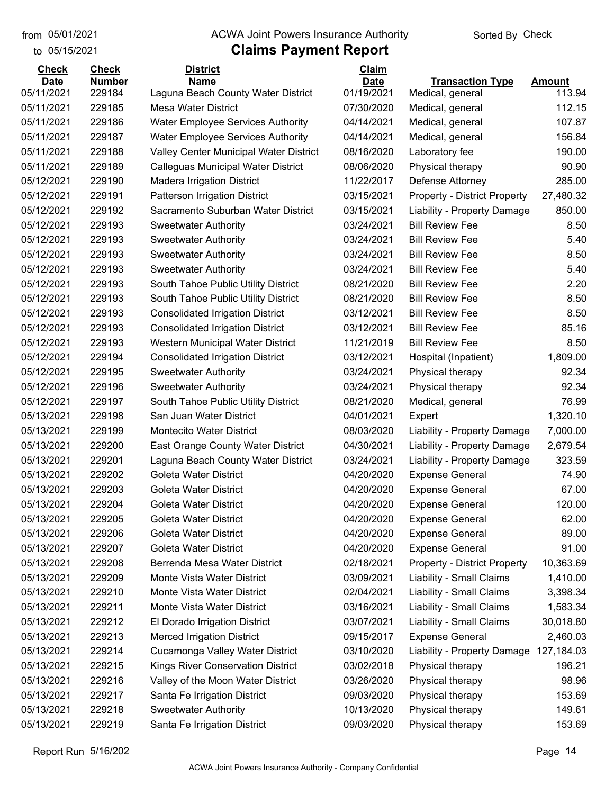to 05/15/2021 from 05/01/2021

## from 05/01/2021 **ACWA Joint Powers Insurance Authority** Sorted By Check

| <b>Check</b> | <b>Check</b>  | <b>District</b>                           | Claim       |                                     |                         |
|--------------|---------------|-------------------------------------------|-------------|-------------------------------------|-------------------------|
| <b>Date</b>  | <b>Number</b> | <b>Name</b>                               | <b>Date</b> | <b>Transaction Type</b>             | <b>Amount</b><br>113.94 |
| 05/11/2021   | 229184        | Laguna Beach County Water District        | 01/19/2021  | Medical, general                    |                         |
| 05/11/2021   | 229185        | <b>Mesa Water District</b>                | 07/30/2020  | Medical, general                    | 112.15                  |
| 05/11/2021   | 229186        | <b>Water Employee Services Authority</b>  | 04/14/2021  | Medical, general                    | 107.87                  |
| 05/11/2021   | 229187        | <b>Water Employee Services Authority</b>  | 04/14/2021  | Medical, general                    | 156.84                  |
| 05/11/2021   | 229188        | Valley Center Municipal Water District    | 08/16/2020  | Laboratory fee                      | 190.00                  |
| 05/11/2021   | 229189        | <b>Calleguas Municipal Water District</b> | 08/06/2020  | Physical therapy                    | 90.90                   |
| 05/12/2021   | 229190        | <b>Madera Irrigation District</b>         | 11/22/2017  | Defense Attorney                    | 285.00                  |
| 05/12/2021   | 229191        | <b>Patterson Irrigation District</b>      | 03/15/2021  | <b>Property - District Property</b> | 27,480.32               |
| 05/12/2021   | 229192        | Sacramento Suburban Water District        | 03/15/2021  | Liability - Property Damage         | 850.00                  |
| 05/12/2021   | 229193        | <b>Sweetwater Authority</b>               | 03/24/2021  | <b>Bill Review Fee</b>              | 8.50                    |
| 05/12/2021   | 229193        | <b>Sweetwater Authority</b>               | 03/24/2021  | <b>Bill Review Fee</b>              | 5.40                    |
| 05/12/2021   | 229193        | <b>Sweetwater Authority</b>               | 03/24/2021  | <b>Bill Review Fee</b>              | 8.50                    |
| 05/12/2021   | 229193        | <b>Sweetwater Authority</b>               | 03/24/2021  | <b>Bill Review Fee</b>              | 5.40                    |
| 05/12/2021   | 229193        | South Tahoe Public Utility District       | 08/21/2020  | <b>Bill Review Fee</b>              | 2.20                    |
| 05/12/2021   | 229193        | South Tahoe Public Utility District       | 08/21/2020  | <b>Bill Review Fee</b>              | 8.50                    |
| 05/12/2021   | 229193        | <b>Consolidated Irrigation District</b>   | 03/12/2021  | <b>Bill Review Fee</b>              | 8.50                    |
| 05/12/2021   | 229193        | <b>Consolidated Irrigation District</b>   | 03/12/2021  | <b>Bill Review Fee</b>              | 85.16                   |
| 05/12/2021   | 229193        | Western Municipal Water District          | 11/21/2019  | <b>Bill Review Fee</b>              | 8.50                    |
| 05/12/2021   | 229194        | <b>Consolidated Irrigation District</b>   | 03/12/2021  | Hospital (Inpatient)                | 1,809.00                |
| 05/12/2021   | 229195        | <b>Sweetwater Authority</b>               | 03/24/2021  | Physical therapy                    | 92.34                   |
| 05/12/2021   | 229196        | <b>Sweetwater Authority</b>               | 03/24/2021  | Physical therapy                    | 92.34                   |
| 05/12/2021   | 229197        | South Tahoe Public Utility District       | 08/21/2020  | Medical, general                    | 76.99                   |
| 05/13/2021   | 229198        | San Juan Water District                   | 04/01/2021  | Expert                              | 1,320.10                |
| 05/13/2021   | 229199        | <b>Montecito Water District</b>           | 08/03/2020  | Liability - Property Damage         | 7,000.00                |
| 05/13/2021   | 229200        | East Orange County Water District         | 04/30/2021  | Liability - Property Damage         | 2,679.54                |
| 05/13/2021   | 229201        | Laguna Beach County Water District        | 03/24/2021  | Liability - Property Damage         | 323.59                  |
| 05/13/2021   | 229202        | Goleta Water District                     | 04/20/2020  | <b>Expense General</b>              | 74.90                   |
| 05/13/2021   | 229203        | <b>Goleta Water District</b>              | 04/20/2020  | <b>Expense General</b>              | 67.00                   |
| 05/13/2021   | 229204        | <b>Goleta Water District</b>              | 04/20/2020  | <b>Expense General</b>              | 120.00                  |
| 05/13/2021   | 229205        | <b>Goleta Water District</b>              | 04/20/2020  | <b>Expense General</b>              | 62.00                   |
| 05/13/2021   | 229206        | <b>Goleta Water District</b>              | 04/20/2020  | <b>Expense General</b>              | 89.00                   |
| 05/13/2021   | 229207        | Goleta Water District                     | 04/20/2020  | <b>Expense General</b>              | 91.00                   |
| 05/13/2021   | 229208        | Berrenda Mesa Water District              | 02/18/2021  | <b>Property - District Property</b> | 10,363.69               |
| 05/13/2021   | 229209        | Monte Vista Water District                | 03/09/2021  | Liability - Small Claims            | 1,410.00                |
| 05/13/2021   | 229210        | Monte Vista Water District                | 02/04/2021  | Liability - Small Claims            | 3,398.34                |
| 05/13/2021   | 229211        | Monte Vista Water District                | 03/16/2021  | Liability - Small Claims            | 1,583.34                |
| 05/13/2021   | 229212        | El Dorado Irrigation District             | 03/07/2021  | Liability - Small Claims            | 30,018.80               |
| 05/13/2021   | 229213        | <b>Merced Irrigation District</b>         | 09/15/2017  | <b>Expense General</b>              | 2,460.03                |
| 05/13/2021   | 229214        | Cucamonga Valley Water District           | 03/10/2020  | Liability - Property Damage         | 127,184.03              |
| 05/13/2021   | 229215        | Kings River Conservation District         | 03/02/2018  | Physical therapy                    | 196.21                  |
| 05/13/2021   | 229216        | Valley of the Moon Water District         | 03/26/2020  | Physical therapy                    | 98.96                   |
| 05/13/2021   | 229217        | Santa Fe Irrigation District              | 09/03/2020  | Physical therapy                    | 153.69                  |
| 05/13/2021   | 229218        | <b>Sweetwater Authority</b>               | 10/13/2020  | Physical therapy                    | 149.61                  |
| 05/13/2021   | 229219        | Santa Fe Irrigation District              | 09/03/2020  | Physical therapy                    | 153.69                  |
|              |               |                                           |             |                                     |                         |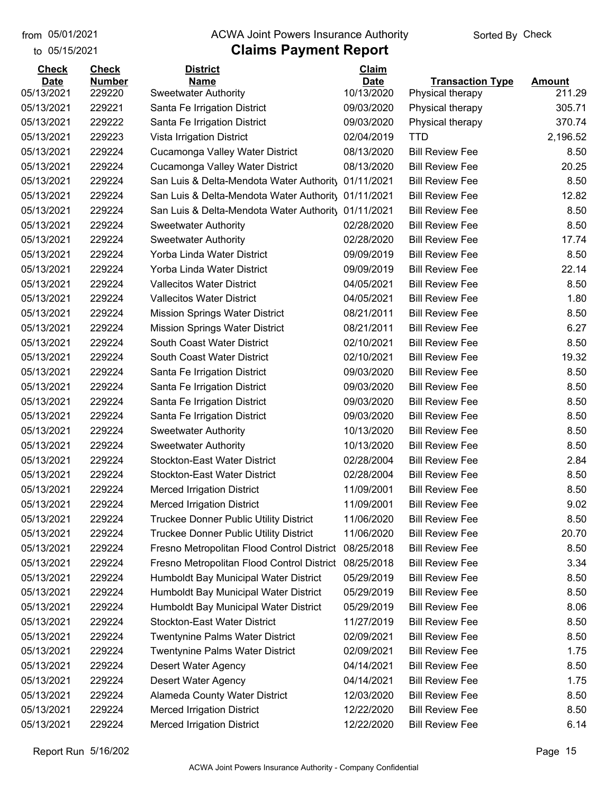to 05/15/2021

## from 05/01/2021 **ACWA Joint Powers Insurance Authority** Sorted By Check

| <b>Check</b> | <b>Check</b>  | <b>District</b>                                     | Claim       |                         |               |
|--------------|---------------|-----------------------------------------------------|-------------|-------------------------|---------------|
| <b>Date</b>  | <b>Number</b> | <b>Name</b>                                         | <b>Date</b> | <b>Transaction Type</b> | <b>Amount</b> |
| 05/13/2021   | 229220        | <b>Sweetwater Authority</b>                         | 10/13/2020  | Physical therapy        | 211.29        |
| 05/13/2021   | 229221        | Santa Fe Irrigation District                        | 09/03/2020  | Physical therapy        | 305.71        |
| 05/13/2021   | 229222        | Santa Fe Irrigation District                        | 09/03/2020  | Physical therapy        | 370.74        |
| 05/13/2021   | 229223        | Vista Irrigation District                           | 02/04/2019  | TTD                     | 2,196.52      |
| 05/13/2021   | 229224        | Cucamonga Valley Water District                     | 08/13/2020  | <b>Bill Review Fee</b>  | 8.50          |
| 05/13/2021   | 229224        | Cucamonga Valley Water District                     | 08/13/2020  | <b>Bill Review Fee</b>  | 20.25         |
| 05/13/2021   | 229224        | San Luis & Delta-Mendota Water Authority            | 01/11/2021  | <b>Bill Review Fee</b>  | 8.50          |
| 05/13/2021   | 229224        | San Luis & Delta-Mendota Water Authority 01/11/2021 |             | <b>Bill Review Fee</b>  | 12.82         |
| 05/13/2021   | 229224        | San Luis & Delta-Mendota Water Authority 01/11/2021 |             | <b>Bill Review Fee</b>  | 8.50          |
| 05/13/2021   | 229224        | <b>Sweetwater Authority</b>                         | 02/28/2020  | <b>Bill Review Fee</b>  | 8.50          |
| 05/13/2021   | 229224        | <b>Sweetwater Authority</b>                         | 02/28/2020  | <b>Bill Review Fee</b>  | 17.74         |
| 05/13/2021   | 229224        | Yorba Linda Water District                          | 09/09/2019  | <b>Bill Review Fee</b>  | 8.50          |
| 05/13/2021   | 229224        | Yorba Linda Water District                          | 09/09/2019  | <b>Bill Review Fee</b>  | 22.14         |
| 05/13/2021   | 229224        | <b>Vallecitos Water District</b>                    | 04/05/2021  | <b>Bill Review Fee</b>  | 8.50          |
| 05/13/2021   | 229224        | <b>Vallecitos Water District</b>                    | 04/05/2021  | <b>Bill Review Fee</b>  | 1.80          |
| 05/13/2021   | 229224        | <b>Mission Springs Water District</b>               | 08/21/2011  | <b>Bill Review Fee</b>  | 8.50          |
| 05/13/2021   | 229224        | <b>Mission Springs Water District</b>               | 08/21/2011  | <b>Bill Review Fee</b>  | 6.27          |
| 05/13/2021   | 229224        | South Coast Water District                          | 02/10/2021  | <b>Bill Review Fee</b>  | 8.50          |
| 05/13/2021   | 229224        | South Coast Water District                          | 02/10/2021  | <b>Bill Review Fee</b>  | 19.32         |
| 05/13/2021   | 229224        | Santa Fe Irrigation District                        | 09/03/2020  | <b>Bill Review Fee</b>  | 8.50          |
| 05/13/2021   | 229224        | Santa Fe Irrigation District                        | 09/03/2020  | <b>Bill Review Fee</b>  | 8.50          |
| 05/13/2021   | 229224        | Santa Fe Irrigation District                        | 09/03/2020  | <b>Bill Review Fee</b>  | 8.50          |
| 05/13/2021   | 229224        | Santa Fe Irrigation District                        | 09/03/2020  | <b>Bill Review Fee</b>  | 8.50          |
| 05/13/2021   | 229224        | <b>Sweetwater Authority</b>                         | 10/13/2020  | <b>Bill Review Fee</b>  | 8.50          |
| 05/13/2021   | 229224        | <b>Sweetwater Authority</b>                         | 10/13/2020  | <b>Bill Review Fee</b>  | 8.50          |
| 05/13/2021   | 229224        | <b>Stockton-East Water District</b>                 | 02/28/2004  | <b>Bill Review Fee</b>  | 2.84          |
| 05/13/2021   | 229224        | <b>Stockton-East Water District</b>                 | 02/28/2004  | <b>Bill Review Fee</b>  | 8.50          |
| 05/13/2021   | 229224        | Merced Irrigation District                          | 11/09/2001  | <b>Bill Review Fee</b>  | 8.50          |
| 05/13/2021   | 229224        | <b>Merced Irrigation District</b>                   | 11/09/2001  | <b>Bill Review Fee</b>  | 9.02          |
| 05/13/2021   | 229224        | <b>Truckee Donner Public Utility District</b>       | 11/06/2020  | <b>Bill Review Fee</b>  | 8.50          |
| 05/13/2021   | 229224        | Truckee Donner Public Utility District              | 11/06/2020  | <b>Bill Review Fee</b>  | 20.70         |
| 05/13/2021   | 229224        | Fresno Metropolitan Flood Control District          | 08/25/2018  | <b>Bill Review Fee</b>  | 8.50          |
| 05/13/2021   | 229224        | Fresno Metropolitan Flood Control District          | 08/25/2018  | <b>Bill Review Fee</b>  | 3.34          |
| 05/13/2021   | 229224        | Humboldt Bay Municipal Water District               | 05/29/2019  | <b>Bill Review Fee</b>  | 8.50          |
| 05/13/2021   | 229224        | Humboldt Bay Municipal Water District               | 05/29/2019  | <b>Bill Review Fee</b>  | 8.50          |
| 05/13/2021   | 229224        | Humboldt Bay Municipal Water District               | 05/29/2019  | <b>Bill Review Fee</b>  | 8.06          |
| 05/13/2021   | 229224        | <b>Stockton-East Water District</b>                 | 11/27/2019  | <b>Bill Review Fee</b>  | 8.50          |
| 05/13/2021   | 229224        | <b>Twentynine Palms Water District</b>              | 02/09/2021  | <b>Bill Review Fee</b>  | 8.50          |
| 05/13/2021   | 229224        | <b>Twentynine Palms Water District</b>              | 02/09/2021  | <b>Bill Review Fee</b>  | 1.75          |
| 05/13/2021   | 229224        | Desert Water Agency                                 | 04/14/2021  | <b>Bill Review Fee</b>  | 8.50          |
| 05/13/2021   | 229224        | Desert Water Agency                                 | 04/14/2021  | <b>Bill Review Fee</b>  | 1.75          |
| 05/13/2021   | 229224        | Alameda County Water District                       | 12/03/2020  | <b>Bill Review Fee</b>  | 8.50          |
| 05/13/2021   | 229224        | <b>Merced Irrigation District</b>                   | 12/22/2020  | <b>Bill Review Fee</b>  | 8.50          |
| 05/13/2021   | 229224        | <b>Merced Irrigation District</b>                   | 12/22/2020  | <b>Bill Review Fee</b>  | 6.14          |
|              |               |                                                     |             |                         |               |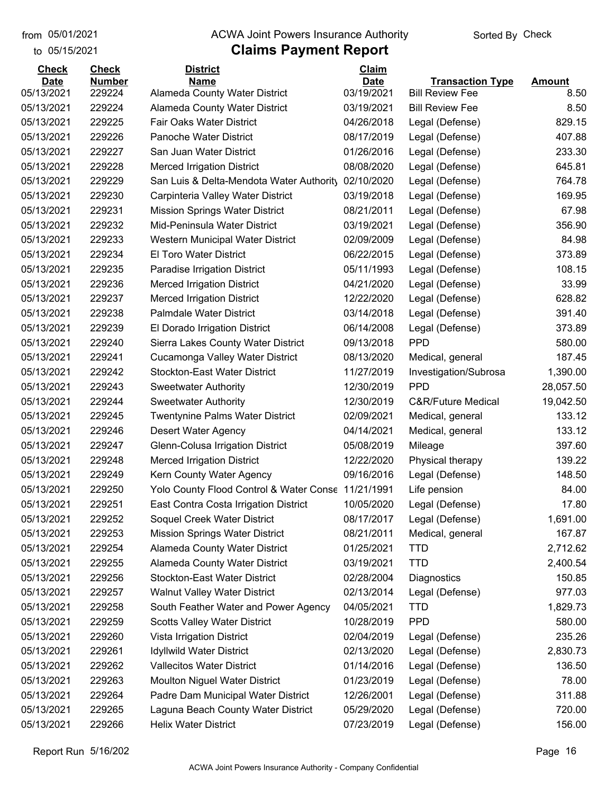to 05/15/2021

#### from 05/01/2021 **ACWA Joint Powers Insurance Authority** Sorted By Check

## **Claims Payment Report**

| 05/13/2021<br>03/19/2021<br>229224<br>Alameda County Water District<br><b>Bill Review Fee</b><br>8.50<br>229224<br>03/19/2021<br>05/13/2021<br>Alameda County Water District<br><b>Bill Review Fee</b><br>8.50<br>829.15<br>05/13/2021<br>229225<br>Fair Oaks Water District<br>04/26/2018<br>Legal (Defense)<br>05/13/2021<br>229226<br>Panoche Water District<br>08/17/2019<br>407.88<br>Legal (Defense)<br>05/13/2021<br>229227<br>San Juan Water District<br>01/26/2016<br>233.30<br>Legal (Defense)<br>229228<br>08/08/2020<br>645.81<br>05/13/2021<br><b>Merced Irrigation District</b><br>Legal (Defense)<br>05/13/2021<br>229229<br>02/10/2020<br>764.78<br>San Luis & Delta-Mendota Water Authority<br>Legal (Defense)<br>05/13/2021<br>229230<br>03/19/2018<br>169.95<br>Carpinteria Valley Water District<br>Legal (Defense)<br>05/13/2021<br>229231<br><b>Mission Springs Water District</b><br>08/21/2011<br>67.98<br>Legal (Defense)<br>229232<br>356.90<br>05/13/2021<br>Mid-Peninsula Water District<br>03/19/2021<br>Legal (Defense)<br>229233<br>05/13/2021<br>Western Municipal Water District<br>02/09/2009<br>Legal (Defense)<br>84.98<br>05/13/2021<br>229234<br>El Toro Water District<br>06/22/2015<br>Legal (Defense)<br>373.89<br>108.15<br>05/13/2021<br>229235<br>Paradise Irrigation District<br>05/11/1993<br>Legal (Defense)<br>33.99<br>229236<br><b>Merced Irrigation District</b><br>04/21/2020<br>Legal (Defense)<br>628.82<br>229237<br><b>Merced Irrigation District</b><br>12/22/2020<br>Legal (Defense)<br>229238<br><b>Palmdale Water District</b><br>03/14/2018<br>391.40<br>Legal (Defense)<br>373.89<br>229239<br>El Dorado Irrigation District<br>06/14/2008<br>Legal (Defense)<br><b>PPD</b><br>05/13/2021<br>229240<br>Sierra Lakes County Water District<br>09/13/2018<br>580.00<br>187.45<br>05/13/2021<br>229241<br>Cucamonga Valley Water District<br>08/13/2020<br>Medical, general<br>229242<br>1,390.00<br>05/13/2021<br><b>Stockton-East Water District</b><br>11/27/2019<br>Investigation/Subrosa<br><b>PPD</b><br>05/13/2021<br>229243<br>12/30/2019<br>28,057.50<br><b>Sweetwater Authority</b><br>229244<br>12/30/2019<br><b>C&amp;R/Future Medical</b><br>19,042.50<br><b>Sweetwater Authority</b><br>229245<br><b>Twentynine Palms Water District</b><br>02/09/2021<br>133.12<br>Medical, general<br>133.12<br>229246<br>04/14/2021<br>Desert Water Agency<br>Medical, general<br>229247<br>Glenn-Colusa Irrigation District<br>397.60<br>05/08/2019<br>Mileage<br>229248<br><b>Merced Irrigation District</b><br>12/22/2020<br>139.22<br>Physical therapy<br>148.50<br>05/13/2021<br>229249<br>Kern County Water Agency<br>09/16/2016<br>Legal (Defense)<br>84.00<br>05/13/2021<br>229250<br>Yolo County Flood Control & Water Conse<br>11/21/1991<br>Life pension<br>17.80<br>05/13/2021<br>229251<br>East Contra Costa Irrigation District<br>10/05/2020<br>Legal (Defense)<br>229252<br>08/17/2017<br>05/13/2021<br>Soquel Creek Water District<br>Legal (Defense)<br>1,691.00<br>167.87<br>05/13/2021<br>229253<br><b>Mission Springs Water District</b><br>08/21/2011<br>Medical, general<br>05/13/2021<br>229254<br><b>Alameda County Water District</b><br><b>TTD</b><br>2,712.62<br>01/25/2021<br><b>TTD</b><br>05/13/2021<br>229255<br>Alameda County Water District<br>03/19/2021<br>2,400.54<br>Stockton-East Water District<br>05/13/2021<br>02/28/2004<br>150.85<br>229256<br>Diagnostics<br>977.03<br>05/13/2021<br>229257<br><b>Walnut Valley Water District</b><br>02/13/2014<br>Legal (Defense)<br>05/13/2021<br>229258<br>South Feather Water and Power Agency<br>04/05/2021<br><b>TTD</b><br>1,829.73<br><b>PPD</b><br>05/13/2021<br>229259<br><b>Scotts Valley Water District</b><br>10/28/2019<br>580.00<br>05/13/2021<br>229260<br>Vista Irrigation District<br>02/04/2019<br>235.26<br>Legal (Defense)<br><b>Idyllwild Water District</b><br>Legal (Defense)<br>05/13/2021<br>229261<br>02/13/2020<br>2,830.73<br>05/13/2021<br>229262<br><b>Vallecitos Water District</b><br>01/14/2016<br>Legal (Defense)<br>136.50<br>05/13/2021<br>229263<br>Moulton Niguel Water District<br>01/23/2019<br>78.00<br>Legal (Defense)<br>05/13/2021<br>229264<br>Padre Dam Municipal Water District<br>12/26/2001<br>Legal (Defense)<br>311.88<br>05/13/2021<br>229265<br>Laguna Beach County Water District<br>05/29/2020<br>Legal (Defense)<br>720.00<br>156.00<br>05/13/2021<br>229266<br><b>Helix Water District</b><br>07/23/2019<br>Legal (Defense) | <b>Check</b> | <b>Check</b>  | <b>District</b> | <b>Claim</b> |                         |               |
|----------------------------------------------------------------------------------------------------------------------------------------------------------------------------------------------------------------------------------------------------------------------------------------------------------------------------------------------------------------------------------------------------------------------------------------------------------------------------------------------------------------------------------------------------------------------------------------------------------------------------------------------------------------------------------------------------------------------------------------------------------------------------------------------------------------------------------------------------------------------------------------------------------------------------------------------------------------------------------------------------------------------------------------------------------------------------------------------------------------------------------------------------------------------------------------------------------------------------------------------------------------------------------------------------------------------------------------------------------------------------------------------------------------------------------------------------------------------------------------------------------------------------------------------------------------------------------------------------------------------------------------------------------------------------------------------------------------------------------------------------------------------------------------------------------------------------------------------------------------------------------------------------------------------------------------------------------------------------------------------------------------------------------------------------------------------------------------------------------------------------------------------------------------------------------------------------------------------------------------------------------------------------------------------------------------------------------------------------------------------------------------------------------------------------------------------------------------------------------------------------------------------------------------------------------------------------------------------------------------------------------------------------------------------------------------------------------------------------------------------------------------------------------------------------------------------------------------------------------------------------------------------------------------------------------------------------------------------------------------------------------------------------------------------------------------------------------------------------------------------------------------------------------------------------------------------------------------------------------------------------------------------------------------------------------------------------------------------------------------------------------------------------------------------------------------------------------------------------------------------------------------------------------------------------------------------------------------------------------------------------------------------------------------------------------------------------------------------------------------------------------------------------------------------------------------------------------------------------------------------------------------------------------------------------------------------------------------------------------------------------------------------------------------------------------------------------------------------------------------------------------------------------------------------------------------------------------------------------------------------------------------------------------------------------------------------------------------------------------------------------------------------------------------------------------------------------------------------------------------------------------------------------------|--------------|---------------|-----------------|--------------|-------------------------|---------------|
|                                                                                                                                                                                                                                                                                                                                                                                                                                                                                                                                                                                                                                                                                                                                                                                                                                                                                                                                                                                                                                                                                                                                                                                                                                                                                                                                                                                                                                                                                                                                                                                                                                                                                                                                                                                                                                                                                                                                                                                                                                                                                                                                                                                                                                                                                                                                                                                                                                                                                                                                                                                                                                                                                                                                                                                                                                                                                                                                                                                                                                                                                                                                                                                                                                                                                                                                                                                                                                                                                                                                                                                                                                                                                                                                                                                                                                                                                                                                                                                                                                                                                                                                                                                                                                                                                                                                                                                                                                                                                                                                  | <b>Date</b>  | <b>Number</b> | <b>Name</b>     | <b>Date</b>  | <b>Transaction Type</b> | <b>Amount</b> |
|                                                                                                                                                                                                                                                                                                                                                                                                                                                                                                                                                                                                                                                                                                                                                                                                                                                                                                                                                                                                                                                                                                                                                                                                                                                                                                                                                                                                                                                                                                                                                                                                                                                                                                                                                                                                                                                                                                                                                                                                                                                                                                                                                                                                                                                                                                                                                                                                                                                                                                                                                                                                                                                                                                                                                                                                                                                                                                                                                                                                                                                                                                                                                                                                                                                                                                                                                                                                                                                                                                                                                                                                                                                                                                                                                                                                                                                                                                                                                                                                                                                                                                                                                                                                                                                                                                                                                                                                                                                                                                                                  |              |               |                 |              |                         |               |
|                                                                                                                                                                                                                                                                                                                                                                                                                                                                                                                                                                                                                                                                                                                                                                                                                                                                                                                                                                                                                                                                                                                                                                                                                                                                                                                                                                                                                                                                                                                                                                                                                                                                                                                                                                                                                                                                                                                                                                                                                                                                                                                                                                                                                                                                                                                                                                                                                                                                                                                                                                                                                                                                                                                                                                                                                                                                                                                                                                                                                                                                                                                                                                                                                                                                                                                                                                                                                                                                                                                                                                                                                                                                                                                                                                                                                                                                                                                                                                                                                                                                                                                                                                                                                                                                                                                                                                                                                                                                                                                                  |              |               |                 |              |                         |               |
|                                                                                                                                                                                                                                                                                                                                                                                                                                                                                                                                                                                                                                                                                                                                                                                                                                                                                                                                                                                                                                                                                                                                                                                                                                                                                                                                                                                                                                                                                                                                                                                                                                                                                                                                                                                                                                                                                                                                                                                                                                                                                                                                                                                                                                                                                                                                                                                                                                                                                                                                                                                                                                                                                                                                                                                                                                                                                                                                                                                                                                                                                                                                                                                                                                                                                                                                                                                                                                                                                                                                                                                                                                                                                                                                                                                                                                                                                                                                                                                                                                                                                                                                                                                                                                                                                                                                                                                                                                                                                                                                  |              |               |                 |              |                         |               |
|                                                                                                                                                                                                                                                                                                                                                                                                                                                                                                                                                                                                                                                                                                                                                                                                                                                                                                                                                                                                                                                                                                                                                                                                                                                                                                                                                                                                                                                                                                                                                                                                                                                                                                                                                                                                                                                                                                                                                                                                                                                                                                                                                                                                                                                                                                                                                                                                                                                                                                                                                                                                                                                                                                                                                                                                                                                                                                                                                                                                                                                                                                                                                                                                                                                                                                                                                                                                                                                                                                                                                                                                                                                                                                                                                                                                                                                                                                                                                                                                                                                                                                                                                                                                                                                                                                                                                                                                                                                                                                                                  |              |               |                 |              |                         |               |
|                                                                                                                                                                                                                                                                                                                                                                                                                                                                                                                                                                                                                                                                                                                                                                                                                                                                                                                                                                                                                                                                                                                                                                                                                                                                                                                                                                                                                                                                                                                                                                                                                                                                                                                                                                                                                                                                                                                                                                                                                                                                                                                                                                                                                                                                                                                                                                                                                                                                                                                                                                                                                                                                                                                                                                                                                                                                                                                                                                                                                                                                                                                                                                                                                                                                                                                                                                                                                                                                                                                                                                                                                                                                                                                                                                                                                                                                                                                                                                                                                                                                                                                                                                                                                                                                                                                                                                                                                                                                                                                                  |              |               |                 |              |                         |               |
|                                                                                                                                                                                                                                                                                                                                                                                                                                                                                                                                                                                                                                                                                                                                                                                                                                                                                                                                                                                                                                                                                                                                                                                                                                                                                                                                                                                                                                                                                                                                                                                                                                                                                                                                                                                                                                                                                                                                                                                                                                                                                                                                                                                                                                                                                                                                                                                                                                                                                                                                                                                                                                                                                                                                                                                                                                                                                                                                                                                                                                                                                                                                                                                                                                                                                                                                                                                                                                                                                                                                                                                                                                                                                                                                                                                                                                                                                                                                                                                                                                                                                                                                                                                                                                                                                                                                                                                                                                                                                                                                  |              |               |                 |              |                         |               |
|                                                                                                                                                                                                                                                                                                                                                                                                                                                                                                                                                                                                                                                                                                                                                                                                                                                                                                                                                                                                                                                                                                                                                                                                                                                                                                                                                                                                                                                                                                                                                                                                                                                                                                                                                                                                                                                                                                                                                                                                                                                                                                                                                                                                                                                                                                                                                                                                                                                                                                                                                                                                                                                                                                                                                                                                                                                                                                                                                                                                                                                                                                                                                                                                                                                                                                                                                                                                                                                                                                                                                                                                                                                                                                                                                                                                                                                                                                                                                                                                                                                                                                                                                                                                                                                                                                                                                                                                                                                                                                                                  |              |               |                 |              |                         |               |
|                                                                                                                                                                                                                                                                                                                                                                                                                                                                                                                                                                                                                                                                                                                                                                                                                                                                                                                                                                                                                                                                                                                                                                                                                                                                                                                                                                                                                                                                                                                                                                                                                                                                                                                                                                                                                                                                                                                                                                                                                                                                                                                                                                                                                                                                                                                                                                                                                                                                                                                                                                                                                                                                                                                                                                                                                                                                                                                                                                                                                                                                                                                                                                                                                                                                                                                                                                                                                                                                                                                                                                                                                                                                                                                                                                                                                                                                                                                                                                                                                                                                                                                                                                                                                                                                                                                                                                                                                                                                                                                                  |              |               |                 |              |                         |               |
|                                                                                                                                                                                                                                                                                                                                                                                                                                                                                                                                                                                                                                                                                                                                                                                                                                                                                                                                                                                                                                                                                                                                                                                                                                                                                                                                                                                                                                                                                                                                                                                                                                                                                                                                                                                                                                                                                                                                                                                                                                                                                                                                                                                                                                                                                                                                                                                                                                                                                                                                                                                                                                                                                                                                                                                                                                                                                                                                                                                                                                                                                                                                                                                                                                                                                                                                                                                                                                                                                                                                                                                                                                                                                                                                                                                                                                                                                                                                                                                                                                                                                                                                                                                                                                                                                                                                                                                                                                                                                                                                  |              |               |                 |              |                         |               |
|                                                                                                                                                                                                                                                                                                                                                                                                                                                                                                                                                                                                                                                                                                                                                                                                                                                                                                                                                                                                                                                                                                                                                                                                                                                                                                                                                                                                                                                                                                                                                                                                                                                                                                                                                                                                                                                                                                                                                                                                                                                                                                                                                                                                                                                                                                                                                                                                                                                                                                                                                                                                                                                                                                                                                                                                                                                                                                                                                                                                                                                                                                                                                                                                                                                                                                                                                                                                                                                                                                                                                                                                                                                                                                                                                                                                                                                                                                                                                                                                                                                                                                                                                                                                                                                                                                                                                                                                                                                                                                                                  |              |               |                 |              |                         |               |
|                                                                                                                                                                                                                                                                                                                                                                                                                                                                                                                                                                                                                                                                                                                                                                                                                                                                                                                                                                                                                                                                                                                                                                                                                                                                                                                                                                                                                                                                                                                                                                                                                                                                                                                                                                                                                                                                                                                                                                                                                                                                                                                                                                                                                                                                                                                                                                                                                                                                                                                                                                                                                                                                                                                                                                                                                                                                                                                                                                                                                                                                                                                                                                                                                                                                                                                                                                                                                                                                                                                                                                                                                                                                                                                                                                                                                                                                                                                                                                                                                                                                                                                                                                                                                                                                                                                                                                                                                                                                                                                                  |              |               |                 |              |                         |               |
|                                                                                                                                                                                                                                                                                                                                                                                                                                                                                                                                                                                                                                                                                                                                                                                                                                                                                                                                                                                                                                                                                                                                                                                                                                                                                                                                                                                                                                                                                                                                                                                                                                                                                                                                                                                                                                                                                                                                                                                                                                                                                                                                                                                                                                                                                                                                                                                                                                                                                                                                                                                                                                                                                                                                                                                                                                                                                                                                                                                                                                                                                                                                                                                                                                                                                                                                                                                                                                                                                                                                                                                                                                                                                                                                                                                                                                                                                                                                                                                                                                                                                                                                                                                                                                                                                                                                                                                                                                                                                                                                  |              |               |                 |              |                         |               |
|                                                                                                                                                                                                                                                                                                                                                                                                                                                                                                                                                                                                                                                                                                                                                                                                                                                                                                                                                                                                                                                                                                                                                                                                                                                                                                                                                                                                                                                                                                                                                                                                                                                                                                                                                                                                                                                                                                                                                                                                                                                                                                                                                                                                                                                                                                                                                                                                                                                                                                                                                                                                                                                                                                                                                                                                                                                                                                                                                                                                                                                                                                                                                                                                                                                                                                                                                                                                                                                                                                                                                                                                                                                                                                                                                                                                                                                                                                                                                                                                                                                                                                                                                                                                                                                                                                                                                                                                                                                                                                                                  |              |               |                 |              |                         |               |
|                                                                                                                                                                                                                                                                                                                                                                                                                                                                                                                                                                                                                                                                                                                                                                                                                                                                                                                                                                                                                                                                                                                                                                                                                                                                                                                                                                                                                                                                                                                                                                                                                                                                                                                                                                                                                                                                                                                                                                                                                                                                                                                                                                                                                                                                                                                                                                                                                                                                                                                                                                                                                                                                                                                                                                                                                                                                                                                                                                                                                                                                                                                                                                                                                                                                                                                                                                                                                                                                                                                                                                                                                                                                                                                                                                                                                                                                                                                                                                                                                                                                                                                                                                                                                                                                                                                                                                                                                                                                                                                                  | 05/13/2021   |               |                 |              |                         |               |
|                                                                                                                                                                                                                                                                                                                                                                                                                                                                                                                                                                                                                                                                                                                                                                                                                                                                                                                                                                                                                                                                                                                                                                                                                                                                                                                                                                                                                                                                                                                                                                                                                                                                                                                                                                                                                                                                                                                                                                                                                                                                                                                                                                                                                                                                                                                                                                                                                                                                                                                                                                                                                                                                                                                                                                                                                                                                                                                                                                                                                                                                                                                                                                                                                                                                                                                                                                                                                                                                                                                                                                                                                                                                                                                                                                                                                                                                                                                                                                                                                                                                                                                                                                                                                                                                                                                                                                                                                                                                                                                                  | 05/13/2021   |               |                 |              |                         |               |
|                                                                                                                                                                                                                                                                                                                                                                                                                                                                                                                                                                                                                                                                                                                                                                                                                                                                                                                                                                                                                                                                                                                                                                                                                                                                                                                                                                                                                                                                                                                                                                                                                                                                                                                                                                                                                                                                                                                                                                                                                                                                                                                                                                                                                                                                                                                                                                                                                                                                                                                                                                                                                                                                                                                                                                                                                                                                                                                                                                                                                                                                                                                                                                                                                                                                                                                                                                                                                                                                                                                                                                                                                                                                                                                                                                                                                                                                                                                                                                                                                                                                                                                                                                                                                                                                                                                                                                                                                                                                                                                                  | 05/13/2021   |               |                 |              |                         |               |
|                                                                                                                                                                                                                                                                                                                                                                                                                                                                                                                                                                                                                                                                                                                                                                                                                                                                                                                                                                                                                                                                                                                                                                                                                                                                                                                                                                                                                                                                                                                                                                                                                                                                                                                                                                                                                                                                                                                                                                                                                                                                                                                                                                                                                                                                                                                                                                                                                                                                                                                                                                                                                                                                                                                                                                                                                                                                                                                                                                                                                                                                                                                                                                                                                                                                                                                                                                                                                                                                                                                                                                                                                                                                                                                                                                                                                                                                                                                                                                                                                                                                                                                                                                                                                                                                                                                                                                                                                                                                                                                                  | 05/13/2021   |               |                 |              |                         |               |
|                                                                                                                                                                                                                                                                                                                                                                                                                                                                                                                                                                                                                                                                                                                                                                                                                                                                                                                                                                                                                                                                                                                                                                                                                                                                                                                                                                                                                                                                                                                                                                                                                                                                                                                                                                                                                                                                                                                                                                                                                                                                                                                                                                                                                                                                                                                                                                                                                                                                                                                                                                                                                                                                                                                                                                                                                                                                                                                                                                                                                                                                                                                                                                                                                                                                                                                                                                                                                                                                                                                                                                                                                                                                                                                                                                                                                                                                                                                                                                                                                                                                                                                                                                                                                                                                                                                                                                                                                                                                                                                                  |              |               |                 |              |                         |               |
|                                                                                                                                                                                                                                                                                                                                                                                                                                                                                                                                                                                                                                                                                                                                                                                                                                                                                                                                                                                                                                                                                                                                                                                                                                                                                                                                                                                                                                                                                                                                                                                                                                                                                                                                                                                                                                                                                                                                                                                                                                                                                                                                                                                                                                                                                                                                                                                                                                                                                                                                                                                                                                                                                                                                                                                                                                                                                                                                                                                                                                                                                                                                                                                                                                                                                                                                                                                                                                                                                                                                                                                                                                                                                                                                                                                                                                                                                                                                                                                                                                                                                                                                                                                                                                                                                                                                                                                                                                                                                                                                  |              |               |                 |              |                         |               |
|                                                                                                                                                                                                                                                                                                                                                                                                                                                                                                                                                                                                                                                                                                                                                                                                                                                                                                                                                                                                                                                                                                                                                                                                                                                                                                                                                                                                                                                                                                                                                                                                                                                                                                                                                                                                                                                                                                                                                                                                                                                                                                                                                                                                                                                                                                                                                                                                                                                                                                                                                                                                                                                                                                                                                                                                                                                                                                                                                                                                                                                                                                                                                                                                                                                                                                                                                                                                                                                                                                                                                                                                                                                                                                                                                                                                                                                                                                                                                                                                                                                                                                                                                                                                                                                                                                                                                                                                                                                                                                                                  |              |               |                 |              |                         |               |
|                                                                                                                                                                                                                                                                                                                                                                                                                                                                                                                                                                                                                                                                                                                                                                                                                                                                                                                                                                                                                                                                                                                                                                                                                                                                                                                                                                                                                                                                                                                                                                                                                                                                                                                                                                                                                                                                                                                                                                                                                                                                                                                                                                                                                                                                                                                                                                                                                                                                                                                                                                                                                                                                                                                                                                                                                                                                                                                                                                                                                                                                                                                                                                                                                                                                                                                                                                                                                                                                                                                                                                                                                                                                                                                                                                                                                                                                                                                                                                                                                                                                                                                                                                                                                                                                                                                                                                                                                                                                                                                                  |              |               |                 |              |                         |               |
|                                                                                                                                                                                                                                                                                                                                                                                                                                                                                                                                                                                                                                                                                                                                                                                                                                                                                                                                                                                                                                                                                                                                                                                                                                                                                                                                                                                                                                                                                                                                                                                                                                                                                                                                                                                                                                                                                                                                                                                                                                                                                                                                                                                                                                                                                                                                                                                                                                                                                                                                                                                                                                                                                                                                                                                                                                                                                                                                                                                                                                                                                                                                                                                                                                                                                                                                                                                                                                                                                                                                                                                                                                                                                                                                                                                                                                                                                                                                                                                                                                                                                                                                                                                                                                                                                                                                                                                                                                                                                                                                  | 05/13/2021   |               |                 |              |                         |               |
|                                                                                                                                                                                                                                                                                                                                                                                                                                                                                                                                                                                                                                                                                                                                                                                                                                                                                                                                                                                                                                                                                                                                                                                                                                                                                                                                                                                                                                                                                                                                                                                                                                                                                                                                                                                                                                                                                                                                                                                                                                                                                                                                                                                                                                                                                                                                                                                                                                                                                                                                                                                                                                                                                                                                                                                                                                                                                                                                                                                                                                                                                                                                                                                                                                                                                                                                                                                                                                                                                                                                                                                                                                                                                                                                                                                                                                                                                                                                                                                                                                                                                                                                                                                                                                                                                                                                                                                                                                                                                                                                  | 05/13/2021   |               |                 |              |                         |               |
|                                                                                                                                                                                                                                                                                                                                                                                                                                                                                                                                                                                                                                                                                                                                                                                                                                                                                                                                                                                                                                                                                                                                                                                                                                                                                                                                                                                                                                                                                                                                                                                                                                                                                                                                                                                                                                                                                                                                                                                                                                                                                                                                                                                                                                                                                                                                                                                                                                                                                                                                                                                                                                                                                                                                                                                                                                                                                                                                                                                                                                                                                                                                                                                                                                                                                                                                                                                                                                                                                                                                                                                                                                                                                                                                                                                                                                                                                                                                                                                                                                                                                                                                                                                                                                                                                                                                                                                                                                                                                                                                  | 05/13/2021   |               |                 |              |                         |               |
|                                                                                                                                                                                                                                                                                                                                                                                                                                                                                                                                                                                                                                                                                                                                                                                                                                                                                                                                                                                                                                                                                                                                                                                                                                                                                                                                                                                                                                                                                                                                                                                                                                                                                                                                                                                                                                                                                                                                                                                                                                                                                                                                                                                                                                                                                                                                                                                                                                                                                                                                                                                                                                                                                                                                                                                                                                                                                                                                                                                                                                                                                                                                                                                                                                                                                                                                                                                                                                                                                                                                                                                                                                                                                                                                                                                                                                                                                                                                                                                                                                                                                                                                                                                                                                                                                                                                                                                                                                                                                                                                  | 05/13/2021   |               |                 |              |                         |               |
|                                                                                                                                                                                                                                                                                                                                                                                                                                                                                                                                                                                                                                                                                                                                                                                                                                                                                                                                                                                                                                                                                                                                                                                                                                                                                                                                                                                                                                                                                                                                                                                                                                                                                                                                                                                                                                                                                                                                                                                                                                                                                                                                                                                                                                                                                                                                                                                                                                                                                                                                                                                                                                                                                                                                                                                                                                                                                                                                                                                                                                                                                                                                                                                                                                                                                                                                                                                                                                                                                                                                                                                                                                                                                                                                                                                                                                                                                                                                                                                                                                                                                                                                                                                                                                                                                                                                                                                                                                                                                                                                  | 05/13/2021   |               |                 |              |                         |               |
|                                                                                                                                                                                                                                                                                                                                                                                                                                                                                                                                                                                                                                                                                                                                                                                                                                                                                                                                                                                                                                                                                                                                                                                                                                                                                                                                                                                                                                                                                                                                                                                                                                                                                                                                                                                                                                                                                                                                                                                                                                                                                                                                                                                                                                                                                                                                                                                                                                                                                                                                                                                                                                                                                                                                                                                                                                                                                                                                                                                                                                                                                                                                                                                                                                                                                                                                                                                                                                                                                                                                                                                                                                                                                                                                                                                                                                                                                                                                                                                                                                                                                                                                                                                                                                                                                                                                                                                                                                                                                                                                  |              |               |                 |              |                         |               |
|                                                                                                                                                                                                                                                                                                                                                                                                                                                                                                                                                                                                                                                                                                                                                                                                                                                                                                                                                                                                                                                                                                                                                                                                                                                                                                                                                                                                                                                                                                                                                                                                                                                                                                                                                                                                                                                                                                                                                                                                                                                                                                                                                                                                                                                                                                                                                                                                                                                                                                                                                                                                                                                                                                                                                                                                                                                                                                                                                                                                                                                                                                                                                                                                                                                                                                                                                                                                                                                                                                                                                                                                                                                                                                                                                                                                                                                                                                                                                                                                                                                                                                                                                                                                                                                                                                                                                                                                                                                                                                                                  |              |               |                 |              |                         |               |
|                                                                                                                                                                                                                                                                                                                                                                                                                                                                                                                                                                                                                                                                                                                                                                                                                                                                                                                                                                                                                                                                                                                                                                                                                                                                                                                                                                                                                                                                                                                                                                                                                                                                                                                                                                                                                                                                                                                                                                                                                                                                                                                                                                                                                                                                                                                                                                                                                                                                                                                                                                                                                                                                                                                                                                                                                                                                                                                                                                                                                                                                                                                                                                                                                                                                                                                                                                                                                                                                                                                                                                                                                                                                                                                                                                                                                                                                                                                                                                                                                                                                                                                                                                                                                                                                                                                                                                                                                                                                                                                                  |              |               |                 |              |                         |               |
|                                                                                                                                                                                                                                                                                                                                                                                                                                                                                                                                                                                                                                                                                                                                                                                                                                                                                                                                                                                                                                                                                                                                                                                                                                                                                                                                                                                                                                                                                                                                                                                                                                                                                                                                                                                                                                                                                                                                                                                                                                                                                                                                                                                                                                                                                                                                                                                                                                                                                                                                                                                                                                                                                                                                                                                                                                                                                                                                                                                                                                                                                                                                                                                                                                                                                                                                                                                                                                                                                                                                                                                                                                                                                                                                                                                                                                                                                                                                                                                                                                                                                                                                                                                                                                                                                                                                                                                                                                                                                                                                  |              |               |                 |              |                         |               |
|                                                                                                                                                                                                                                                                                                                                                                                                                                                                                                                                                                                                                                                                                                                                                                                                                                                                                                                                                                                                                                                                                                                                                                                                                                                                                                                                                                                                                                                                                                                                                                                                                                                                                                                                                                                                                                                                                                                                                                                                                                                                                                                                                                                                                                                                                                                                                                                                                                                                                                                                                                                                                                                                                                                                                                                                                                                                                                                                                                                                                                                                                                                                                                                                                                                                                                                                                                                                                                                                                                                                                                                                                                                                                                                                                                                                                                                                                                                                                                                                                                                                                                                                                                                                                                                                                                                                                                                                                                                                                                                                  |              |               |                 |              |                         |               |
|                                                                                                                                                                                                                                                                                                                                                                                                                                                                                                                                                                                                                                                                                                                                                                                                                                                                                                                                                                                                                                                                                                                                                                                                                                                                                                                                                                                                                                                                                                                                                                                                                                                                                                                                                                                                                                                                                                                                                                                                                                                                                                                                                                                                                                                                                                                                                                                                                                                                                                                                                                                                                                                                                                                                                                                                                                                                                                                                                                                                                                                                                                                                                                                                                                                                                                                                                                                                                                                                                                                                                                                                                                                                                                                                                                                                                                                                                                                                                                                                                                                                                                                                                                                                                                                                                                                                                                                                                                                                                                                                  |              |               |                 |              |                         |               |
|                                                                                                                                                                                                                                                                                                                                                                                                                                                                                                                                                                                                                                                                                                                                                                                                                                                                                                                                                                                                                                                                                                                                                                                                                                                                                                                                                                                                                                                                                                                                                                                                                                                                                                                                                                                                                                                                                                                                                                                                                                                                                                                                                                                                                                                                                                                                                                                                                                                                                                                                                                                                                                                                                                                                                                                                                                                                                                                                                                                                                                                                                                                                                                                                                                                                                                                                                                                                                                                                                                                                                                                                                                                                                                                                                                                                                                                                                                                                                                                                                                                                                                                                                                                                                                                                                                                                                                                                                                                                                                                                  |              |               |                 |              |                         |               |
|                                                                                                                                                                                                                                                                                                                                                                                                                                                                                                                                                                                                                                                                                                                                                                                                                                                                                                                                                                                                                                                                                                                                                                                                                                                                                                                                                                                                                                                                                                                                                                                                                                                                                                                                                                                                                                                                                                                                                                                                                                                                                                                                                                                                                                                                                                                                                                                                                                                                                                                                                                                                                                                                                                                                                                                                                                                                                                                                                                                                                                                                                                                                                                                                                                                                                                                                                                                                                                                                                                                                                                                                                                                                                                                                                                                                                                                                                                                                                                                                                                                                                                                                                                                                                                                                                                                                                                                                                                                                                                                                  |              |               |                 |              |                         |               |
|                                                                                                                                                                                                                                                                                                                                                                                                                                                                                                                                                                                                                                                                                                                                                                                                                                                                                                                                                                                                                                                                                                                                                                                                                                                                                                                                                                                                                                                                                                                                                                                                                                                                                                                                                                                                                                                                                                                                                                                                                                                                                                                                                                                                                                                                                                                                                                                                                                                                                                                                                                                                                                                                                                                                                                                                                                                                                                                                                                                                                                                                                                                                                                                                                                                                                                                                                                                                                                                                                                                                                                                                                                                                                                                                                                                                                                                                                                                                                                                                                                                                                                                                                                                                                                                                                                                                                                                                                                                                                                                                  |              |               |                 |              |                         |               |
|                                                                                                                                                                                                                                                                                                                                                                                                                                                                                                                                                                                                                                                                                                                                                                                                                                                                                                                                                                                                                                                                                                                                                                                                                                                                                                                                                                                                                                                                                                                                                                                                                                                                                                                                                                                                                                                                                                                                                                                                                                                                                                                                                                                                                                                                                                                                                                                                                                                                                                                                                                                                                                                                                                                                                                                                                                                                                                                                                                                                                                                                                                                                                                                                                                                                                                                                                                                                                                                                                                                                                                                                                                                                                                                                                                                                                                                                                                                                                                                                                                                                                                                                                                                                                                                                                                                                                                                                                                                                                                                                  |              |               |                 |              |                         |               |
|                                                                                                                                                                                                                                                                                                                                                                                                                                                                                                                                                                                                                                                                                                                                                                                                                                                                                                                                                                                                                                                                                                                                                                                                                                                                                                                                                                                                                                                                                                                                                                                                                                                                                                                                                                                                                                                                                                                                                                                                                                                                                                                                                                                                                                                                                                                                                                                                                                                                                                                                                                                                                                                                                                                                                                                                                                                                                                                                                                                                                                                                                                                                                                                                                                                                                                                                                                                                                                                                                                                                                                                                                                                                                                                                                                                                                                                                                                                                                                                                                                                                                                                                                                                                                                                                                                                                                                                                                                                                                                                                  |              |               |                 |              |                         |               |
|                                                                                                                                                                                                                                                                                                                                                                                                                                                                                                                                                                                                                                                                                                                                                                                                                                                                                                                                                                                                                                                                                                                                                                                                                                                                                                                                                                                                                                                                                                                                                                                                                                                                                                                                                                                                                                                                                                                                                                                                                                                                                                                                                                                                                                                                                                                                                                                                                                                                                                                                                                                                                                                                                                                                                                                                                                                                                                                                                                                                                                                                                                                                                                                                                                                                                                                                                                                                                                                                                                                                                                                                                                                                                                                                                                                                                                                                                                                                                                                                                                                                                                                                                                                                                                                                                                                                                                                                                                                                                                                                  |              |               |                 |              |                         |               |
|                                                                                                                                                                                                                                                                                                                                                                                                                                                                                                                                                                                                                                                                                                                                                                                                                                                                                                                                                                                                                                                                                                                                                                                                                                                                                                                                                                                                                                                                                                                                                                                                                                                                                                                                                                                                                                                                                                                                                                                                                                                                                                                                                                                                                                                                                                                                                                                                                                                                                                                                                                                                                                                                                                                                                                                                                                                                                                                                                                                                                                                                                                                                                                                                                                                                                                                                                                                                                                                                                                                                                                                                                                                                                                                                                                                                                                                                                                                                                                                                                                                                                                                                                                                                                                                                                                                                                                                                                                                                                                                                  |              |               |                 |              |                         |               |
|                                                                                                                                                                                                                                                                                                                                                                                                                                                                                                                                                                                                                                                                                                                                                                                                                                                                                                                                                                                                                                                                                                                                                                                                                                                                                                                                                                                                                                                                                                                                                                                                                                                                                                                                                                                                                                                                                                                                                                                                                                                                                                                                                                                                                                                                                                                                                                                                                                                                                                                                                                                                                                                                                                                                                                                                                                                                                                                                                                                                                                                                                                                                                                                                                                                                                                                                                                                                                                                                                                                                                                                                                                                                                                                                                                                                                                                                                                                                                                                                                                                                                                                                                                                                                                                                                                                                                                                                                                                                                                                                  |              |               |                 |              |                         |               |
|                                                                                                                                                                                                                                                                                                                                                                                                                                                                                                                                                                                                                                                                                                                                                                                                                                                                                                                                                                                                                                                                                                                                                                                                                                                                                                                                                                                                                                                                                                                                                                                                                                                                                                                                                                                                                                                                                                                                                                                                                                                                                                                                                                                                                                                                                                                                                                                                                                                                                                                                                                                                                                                                                                                                                                                                                                                                                                                                                                                                                                                                                                                                                                                                                                                                                                                                                                                                                                                                                                                                                                                                                                                                                                                                                                                                                                                                                                                                                                                                                                                                                                                                                                                                                                                                                                                                                                                                                                                                                                                                  |              |               |                 |              |                         |               |
|                                                                                                                                                                                                                                                                                                                                                                                                                                                                                                                                                                                                                                                                                                                                                                                                                                                                                                                                                                                                                                                                                                                                                                                                                                                                                                                                                                                                                                                                                                                                                                                                                                                                                                                                                                                                                                                                                                                                                                                                                                                                                                                                                                                                                                                                                                                                                                                                                                                                                                                                                                                                                                                                                                                                                                                                                                                                                                                                                                                                                                                                                                                                                                                                                                                                                                                                                                                                                                                                                                                                                                                                                                                                                                                                                                                                                                                                                                                                                                                                                                                                                                                                                                                                                                                                                                                                                                                                                                                                                                                                  |              |               |                 |              |                         |               |
|                                                                                                                                                                                                                                                                                                                                                                                                                                                                                                                                                                                                                                                                                                                                                                                                                                                                                                                                                                                                                                                                                                                                                                                                                                                                                                                                                                                                                                                                                                                                                                                                                                                                                                                                                                                                                                                                                                                                                                                                                                                                                                                                                                                                                                                                                                                                                                                                                                                                                                                                                                                                                                                                                                                                                                                                                                                                                                                                                                                                                                                                                                                                                                                                                                                                                                                                                                                                                                                                                                                                                                                                                                                                                                                                                                                                                                                                                                                                                                                                                                                                                                                                                                                                                                                                                                                                                                                                                                                                                                                                  |              |               |                 |              |                         |               |
|                                                                                                                                                                                                                                                                                                                                                                                                                                                                                                                                                                                                                                                                                                                                                                                                                                                                                                                                                                                                                                                                                                                                                                                                                                                                                                                                                                                                                                                                                                                                                                                                                                                                                                                                                                                                                                                                                                                                                                                                                                                                                                                                                                                                                                                                                                                                                                                                                                                                                                                                                                                                                                                                                                                                                                                                                                                                                                                                                                                                                                                                                                                                                                                                                                                                                                                                                                                                                                                                                                                                                                                                                                                                                                                                                                                                                                                                                                                                                                                                                                                                                                                                                                                                                                                                                                                                                                                                                                                                                                                                  |              |               |                 |              |                         |               |

Report Run 5/16/202 Page 16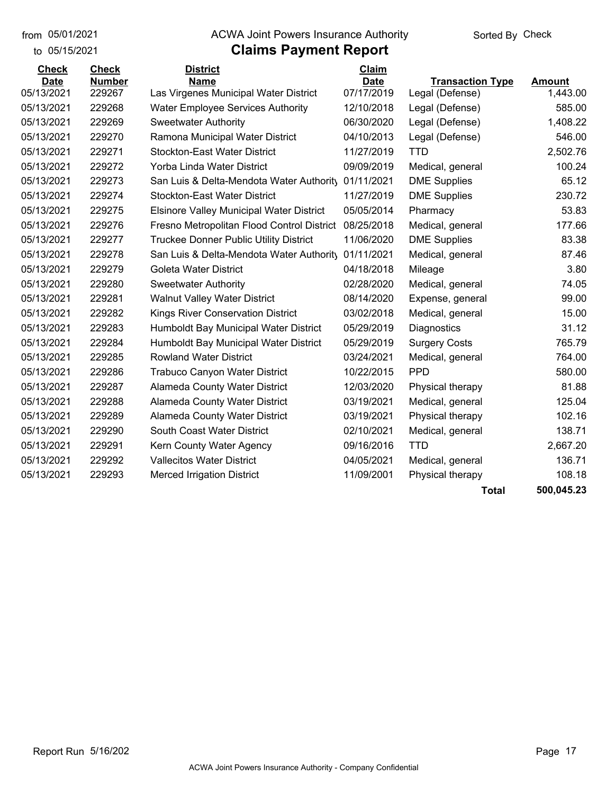from 05/01/2021

to 05/15/2021

#### from 05/01/2021 **ACWA Joint Powers Insurance Authority** Sorted By Check

# **Claims Payment Report**

| <b>Check</b> | <b>Check</b>  | <b>District</b>                                 | Claim       |                         |               |
|--------------|---------------|-------------------------------------------------|-------------|-------------------------|---------------|
| <b>Date</b>  | <b>Number</b> | <b>Name</b>                                     | <b>Date</b> | <b>Transaction Type</b> | <b>Amount</b> |
| 05/13/2021   | 229267        | Las Virgenes Municipal Water District           | 07/17/2019  | Legal (Defense)         | 1,443.00      |
| 05/13/2021   | 229268        | <b>Water Employee Services Authority</b>        | 12/10/2018  | Legal (Defense)         | 585.00        |
| 05/13/2021   | 229269        | <b>Sweetwater Authority</b>                     | 06/30/2020  | Legal (Defense)         | 1,408.22      |
| 05/13/2021   | 229270        | Ramona Municipal Water District                 | 04/10/2013  | Legal (Defense)         | 546.00        |
| 05/13/2021   | 229271        | <b>Stockton-East Water District</b>             | 11/27/2019  | TTD                     | 2,502.76      |
| 05/13/2021   | 229272        | Yorba Linda Water District                      | 09/09/2019  | Medical, general        | 100.24        |
| 05/13/2021   | 229273        | San Luis & Delta-Mendota Water Authority        | 01/11/2021  | <b>DME Supplies</b>     | 65.12         |
| 05/13/2021   | 229274        | <b>Stockton-East Water District</b>             | 11/27/2019  | <b>DME Supplies</b>     | 230.72        |
| 05/13/2021   | 229275        | <b>Elsinore Valley Municipal Water District</b> | 05/05/2014  | Pharmacy                | 53.83         |
| 05/13/2021   | 229276        | Fresno Metropolitan Flood Control District      | 08/25/2018  | Medical, general        | 177.66        |
| 05/13/2021   | 229277        | <b>Truckee Donner Public Utility District</b>   | 11/06/2020  | <b>DME Supplies</b>     | 83.38         |
| 05/13/2021   | 229278        | San Luis & Delta-Mendota Water Authority        | 01/11/2021  | Medical, general        | 87.46         |
| 05/13/2021   | 229279        | Goleta Water District                           | 04/18/2018  | Mileage                 | 3.80          |
| 05/13/2021   | 229280        | <b>Sweetwater Authority</b>                     | 02/28/2020  | Medical, general        | 74.05         |
| 05/13/2021   | 229281        | <b>Walnut Valley Water District</b>             | 08/14/2020  | Expense, general        | 99.00         |
| 05/13/2021   | 229282        | <b>Kings River Conservation District</b>        | 03/02/2018  | Medical, general        | 15.00         |
| 05/13/2021   | 229283        | Humboldt Bay Municipal Water District           | 05/29/2019  | Diagnostics             | 31.12         |
| 05/13/2021   | 229284        | Humboldt Bay Municipal Water District           | 05/29/2019  | <b>Surgery Costs</b>    | 765.79        |
| 05/13/2021   | 229285        | <b>Rowland Water District</b>                   | 03/24/2021  | Medical, general        | 764.00        |
| 05/13/2021   | 229286        | <b>Trabuco Canyon Water District</b>            | 10/22/2015  | <b>PPD</b>              | 580.00        |
| 05/13/2021   | 229287        | Alameda County Water District                   | 12/03/2020  | Physical therapy        | 81.88         |
| 05/13/2021   | 229288        | Alameda County Water District                   | 03/19/2021  | Medical, general        | 125.04        |
| 05/13/2021   | 229289        | Alameda County Water District                   | 03/19/2021  | Physical therapy        | 102.16        |
| 05/13/2021   | 229290        | South Coast Water District                      | 02/10/2021  | Medical, general        | 138.71        |
| 05/13/2021   | 229291        | Kern County Water Agency                        | 09/16/2016  | <b>TTD</b>              | 2,667.20      |
| 05/13/2021   | 229292        | <b>Vallecitos Water District</b>                | 04/05/2021  | Medical, general        | 136.71        |
| 05/13/2021   | 229293        | <b>Merced Irrigation District</b>               | 11/09/2001  | Physical therapy        | 108.18        |
|              |               |                                                 |             | <b>Total</b>            | 500,045.23    |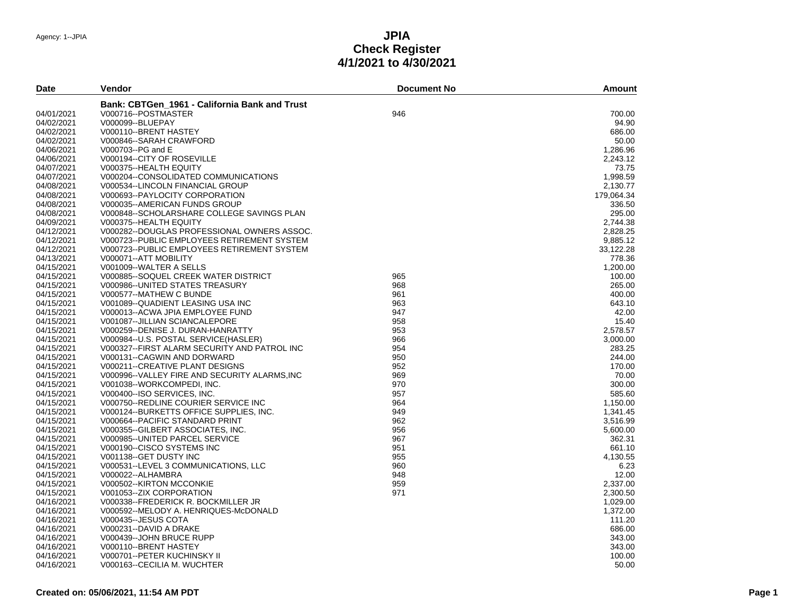| <b>Date</b> | Vendor                                        | <b>Document No</b> | <b>Amount</b> |
|-------------|-----------------------------------------------|--------------------|---------------|
|             | Bank: CBTGen 1961 - California Bank and Trust |                    |               |
| 04/01/2021  | V000716--POSTMASTER                           | 946                | 700.00        |
| 04/02/2021  | V000099--BLUEPAY                              |                    | 94.90         |
| 04/02/2021  | V000110--BRENT HASTEY                         |                    | 686.00        |
| 04/02/2021  | V000846-SARAH CRAWFORD                        |                    | 50.00         |
| 04/06/2021  | V000703--PG and E                             |                    | 1,286.96      |
| 04/06/2021  | V000194--CITY OF ROSEVILLE                    |                    | 2,243.12      |
| 04/07/2021  | V000375--HEALTH EQUITY                        |                    | 73.75         |
| 04/07/2021  | V000204--CONSOLIDATED COMMUNICATIONS          |                    | 1,998.59      |
| 04/08/2021  | V000534--LINCOLN FINANCIAL GROUP              |                    | 2.130.77      |
|             |                                               |                    |               |
| 04/08/2021  | V000693--PAYLOCITY CORPORATION                |                    | 179,064.34    |
| 04/08/2021  | V000035--AMERICAN FUNDS GROUP                 |                    | 336.50        |
| 04/08/2021  | V000848--SCHOLARSHARE COLLEGE SAVINGS PLAN    |                    | 295.00        |
| 04/09/2021  | V000375--HEALTH EQUITY                        |                    | 2,744.38      |
| 04/12/2021  | V000282--DOUGLAS PROFESSIONAL OWNERS ASSOC.   |                    | 2,828.25      |
| 04/12/2021  | V000723--PUBLIC EMPLOYEES RETIREMENT SYSTEM   |                    | 9,885.12      |
| 04/12/2021  | V000723--PUBLIC EMPLOYEES RETIREMENT SYSTEM   |                    | 33,122.28     |
| 04/13/2021  | V000071--ATT MOBILITY                         |                    | 778.36        |
| 04/15/2021  | V001009--WALTER A SELLS                       |                    | 1,200.00      |
| 04/15/2021  | V000885--SOQUEL CREEK WATER DISTRICT          | 965                | 100.00        |
| 04/15/2021  | V000986--UNITED STATES TREASURY               | 968                | 265.00        |
| 04/15/2021  | V000577--MATHEW C BUNDE                       | 961                | 400.00        |
| 04/15/2021  | V001089--QUADIENT LEASING USA INC             | 963                | 643.10        |
| 04/15/2021  | V000013--ACWA JPIA EMPLOYEE FUND              | 947                | 42.00         |
| 04/15/2021  | V001087--JILLIAN SCIANCALEPORE                | 958                | 15.40         |
| 04/15/2021  | V000259--DENISE J. DURAN-HANRATTY             | 953                | 2,578.57      |
| 04/15/2021  | V000984--U.S. POSTAL SERVICE(HASLER)          | 966                | 3,000.00      |
| 04/15/2021  | V000327--FIRST ALARM SECURITY AND PATROL INC  | 954                | 283.25        |
| 04/15/2021  | V000131--CAGWIN AND DORWARD                   | 950                | 244.00        |
| 04/15/2021  |                                               | 952                | 170.00        |
|             | V000211--CREATIVE PLANT DESIGNS               | 969                |               |
| 04/15/2021  | V000996--VALLEY FIRE AND SECURITY ALARMS, INC |                    | 70.00         |
| 04/15/2021  | V001038--WORKCOMPEDI, INC.                    | 970                | 300.00        |
| 04/15/2021  | V000400--ISO SERVICES, INC.                   | 957                | 585.60        |
| 04/15/2021  | V000750--REDLINE COURIER SERVICE INC          | 964                | 1,150.00      |
| 04/15/2021  | V000124--BURKETTS OFFICE SUPPLIES, INC.       | 949                | 1,341.45      |
| 04/15/2021  | V000664--PACIFIC STANDARD PRINT               | 962                | 3,516.99      |
| 04/15/2021  | V000355--GILBERT ASSOCIATES, INC.             | 956                | 5,600.00      |
| 04/15/2021  | V000985--UNITED PARCEL SERVICE                | 967                | 362.31        |
| 04/15/2021  | V000190--CISCO SYSTEMS INC                    | 951                | 661.10        |
| 04/15/2021  | V001138--GET DUSTY INC                        | 955                | 4,130.55      |
| 04/15/2021  | V000531--LEVEL 3 COMMUNICATIONS, LLC          | 960                | 6.23          |
| 04/15/2021  | V000022--ALHAMBRA                             | 948                | 12.00         |
| 04/15/2021  | V000502-KIRTON MCCONKIE                       | 959                | 2,337.00      |
| 04/15/2021  | V001053--ZIX CORPORATION                      | 971                | 2,300.50      |
| 04/16/2021  | V000338--FREDERICK R. BOCKMILLER JR           |                    | 1.029.00      |
| 04/16/2021  | V000592--MELODY A. HENRIQUES-McDONALD         |                    | 1,372.00      |
| 04/16/2021  | V000435--JESUS COTA                           |                    | 111.20        |
| 04/16/2021  | V000231--DAVID A DRAKE                        |                    | 686.00        |
| 04/16/2021  | V000439--JOHN BRUCE RUPP                      |                    | 343.00        |
|             |                                               |                    | 343.00        |
| 04/16/2021  | V000110--BRENT HASTEY                         |                    | 100.00        |
| 04/16/2021  | V000701--PETER KUCHINSKY II                   |                    |               |
| 04/16/2021  | V000163--CECILIA M. WUCHTER                   |                    | 50.00         |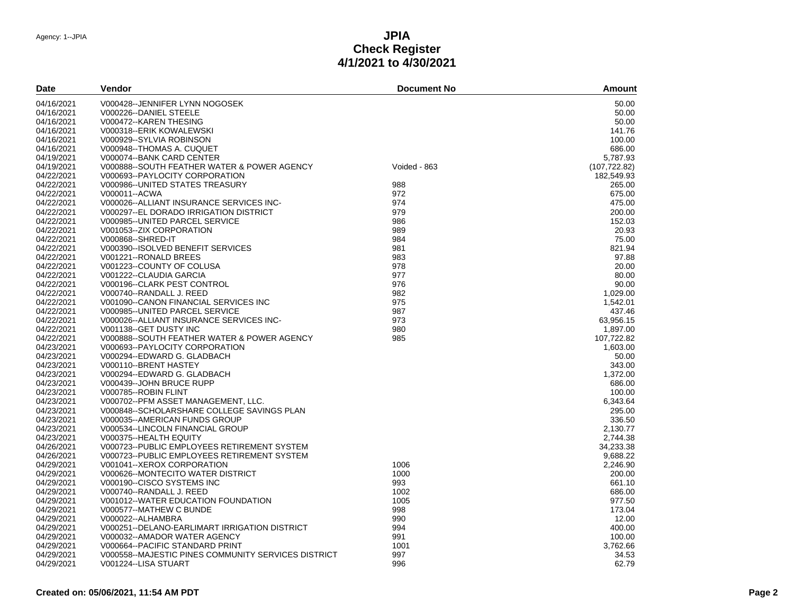| <b>Date</b> | Vendor                                              | <b>Document No</b> | Amount        |
|-------------|-----------------------------------------------------|--------------------|---------------|
| 04/16/2021  | V000428--JENNIFER LYNN NOGOSEK                      |                    | 50.00         |
| 04/16/2021  | V000226--DANIEL STEELE                              |                    | 50.00         |
| 04/16/2021  | V000472--KAREN THESING                              |                    | 50.00         |
| 04/16/2021  | V000318-ERIK KOWALEWSKI                             |                    | 141.76        |
| 04/16/2021  | V000929--SYLVIA ROBINSON                            |                    | 100.00        |
| 04/16/2021  | V000948--THOMAS A. CUQUET                           |                    | 686.00        |
| 04/19/2021  | V000074--BANK CARD CENTER                           |                    | 5,787.93      |
| 04/19/2021  | V000888--SOUTH FEATHER WATER & POWER AGENCY         | Voided - 863       | (107, 722.82) |
| 04/22/2021  | V000693--PAYLOCITY CORPORATION                      |                    | 182.549.93    |
| 04/22/2021  | V000986--UNITED STATES TREASURY                     | 988                | 265.00        |
| 04/22/2021  | V000011--ACWA                                       | 972                | 675.00        |
| 04/22/2021  | V000026--ALLIANT INSURANCE SERVICES INC-            | 974                | 475.00        |
| 04/22/2021  | V000297--EL DORADO IRRIGATION DISTRICT              | 979                | 200.00        |
| 04/22/2021  | V000985--UNITED PARCEL SERVICE                      | 986                | 152.03        |
| 04/22/2021  | V001053--ZIX CORPORATION                            | 989                | 20.93         |
| 04/22/2021  | V000868--SHRED-IT                                   | 984                | 75.00         |
| 04/22/2021  | V000390-ISOLVED BENEFIT SERVICES                    | 981                | 821.94        |
| 04/22/2021  | V001221--RONALD BREES                               | 983                | 97.88         |
| 04/22/2021  | V001223--COUNTY OF COLUSA                           | 978                | 20.00         |
| 04/22/2021  | V001222--CLAUDIA GARCIA                             | 977                | 80.00         |
| 04/22/2021  | V000196--CLARK PEST CONTROL                         | 976                | 90.00         |
| 04/22/2021  | V000740--RANDALL J. REED                            | 982                | 1.029.00      |
| 04/22/2021  | V001090--CANON FINANCIAL SERVICES INC               | 975                | 1,542.01      |
| 04/22/2021  | V000985--UNITED PARCEL SERVICE                      | 987                | 437.46        |
| 04/22/2021  | V000026--ALLIANT INSURANCE SERVICES INC-            | 973                | 63,956.15     |
| 04/22/2021  | V001138--GET DUSTY INC                              | 980                | 1,897.00      |
| 04/22/2021  | V000888--SOUTH FEATHER WATER & POWER AGENCY         | 985                | 107.722.82    |
| 04/23/2021  | V000693--PAYLOCITY CORPORATION                      |                    | 1,603.00      |
| 04/23/2021  | V000294--EDWARD G. GLADBACH                         |                    | 50.00         |
| 04/23/2021  | V000110-BRENT HASTEY                                |                    | 343.00        |
| 04/23/2021  | V000294--EDWARD G. GLADBACH                         |                    | 1,372.00      |
| 04/23/2021  | V000439--JOHN BRUCE RUPP                            |                    | 686.00        |
| 04/23/2021  | V000785--ROBIN FLINT                                |                    | 100.00        |
| 04/23/2021  | V000702--PFM ASSET MANAGEMENT, LLC.                 |                    | 6,343.64      |
| 04/23/2021  | V000848--SCHOLARSHARE COLLEGE SAVINGS PLAN          |                    | 295.00        |
| 04/23/2021  | V000035--AMERICAN FUNDS GROUP                       |                    | 336.50        |
| 04/23/2021  | V000534--LINCOLN FINANCIAL GROUP                    |                    | 2,130.77      |
| 04/23/2021  | V000375--HEALTH EQUITY                              |                    | 2,744.38      |
| 04/26/2021  | V000723--PUBLIC EMPLOYEES RETIREMENT SYSTEM         |                    | 34,233.38     |
| 04/26/2021  | V000723--PUBLIC EMPLOYEES RETIREMENT SYSTEM         |                    | 9,688.22      |
| 04/29/2021  | V001041--XEROX CORPORATION                          | 1006               | 2,246.90      |
| 04/29/2021  | V000626--MONTECITO WATER DISTRICT                   | 1000               | 200.00        |
| 04/29/2021  | V000190--CISCO SYSTEMS INC                          | 993                | 661.10        |
| 04/29/2021  | V000740--RANDALL J. REED                            | 1002               | 686.00        |
| 04/29/2021  | V001012--WATER EDUCATION FOUNDATION                 | 1005               | 977.50        |
| 04/29/2021  | V000577--MATHEW C BUNDE                             | 998                | 173.04        |
| 04/29/2021  | V000022--ALHAMBRA                                   | 990                | 12.00         |
| 04/29/2021  | V000251--DELANO-EARLIMART IRRIGATION DISTRICT       | 994                | 400.00        |
| 04/29/2021  | V000032--AMADOR WATER AGENCY                        | 991                | 100.00        |
| 04/29/2021  | V000664--PACIFIC STANDARD PRINT                     | 1001               | 3,762.66      |
| 04/29/2021  | V000558--MAJESTIC PINES COMMUNITY SERVICES DISTRICT | 997                | 34.53         |
| 04/29/2021  | V001224--LISA STUART                                | 996                | 62.79         |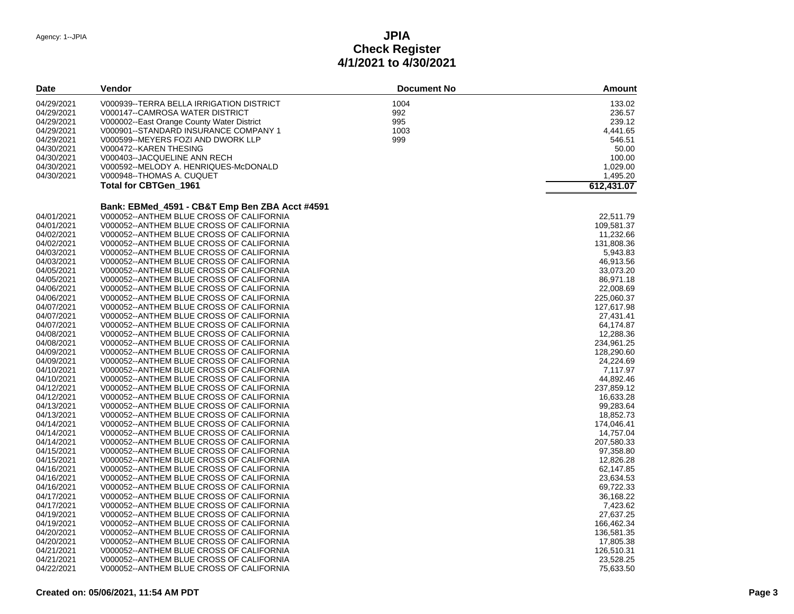| Date       | <b>Vendor</b>                                  | <b>Document No</b> | <b>Amount</b> |
|------------|------------------------------------------------|--------------------|---------------|
| 04/29/2021 | V000939--TERRA BELLA IRRIGATION DISTRICT       | 1004               | 133.02        |
| 04/29/2021 | V000147--CAMROSA WATER DISTRICT                | 992                | 236.57        |
| 04/29/2021 | V000002--East Orange County Water District     | 995                | 239.12        |
| 04/29/2021 | V000901--STANDARD INSURANCE COMPANY 1          | 1003               | 4,441.65      |
| 04/29/2021 | V000599--MEYERS FOZI AND DWORK LLP             | 999                | 546.51        |
| 04/30/2021 | V000472--KAREN THESING                         |                    | 50.00         |
| 04/30/2021 | V000403--JACQUELINE ANN RECH                   |                    | 100.00        |
| 04/30/2021 | V000592--MELODY A. HENRIQUES-McDONALD          |                    | 1,029.00      |
| 04/30/2021 | V000948--THOMAS A. CUQUET                      |                    | 1,495.20      |
|            | <b>Total for CBTGen 1961</b>                   |                    | 612,431.07    |
|            |                                                |                    |               |
|            | Bank: EBMed_4591 - CB&T Emp Ben ZBA Acct #4591 |                    |               |
| 04/01/2021 | V000052--ANTHEM BLUE CROSS OF CALIFORNIA       |                    | 22,511.79     |
| 04/01/2021 | V000052--ANTHEM BLUE CROSS OF CALIFORNIA       |                    | 109,581.37    |
| 04/02/2021 | V000052--ANTHEM BLUE CROSS OF CALIFORNIA       |                    | 11,232.66     |
| 04/02/2021 | V000052--ANTHEM BLUE CROSS OF CALIFORNIA       |                    | 131,808.36    |
| 04/03/2021 | V000052--ANTHEM BLUE CROSS OF CALIFORNIA       |                    | 5,943.83      |
| 04/03/2021 | V000052--ANTHEM BLUE CROSS OF CALIFORNIA       |                    | 46,913.56     |
| 04/05/2021 | V000052--ANTHEM BLUE CROSS OF CALIFORNIA       |                    | 33,073.20     |
| 04/05/2021 | V000052--ANTHEM BLUE CROSS OF CALIFORNIA       |                    | 86,971.18     |
| 04/06/2021 | V000052--ANTHEM BLUE CROSS OF CALIFORNIA       |                    | 22,008.69     |
| 04/06/2021 | V000052--ANTHEM BLUE CROSS OF CALIFORNIA       |                    | 225,060.37    |
| 04/07/2021 | V000052--ANTHEM BLUE CROSS OF CALIFORNIA       |                    | 127,617.98    |
| 04/07/2021 | V000052--ANTHEM BLUE CROSS OF CALIFORNIA       |                    | 27,431.41     |
| 04/07/2021 | V000052--ANTHEM BLUE CROSS OF CALIFORNIA       |                    | 64,174.87     |
| 04/08/2021 | V000052--ANTHEM BLUE CROSS OF CALIFORNIA       |                    | 12,288.36     |
| 04/08/2021 | V000052--ANTHEM BLUE CROSS OF CALIFORNIA       |                    | 234,961.25    |
| 04/09/2021 | V000052--ANTHEM BLUE CROSS OF CALIFORNIA       |                    | 128,290.60    |
| 04/09/2021 | V000052--ANTHEM BLUE CROSS OF CALIFORNIA       |                    | 24,224.69     |
| 04/10/2021 | V000052--ANTHEM BLUE CROSS OF CALIFORNIA       |                    | 7,117.97      |
| 04/10/2021 | V000052--ANTHEM BLUE CROSS OF CALIFORNIA       |                    | 44,892.46     |
| 04/12/2021 | V000052--ANTHEM BLUE CROSS OF CALIFORNIA       |                    | 237,859.12    |
| 04/12/2021 | V000052--ANTHEM BLUE CROSS OF CALIFORNIA       |                    | 16,633.28     |
| 04/13/2021 | V000052--ANTHEM BLUE CROSS OF CALIFORNIA       |                    | 99,283.64     |
| 04/13/2021 | V000052--ANTHEM BLUE CROSS OF CALIFORNIA       |                    | 18,852.73     |
| 04/14/2021 | V000052--ANTHEM BLUE CROSS OF CALIFORNIA       |                    | 174,046.41    |
| 04/14/2021 | V000052--ANTHEM BLUE CROSS OF CALIFORNIA       |                    | 14,757.04     |
| 04/14/2021 | V000052--ANTHEM BLUE CROSS OF CALIFORNIA       |                    | 207,580.33    |
| 04/15/2021 | V000052--ANTHEM BLUE CROSS OF CALIFORNIA       |                    | 97,358.80     |
| 04/15/2021 | V000052--ANTHEM BLUE CROSS OF CALIFORNIA       |                    | 12,826.28     |
| 04/16/2021 | V000052--ANTHEM BLUE CROSS OF CALIFORNIA       |                    | 62,147.85     |
| 04/16/2021 | V000052--ANTHEM BLUE CROSS OF CALIFORNIA       |                    | 23,634.53     |
| 04/16/2021 | V000052--ANTHEM BLUE CROSS OF CALIFORNIA       |                    | 69,722.33     |
| 04/17/2021 | V000052--ANTHEM BLUE CROSS OF CALIFORNIA       |                    | 36,168.22     |
| 04/17/2021 | V000052--ANTHEM BLUE CROSS OF CALIFORNIA       |                    | 7,423.62      |
| 04/19/2021 | V000052--ANTHEM BLUE CROSS OF CALIFORNIA       |                    | 27,637.25     |
| 04/19/2021 | V000052--ANTHEM BLUE CROSS OF CALIFORNIA       |                    | 166,462.34    |
| 04/20/2021 | V000052--ANTHEM BLUE CROSS OF CALIFORNIA       |                    | 136,581.35    |
| 04/20/2021 | V000052--ANTHEM BLUE CROSS OF CALIFORNIA       |                    | 17,805.38     |
| 04/21/2021 | V000052--ANTHEM BLUE CROSS OF CALIFORNIA       |                    | 126,510.31    |
| 04/21/2021 | V000052--ANTHEM BLUE CROSS OF CALIFORNIA       |                    | 23,528.25     |
| 04/22/2021 | V000052--ANTHEM BLUE CROSS OF CALIFORNIA       |                    | 75,633.50     |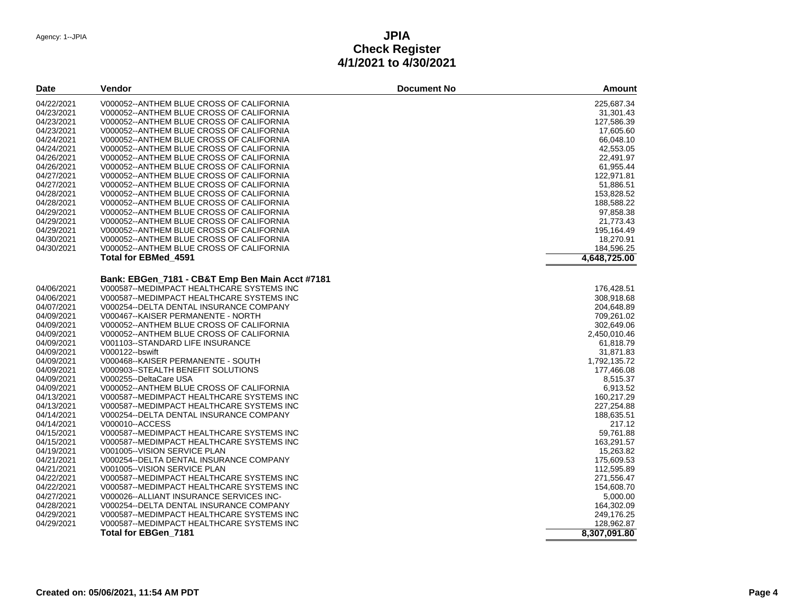| 225,687.34<br>04/22/2021<br>V000052--ANTHEM BLUE CROSS OF CALIFORNIA<br>04/23/2021<br>V000052--ANTHEM BLUE CROSS OF CALIFORNIA<br>31,301.43<br>04/23/2021<br>V000052--ANTHEM BLUE CROSS OF CALIFORNIA<br>127,586.39<br>V000052--ANTHEM BLUE CROSS OF CALIFORNIA<br>04/23/2021<br>17,605.60<br>04/24/2021<br>V000052--ANTHEM BLUE CROSS OF CALIFORNIA<br>66,048.10<br>42,553.05<br>04/24/2021<br>V000052--ANTHEM BLUE CROSS OF CALIFORNIA<br>04/26/2021<br>V000052--ANTHEM BLUE CROSS OF CALIFORNIA<br>22,491.97<br>04/26/2021<br>61,955.44<br>V000052--ANTHEM BLUE CROSS OF CALIFORNIA<br>04/27/2021<br>V000052--ANTHEM BLUE CROSS OF CALIFORNIA<br>122,971.81<br>04/27/2021<br>V000052--ANTHEM BLUE CROSS OF CALIFORNIA<br>51,886.51<br>04/28/2021<br>V000052--ANTHEM BLUE CROSS OF CALIFORNIA<br>153,828.52<br>04/28/2021<br>V000052--ANTHEM BLUE CROSS OF CALIFORNIA<br>188,588.22<br>V000052--ANTHEM BLUE CROSS OF CALIFORNIA<br>97,858.38<br>04/29/2021<br>04/29/2021<br>V000052--ANTHEM BLUE CROSS OF CALIFORNIA<br>21,773.43<br>04/29/2021<br>V000052--ANTHEM BLUE CROSS OF CALIFORNIA<br>195,164.49<br>04/30/2021<br>V000052--ANTHEM BLUE CROSS OF CALIFORNIA<br>18,270.91<br>04/30/2021<br>V000052--ANTHEM BLUE CROSS OF CALIFORNIA<br>184,596.25<br><b>Total for EBMed 4591</b><br>4,648,725.00<br>Bank: EBGen_7181 - CB&T Emp Ben Main Acct #7181<br>V000587--MEDIMPACT HEALTHCARE SYSTEMS INC<br>04/06/2021<br>176,428.51<br>V000587--MEDIMPACT HEALTHCARE SYSTEMS INC<br>04/06/2021<br>308,918.68<br>04/07/2021<br>V000254--DELTA DENTAL INSURANCE COMPANY<br>204,648.89<br>04/09/2021<br>V000467--KAISER PERMANENTE - NORTH<br>709,261.02<br>04/09/2021<br>V000052--ANTHEM BLUE CROSS OF CALIFORNIA<br>302.649.06<br>04/09/2021<br>V000052--ANTHEM BLUE CROSS OF CALIFORNIA<br>2,450,010.46<br>61,818.79<br>04/09/2021<br>V001103--STANDARD LIFE INSURANCE<br>31,871.83<br>04/09/2021<br>V000122--bswift<br>V000468--KAISER PERMANENTE - SOUTH<br>04/09/2021<br>1,792,135.72<br>04/09/2021<br>V000903--STEALTH BENEFIT SOLUTIONS<br>177,466.08<br>04/09/2021<br>V000255--DeltaCare USA<br>8,515.37<br>04/09/2021<br>V000052--ANTHEM BLUE CROSS OF CALIFORNIA<br>6,913.52<br>04/13/2021<br>160,217.29<br>V000587--MEDIMPACT HEALTHCARE SYSTEMS INC<br>04/13/2021<br>V000587--MEDIMPACT HEALTHCARE SYSTEMS INC<br>227,254.88<br>04/14/2021<br>V000254--DELTA DENTAL INSURANCE COMPANY<br>188,635.51<br>04/14/2021<br>V000010--ACCESS<br>217.12<br>04/15/2021<br>V000587--MEDIMPACT HEALTHCARE SYSTEMS INC<br>59,761.88<br>04/15/2021<br>163,291.57<br>V000587--MEDIMPACT HEALTHCARE SYSTEMS INC<br>15,263.82<br>04/19/2021<br>V001005--VISION SERVICE PLAN<br>04/21/2021<br>V000254--DELTA DENTAL INSURANCE COMPANY<br>175,609.53<br>04/21/2021<br>112,595.89<br>V001005--VISION SERVICE PLAN<br>04/22/2021<br>V000587--MEDIMPACT HEALTHCARE SYSTEMS INC<br>271,556.47<br>154,608.70<br>04/22/2021<br>V000587--MEDIMPACT HEALTHCARE SYSTEMS INC<br>04/27/2021<br>V000026--ALLIANT INSURANCE SERVICES INC-<br>5,000.00<br>164,302.09<br>04/28/2021<br>V000254--DELTA DENTAL INSURANCE COMPANY<br>04/29/2021<br>V000587--MEDIMPACT HEALTHCARE SYSTEMS INC<br>249,176.25<br>04/29/2021<br>V000587--MEDIMPACT HEALTHCARE SYSTEMS INC<br>128,962.87<br>Total for EBGen 7181<br>8,307,091.80 | <b>Date</b> | Vendor | <b>Document No</b> | <b>Amount</b> |
|----------------------------------------------------------------------------------------------------------------------------------------------------------------------------------------------------------------------------------------------------------------------------------------------------------------------------------------------------------------------------------------------------------------------------------------------------------------------------------------------------------------------------------------------------------------------------------------------------------------------------------------------------------------------------------------------------------------------------------------------------------------------------------------------------------------------------------------------------------------------------------------------------------------------------------------------------------------------------------------------------------------------------------------------------------------------------------------------------------------------------------------------------------------------------------------------------------------------------------------------------------------------------------------------------------------------------------------------------------------------------------------------------------------------------------------------------------------------------------------------------------------------------------------------------------------------------------------------------------------------------------------------------------------------------------------------------------------------------------------------------------------------------------------------------------------------------------------------------------------------------------------------------------------------------------------------------------------------------------------------------------------------------------------------------------------------------------------------------------------------------------------------------------------------------------------------------------------------------------------------------------------------------------------------------------------------------------------------------------------------------------------------------------------------------------------------------------------------------------------------------------------------------------------------------------------------------------------------------------------------------------------------------------------------------------------------------------------------------------------------------------------------------------------------------------------------------------------------------------------------------------------------------------------------------------------------------------------------------------------------------------------------------------------------------------------------------------------------------------------------------------------------------------------------------------------------------------------------------------------------------------------------------------------------------|-------------|--------|--------------------|---------------|
|                                                                                                                                                                                                                                                                                                                                                                                                                                                                                                                                                                                                                                                                                                                                                                                                                                                                                                                                                                                                                                                                                                                                                                                                                                                                                                                                                                                                                                                                                                                                                                                                                                                                                                                                                                                                                                                                                                                                                                                                                                                                                                                                                                                                                                                                                                                                                                                                                                                                                                                                                                                                                                                                                                                                                                                                                                                                                                                                                                                                                                                                                                                                                                                                                                                                                                    |             |        |                    |               |
|                                                                                                                                                                                                                                                                                                                                                                                                                                                                                                                                                                                                                                                                                                                                                                                                                                                                                                                                                                                                                                                                                                                                                                                                                                                                                                                                                                                                                                                                                                                                                                                                                                                                                                                                                                                                                                                                                                                                                                                                                                                                                                                                                                                                                                                                                                                                                                                                                                                                                                                                                                                                                                                                                                                                                                                                                                                                                                                                                                                                                                                                                                                                                                                                                                                                                                    |             |        |                    |               |
|                                                                                                                                                                                                                                                                                                                                                                                                                                                                                                                                                                                                                                                                                                                                                                                                                                                                                                                                                                                                                                                                                                                                                                                                                                                                                                                                                                                                                                                                                                                                                                                                                                                                                                                                                                                                                                                                                                                                                                                                                                                                                                                                                                                                                                                                                                                                                                                                                                                                                                                                                                                                                                                                                                                                                                                                                                                                                                                                                                                                                                                                                                                                                                                                                                                                                                    |             |        |                    |               |
|                                                                                                                                                                                                                                                                                                                                                                                                                                                                                                                                                                                                                                                                                                                                                                                                                                                                                                                                                                                                                                                                                                                                                                                                                                                                                                                                                                                                                                                                                                                                                                                                                                                                                                                                                                                                                                                                                                                                                                                                                                                                                                                                                                                                                                                                                                                                                                                                                                                                                                                                                                                                                                                                                                                                                                                                                                                                                                                                                                                                                                                                                                                                                                                                                                                                                                    |             |        |                    |               |
|                                                                                                                                                                                                                                                                                                                                                                                                                                                                                                                                                                                                                                                                                                                                                                                                                                                                                                                                                                                                                                                                                                                                                                                                                                                                                                                                                                                                                                                                                                                                                                                                                                                                                                                                                                                                                                                                                                                                                                                                                                                                                                                                                                                                                                                                                                                                                                                                                                                                                                                                                                                                                                                                                                                                                                                                                                                                                                                                                                                                                                                                                                                                                                                                                                                                                                    |             |        |                    |               |
|                                                                                                                                                                                                                                                                                                                                                                                                                                                                                                                                                                                                                                                                                                                                                                                                                                                                                                                                                                                                                                                                                                                                                                                                                                                                                                                                                                                                                                                                                                                                                                                                                                                                                                                                                                                                                                                                                                                                                                                                                                                                                                                                                                                                                                                                                                                                                                                                                                                                                                                                                                                                                                                                                                                                                                                                                                                                                                                                                                                                                                                                                                                                                                                                                                                                                                    |             |        |                    |               |
|                                                                                                                                                                                                                                                                                                                                                                                                                                                                                                                                                                                                                                                                                                                                                                                                                                                                                                                                                                                                                                                                                                                                                                                                                                                                                                                                                                                                                                                                                                                                                                                                                                                                                                                                                                                                                                                                                                                                                                                                                                                                                                                                                                                                                                                                                                                                                                                                                                                                                                                                                                                                                                                                                                                                                                                                                                                                                                                                                                                                                                                                                                                                                                                                                                                                                                    |             |        |                    |               |
|                                                                                                                                                                                                                                                                                                                                                                                                                                                                                                                                                                                                                                                                                                                                                                                                                                                                                                                                                                                                                                                                                                                                                                                                                                                                                                                                                                                                                                                                                                                                                                                                                                                                                                                                                                                                                                                                                                                                                                                                                                                                                                                                                                                                                                                                                                                                                                                                                                                                                                                                                                                                                                                                                                                                                                                                                                                                                                                                                                                                                                                                                                                                                                                                                                                                                                    |             |        |                    |               |
|                                                                                                                                                                                                                                                                                                                                                                                                                                                                                                                                                                                                                                                                                                                                                                                                                                                                                                                                                                                                                                                                                                                                                                                                                                                                                                                                                                                                                                                                                                                                                                                                                                                                                                                                                                                                                                                                                                                                                                                                                                                                                                                                                                                                                                                                                                                                                                                                                                                                                                                                                                                                                                                                                                                                                                                                                                                                                                                                                                                                                                                                                                                                                                                                                                                                                                    |             |        |                    |               |
|                                                                                                                                                                                                                                                                                                                                                                                                                                                                                                                                                                                                                                                                                                                                                                                                                                                                                                                                                                                                                                                                                                                                                                                                                                                                                                                                                                                                                                                                                                                                                                                                                                                                                                                                                                                                                                                                                                                                                                                                                                                                                                                                                                                                                                                                                                                                                                                                                                                                                                                                                                                                                                                                                                                                                                                                                                                                                                                                                                                                                                                                                                                                                                                                                                                                                                    |             |        |                    |               |
|                                                                                                                                                                                                                                                                                                                                                                                                                                                                                                                                                                                                                                                                                                                                                                                                                                                                                                                                                                                                                                                                                                                                                                                                                                                                                                                                                                                                                                                                                                                                                                                                                                                                                                                                                                                                                                                                                                                                                                                                                                                                                                                                                                                                                                                                                                                                                                                                                                                                                                                                                                                                                                                                                                                                                                                                                                                                                                                                                                                                                                                                                                                                                                                                                                                                                                    |             |        |                    |               |
|                                                                                                                                                                                                                                                                                                                                                                                                                                                                                                                                                                                                                                                                                                                                                                                                                                                                                                                                                                                                                                                                                                                                                                                                                                                                                                                                                                                                                                                                                                                                                                                                                                                                                                                                                                                                                                                                                                                                                                                                                                                                                                                                                                                                                                                                                                                                                                                                                                                                                                                                                                                                                                                                                                                                                                                                                                                                                                                                                                                                                                                                                                                                                                                                                                                                                                    |             |        |                    |               |
|                                                                                                                                                                                                                                                                                                                                                                                                                                                                                                                                                                                                                                                                                                                                                                                                                                                                                                                                                                                                                                                                                                                                                                                                                                                                                                                                                                                                                                                                                                                                                                                                                                                                                                                                                                                                                                                                                                                                                                                                                                                                                                                                                                                                                                                                                                                                                                                                                                                                                                                                                                                                                                                                                                                                                                                                                                                                                                                                                                                                                                                                                                                                                                                                                                                                                                    |             |        |                    |               |
|                                                                                                                                                                                                                                                                                                                                                                                                                                                                                                                                                                                                                                                                                                                                                                                                                                                                                                                                                                                                                                                                                                                                                                                                                                                                                                                                                                                                                                                                                                                                                                                                                                                                                                                                                                                                                                                                                                                                                                                                                                                                                                                                                                                                                                                                                                                                                                                                                                                                                                                                                                                                                                                                                                                                                                                                                                                                                                                                                                                                                                                                                                                                                                                                                                                                                                    |             |        |                    |               |
|                                                                                                                                                                                                                                                                                                                                                                                                                                                                                                                                                                                                                                                                                                                                                                                                                                                                                                                                                                                                                                                                                                                                                                                                                                                                                                                                                                                                                                                                                                                                                                                                                                                                                                                                                                                                                                                                                                                                                                                                                                                                                                                                                                                                                                                                                                                                                                                                                                                                                                                                                                                                                                                                                                                                                                                                                                                                                                                                                                                                                                                                                                                                                                                                                                                                                                    |             |        |                    |               |
|                                                                                                                                                                                                                                                                                                                                                                                                                                                                                                                                                                                                                                                                                                                                                                                                                                                                                                                                                                                                                                                                                                                                                                                                                                                                                                                                                                                                                                                                                                                                                                                                                                                                                                                                                                                                                                                                                                                                                                                                                                                                                                                                                                                                                                                                                                                                                                                                                                                                                                                                                                                                                                                                                                                                                                                                                                                                                                                                                                                                                                                                                                                                                                                                                                                                                                    |             |        |                    |               |
|                                                                                                                                                                                                                                                                                                                                                                                                                                                                                                                                                                                                                                                                                                                                                                                                                                                                                                                                                                                                                                                                                                                                                                                                                                                                                                                                                                                                                                                                                                                                                                                                                                                                                                                                                                                                                                                                                                                                                                                                                                                                                                                                                                                                                                                                                                                                                                                                                                                                                                                                                                                                                                                                                                                                                                                                                                                                                                                                                                                                                                                                                                                                                                                                                                                                                                    |             |        |                    |               |
|                                                                                                                                                                                                                                                                                                                                                                                                                                                                                                                                                                                                                                                                                                                                                                                                                                                                                                                                                                                                                                                                                                                                                                                                                                                                                                                                                                                                                                                                                                                                                                                                                                                                                                                                                                                                                                                                                                                                                                                                                                                                                                                                                                                                                                                                                                                                                                                                                                                                                                                                                                                                                                                                                                                                                                                                                                                                                                                                                                                                                                                                                                                                                                                                                                                                                                    |             |        |                    |               |
|                                                                                                                                                                                                                                                                                                                                                                                                                                                                                                                                                                                                                                                                                                                                                                                                                                                                                                                                                                                                                                                                                                                                                                                                                                                                                                                                                                                                                                                                                                                                                                                                                                                                                                                                                                                                                                                                                                                                                                                                                                                                                                                                                                                                                                                                                                                                                                                                                                                                                                                                                                                                                                                                                                                                                                                                                                                                                                                                                                                                                                                                                                                                                                                                                                                                                                    |             |        |                    |               |
|                                                                                                                                                                                                                                                                                                                                                                                                                                                                                                                                                                                                                                                                                                                                                                                                                                                                                                                                                                                                                                                                                                                                                                                                                                                                                                                                                                                                                                                                                                                                                                                                                                                                                                                                                                                                                                                                                                                                                                                                                                                                                                                                                                                                                                                                                                                                                                                                                                                                                                                                                                                                                                                                                                                                                                                                                                                                                                                                                                                                                                                                                                                                                                                                                                                                                                    |             |        |                    |               |
|                                                                                                                                                                                                                                                                                                                                                                                                                                                                                                                                                                                                                                                                                                                                                                                                                                                                                                                                                                                                                                                                                                                                                                                                                                                                                                                                                                                                                                                                                                                                                                                                                                                                                                                                                                                                                                                                                                                                                                                                                                                                                                                                                                                                                                                                                                                                                                                                                                                                                                                                                                                                                                                                                                                                                                                                                                                                                                                                                                                                                                                                                                                                                                                                                                                                                                    |             |        |                    |               |
|                                                                                                                                                                                                                                                                                                                                                                                                                                                                                                                                                                                                                                                                                                                                                                                                                                                                                                                                                                                                                                                                                                                                                                                                                                                                                                                                                                                                                                                                                                                                                                                                                                                                                                                                                                                                                                                                                                                                                                                                                                                                                                                                                                                                                                                                                                                                                                                                                                                                                                                                                                                                                                                                                                                                                                                                                                                                                                                                                                                                                                                                                                                                                                                                                                                                                                    |             |        |                    |               |
|                                                                                                                                                                                                                                                                                                                                                                                                                                                                                                                                                                                                                                                                                                                                                                                                                                                                                                                                                                                                                                                                                                                                                                                                                                                                                                                                                                                                                                                                                                                                                                                                                                                                                                                                                                                                                                                                                                                                                                                                                                                                                                                                                                                                                                                                                                                                                                                                                                                                                                                                                                                                                                                                                                                                                                                                                                                                                                                                                                                                                                                                                                                                                                                                                                                                                                    |             |        |                    |               |
|                                                                                                                                                                                                                                                                                                                                                                                                                                                                                                                                                                                                                                                                                                                                                                                                                                                                                                                                                                                                                                                                                                                                                                                                                                                                                                                                                                                                                                                                                                                                                                                                                                                                                                                                                                                                                                                                                                                                                                                                                                                                                                                                                                                                                                                                                                                                                                                                                                                                                                                                                                                                                                                                                                                                                                                                                                                                                                                                                                                                                                                                                                                                                                                                                                                                                                    |             |        |                    |               |
|                                                                                                                                                                                                                                                                                                                                                                                                                                                                                                                                                                                                                                                                                                                                                                                                                                                                                                                                                                                                                                                                                                                                                                                                                                                                                                                                                                                                                                                                                                                                                                                                                                                                                                                                                                                                                                                                                                                                                                                                                                                                                                                                                                                                                                                                                                                                                                                                                                                                                                                                                                                                                                                                                                                                                                                                                                                                                                                                                                                                                                                                                                                                                                                                                                                                                                    |             |        |                    |               |
|                                                                                                                                                                                                                                                                                                                                                                                                                                                                                                                                                                                                                                                                                                                                                                                                                                                                                                                                                                                                                                                                                                                                                                                                                                                                                                                                                                                                                                                                                                                                                                                                                                                                                                                                                                                                                                                                                                                                                                                                                                                                                                                                                                                                                                                                                                                                                                                                                                                                                                                                                                                                                                                                                                                                                                                                                                                                                                                                                                                                                                                                                                                                                                                                                                                                                                    |             |        |                    |               |
|                                                                                                                                                                                                                                                                                                                                                                                                                                                                                                                                                                                                                                                                                                                                                                                                                                                                                                                                                                                                                                                                                                                                                                                                                                                                                                                                                                                                                                                                                                                                                                                                                                                                                                                                                                                                                                                                                                                                                                                                                                                                                                                                                                                                                                                                                                                                                                                                                                                                                                                                                                                                                                                                                                                                                                                                                                                                                                                                                                                                                                                                                                                                                                                                                                                                                                    |             |        |                    |               |
|                                                                                                                                                                                                                                                                                                                                                                                                                                                                                                                                                                                                                                                                                                                                                                                                                                                                                                                                                                                                                                                                                                                                                                                                                                                                                                                                                                                                                                                                                                                                                                                                                                                                                                                                                                                                                                                                                                                                                                                                                                                                                                                                                                                                                                                                                                                                                                                                                                                                                                                                                                                                                                                                                                                                                                                                                                                                                                                                                                                                                                                                                                                                                                                                                                                                                                    |             |        |                    |               |
|                                                                                                                                                                                                                                                                                                                                                                                                                                                                                                                                                                                                                                                                                                                                                                                                                                                                                                                                                                                                                                                                                                                                                                                                                                                                                                                                                                                                                                                                                                                                                                                                                                                                                                                                                                                                                                                                                                                                                                                                                                                                                                                                                                                                                                                                                                                                                                                                                                                                                                                                                                                                                                                                                                                                                                                                                                                                                                                                                                                                                                                                                                                                                                                                                                                                                                    |             |        |                    |               |
|                                                                                                                                                                                                                                                                                                                                                                                                                                                                                                                                                                                                                                                                                                                                                                                                                                                                                                                                                                                                                                                                                                                                                                                                                                                                                                                                                                                                                                                                                                                                                                                                                                                                                                                                                                                                                                                                                                                                                                                                                                                                                                                                                                                                                                                                                                                                                                                                                                                                                                                                                                                                                                                                                                                                                                                                                                                                                                                                                                                                                                                                                                                                                                                                                                                                                                    |             |        |                    |               |
|                                                                                                                                                                                                                                                                                                                                                                                                                                                                                                                                                                                                                                                                                                                                                                                                                                                                                                                                                                                                                                                                                                                                                                                                                                                                                                                                                                                                                                                                                                                                                                                                                                                                                                                                                                                                                                                                                                                                                                                                                                                                                                                                                                                                                                                                                                                                                                                                                                                                                                                                                                                                                                                                                                                                                                                                                                                                                                                                                                                                                                                                                                                                                                                                                                                                                                    |             |        |                    |               |
|                                                                                                                                                                                                                                                                                                                                                                                                                                                                                                                                                                                                                                                                                                                                                                                                                                                                                                                                                                                                                                                                                                                                                                                                                                                                                                                                                                                                                                                                                                                                                                                                                                                                                                                                                                                                                                                                                                                                                                                                                                                                                                                                                                                                                                                                                                                                                                                                                                                                                                                                                                                                                                                                                                                                                                                                                                                                                                                                                                                                                                                                                                                                                                                                                                                                                                    |             |        |                    |               |
|                                                                                                                                                                                                                                                                                                                                                                                                                                                                                                                                                                                                                                                                                                                                                                                                                                                                                                                                                                                                                                                                                                                                                                                                                                                                                                                                                                                                                                                                                                                                                                                                                                                                                                                                                                                                                                                                                                                                                                                                                                                                                                                                                                                                                                                                                                                                                                                                                                                                                                                                                                                                                                                                                                                                                                                                                                                                                                                                                                                                                                                                                                                                                                                                                                                                                                    |             |        |                    |               |
|                                                                                                                                                                                                                                                                                                                                                                                                                                                                                                                                                                                                                                                                                                                                                                                                                                                                                                                                                                                                                                                                                                                                                                                                                                                                                                                                                                                                                                                                                                                                                                                                                                                                                                                                                                                                                                                                                                                                                                                                                                                                                                                                                                                                                                                                                                                                                                                                                                                                                                                                                                                                                                                                                                                                                                                                                                                                                                                                                                                                                                                                                                                                                                                                                                                                                                    |             |        |                    |               |
|                                                                                                                                                                                                                                                                                                                                                                                                                                                                                                                                                                                                                                                                                                                                                                                                                                                                                                                                                                                                                                                                                                                                                                                                                                                                                                                                                                                                                                                                                                                                                                                                                                                                                                                                                                                                                                                                                                                                                                                                                                                                                                                                                                                                                                                                                                                                                                                                                                                                                                                                                                                                                                                                                                                                                                                                                                                                                                                                                                                                                                                                                                                                                                                                                                                                                                    |             |        |                    |               |
|                                                                                                                                                                                                                                                                                                                                                                                                                                                                                                                                                                                                                                                                                                                                                                                                                                                                                                                                                                                                                                                                                                                                                                                                                                                                                                                                                                                                                                                                                                                                                                                                                                                                                                                                                                                                                                                                                                                                                                                                                                                                                                                                                                                                                                                                                                                                                                                                                                                                                                                                                                                                                                                                                                                                                                                                                                                                                                                                                                                                                                                                                                                                                                                                                                                                                                    |             |        |                    |               |
|                                                                                                                                                                                                                                                                                                                                                                                                                                                                                                                                                                                                                                                                                                                                                                                                                                                                                                                                                                                                                                                                                                                                                                                                                                                                                                                                                                                                                                                                                                                                                                                                                                                                                                                                                                                                                                                                                                                                                                                                                                                                                                                                                                                                                                                                                                                                                                                                                                                                                                                                                                                                                                                                                                                                                                                                                                                                                                                                                                                                                                                                                                                                                                                                                                                                                                    |             |        |                    |               |
|                                                                                                                                                                                                                                                                                                                                                                                                                                                                                                                                                                                                                                                                                                                                                                                                                                                                                                                                                                                                                                                                                                                                                                                                                                                                                                                                                                                                                                                                                                                                                                                                                                                                                                                                                                                                                                                                                                                                                                                                                                                                                                                                                                                                                                                                                                                                                                                                                                                                                                                                                                                                                                                                                                                                                                                                                                                                                                                                                                                                                                                                                                                                                                                                                                                                                                    |             |        |                    |               |
|                                                                                                                                                                                                                                                                                                                                                                                                                                                                                                                                                                                                                                                                                                                                                                                                                                                                                                                                                                                                                                                                                                                                                                                                                                                                                                                                                                                                                                                                                                                                                                                                                                                                                                                                                                                                                                                                                                                                                                                                                                                                                                                                                                                                                                                                                                                                                                                                                                                                                                                                                                                                                                                                                                                                                                                                                                                                                                                                                                                                                                                                                                                                                                                                                                                                                                    |             |        |                    |               |
|                                                                                                                                                                                                                                                                                                                                                                                                                                                                                                                                                                                                                                                                                                                                                                                                                                                                                                                                                                                                                                                                                                                                                                                                                                                                                                                                                                                                                                                                                                                                                                                                                                                                                                                                                                                                                                                                                                                                                                                                                                                                                                                                                                                                                                                                                                                                                                                                                                                                                                                                                                                                                                                                                                                                                                                                                                                                                                                                                                                                                                                                                                                                                                                                                                                                                                    |             |        |                    |               |
|                                                                                                                                                                                                                                                                                                                                                                                                                                                                                                                                                                                                                                                                                                                                                                                                                                                                                                                                                                                                                                                                                                                                                                                                                                                                                                                                                                                                                                                                                                                                                                                                                                                                                                                                                                                                                                                                                                                                                                                                                                                                                                                                                                                                                                                                                                                                                                                                                                                                                                                                                                                                                                                                                                                                                                                                                                                                                                                                                                                                                                                                                                                                                                                                                                                                                                    |             |        |                    |               |
|                                                                                                                                                                                                                                                                                                                                                                                                                                                                                                                                                                                                                                                                                                                                                                                                                                                                                                                                                                                                                                                                                                                                                                                                                                                                                                                                                                                                                                                                                                                                                                                                                                                                                                                                                                                                                                                                                                                                                                                                                                                                                                                                                                                                                                                                                                                                                                                                                                                                                                                                                                                                                                                                                                                                                                                                                                                                                                                                                                                                                                                                                                                                                                                                                                                                                                    |             |        |                    |               |
|                                                                                                                                                                                                                                                                                                                                                                                                                                                                                                                                                                                                                                                                                                                                                                                                                                                                                                                                                                                                                                                                                                                                                                                                                                                                                                                                                                                                                                                                                                                                                                                                                                                                                                                                                                                                                                                                                                                                                                                                                                                                                                                                                                                                                                                                                                                                                                                                                                                                                                                                                                                                                                                                                                                                                                                                                                                                                                                                                                                                                                                                                                                                                                                                                                                                                                    |             |        |                    |               |
|                                                                                                                                                                                                                                                                                                                                                                                                                                                                                                                                                                                                                                                                                                                                                                                                                                                                                                                                                                                                                                                                                                                                                                                                                                                                                                                                                                                                                                                                                                                                                                                                                                                                                                                                                                                                                                                                                                                                                                                                                                                                                                                                                                                                                                                                                                                                                                                                                                                                                                                                                                                                                                                                                                                                                                                                                                                                                                                                                                                                                                                                                                                                                                                                                                                                                                    |             |        |                    |               |
|                                                                                                                                                                                                                                                                                                                                                                                                                                                                                                                                                                                                                                                                                                                                                                                                                                                                                                                                                                                                                                                                                                                                                                                                                                                                                                                                                                                                                                                                                                                                                                                                                                                                                                                                                                                                                                                                                                                                                                                                                                                                                                                                                                                                                                                                                                                                                                                                                                                                                                                                                                                                                                                                                                                                                                                                                                                                                                                                                                                                                                                                                                                                                                                                                                                                                                    |             |        |                    |               |
|                                                                                                                                                                                                                                                                                                                                                                                                                                                                                                                                                                                                                                                                                                                                                                                                                                                                                                                                                                                                                                                                                                                                                                                                                                                                                                                                                                                                                                                                                                                                                                                                                                                                                                                                                                                                                                                                                                                                                                                                                                                                                                                                                                                                                                                                                                                                                                                                                                                                                                                                                                                                                                                                                                                                                                                                                                                                                                                                                                                                                                                                                                                                                                                                                                                                                                    |             |        |                    |               |
|                                                                                                                                                                                                                                                                                                                                                                                                                                                                                                                                                                                                                                                                                                                                                                                                                                                                                                                                                                                                                                                                                                                                                                                                                                                                                                                                                                                                                                                                                                                                                                                                                                                                                                                                                                                                                                                                                                                                                                                                                                                                                                                                                                                                                                                                                                                                                                                                                                                                                                                                                                                                                                                                                                                                                                                                                                                                                                                                                                                                                                                                                                                                                                                                                                                                                                    |             |        |                    |               |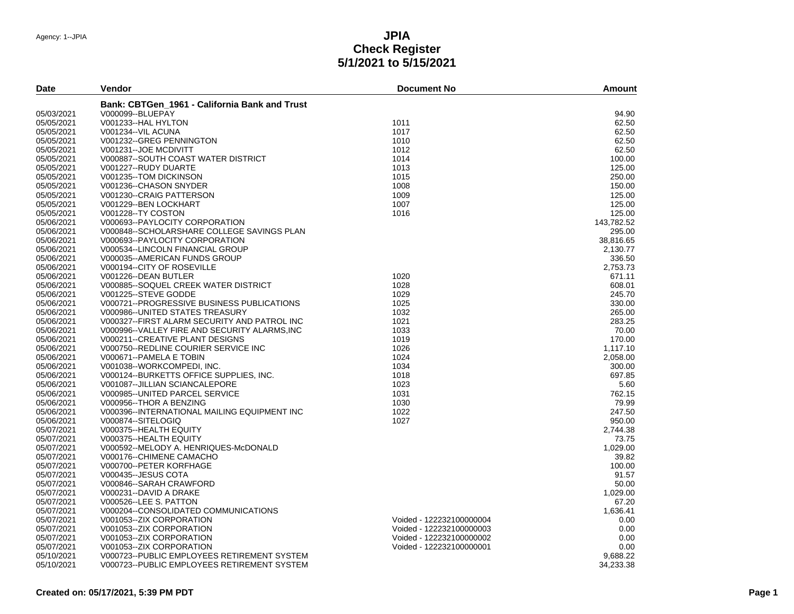# **JPIA Check Register 5/1/2021 to 5/15/2021**

| Date       | Vendor                                        | <b>Document No</b>       | <b>Amount</b> |
|------------|-----------------------------------------------|--------------------------|---------------|
|            | Bank: CBTGen 1961 - California Bank and Trust |                          |               |
| 05/03/2021 | V000099--BLUEPAY                              |                          | 94.90         |
| 05/05/2021 | V001233--HAL HYLTON                           | 1011                     | 62.50         |
| 05/05/2021 | V001234--VIL ACUNA                            | 1017                     | 62.50         |
| 05/05/2021 | V001232--GREG PENNINGTON                      | 1010                     | 62.50         |
| 05/05/2021 | V001231--JOE MCDIVITT                         | 1012                     | 62.50         |
| 05/05/2021 | V000887--SOUTH COAST WATER DISTRICT           | 1014                     | 100.00        |
| 05/05/2021 | V001227--RUDY DUARTE                          | 1013                     | 125.00        |
| 05/05/2021 | V001235--TOM DICKINSON                        | 1015                     | 250.00        |
| 05/05/2021 | V001236--CHASON SNYDER                        | 1008                     | 150.00        |
| 05/05/2021 | V001230--CRAIG PATTERSON                      | 1009                     | 125.00        |
| 05/05/2021 | V001229--BEN LOCKHART                         | 1007                     | 125.00        |
| 05/05/2021 | V001228--TY COSTON                            | 1016                     | 125.00        |
| 05/06/2021 | V000693--PAYLOCITY CORPORATION                |                          | 143.782.52    |
| 05/06/2021 | V000848--SCHOLARSHARE COLLEGE SAVINGS PLAN    |                          | 295.00        |
| 05/06/2021 | V000693--PAYLOCITY CORPORATION                |                          | 38,816.65     |
| 05/06/2021 | V000534--LINCOLN FINANCIAL GROUP              |                          | 2,130.77      |
| 05/06/2021 | V000035--AMERICAN FUNDS GROUP                 |                          | 336.50        |
|            |                                               |                          |               |
| 05/06/2021 | V000194--CITY OF ROSEVILLE                    |                          | 2.753.73      |
| 05/06/2021 | V001226--DEAN BUTLER                          | 1020                     | 671.11        |
| 05/06/2021 | V000885--SOQUEL CREEK WATER DISTRICT          | 1028                     | 608.01        |
| 05/06/2021 | V001225--STEVE GODDE                          | 1029                     | 245.70        |
| 05/06/2021 | V000721--PROGRESSIVE BUSINESS PUBLICATIONS    | 1025                     | 330.00        |
| 05/06/2021 | V000986--UNITED STATES TREASURY               | 1032                     | 265.00        |
| 05/06/2021 | V000327--FIRST ALARM SECURITY AND PATROL INC  | 1021                     | 283.25        |
| 05/06/2021 | V000996--VALLEY FIRE AND SECURITY ALARMS, INC | 1033                     | 70.00         |
| 05/06/2021 | V000211--CREATIVE PLANT DESIGNS               | 1019                     | 170.00        |
| 05/06/2021 | V000750--REDLINE COURIER SERVICE INC          | 1026                     | 1,117.10      |
| 05/06/2021 | V000671--PAMELA E TOBIN                       | 1024                     | 2,058.00      |
| 05/06/2021 | V001038--WORKCOMPEDI, INC.                    | 1034                     | 300.00        |
| 05/06/2021 | V000124--BURKETTS OFFICE SUPPLIES. INC.       | 1018                     | 697.85        |
| 05/06/2021 | V001087--JILLIAN SCIANCALEPORE                | 1023                     | 5.60          |
| 05/06/2021 | V000985--UNITED PARCEL SERVICE                | 1031                     | 762.15        |
| 05/06/2021 | V000956-THOR A BENZING                        | 1030                     | 79.99         |
| 05/06/2021 | V000396--INTERNATIONAL MAILING EQUIPMENT INC  | 1022                     | 247.50        |
| 05/06/2021 | V000874--SITELOGIQ                            | 1027                     | 950.00        |
| 05/07/2021 | V000375--HEALTH EQUITY                        |                          | 2.744.38      |
| 05/07/2021 | V000375--HEALTH EQUITY                        |                          | 73.75         |
| 05/07/2021 | V000592--MELODY A. HENRIQUES-McDONALD         |                          | 1,029.00      |
| 05/07/2021 | V000176--CHIMENE CAMACHO                      |                          | 39.82         |
| 05/07/2021 | V000700--PETER KORFHAGE                       |                          | 100.00        |
| 05/07/2021 | V000435--JESUS COTA                           |                          | 91.57         |
| 05/07/2021 | V000846--SARAH CRAWFORD                       |                          | 50.00         |
| 05/07/2021 | V000231--DAVID A DRAKE                        |                          | 1.029.00      |
| 05/07/2021 | V000526--LEE S. PATTON                        |                          | 67.20         |
| 05/07/2021 | V000204--CONSOLIDATED COMMUNICATIONS          |                          | 1,636.41      |
| 05/07/2021 | V001053--ZIX CORPORATION                      | Voided - 122232100000004 | 0.00          |
| 05/07/2021 | V001053--ZIX CORPORATION                      | Voided - 122232100000003 | 0.00          |
| 05/07/2021 | V001053--ZIX CORPORATION                      | Voided - 122232100000002 | 0.00          |
| 05/07/2021 | V001053--ZIX CORPORATION                      | Voided - 122232100000001 | 0.00          |
| 05/10/2021 | V000723--PUBLIC EMPLOYEES RETIREMENT SYSTEM   |                          | 9.688.22      |
| 05/10/2021 | V000723--PUBLIC EMPLOYEES RETIREMENT SYSTEM   |                          | 34,233.38     |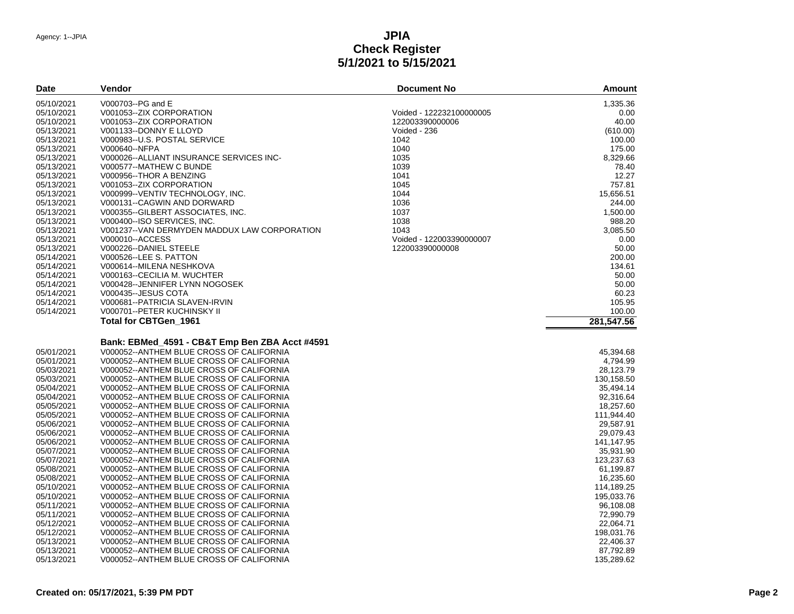#### **JPIA Check Register 5/1/2021 to 5/15/2021**

| <b>Date</b>              | Vendor                                                                               | <b>Document No</b>       | <b>Amount</b>           |
|--------------------------|--------------------------------------------------------------------------------------|--------------------------|-------------------------|
| 05/10/2021               | V000703--PG and E                                                                    |                          | 1,335.36                |
| 05/10/2021               | V001053--ZIX CORPORATION                                                             | Voided - 122232100000005 | 0.00                    |
| 05/10/2021               | V001053--ZIX CORPORATION                                                             | 122003390000006          | 40.00                   |
| 05/13/2021               | V001133--DONNY E LLOYD                                                               | Voided - 236             | (610.00)                |
| 05/13/2021               | V000983--U.S. POSTAL SERVICE                                                         | 1042                     | 100.00                  |
| 05/13/2021               | V000640--NFPA                                                                        | 1040                     | 175.00                  |
| 05/13/2021               | V000026--ALLIANT INSURANCE SERVICES INC-                                             | 1035                     | 8,329.66                |
| 05/13/2021               | V000577--MATHEW C BUNDE                                                              | 1039                     | 78.40                   |
| 05/13/2021               | V000956-THOR A BENZING                                                               | 1041                     | 12.27                   |
| 05/13/2021               | V001053--ZIX CORPORATION                                                             | 1045                     | 757.81                  |
| 05/13/2021               | V000999--VENTIV TECHNOLOGY, INC.                                                     | 1044                     | 15,656.51               |
| 05/13/2021               | V000131--CAGWIN AND DORWARD                                                          | 1036                     | 244.00                  |
| 05/13/2021               | V000355-GILBERT ASSOCIATES, INC.                                                     | 1037                     | 1,500.00                |
| 05/13/2021               | V000400--ISO SERVICES, INC.                                                          | 1038                     | 988.20                  |
| 05/13/2021               | V001237--VAN DERMYDEN MADDUX LAW CORPORATION                                         | 1043                     | 3,085.50                |
|                          |                                                                                      |                          |                         |
| 05/13/2021               | V000010--ACCESS                                                                      | Voided - 122003390000007 | 0.00                    |
| 05/13/2021               | V000226--DANIEL STEELE                                                               | 122003390000008          | 50.00                   |
| 05/14/2021               | V000526--LEE S. PATTON                                                               |                          | 200.00                  |
| 05/14/2021               | V000614--MILENA NESHKOVA                                                             |                          | 134.61                  |
| 05/14/2021               | V000163--CECILIA M. WUCHTER                                                          |                          | 50.00                   |
| 05/14/2021               | V000428--JENNIFER LYNN NOGOSEK                                                       |                          | 50.00                   |
| 05/14/2021               | V000435--JESUS COTA                                                                  |                          | 60.23                   |
| 05/14/2021               | V000681--PATRICIA SLAVEN-IRVIN                                                       |                          | 105.95                  |
| 05/14/2021               | V000701--PETER KUCHINSKY II                                                          |                          | 100.00                  |
|                          | Total for CBTGen_1961                                                                |                          | 281,547.56              |
|                          | Bank: EBMed_4591 - CB&T Emp Ben ZBA Acct #4591                                       |                          |                         |
| 05/01/2021               | V000052--ANTHEM BLUE CROSS OF CALIFORNIA                                             |                          | 45,394.68               |
| 05/01/2021               | V000052--ANTHEM BLUE CROSS OF CALIFORNIA                                             |                          | 4,794.99                |
| 05/03/2021               | V000052--ANTHEM BLUE CROSS OF CALIFORNIA                                             |                          | 28,123.79               |
|                          |                                                                                      |                          |                         |
| 05/03/2021<br>05/04/2021 | V000052--ANTHEM BLUE CROSS OF CALIFORNIA<br>V000052--ANTHEM BLUE CROSS OF CALIFORNIA |                          | 130,158.50<br>35,494.14 |
|                          |                                                                                      |                          |                         |
| 05/04/2021               | V000052--ANTHEM BLUE CROSS OF CALIFORNIA                                             |                          | 92,316.64<br>18,257.60  |
| 05/05/2021               | V000052--ANTHEM BLUE CROSS OF CALIFORNIA                                             |                          |                         |
| 05/05/2021               | V000052--ANTHEM BLUE CROSS OF CALIFORNIA                                             |                          | 111,944.40              |
| 05/06/2021               | V000052--ANTHEM BLUE CROSS OF CALIFORNIA                                             |                          | 29,587.91               |
| 05/06/2021               | V000052--ANTHEM BLUE CROSS OF CALIFORNIA                                             |                          | 29,079.43               |
| 05/06/2021               | V000052--ANTHEM BLUE CROSS OF CALIFORNIA                                             |                          | 141,147.95              |
| 05/07/2021               | V000052--ANTHEM BLUE CROSS OF CALIFORNIA                                             |                          | 35,931.90               |
| 05/07/2021               | V000052--ANTHEM BLUE CROSS OF CALIFORNIA                                             |                          | 123,237.63              |
| 05/08/2021               | V000052--ANTHEM BLUE CROSS OF CALIFORNIA                                             |                          | 61,199.87               |
| 05/08/2021               | V000052--ANTHEM BLUE CROSS OF CALIFORNIA                                             |                          | 16,235.60               |
| 05/10/2021               | V000052--ANTHEM BLUE CROSS OF CALIFORNIA                                             |                          | 114,189.25              |
| 05/10/2021               | V000052--ANTHEM BLUE CROSS OF CALIFORNIA                                             |                          | 195,033.76              |
| 05/11/2021               | V000052--ANTHEM BLUE CROSS OF CALIFORNIA                                             |                          | 96,108.08               |
| 05/11/2021               | V000052--ANTHEM BLUE CROSS OF CALIFORNIA                                             |                          | 72,990.79               |
| 05/12/2021               | V000052--ANTHEM BLUE CROSS OF CALIFORNIA                                             |                          | 22,064.71               |
| 05/12/2021               | V000052--ANTHEM BLUE CROSS OF CALIFORNIA                                             |                          | 198,031.76              |
| 05/13/2021               | V000052--ANTHEM BLUE CROSS OF CALIFORNIA                                             |                          | 22,406.37               |
| 05/13/2021               | V000052--ANTHEM BLUE CROSS OF CALIFORNIA                                             |                          | 87,792.89               |
| 05/13/2021               | V000052--ANTHEM BLUE CROSS OF CALIFORNIA                                             |                          | 135,289.62              |